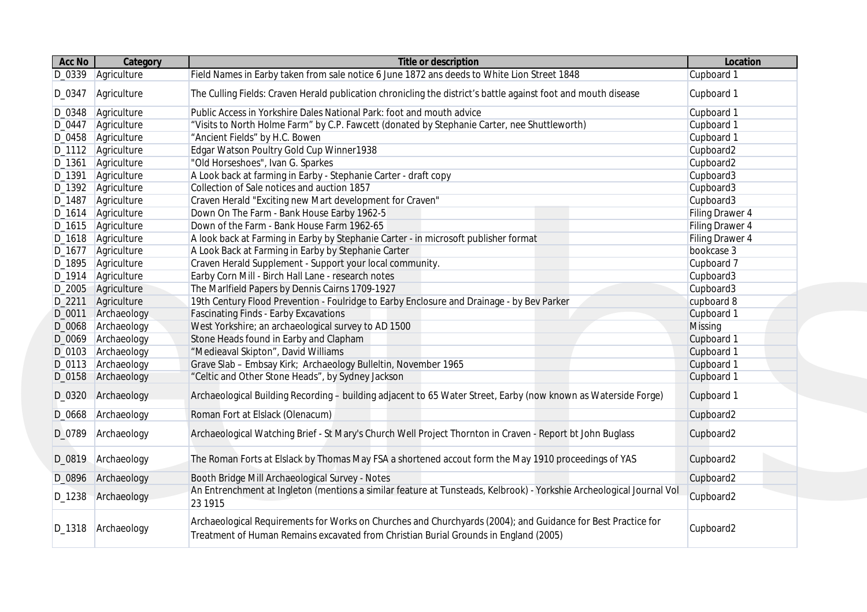| Acc No   | Category             | <b>Title or description</b>                                                                                                                                                                          | Location        |
|----------|----------------------|------------------------------------------------------------------------------------------------------------------------------------------------------------------------------------------------------|-----------------|
|          | D_0339 Agriculture   | Field Names in Earby taken from sale notice 6 June 1872 ans deeds to White Lion Street 1848                                                                                                          | Cupboard 1      |
| D_0347   | Agriculture          | The Culling Fields: Craven Herald publication chronicling the district's battle against foot and mouth disease                                                                                       | Cupboard 1      |
| D_0348   | Agriculture          | Public Access in Yorkshire Dales National Park: foot and mouth advice                                                                                                                                | Cupboard 1      |
|          | D_0447 Agriculture   | "Visits to North Holme Farm" by C.P. Fawcett (donated by Stephanie Carter, nee Shuttleworth)                                                                                                         | Cupboard 1      |
|          | D_0458 Agriculture   | "Ancient Fields" by H.C. Bowen                                                                                                                                                                       | Cupboard 1      |
|          | D_1112 Agriculture   | Edgar Watson Poultry Gold Cup Winner1938                                                                                                                                                             | Cupboard2       |
| D_1361   | Agriculture          | "Old Horseshoes", Ivan G. Sparkes                                                                                                                                                                    | Cupboard2       |
| D_1391   | Agriculture          | A Look back at farming in Earby - Stephanie Carter - draft copy                                                                                                                                      | Cupboard3       |
|          | D_1392 Agriculture   | Collection of Sale notices and auction 1857                                                                                                                                                          | Cupboard3       |
| D_1487   | Agriculture          | Craven Herald "Exciting new Mart development for Craven"                                                                                                                                             | Cupboard3       |
|          | D_1614 Agriculture   | Down On The Farm - Bank House Earby 1962-5                                                                                                                                                           | Filing Drawer 4 |
|          | D_1615 Agriculture   | Down of the Farm - Bank House Farm 1962-65                                                                                                                                                           | Filing Drawer 4 |
|          | D_1618 Agriculture   | A look back at Farming in Earby by Stephanie Carter - in microsoft publisher format                                                                                                                  | Filing Drawer 4 |
|          | D_1677   Agriculture | A Look Back at Farming in Earby by Stephanie Carter                                                                                                                                                  | bookcase 3      |
|          | D_1895 Agriculture   | Craven Herald Supplement - Support your local community.                                                                                                                                             | Cupboard 7      |
|          | D_1914 Agriculture   | Earby Corn Mill - Birch Hall Lane - research notes                                                                                                                                                   | Cupboard3       |
|          | D_2005 Agriculture   | The Marlfield Papers by Dennis Cairns 1709-1927                                                                                                                                                      | Cupboard3       |
| $D_2211$ | Agriculture          | 19th Century Flood Prevention - Foulridge to Earby Enclosure and Drainage - by Bev Parker                                                                                                            | cupboard 8      |
| D_0011   | Archaeology          | <b>Fascinating Finds - Earby Excavations</b>                                                                                                                                                         | Cupboard 1      |
| D_0068   | Archaeology          | West Yorkshire; an archaeological survey to AD 1500                                                                                                                                                  | Missing         |
| D_0069   | Archaeology          | Stone Heads found in Earby and Clapham                                                                                                                                                               | Cupboard 1      |
| D_0103   | Archaeology          | "Medieaval Skipton", David Williams                                                                                                                                                                  | Cupboard 1      |
|          | D_0113 Archaeology   | Grave Slab - Embsay Kirk; Archaeology Bulleltin, November 1965                                                                                                                                       | Cupboard 1      |
| D_0158   | Archaeology          | "Celtic and Other Stone Heads", by Sydney Jackson                                                                                                                                                    | Cupboard 1      |
|          | D_0320 Archaeology   | Archaeological Building Recording - building adjacent to 65 Water Street, Earby (now known as Waterside Forge)                                                                                       | Cupboard 1      |
| D_0668   | Archaeology          | Roman Fort at Elslack (Olenacum)                                                                                                                                                                     | Cupboard2       |
| D_0789   | Archaeology          | Archaeological Watching Brief - St Mary's Church Well Project Thornton in Craven - Report bt John Buglass                                                                                            | Cupboard2       |
| D_0819   | Archaeology          | The Roman Forts at Elslack by Thomas May FSA a shortened accout form the May 1910 proceedings of YAS                                                                                                 | Cupboard2       |
| D_0896   | Archaeology          | Booth Bridge Mill Archaeological Survey - Notes                                                                                                                                                      | Cupboard2       |
| D_1238   | Archaeology          | An Entrenchment at Ingleton (mentions a similar feature at Tunsteads, Kelbrook) - Yorkshie Archeological Journal Vol<br>23 1915                                                                      | Cupboard2       |
|          | D_1318 Archaeology   | Archaeological Requirements for Works on Churches and Churchyards (2004); and Guidance for Best Practice for<br>Treatment of Human Remains excavated from Christian Burial Grounds in England (2005) | Cupboard2       |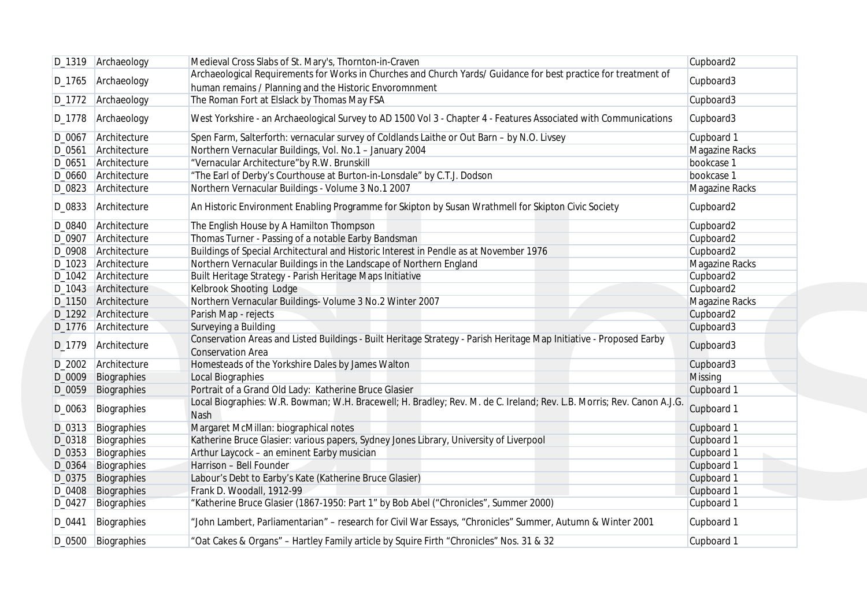|                  | D_1319 Archaeology         | Medieval Cross Slabs of St. Mary's, Thornton-in-Craven                                                                                          | Cupboard2                |
|------------------|----------------------------|-------------------------------------------------------------------------------------------------------------------------------------------------|--------------------------|
|                  |                            | Archaeological Requirements for Works in Churches and Church Yards/ Guidance for best practice for treatment of                                 |                          |
| D_1765           | Archaeology                | human remains / Planning and the Historic Envoromnment                                                                                          | Cupboard3                |
|                  | D_1772 Archaeology         | The Roman Fort at Elslack by Thomas May FSA                                                                                                     | Cupboard3                |
| D_1778           | Archaeology                | West Yorkshire - an Archaeological Survey to AD 1500 Vol 3 - Chapter 4 - Features Associated with Communications                                | Cupboard3                |
| D_0067           | Architecture               | Spen Farm, Salterforth: vernacular survey of Coldlands Laithe or Out Barn - by N.O. Livsey                                                      | Cupboard 1               |
| D_0561           | Architecture               | Northern Vernacular Buildings, Vol. No.1 - January 2004                                                                                         | Magazine Racks           |
| D_0651           | Architecture               | "Vernacular Architecture"by R.W. Brunskill                                                                                                      | bookcase 1               |
|                  | D_0660 Architecture        | "The Earl of Derby's Courthouse at Burton-in-Lonsdale" by C.T.J. Dodson                                                                         | bookcase 1               |
|                  | D_0823 Architecture        | Northern Vernacular Buildings - Volume 3 No.1 2007                                                                                              | Magazine Racks           |
| D_0833           | Architecture               | An Historic Environment Enabling Programme for Skipton by Susan Wrathmell for Skipton Civic Society                                             | Cupboard2                |
|                  | D_0840 Architecture        | The English House by A Hamilton Thompson                                                                                                        | Cupboard2                |
|                  | D_0907 Architecture        | Thomas Turner - Passing of a notable Earby Bandsman                                                                                             | Cupboard2                |
|                  | D_0908 Architecture        | Buildings of Special Architectural and Historic Interest in Pendle as at November 1976                                                          | Cupboard2                |
|                  | D_1023 Architecture        | Northern Vernacular Buildings in the Landscape of Northern England                                                                              | Magazine Racks           |
|                  | D_1042 Architecture        | Built Heritage Strategy - Parish Heritage Maps Initiative                                                                                       | Cupboard2                |
|                  | D_1043 Architecture        | Kelbrook Shooting Lodge                                                                                                                         | Cupboard2                |
|                  | D_1150 Architecture        | Northern Vernacular Buildings- Volume 3 No.2 Winter 2007                                                                                        | Magazine Racks           |
|                  | D_1292 Architecture        | Parish Map - rejects                                                                                                                            | Cupboard2                |
|                  | D_1776 Architecture        | Surveying a Building                                                                                                                            | Cupboard3                |
| D_1779           | Architecture               | Conservation Areas and Listed Buildings - Built Heritage Strategy - Parish Heritage Map Initiative - Proposed Earby<br><b>Conservation Area</b> | Cupboard3                |
|                  | D_2002 Architecture        | Homesteads of the Yorkshire Dales by James Walton                                                                                               | Cupboard3                |
| D_0009           | Biographies                | Local Biographies                                                                                                                               | <b>Missing</b>           |
| D_0059           | Biographies                | Portrait of a Grand Old Lady: Katherine Bruce Glasier                                                                                           | Cupboard 1               |
| D_0063           | Biographies                | Local Biographies: W.R. Bowman; W.H. Bracewell; H. Bradley; Rev. M. de C. Ireland; Rev. L.B. Morris; Rev. Canon A.J.G.                          | Cupboard 1               |
|                  |                            | Nash                                                                                                                                            |                          |
| D_0313           | Biographies                | Margaret McMillan: biographical notes                                                                                                           | Cupboard 1               |
| D_0318           | Biographies                | Katherine Bruce Glasier: various papers, Sydney Jones Library, University of Liverpool                                                          | Cupboard 1               |
| D_0353           | Biographies                | Arthur Laycock - an eminent Earby musician<br>Harrison - Bell Founder                                                                           | Cupboard 1               |
| D_0364           | Biographies                |                                                                                                                                                 | Cupboard 1               |
| D_0375           | Biographies                | Labour's Debt to Earby's Kate (Katherine Bruce Glasier)<br>Frank D. Woodall, 1912-99                                                            | Cupboard 1<br>Cupboard 1 |
| D_0408<br>D_0427 | Biographies                | "Katherine Bruce Glasier (1867-1950: Part 1" by Bob Abel ("Chronicles", Summer 2000)                                                            |                          |
| D_0441           | Biographies<br>Biographies | "John Lambert, Parliamentarian" - research for Civil War Essays, "Chronicles" Summer, Autumn & Winter 2001                                      | Cupboard 1<br>Cupboard 1 |
|                  | D_0500 Biographies         | "Oat Cakes & Organs" - Hartley Family article by Squire Firth "Chronicles" Nos. 31 & 32                                                         | Cupboard 1               |
|                  |                            |                                                                                                                                                 |                          |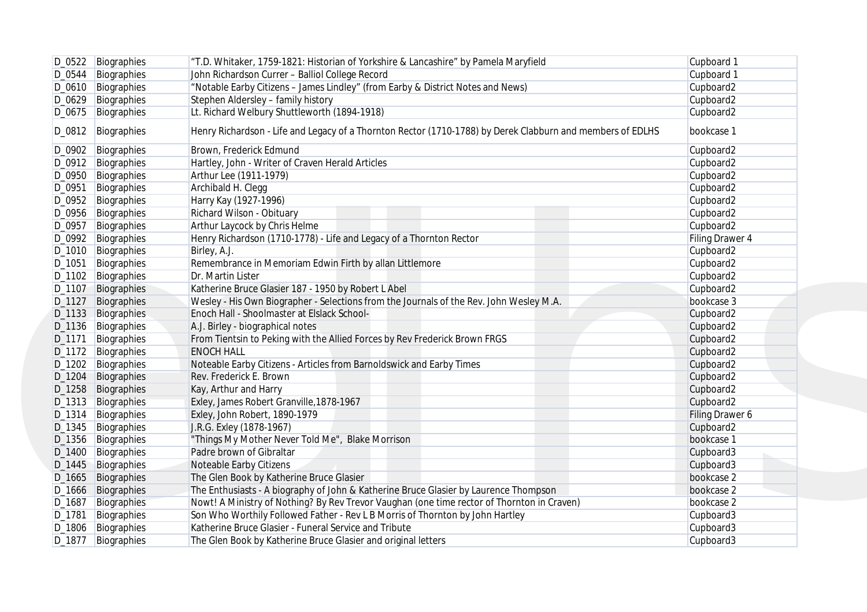|                    | D_0522 Biographies   | "T.D. Whitaker, 1759-1821: Historian of Yorkshire & Lancashire" by Pamela Maryfield                        | Cupboard 1      |
|--------------------|----------------------|------------------------------------------------------------------------------------------------------------|-----------------|
|                    | D_0544 Biographies   | John Richardson Currer - Balliol College Record                                                            | Cupboard 1      |
|                    | D_0610   Biographies | "Notable Earby Citizens - James Lindley" (from Earby & District Notes and News)                            | Cupboard2       |
| D_0629             | Biographies          | Stephen Aldersley - family history                                                                         | Cupboard2       |
|                    | D_0675   Biographies | Lt. Richard Welbury Shuttleworth (1894-1918)                                                               | Cupboard2       |
| D_0812             | Biographies          | Henry Richardson - Life and Legacy of a Thornton Rector (1710-1788) by Derek Clabburn and members of EDLHS | bookcase 1      |
|                    | D_0902   Biographies | Brown, Frederick Edmund                                                                                    | Cupboard2       |
|                    | D_0912 Biographies   | Hartley, John - Writer of Craven Herald Articles                                                           | Cupboard2       |
| D_0950             | Biographies          | Arthur Lee (1911-1979)                                                                                     | Cupboard2       |
| D_0951             | Biographies          | Archibald H. Clegg                                                                                         | Cupboard2       |
|                    | D_0952   Biographies | Harry Kay (1927-1996)                                                                                      | Cupboard2       |
|                    | D_0956 Biographies   | Richard Wilson - Obituary                                                                                  | Cupboard2       |
| D_0957             | Biographies          | Arthur Laycock by Chris Helme                                                                              | Cupboard2       |
| D_0992             | Biographies          | Henry Richardson (1710-1778) - Life and Legacy of a Thornton Rector                                        | Filing Drawer 4 |
|                    | D_1010   Biographies | Birley, A.J.                                                                                               | Cupboard2       |
|                    |                      |                                                                                                            |                 |
| D_1051             | Biographies          | Remembrance in Memoriam Edwin Firth by allan Littlemore                                                    | Cupboard2       |
|                    | D_1102 Biographies   | Dr. Martin Lister                                                                                          | Cupboard2       |
| D_1107             | Biographies          | Katherine Bruce Glasier 187 - 1950 by Robert L Abel                                                        | Cupboard2       |
| D_1127             | Biographies          | Wesley - His Own Biographer - Selections from the Journals of the Rev. John Wesley M.A.                    | bookcase 3      |
| D <sub>-1133</sub> | Biographies          | Enoch Hall - Shoolmaster at Elslack School-                                                                | Cupboard2       |
|                    | D_1136 Biographies   | A.J. Birley - biographical notes                                                                           | Cupboard2       |
| D_1171             | Biographies          | From Tientsin to Peking with the Allied Forces by Rev Frederick Brown FRGS                                 | Cupboard2       |
|                    | D_1172   Biographies | <b>ENOCH HALL</b>                                                                                          | Cupboard2       |
|                    | D_1202 Biographies   | Noteable Earby Citizens - Articles from Barnoldswick and Earby Times                                       | Cupboard2       |
| D_1204             | Biographies          | Rev. Frederick E. Brown                                                                                    | Cupboard2       |
| D_1258             | Biographies          | Kay, Arthur and Harry                                                                                      | Cupboard2       |
| D_1313             | Biographies          | Exley, James Robert Granville, 1878-1967                                                                   | Cupboard2       |
| D_1314             | Biographies          | Exley, John Robert, 1890-1979                                                                              | Filing Drawer 6 |
| D_1345             | Biographies          | J.R.G. Exley (1878-1967)                                                                                   | Cupboard2       |
| D_1356             | Biographies          | "Things My Mother Never Told Me", Blake Morrison                                                           | bookcase 1      |
| D_1400             | Biographies          | Padre brown of Gibraltar                                                                                   | Cupboard3       |
| D_1445             | Biographies          | Noteable Earby Citizens                                                                                    | Cupboard3       |
| D <sub>-1665</sub> | Biographies          | The Glen Book by Katherine Bruce Glasier                                                                   | bookcase 2      |
| D <sub>-1666</sub> | Biographies          | The Enthusiasts - A biography of John & Katherine Bruce Glasier by Laurence Thompson                       | bookcase 2      |
| D_1687             | Biographies          | Nowt! A Ministry of Nothing? By Rev Trevor Vaughan (one time rector of Thornton in Craven)                 | bookcase 2      |
|                    | D_1781 Biographies   | Son Who Worthily Followed Father - Rev L B Morris of Thornton by John Hartley                              | Cupboard3       |
|                    | D_1806 Biographies   | Katherine Bruce Glasier - Funeral Service and Tribute                                                      | Cupboard3       |
|                    | D_1877 Biographies   | The Glen Book by Katherine Bruce Glasier and original letters                                              | Cupboard3       |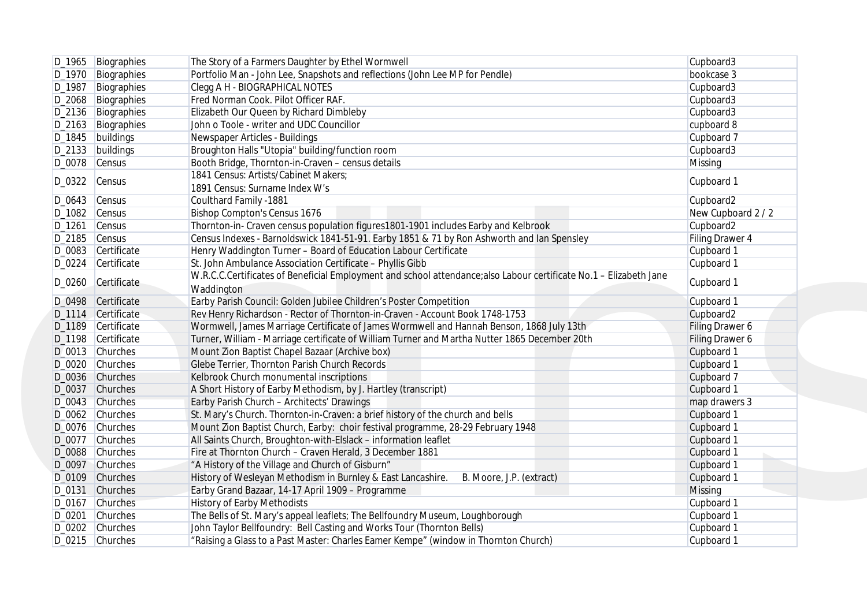| D_1965   Biographies<br>D_1970   Biographies<br>Biographies | The Story of a Farmers Daughter by Ethel Wormwell<br>Portfolio Man - John Lee, Snapshots and reflections (John Lee MP for Pendle)                                                                                                                                                                                                                                                                                                                                                                    | Cupboard3<br>bookcase 3                                                                                                                                                                                                                                                                                                                                                                                                                                                                                                                                                                                                                                                                                                                                                                                                                                                                                                                                                                                                                                                                                                                                                                                                                                                                                                                                                                                                                                                                                                                                                                                                                                                                                                                                                                                                                                                                                                                                                                                                                                                                                          |
|-------------------------------------------------------------|------------------------------------------------------------------------------------------------------------------------------------------------------------------------------------------------------------------------------------------------------------------------------------------------------------------------------------------------------------------------------------------------------------------------------------------------------------------------------------------------------|------------------------------------------------------------------------------------------------------------------------------------------------------------------------------------------------------------------------------------------------------------------------------------------------------------------------------------------------------------------------------------------------------------------------------------------------------------------------------------------------------------------------------------------------------------------------------------------------------------------------------------------------------------------------------------------------------------------------------------------------------------------------------------------------------------------------------------------------------------------------------------------------------------------------------------------------------------------------------------------------------------------------------------------------------------------------------------------------------------------------------------------------------------------------------------------------------------------------------------------------------------------------------------------------------------------------------------------------------------------------------------------------------------------------------------------------------------------------------------------------------------------------------------------------------------------------------------------------------------------------------------------------------------------------------------------------------------------------------------------------------------------------------------------------------------------------------------------------------------------------------------------------------------------------------------------------------------------------------------------------------------------------------------------------------------------------------------------------------------------|
|                                                             |                                                                                                                                                                                                                                                                                                                                                                                                                                                                                                      |                                                                                                                                                                                                                                                                                                                                                                                                                                                                                                                                                                                                                                                                                                                                                                                                                                                                                                                                                                                                                                                                                                                                                                                                                                                                                                                                                                                                                                                                                                                                                                                                                                                                                                                                                                                                                                                                                                                                                                                                                                                                                                                  |
|                                                             | Clegg A H - BIOGRAPHICAL NOTES                                                                                                                                                                                                                                                                                                                                                                                                                                                                       | Cupboard3                                                                                                                                                                                                                                                                                                                                                                                                                                                                                                                                                                                                                                                                                                                                                                                                                                                                                                                                                                                                                                                                                                                                                                                                                                                                                                                                                                                                                                                                                                                                                                                                                                                                                                                                                                                                                                                                                                                                                                                                                                                                                                        |
| D_2068 Biographies                                          | Fred Norman Cook. Pilot Officer RAF.                                                                                                                                                                                                                                                                                                                                                                                                                                                                 | Cupboard3                                                                                                                                                                                                                                                                                                                                                                                                                                                                                                                                                                                                                                                                                                                                                                                                                                                                                                                                                                                                                                                                                                                                                                                                                                                                                                                                                                                                                                                                                                                                                                                                                                                                                                                                                                                                                                                                                                                                                                                                                                                                                                        |
| D_2136   Biographies                                        | Elizabeth Our Queen by Richard Dimbleby                                                                                                                                                                                                                                                                                                                                                                                                                                                              | Cupboard3                                                                                                                                                                                                                                                                                                                                                                                                                                                                                                                                                                                                                                                                                                                                                                                                                                                                                                                                                                                                                                                                                                                                                                                                                                                                                                                                                                                                                                                                                                                                                                                                                                                                                                                                                                                                                                                                                                                                                                                                                                                                                                        |
| D_2163 Biographies                                          | John o Toole - writer and UDC Councillor                                                                                                                                                                                                                                                                                                                                                                                                                                                             | cupboard 8                                                                                                                                                                                                                                                                                                                                                                                                                                                                                                                                                                                                                                                                                                                                                                                                                                                                                                                                                                                                                                                                                                                                                                                                                                                                                                                                                                                                                                                                                                                                                                                                                                                                                                                                                                                                                                                                                                                                                                                                                                                                                                       |
| D_1845   buildings                                          |                                                                                                                                                                                                                                                                                                                                                                                                                                                                                                      | Cupboard 7                                                                                                                                                                                                                                                                                                                                                                                                                                                                                                                                                                                                                                                                                                                                                                                                                                                                                                                                                                                                                                                                                                                                                                                                                                                                                                                                                                                                                                                                                                                                                                                                                                                                                                                                                                                                                                                                                                                                                                                                                                                                                                       |
| D_2133 buildings                                            |                                                                                                                                                                                                                                                                                                                                                                                                                                                                                                      | Cupboard3                                                                                                                                                                                                                                                                                                                                                                                                                                                                                                                                                                                                                                                                                                                                                                                                                                                                                                                                                                                                                                                                                                                                                                                                                                                                                                                                                                                                                                                                                                                                                                                                                                                                                                                                                                                                                                                                                                                                                                                                                                                                                                        |
| $D_0078$ Census                                             |                                                                                                                                                                                                                                                                                                                                                                                                                                                                                                      | Missing                                                                                                                                                                                                                                                                                                                                                                                                                                                                                                                                                                                                                                                                                                                                                                                                                                                                                                                                                                                                                                                                                                                                                                                                                                                                                                                                                                                                                                                                                                                                                                                                                                                                                                                                                                                                                                                                                                                                                                                                                                                                                                          |
|                                                             | 1841 Census: Artists/Cabinet Makers;                                                                                                                                                                                                                                                                                                                                                                                                                                                                 |                                                                                                                                                                                                                                                                                                                                                                                                                                                                                                                                                                                                                                                                                                                                                                                                                                                                                                                                                                                                                                                                                                                                                                                                                                                                                                                                                                                                                                                                                                                                                                                                                                                                                                                                                                                                                                                                                                                                                                                                                                                                                                                  |
|                                                             |                                                                                                                                                                                                                                                                                                                                                                                                                                                                                                      | Cupboard 1                                                                                                                                                                                                                                                                                                                                                                                                                                                                                                                                                                                                                                                                                                                                                                                                                                                                                                                                                                                                                                                                                                                                                                                                                                                                                                                                                                                                                                                                                                                                                                                                                                                                                                                                                                                                                                                                                                                                                                                                                                                                                                       |
| $D_0643$ Census                                             |                                                                                                                                                                                                                                                                                                                                                                                                                                                                                                      | Cupboard2                                                                                                                                                                                                                                                                                                                                                                                                                                                                                                                                                                                                                                                                                                                                                                                                                                                                                                                                                                                                                                                                                                                                                                                                                                                                                                                                                                                                                                                                                                                                                                                                                                                                                                                                                                                                                                                                                                                                                                                                                                                                                                        |
| D_1082 Census                                               |                                                                                                                                                                                                                                                                                                                                                                                                                                                                                                      | New Cupboard 2 / 2                                                                                                                                                                                                                                                                                                                                                                                                                                                                                                                                                                                                                                                                                                                                                                                                                                                                                                                                                                                                                                                                                                                                                                                                                                                                                                                                                                                                                                                                                                                                                                                                                                                                                                                                                                                                                                                                                                                                                                                                                                                                                               |
| Census                                                      |                                                                                                                                                                                                                                                                                                                                                                                                                                                                                                      | Cupboard2                                                                                                                                                                                                                                                                                                                                                                                                                                                                                                                                                                                                                                                                                                                                                                                                                                                                                                                                                                                                                                                                                                                                                                                                                                                                                                                                                                                                                                                                                                                                                                                                                                                                                                                                                                                                                                                                                                                                                                                                                                                                                                        |
|                                                             |                                                                                                                                                                                                                                                                                                                                                                                                                                                                                                      | Filing Drawer 4                                                                                                                                                                                                                                                                                                                                                                                                                                                                                                                                                                                                                                                                                                                                                                                                                                                                                                                                                                                                                                                                                                                                                                                                                                                                                                                                                                                                                                                                                                                                                                                                                                                                                                                                                                                                                                                                                                                                                                                                                                                                                                  |
|                                                             |                                                                                                                                                                                                                                                                                                                                                                                                                                                                                                      | Cupboard 1                                                                                                                                                                                                                                                                                                                                                                                                                                                                                                                                                                                                                                                                                                                                                                                                                                                                                                                                                                                                                                                                                                                                                                                                                                                                                                                                                                                                                                                                                                                                                                                                                                                                                                                                                                                                                                                                                                                                                                                                                                                                                                       |
|                                                             |                                                                                                                                                                                                                                                                                                                                                                                                                                                                                                      | Cupboard 1                                                                                                                                                                                                                                                                                                                                                                                                                                                                                                                                                                                                                                                                                                                                                                                                                                                                                                                                                                                                                                                                                                                                                                                                                                                                                                                                                                                                                                                                                                                                                                                                                                                                                                                                                                                                                                                                                                                                                                                                                                                                                                       |
|                                                             |                                                                                                                                                                                                                                                                                                                                                                                                                                                                                                      |                                                                                                                                                                                                                                                                                                                                                                                                                                                                                                                                                                                                                                                                                                                                                                                                                                                                                                                                                                                                                                                                                                                                                                                                                                                                                                                                                                                                                                                                                                                                                                                                                                                                                                                                                                                                                                                                                                                                                                                                                                                                                                                  |
|                                                             |                                                                                                                                                                                                                                                                                                                                                                                                                                                                                                      | Cupboard 1                                                                                                                                                                                                                                                                                                                                                                                                                                                                                                                                                                                                                                                                                                                                                                                                                                                                                                                                                                                                                                                                                                                                                                                                                                                                                                                                                                                                                                                                                                                                                                                                                                                                                                                                                                                                                                                                                                                                                                                                                                                                                                       |
|                                                             |                                                                                                                                                                                                                                                                                                                                                                                                                                                                                                      | Cupboard 1                                                                                                                                                                                                                                                                                                                                                                                                                                                                                                                                                                                                                                                                                                                                                                                                                                                                                                                                                                                                                                                                                                                                                                                                                                                                                                                                                                                                                                                                                                                                                                                                                                                                                                                                                                                                                                                                                                                                                                                                                                                                                                       |
|                                                             |                                                                                                                                                                                                                                                                                                                                                                                                                                                                                                      | Cupboard2                                                                                                                                                                                                                                                                                                                                                                                                                                                                                                                                                                                                                                                                                                                                                                                                                                                                                                                                                                                                                                                                                                                                                                                                                                                                                                                                                                                                                                                                                                                                                                                                                                                                                                                                                                                                                                                                                                                                                                                                                                                                                                        |
|                                                             |                                                                                                                                                                                                                                                                                                                                                                                                                                                                                                      | Filing Drawer 6                                                                                                                                                                                                                                                                                                                                                                                                                                                                                                                                                                                                                                                                                                                                                                                                                                                                                                                                                                                                                                                                                                                                                                                                                                                                                                                                                                                                                                                                                                                                                                                                                                                                                                                                                                                                                                                                                                                                                                                                                                                                                                  |
|                                                             |                                                                                                                                                                                                                                                                                                                                                                                                                                                                                                      | Filing Drawer 6                                                                                                                                                                                                                                                                                                                                                                                                                                                                                                                                                                                                                                                                                                                                                                                                                                                                                                                                                                                                                                                                                                                                                                                                                                                                                                                                                                                                                                                                                                                                                                                                                                                                                                                                                                                                                                                                                                                                                                                                                                                                                                  |
|                                                             |                                                                                                                                                                                                                                                                                                                                                                                                                                                                                                      | Cupboard 1                                                                                                                                                                                                                                                                                                                                                                                                                                                                                                                                                                                                                                                                                                                                                                                                                                                                                                                                                                                                                                                                                                                                                                                                                                                                                                                                                                                                                                                                                                                                                                                                                                                                                                                                                                                                                                                                                                                                                                                                                                                                                                       |
|                                                             |                                                                                                                                                                                                                                                                                                                                                                                                                                                                                                      | Cupboard 1                                                                                                                                                                                                                                                                                                                                                                                                                                                                                                                                                                                                                                                                                                                                                                                                                                                                                                                                                                                                                                                                                                                                                                                                                                                                                                                                                                                                                                                                                                                                                                                                                                                                                                                                                                                                                                                                                                                                                                                                                                                                                                       |
|                                                             |                                                                                                                                                                                                                                                                                                                                                                                                                                                                                                      | Cupboard 7                                                                                                                                                                                                                                                                                                                                                                                                                                                                                                                                                                                                                                                                                                                                                                                                                                                                                                                                                                                                                                                                                                                                                                                                                                                                                                                                                                                                                                                                                                                                                                                                                                                                                                                                                                                                                                                                                                                                                                                                                                                                                                       |
|                                                             |                                                                                                                                                                                                                                                                                                                                                                                                                                                                                                      | Cupboard 1                                                                                                                                                                                                                                                                                                                                                                                                                                                                                                                                                                                                                                                                                                                                                                                                                                                                                                                                                                                                                                                                                                                                                                                                                                                                                                                                                                                                                                                                                                                                                                                                                                                                                                                                                                                                                                                                                                                                                                                                                                                                                                       |
|                                                             |                                                                                                                                                                                                                                                                                                                                                                                                                                                                                                      | map drawers 3                                                                                                                                                                                                                                                                                                                                                                                                                                                                                                                                                                                                                                                                                                                                                                                                                                                                                                                                                                                                                                                                                                                                                                                                                                                                                                                                                                                                                                                                                                                                                                                                                                                                                                                                                                                                                                                                                                                                                                                                                                                                                                    |
|                                                             |                                                                                                                                                                                                                                                                                                                                                                                                                                                                                                      | Cupboard 1                                                                                                                                                                                                                                                                                                                                                                                                                                                                                                                                                                                                                                                                                                                                                                                                                                                                                                                                                                                                                                                                                                                                                                                                                                                                                                                                                                                                                                                                                                                                                                                                                                                                                                                                                                                                                                                                                                                                                                                                                                                                                                       |
|                                                             |                                                                                                                                                                                                                                                                                                                                                                                                                                                                                                      | Cupboard 1                                                                                                                                                                                                                                                                                                                                                                                                                                                                                                                                                                                                                                                                                                                                                                                                                                                                                                                                                                                                                                                                                                                                                                                                                                                                                                                                                                                                                                                                                                                                                                                                                                                                                                                                                                                                                                                                                                                                                                                                                                                                                                       |
|                                                             |                                                                                                                                                                                                                                                                                                                                                                                                                                                                                                      | Cupboard 1                                                                                                                                                                                                                                                                                                                                                                                                                                                                                                                                                                                                                                                                                                                                                                                                                                                                                                                                                                                                                                                                                                                                                                                                                                                                                                                                                                                                                                                                                                                                                                                                                                                                                                                                                                                                                                                                                                                                                                                                                                                                                                       |
|                                                             |                                                                                                                                                                                                                                                                                                                                                                                                                                                                                                      | Cupboard 1                                                                                                                                                                                                                                                                                                                                                                                                                                                                                                                                                                                                                                                                                                                                                                                                                                                                                                                                                                                                                                                                                                                                                                                                                                                                                                                                                                                                                                                                                                                                                                                                                                                                                                                                                                                                                                                                                                                                                                                                                                                                                                       |
|                                                             |                                                                                                                                                                                                                                                                                                                                                                                                                                                                                                      | Cupboard 1                                                                                                                                                                                                                                                                                                                                                                                                                                                                                                                                                                                                                                                                                                                                                                                                                                                                                                                                                                                                                                                                                                                                                                                                                                                                                                                                                                                                                                                                                                                                                                                                                                                                                                                                                                                                                                                                                                                                                                                                                                                                                                       |
|                                                             |                                                                                                                                                                                                                                                                                                                                                                                                                                                                                                      | Cupboard 1                                                                                                                                                                                                                                                                                                                                                                                                                                                                                                                                                                                                                                                                                                                                                                                                                                                                                                                                                                                                                                                                                                                                                                                                                                                                                                                                                                                                                                                                                                                                                                                                                                                                                                                                                                                                                                                                                                                                                                                                                                                                                                       |
|                                                             |                                                                                                                                                                                                                                                                                                                                                                                                                                                                                                      | Missing                                                                                                                                                                                                                                                                                                                                                                                                                                                                                                                                                                                                                                                                                                                                                                                                                                                                                                                                                                                                                                                                                                                                                                                                                                                                                                                                                                                                                                                                                                                                                                                                                                                                                                                                                                                                                                                                                                                                                                                                                                                                                                          |
|                                                             |                                                                                                                                                                                                                                                                                                                                                                                                                                                                                                      | Cupboard 1                                                                                                                                                                                                                                                                                                                                                                                                                                                                                                                                                                                                                                                                                                                                                                                                                                                                                                                                                                                                                                                                                                                                                                                                                                                                                                                                                                                                                                                                                                                                                                                                                                                                                                                                                                                                                                                                                                                                                                                                                                                                                                       |
|                                                             |                                                                                                                                                                                                                                                                                                                                                                                                                                                                                                      | Cupboard 1                                                                                                                                                                                                                                                                                                                                                                                                                                                                                                                                                                                                                                                                                                                                                                                                                                                                                                                                                                                                                                                                                                                                                                                                                                                                                                                                                                                                                                                                                                                                                                                                                                                                                                                                                                                                                                                                                                                                                                                                                                                                                                       |
|                                                             |                                                                                                                                                                                                                                                                                                                                                                                                                                                                                                      | Cupboard 1                                                                                                                                                                                                                                                                                                                                                                                                                                                                                                                                                                                                                                                                                                                                                                                                                                                                                                                                                                                                                                                                                                                                                                                                                                                                                                                                                                                                                                                                                                                                                                                                                                                                                                                                                                                                                                                                                                                                                                                                                                                                                                       |
|                                                             |                                                                                                                                                                                                                                                                                                                                                                                                                                                                                                      | Cupboard 1                                                                                                                                                                                                                                                                                                                                                                                                                                                                                                                                                                                                                                                                                                                                                                                                                                                                                                                                                                                                                                                                                                                                                                                                                                                                                                                                                                                                                                                                                                                                                                                                                                                                                                                                                                                                                                                                                                                                                                                                                                                                                                       |
|                                                             | Census<br>$D_2$ 185 Census<br>D_0083 Certificate<br>D_0224 Certificate<br>D_0260 Certificate<br>D_0498 Certificate<br>D_1114 Certificate<br>D_1189 Certificate<br>D_1198 Certificate<br>D_0013 Churches<br>D_0020 Churches<br>D_0036 Churches<br>D_0037 Churches<br>D_0043 Churches<br>D_0062 Churches<br>D_0076 Churches<br>D_0077 Churches<br>D_0088 Churches<br>D_0097 Churches<br>D_0109 Churches<br>D_0131 Churches<br>D_0167 Churches<br>D_0201 Churches<br>D_0202 Churches<br>D_0215 Churches | Newspaper Articles - Buildings<br>Broughton Halls "Utopia" building/function room<br>Booth Bridge, Thornton-in-Craven - census details<br>1891 Census: Surname Index W's<br>Coulthard Family -1881<br><b>Bishop Compton's Census 1676</b><br>Thornton-in- Craven census population figures1801-1901 includes Earby and Kelbrook<br>Census Indexes - Barnoldswick 1841-51-91. Earby 1851 & 71 by Ron Ashworth and lan Spensley<br>Henry Waddington Turner - Board of Education Labour Certificate<br>St. John Ambulance Association Certificate - Phyllis Gibb<br>W.R.C.C.Certificates of Beneficial Employment and school attendance; also Labour certificate No.1 - Elizabeth Jane<br>Waddington<br>Earby Parish Council: Golden Jubilee Children's Poster Competition<br>Rev Henry Richardson - Rector of Thornton-in-Craven - Account Book 1748-1753<br>Wormwell, James Marriage Certificate of James Wormwell and Hannah Benson, 1868 July 13th<br>Turner, William - Marriage certificate of William Turner and Martha Nutter 1865 December 20th<br>Mount Zion Baptist Chapel Bazaar (Archive box)<br>Glebe Terrier, Thornton Parish Church Records<br>Kelbrook Church monumental inscriptions<br>A Short History of Earby Methodism, by J. Hartley (transcript)<br>Earby Parish Church - Architects' Drawings<br>St. Mary's Church. Thornton-in-Craven: a brief history of the church and bells<br>Mount Zion Baptist Church, Earby: choir festival programme, 28-29 February 1948<br>All Saints Church, Broughton-with-Elslack - information leaflet<br>Fire at Thornton Church - Craven Herald, 3 December 1881<br>"A History of the Village and Church of Gisburn"<br>History of Wesleyan Methodism in Burnley & East Lancashire.<br>B. Moore, J.P. (extract)<br>Earby Grand Bazaar, 14-17 April 1909 - Programme<br><b>History of Earby Methodists</b><br>The Bells of St. Mary's appeal leaflets; The Bellfoundry Museum, Loughborough<br>John Taylor Bellfoundry: Bell Casting and Works Tour (Thornton Bells)<br>"Raising a Glass to a Past Master: Charles Eamer Kempe" (window in Thornton Church) |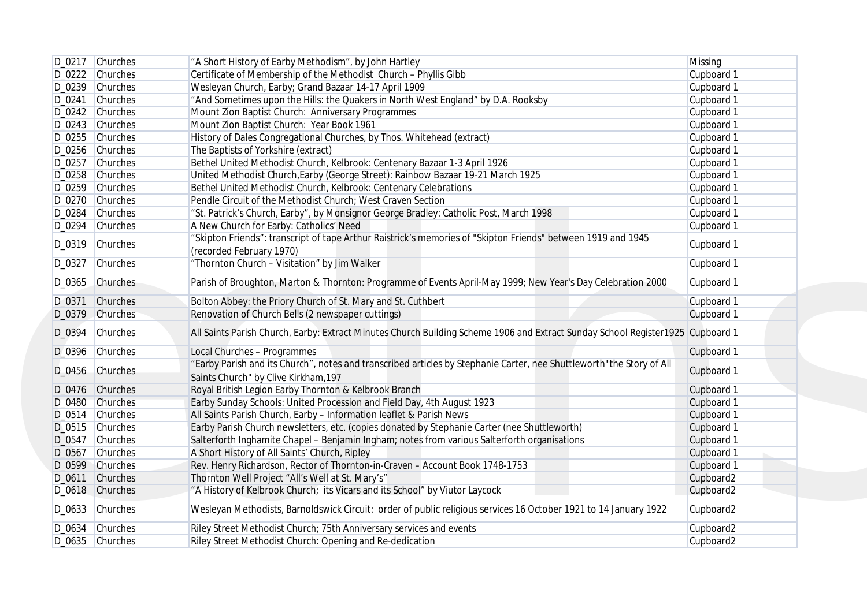|        | D_0217 Churches | "A Short History of Earby Methodism", by John Hartley                                                                                    | Missing    |
|--------|-----------------|------------------------------------------------------------------------------------------------------------------------------------------|------------|
|        | D_0222 Churches | Certificate of Membership of the Methodist Church - Phyllis Gibb                                                                         | Cupboard 1 |
|        | D_0239 Churches | Wesleyan Church, Earby; Grand Bazaar 14-17 April 1909                                                                                    | Cupboard 1 |
| D_0241 | Churches        | "And Sometimes upon the Hills: the Quakers in North West England" by D.A. Rooksby                                                        | Cupboard 1 |
|        | D_0242 Churches | Mount Zion Baptist Church: Anniversary Programmes                                                                                        | Cupboard 1 |
|        | D_0243 Churches | Mount Zion Baptist Church: Year Book 1961                                                                                                | Cupboard 1 |
|        | D_0255 Churches | History of Dales Congregational Churches, by Thos. Whitehead (extract)                                                                   | Cupboard 1 |
|        | D_0256 Churches | The Baptists of Yorkshire (extract)                                                                                                      | Cupboard 1 |
|        | D_0257 Churches | Bethel United Methodist Church, Kelbrook: Centenary Bazaar 1-3 April 1926                                                                | Cupboard 1 |
|        | D_0258 Churches | United Methodist Church, Earby (George Street): Rainbow Bazaar 19-21 March 1925                                                          | Cupboard 1 |
|        |                 |                                                                                                                                          |            |
|        | D_0259 Churches | Bethel United Methodist Church, Kelbrook: Centenary Celebrations                                                                         | Cupboard 1 |
|        | D_0270 Churches | Pendle Circuit of the Methodist Church; West Craven Section                                                                              | Cupboard 1 |
|        | D_0284 Churches | "St. Patrick's Church, Earby", by Monsignor George Bradley: Catholic Post, March 1998                                                    | Cupboard 1 |
|        | D_0294 Churches | A New Church for Earby: Catholics' Need                                                                                                  | Cupboard 1 |
|        | D_0319 Churches | "Skipton Friends": transcript of tape Arthur Raistrick's memories of "Skipton Friends" between 1919 and 1945<br>(recorded February 1970) | Cupboard 1 |
| D_0327 | Churches        | "Thornton Church - Visitation" by Jim Walker                                                                                             | Cupboard 1 |
|        | D_0365 Churches | Parish of Broughton, Marton & Thornton: Programme of Events April-May 1999; New Year's Day Celebration 2000                              | Cupboard 1 |
|        | D_0371 Churches | Bolton Abbey: the Priory Church of St. Mary and St. Cuthbert                                                                             | Cupboard 1 |
|        | D_0379 Churches | Renovation of Church Bells (2 newspaper cuttings)                                                                                        | Cupboard 1 |
| D_0394 | Churches        | All Saints Parish Church, Earby: Extract Minutes Church Building Scheme 1906 and Extract Sunday School Register1925 Cupboard 1           |            |
|        | D_0396 Churches | Local Churches - Programmes                                                                                                              | Cupboard 1 |
|        |                 | "Earby Parish and its Church", notes and transcribed articles by Stephanie Carter, nee Shuttleworth" the Story of All                    |            |
|        | D_0456 Churches | Saints Church" by Clive Kirkham, 197                                                                                                     | Cupboard 1 |
|        | D_0476 Churches | Royal British Legion Earby Thornton & Kelbrook Branch                                                                                    | Cupboard 1 |
|        | D_0480 Churches | Earby Sunday Schools: United Procession and Field Day, 4th August 1923                                                                   | Cupboard 1 |
|        | D_0514 Churches | All Saints Parish Church, Earby - Information leaflet & Parish News                                                                      | Cupboard 1 |
|        | D_0515 Churches | Earby Parish Church newsletters, etc. (copies donated by Stephanie Carter (nee Shuttleworth)                                             | Cupboard 1 |
|        | D_0547 Churches | Salterforth Inghamite Chapel - Benjamin Ingham; notes from various Salterforth organisations                                             | Cupboard 1 |
| D_0567 | Churches        | A Short History of All Saints' Church, Ripley                                                                                            | Cupboard 1 |
|        | D_0599 Churches | Rev. Henry Richardson, Rector of Thornton-in-Craven - Account Book 1748-1753                                                             | Cupboard 1 |
|        | D_0611 Churches | Thornton Well Project "All's Well at St. Mary's"                                                                                         | Cupboard2  |
|        | D_0618 Churches | "A History of Kelbrook Church; its Vicars and its School" by Viutor Laycock                                                              | Cupboard2  |
|        | D_0633 Churches | Wesleyan Methodists, Barnoldswick Circuit: order of public religious services 16 October 1921 to 14 January 1922                         | Cupboard2  |
|        | D_0634 Churches | Riley Street Methodist Church; 75th Anniversary services and events                                                                      | Cupboard2  |
|        | D_0635 Churches | Riley Street Methodist Church: Opening and Re-dedication                                                                                 | Cupboard2  |
|        |                 |                                                                                                                                          |            |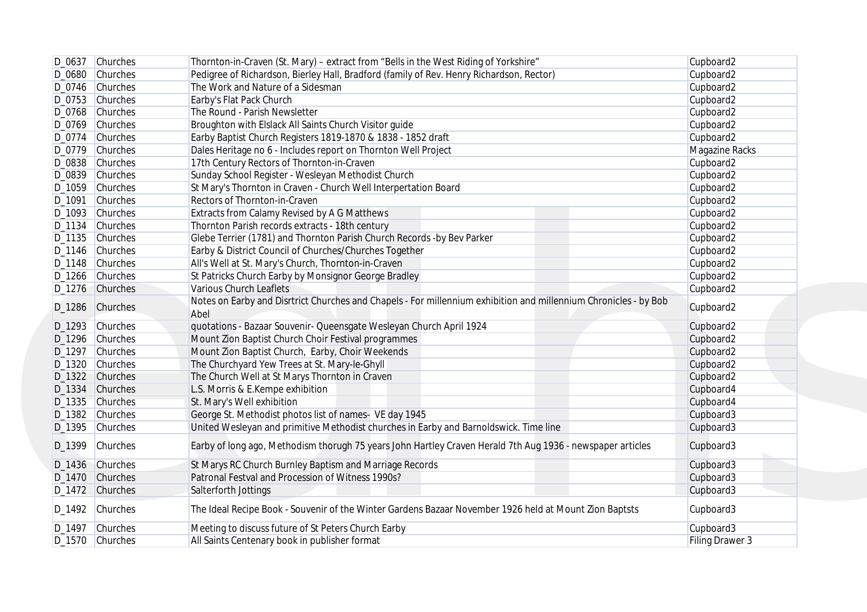| D_0637 Churches | Thornton-in-Craven (St. Mary) - extract from "Bells in the West Riding of Yorkshire"                                     | Cupboard2       |
|-----------------|--------------------------------------------------------------------------------------------------------------------------|-----------------|
| D_0680 Churches | Pedigree of Richardson, Bierley Hall, Bradford (family of Rev. Henry Richardson, Rector)                                 | Cupboard2       |
| D_0746 Churches | The Work and Nature of a Sidesman                                                                                        | Cupboard2       |
| D_0753 Churches | Earby's Flat Pack Church                                                                                                 | Cupboard2       |
| D_0768 Churches | The Round - Parish Newsletter                                                                                            | Cupboard2       |
| D_0769 Churches | Broughton with Elslack All Saints Church Visitor guide                                                                   | Cupboard2       |
| D_0774 Churches | Earby Baptist Church Registers 1819-1870 & 1838 - 1852 draft                                                             | Cupboard2       |
| D_0779 Churches | Dales Heritage no 6 - Includes report on Thornton Well Project                                                           | Magazine Racks  |
| D_0838 Churches | 17th Century Rectors of Thornton-in-Craven                                                                               | Cupboard2       |
| D_0839 Churches | Sunday School Register - Wesleyan Methodist Church                                                                       | Cupboard2       |
|                 |                                                                                                                          |                 |
| D_1059 Churches | St Mary's Thornton in Craven - Church Well Interpertation Board                                                          | Cupboard2       |
| D_1091 Churches | Rectors of Thornton-in-Craven                                                                                            | Cupboard2       |
| D_1093 Churches | Extracts from Calamy Revised by A G Matthews                                                                             | Cupboard2       |
| D_1134 Churches | Thornton Parish records extracts - 18th century                                                                          | Cupboard2       |
| D_1135 Churches | Glebe Terrier (1781) and Thornton Parish Church Records - by Bev Parker                                                  | Cupboard2       |
| D_1146 Churches | Earby & District Council of Churches/Churches Together                                                                   | Cupboard2       |
| D_1148 Churches | All's Well at St. Mary's Church, Thornton-in-Craven                                                                      | Cupboard2       |
| D_1266 Churches | St Patricks Church Earby by Monsignor George Bradley                                                                     | Cupboard2       |
| D_1276 Churches | <b>Various Church Leaflets</b>                                                                                           | Cupboard2       |
| D_1286 Churches | Notes on Earby and Disrtrict Churches and Chapels - For millennium exhibition and millennium Chronicles - by Bob<br>Abel | Cupboard2       |
|                 |                                                                                                                          |                 |
| D_1293 Churches | quotations - Bazaar Souvenir- Queensgate Wesleyan Church April 1924                                                      | Cupboard2       |
| D_1296 Churches | Mount Zion Baptist Church Choir Festival programmes                                                                      | Cupboard2       |
| D_1297 Churches | Mount Zion Baptist Church, Earby, Choir Weekends                                                                         | Cupboard2       |
| D_1320 Churches | The Churchyard Yew Trees at St. Mary-le-Ghyll                                                                            | Cupboard2       |
| D_1322 Churches | The Church Well at St Marys Thornton in Craven                                                                           | Cupboard2       |
| D_1334 Churches | L.S. Morris & E.Kempe exhibition                                                                                         | Cupboard4       |
| D_1335 Churches | St. Mary's Well exhibition                                                                                               | Cupboard4       |
| D_1382 Churches | George St. Methodist photos list of names- VE day 1945                                                                   | Cupboard3       |
| D_1395 Churches | United Wesleyan and primitive Methodist churches in Earby and Barnoldswick. Time line                                    | Cupboard3       |
| D_1399 Churches | Earby of long ago, Methodism thorugh 75 years John Hartley Craven Herald 7th Aug 1936 - newspaper articles               | Cupboard3       |
| D_1436 Churches | St Marys RC Church Burnley Baptism and Marriage Records                                                                  | Cupboard3       |
| D_1470 Churches | Patronal Festval and Procession of Witness 1990s?                                                                        | Cupboard3       |
| D_1472 Churches | Salterforth Jottings                                                                                                     | Cupboard3       |
| D_1492 Churches | The Ideal Recipe Book - Souvenir of the Winter Gardens Bazaar November 1926 held at Mount Zion Baptsts                   | Cupboard3       |
| D_1497 Churches | Meeting to discuss future of St Peters Church Earby                                                                      | Cupboard3       |
| D_1570 Churches | All Saints Centenary book in publisher format                                                                            | Filing Drawer 3 |
|                 |                                                                                                                          |                 |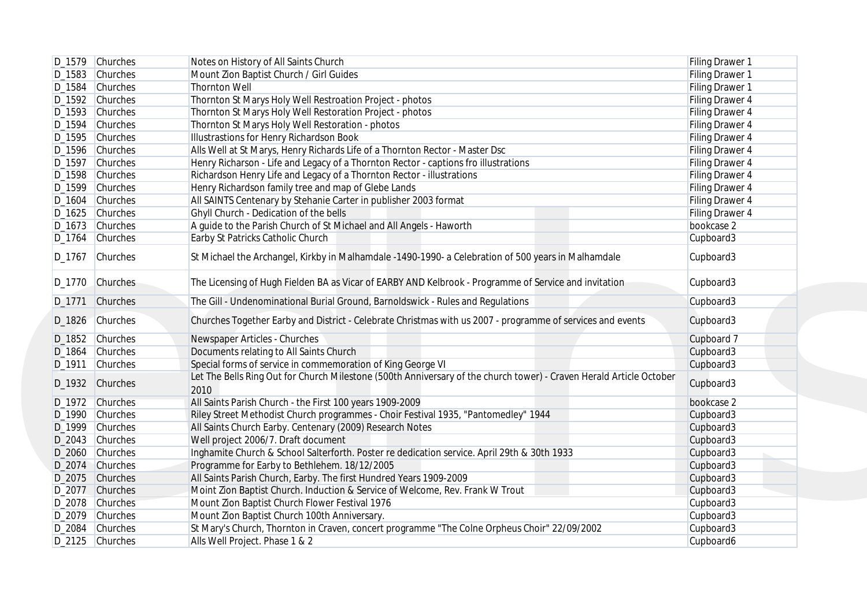|        | D_1579 Churches | Notes on History of All Saints Church                                                                                       | Filing Drawer 1 |
|--------|-----------------|-----------------------------------------------------------------------------------------------------------------------------|-----------------|
|        | D_1583 Churches | Mount Zion Baptist Church / Girl Guides                                                                                     | Filing Drawer 1 |
|        | D_1584 Churches | <b>Thornton Well</b>                                                                                                        | Filing Drawer 1 |
|        | D_1592 Churches | Thornton St Marys Holy Well Restroation Project - photos                                                                    | Filing Drawer 4 |
|        | D_1593 Churches | Thornton St Marys Holy Well Restoration Project - photos                                                                    | Filing Drawer 4 |
|        | D_1594 Churches | Thornton St Marys Holy Well Restoration - photos                                                                            | Filing Drawer 4 |
|        | D_1595 Churches | Illustrastions for Henry Richardson Book                                                                                    | Filing Drawer 4 |
|        | D_1596 Churches | Alls Well at St Marys, Henry Richards Life of a Thornton Rector - Master Dsc                                                | Filing Drawer 4 |
|        | D_1597 Churches | Henry Richarson - Life and Legacy of a Thornton Rector - captions fro illustrations                                         | Filing Drawer 4 |
|        | D_1598 Churches | Richardson Henry Life and Legacy of a Thornton Rector - illustrations                                                       | Filing Drawer 4 |
|        | D_1599 Churches | Henry Richardson family tree and map of Glebe Lands                                                                         | Filing Drawer 4 |
|        | D_1604 Churches | All SAINTS Centenary by Stehanie Carter in publisher 2003 format                                                            | Filing Drawer 4 |
|        | D_1625 Churches | Ghyll Church - Dedication of the bells                                                                                      | Filing Drawer 4 |
|        | D_1673 Churches | A guide to the Parish Church of St Michael and All Angels - Haworth                                                         | bookcase 2      |
|        | D_1764 Churches | Earby St Patricks Catholic Church                                                                                           | Cupboard3       |
| D_1767 | Churches        | St Michael the Archangel, Kirkby in Malhamdale -1490-1990- a Celebration of 500 years in Malhamdale                         | Cupboard3       |
|        | D_1770 Churches | The Licensing of Hugh Fielden BA as Vicar of EARBY AND Kelbrook - Programme of Service and invitation                       | Cupboard3       |
|        | D_1771 Churches | The Gill - Undenominational Burial Ground, Barnoldswick - Rules and Regulations                                             | Cupboard3       |
|        | D_1826 Churches | Churches Together Earby and District - Celebrate Christmas with us 2007 - programme of services and events                  | Cupboard3       |
|        | D_1852 Churches | Newspaper Articles - Churches                                                                                               | Cupboard 7      |
|        | D_1864 Churches | Documents relating to All Saints Church                                                                                     | Cupboard3       |
|        | D_1911 Churches | Special forms of service in commemoration of King George VI                                                                 | Cupboard3       |
|        | D_1932 Churches | Let The Bells Ring Out for Church Milestone (500th Anniversary of the church tower) - Craven Herald Article October<br>2010 | Cupboard3       |
|        | D_1972 Churches | All Saints Parish Church - the First 100 years 1909-2009                                                                    | bookcase 2      |
|        | D_1990 Churches | Riley Street Methodist Church programmes - Choir Festival 1935, "Pantomedley" 1944                                          | Cupboard3       |
|        | D_1999 Churches | All Saints Church Earby. Centenary (2009) Research Notes                                                                    | Cupboard3       |
|        | D_2043 Churches | Well project 2006/7. Draft document                                                                                         | Cupboard3       |
|        | D_2060 Churches | Inghamite Church & School Salterforth. Poster re dedication service. April 29th & 30th 1933                                 | Cupboard3       |
|        | D_2074 Churches | Programme for Earby to Bethlehem. 18/12/2005                                                                                | Cupboard3       |
|        | D_2075 Churches | All Saints Parish Church, Earby. The first Hundred Years 1909-2009                                                          | Cupboard3       |
|        | D_2077 Churches | Moint Zion Baptist Church. Induction & Service of Welcome, Rev. Frank W Trout                                               | Cupboard3       |
|        | D_2078 Churches | Mount Zion Baptist Church Flower Festival 1976                                                                              | Cupboard3       |
|        | D_2079 Churches | Mount Zion Baptist Church 100th Anniversary.                                                                                | Cupboard3       |
|        | D_2084 Churches | St Mary's Church, Thornton in Craven, concert programme "The Colne Orpheus Choir" 22/09/2002                                | Cupboard3       |
|        | D_2125 Churches | Alls Well Project. Phase 1 & 2                                                                                              | Cupboard6       |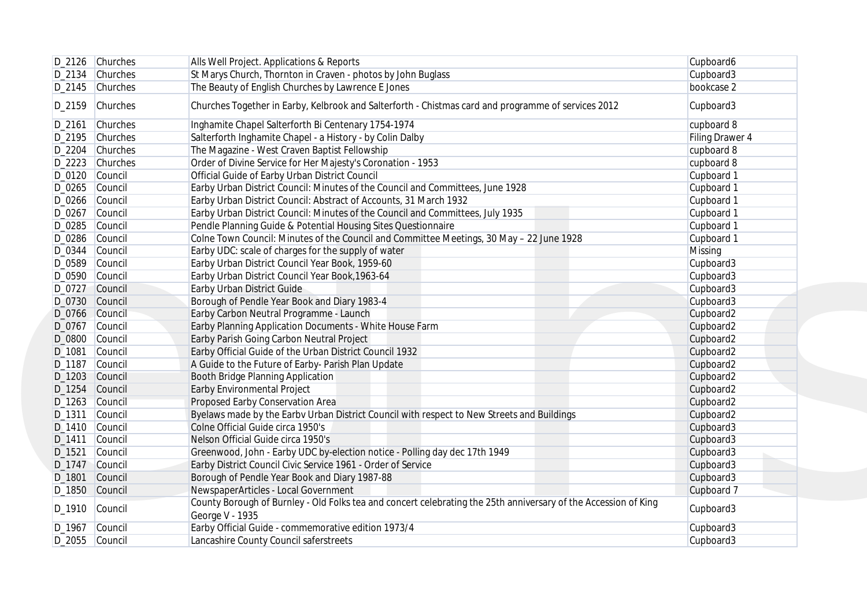|                  | D_2126 Churches    | Alls Well Project. Applications & Reports                                                                                          | Cupboard6       |
|------------------|--------------------|------------------------------------------------------------------------------------------------------------------------------------|-----------------|
|                  | $D_2$ 134 Churches | St Marys Church, Thornton in Craven - photos by John Buglass                                                                       | Cupboard3       |
|                  | D_2145 Churches    | The Beauty of English Churches by Lawrence E Jones                                                                                 | bookcase 2      |
|                  | D_2159 Churches    | Churches Together in Earby, Kelbrook and Salterforth - Chistmas card and programme of services 2012                                | Cupboard3       |
| D_2161           | Churches           | Inghamite Chapel Salterforth Bi Centenary 1754-1974                                                                                | cupboard 8      |
|                  | D_2195 Churches    | Salterforth Inghamite Chapel - a History - by Colin Dalby                                                                          | Filing Drawer 4 |
|                  | D_2204 Churches    | The Magazine - West Craven Baptist Fellowship                                                                                      | cupboard 8      |
|                  | D_2223 Churches    | Order of Divine Service for Her Majesty's Coronation - 1953                                                                        | cupboard 8      |
| D_0120 Council   |                    | Official Guide of Earby Urban District Council                                                                                     | Cupboard 1      |
| D_0265 Council   |                    | Earby Urban District Council: Minutes of the Council and Committees, June 1928                                                     | Cupboard 1      |
| D_0266 Council   |                    | Earby Urban District Council: Abstract of Accounts, 31 March 1932                                                                  | Cupboard 1      |
| D_0267           | Council            | Earby Urban District Council: Minutes of the Council and Committees, July 1935                                                     | Cupboard 1      |
| D_0285 Council   |                    | Pendle Planning Guide & Potential Housing Sites Questionnaire                                                                      | Cupboard 1      |
| D_0286 Council   |                    | Colne Town Council: Minutes of the Council and Committee Meetings, 30 May - 22 June 1928                                           | Cupboard 1      |
| D_0344           | Council            | Earby UDC: scale of charges for the supply of water                                                                                | Missing         |
| D_0589           | Council            | Earby Urban District Council Year Book, 1959-60                                                                                    | Cupboard3       |
| D_0590 Council   |                    | Earby Urban District Council Year Book, 1963-64                                                                                    | Cupboard3       |
| D_0727 Council   |                    | Earby Urban District Guide                                                                                                         | Cupboard3       |
| D_0730 Council   |                    | Borough of Pendle Year Book and Diary 1983-4                                                                                       | Cupboard3       |
| D_0766 Council   |                    | Earby Carbon Neutral Programme - Launch                                                                                            | Cupboard2       |
| D_0767           | Council            | Earby Planning Application Documents - White House Farm                                                                            | Cupboard2       |
| D_0800           | Council            | Earby Parish Going Carbon Neutral Project                                                                                          | Cupboard2       |
| D_1081           | Council            | Earby Official Guide of the Urban District Council 1932                                                                            | Cupboard2       |
| D_1187           | Council            | A Guide to the Future of Earby- Parish Plan Update                                                                                 | Cupboard2       |
|                  |                    |                                                                                                                                    |                 |
| D_1203<br>D_1254 | Council            | Booth Bridge Planning Application                                                                                                  | Cupboard2       |
|                  | Council            | Earby Environmental Project                                                                                                        | Cupboard2       |
| D_1263 Council   |                    | Proposed Earby Conservation Area                                                                                                   | Cupboard2       |
| D_1311           | Council            | Byelaws made by the Earbv Urban District Council with respect to New Streets and Buildings                                         | Cupboard2       |
| D_1410 Council   |                    | Colne Official Guide circa 1950's                                                                                                  | Cupboard3       |
| D_1411           | Council            | Nelson Official Guide circa 1950's                                                                                                 | Cupboard3       |
| D_1521           | Council            | Greenwood, John - Earby UDC by-election notice - Polling day dec 17th 1949                                                         | Cupboard3       |
| D_1747 Council   |                    | Earby District Council Civic Service 1961 - Order of Service                                                                       | Cupboard3       |
| D_1801           | Council            | Borough of Pendle Year Book and Diary 1987-88                                                                                      | Cupboard3       |
| D_1850 Council   |                    | NewspaperArticles - Local Government                                                                                               | Cupboard 7      |
| D_1910 Council   |                    | County Borough of Burnley - Old Folks tea and concert celebrating the 25th anniversary of the Accession of King<br>George V - 1935 | Cupboard3       |
| D_1967 Council   |                    | Earby Official Guide - commemorative edition 1973/4                                                                                | Cupboard3       |
|                  | D_2055 Council     | Lancashire County Council saferstreets                                                                                             | Cupboard3       |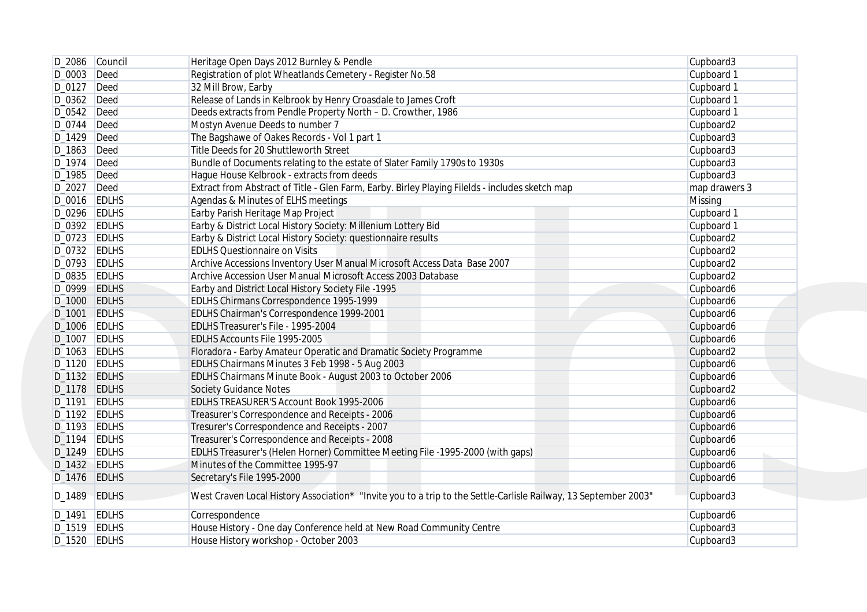|                    | D_2086 Council | Heritage Open Days 2012 Burnley & Pendle                                                                        | Cupboard3     |
|--------------------|----------------|-----------------------------------------------------------------------------------------------------------------|---------------|
| D_0003 Deed        |                | Registration of plot Wheatlands Cemetery - Register No.58                                                       | Cupboard 1    |
| $D_0127$ Deed      |                | 32 Mill Brow, Earby                                                                                             | Cupboard 1    |
| $D_0362$ Deed      |                | Release of Lands in Kelbrook by Henry Croasdale to James Croft                                                  | Cupboard 1    |
| $D_0542$ Deed      |                | Deeds extracts from Pendle Property North - D. Crowther, 1986                                                   | Cupboard 1    |
| $D_0$ 744 $D$ eed  |                | Mostyn Avenue Deeds to number 7                                                                                 | Cupboard2     |
| $D_1429$ Deed      |                | The Bagshawe of Oakes Records - Vol 1 part 1                                                                    | Cupboard3     |
| D_1863 Deed        |                | Title Deeds for 20 Shuttleworth Street                                                                          | Cupboard3     |
| $D_1974$ Deed      |                | Bundle of Documents relating to the estate of Slater Family 1790s to 1930s                                      | Cupboard3     |
| D_1985 Deed        |                | Hague House Kelbrook - extracts from deeds                                                                      | Cupboard3     |
| D_2027 Deed        |                | Extract from Abstract of Title - Glen Farm, Earby. Birley Playing Filelds - includes sketch map                 | map drawers 3 |
| D_0016 EDLHS       |                | Agendas & Minutes of ELHS meetings                                                                              | Missing       |
| D_0296 EDLHS       |                | Earby Parish Heritage Map Project                                                                               | Cupboard 1    |
| D_0392 EDLHS       |                | Earby & District Local History Society: Millenium Lottery Bid                                                   | Cupboard 1    |
|                    |                |                                                                                                                 |               |
| D_0723 EDLHS       |                | Earby & District Local History Society: questionnaire results                                                   | Cupboard2     |
| D_0732 EDLHS       |                | <b>EDLHS Questionnaire on Visits</b>                                                                            | Cupboard2     |
| D_0793 EDLHS       |                | Archive Accessions Inventory User Manual Microsoft Access Data Base 2007                                        | Cupboard2     |
| D_0835 EDLHS       |                | Archive Accession User Manual Microsoft Access 2003 Database                                                    | Cupboard2     |
| D_0999 EDLHS       |                | Earby and District Local History Society File -1995                                                             | Cupboard6     |
| D_1000 EDLHS       |                | EDLHS Chirmans Correspondence 1995-1999                                                                         | Cupboard6     |
| D <sub>-1001</sub> | EDLHS          | EDLHS Chairman's Correspondence 1999-2001                                                                       | Cupboard6     |
| D_1006 EDLHS       |                | EDLHS Treasurer's File - 1995-2004                                                                              | Cupboard6     |
| D_1007 EDLHS       |                | EDLHS Accounts File 1995-2005                                                                                   | Cupboard6     |
| $D_1063$ EDLHS     |                | Floradora - Earby Amateur Operatic and Dramatic Society Programme                                               | Cupboard2     |
| D_1120 EDLHS       |                | EDLHS Chairmans Minutes 3 Feb 1998 - 5 Aug 2003                                                                 | Cupboard6     |
| D_1132 EDLHS       |                | EDLHS Chairmans Minute Book - August 2003 to October 2006                                                       | Cupboard6     |
| D_1178 EDLHS       |                | <b>Society Guidance Notes</b>                                                                                   | Cupboard2     |
| D_1191             | <b>EDLHS</b>   | EDLHS TREASURER'S Account Book 1995-2006                                                                        | Cupboard6     |
| $D_1192$ EDLHS     |                | Treasurer's Correspondence and Receipts - 2006                                                                  | Cupboard6     |
| $D_1193$ EDLHS     |                | Tresurer's Correspondence and Receipts - 2007                                                                   | Cupboard6     |
| $D_1$ 194 EDLHS    |                | Treasurer's Correspondence and Receipts - 2008                                                                  | Cupboard6     |
| D_1249 EDLHS       |                | EDLHS Treasurer's (Helen Horner) Committee Meeting File -1995-2000 (with gaps)                                  | Cupboard6     |
| $D_1432$ EDLHS     |                | Minutes of the Committee 1995-97                                                                                | Cupboard6     |
| D_1476 EDLHS       |                | Secretary's File 1995-2000                                                                                      | Cupboard6     |
| D_1489 EDLHS       |                | West Craven Local History Association* "Invite you to a trip to the Settle-Carlisle Railway, 13 September 2003" | Cupboard3     |
| D_1491 EDLHS       |                | Correspondence                                                                                                  | Cupboard6     |
| D_1519 EDLHS       |                | House History - One day Conference held at New Road Community Centre                                            | Cupboard3     |
|                    | D_1520 EDLHS   | House History workshop - October 2003                                                                           | Cupboard3     |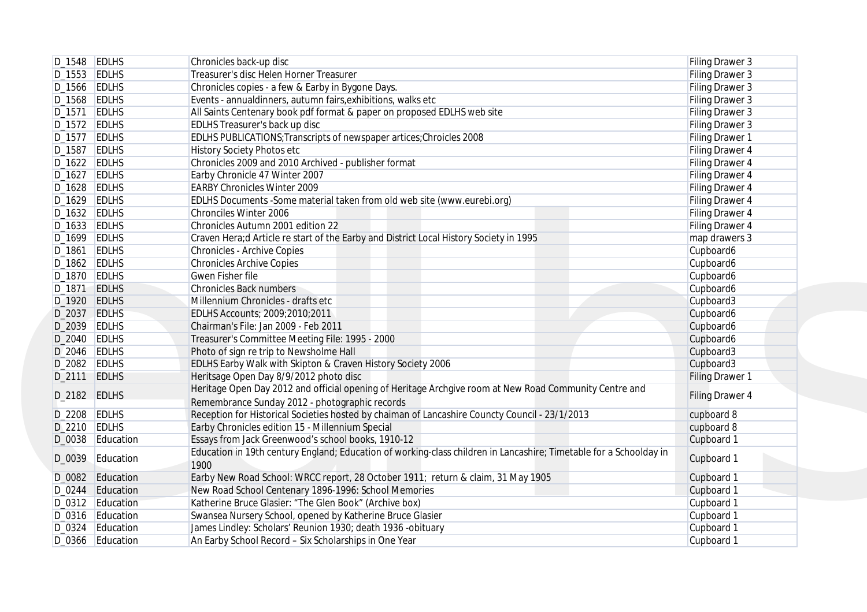|                 | D_1548 EDLHS     | Chronicles back-up disc                                                                                            | Filing Drawer 3        |
|-----------------|------------------|--------------------------------------------------------------------------------------------------------------------|------------------------|
| $D_1553$ EDLHS  |                  | Treasurer's disc Helen Horner Treasurer                                                                            | Filing Drawer 3        |
| D_1566 EDLHS    |                  | Chronicles copies - a few & Earby in Bygone Days.                                                                  | Filing Drawer 3        |
| $D_1568$ EDLHS  |                  | Events - annualdinners, autumn fairs, exhibitions, walks etc                                                       | Filing Drawer 3        |
| $D_1571$ EDLHS  |                  | All Saints Centenary book pdf format & paper on proposed EDLHS web site                                            | Filing Drawer 3        |
| $D_1572$ EDLHS  |                  | EDLHS Treasurer's back up disc                                                                                     | Filing Drawer 3        |
| $D_1577$ EDLHS  |                  | EDLHS PUBLICATIONS; Transcripts of newspaper artices; Chroicles 2008                                               | Filing Drawer 1        |
| D_1587 EDLHS    |                  | History Society Photos etc                                                                                         | Filing Drawer 4        |
| D_1622 EDLHS    |                  | Chronicles 2009 and 2010 Archived - publisher format                                                               | Filing Drawer 4        |
| D_1627 EDLHS    |                  | Earby Chronicle 47 Winter 2007                                                                                     | Filing Drawer 4        |
| D_1628 EDLHS    |                  | <b>EARBY Chronicles Winter 2009</b>                                                                                | Filing Drawer 4        |
| D_1629 EDLHS    |                  | EDLHS Documents - Some material taken from old web site (www.eurebi.org)                                           | Filing Drawer 4        |
| D_1632 EDLHS    |                  | Chronciles Winter 2006                                                                                             | Filing Drawer 4        |
| D_1633 EDLHS    |                  | Chronicles Autumn 2001 edition 22                                                                                  | Filing Drawer 4        |
| $D_1699$ EDLHS  |                  | Craven Hera;d Article re start of the Earby and District Local History Society in 1995                             | map drawers 3          |
| D_1861 EDLHS    |                  | <b>Chronicles - Archive Copies</b>                                                                                 | Cupboard6              |
| D_1862 EDLHS    |                  | <b>Chronicles Archive Copies</b>                                                                                   | Cupboard6              |
| D_1870 EDLHS    |                  | Gwen Fisher file                                                                                                   | Cupboard6              |
| D_1871 EDLHS    |                  | <b>Chronicles Back numbers</b>                                                                                     | Cupboard6              |
| D_1920 EDLHS    |                  | Millennium Chronicles - drafts etc                                                                                 | Cupboard3              |
| D_2037 EDLHS    |                  | EDLHS Accounts; 2009;2010;2011                                                                                     | Cupboard6              |
| D_2039 EDLHS    |                  | Chairman's File: Jan 2009 - Feb 2011                                                                               | Cupboard6              |
| D_2040 EDLHS    |                  | Treasurer's Committee Meeting File: 1995 - 2000                                                                    | Cupboard6              |
| $D_2046$ EDLHS  |                  | Photo of sign re trip to Newsholme Hall                                                                            | Cupboard3              |
| D_2082 EDLHS    |                  | EDLHS Earby Walk with Skipton & Craven History Society 2006                                                        | Cupboard3              |
| D_2111 EDLHS    |                  | Heritsage Open Day 8/9/2012 photo disc                                                                             | <b>Filing Drawer 1</b> |
|                 |                  | Heritage Open Day 2012 and official opening of Heritage Archgive room at New Road Community Centre and             |                        |
| D_2182 EDLHS    |                  | Remembrance Sunday 2012 - photographic records                                                                     | Filing Drawer 4        |
| D_2208 EDLHS    |                  | Reception for Historical Societies hosted by chaiman of Lancashire Councty Council - 23/1/2013                     | cupboard 8             |
| $D_2$ 210 EDLHS |                  | Earby Chronicles edition 15 - Millennium Special                                                                   | cupboard 8             |
|                 | D_0038 Education | Essays from Jack Greenwood's school books, 1910-12                                                                 | Cupboard 1             |
|                 |                  | Education in 19th century England; Education of working-class children in Lancashire; Timetable for a Schoolday in |                        |
|                 | D_0039 Education | 1900                                                                                                               | Cupboard 1             |
|                 | D_0082 Education | Earby New Road School: WRCC report, 28 October 1911; return & claim, 31 May 1905                                   | Cupboard 1             |
|                 | D_0244 Education | New Road School Centenary 1896-1996: School Memories                                                               | Cupboard 1             |
|                 | D_0312 Education | Katherine Bruce Glasier: "The Glen Book" (Archive box)                                                             | Cupboard 1             |
|                 | D_0316 Education | Swansea Nursery School, opened by Katherine Bruce Glasier                                                          | Cupboard 1             |
|                 | D_0324 Education | James Lindley: Scholars' Reunion 1930; death 1936 - obituary                                                       | Cupboard 1             |
|                 | D_0366 Education | An Earby School Record - Six Scholarships in One Year                                                              | Cupboard 1             |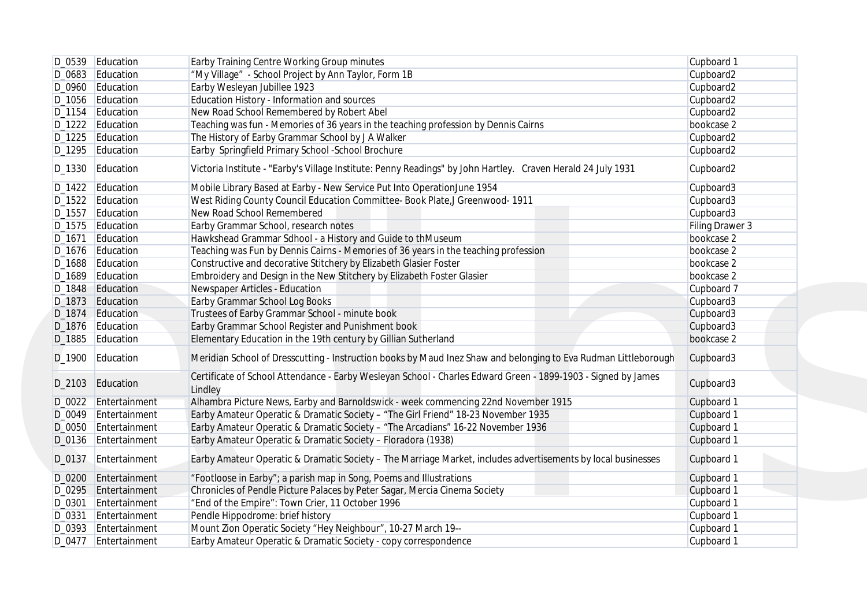|        | D_0539 Education     | Earby Training Centre Working Group minutes                                                                              | Cupboard 1      |
|--------|----------------------|--------------------------------------------------------------------------------------------------------------------------|-----------------|
|        | D_0683 Education     | "My Village" - School Project by Ann Taylor, Form 1B                                                                     | Cupboard2       |
|        | D_0960 Education     | Earby Wesleyan Jubillee 1923                                                                                             | Cupboard2       |
|        | D_1056 Education     | Education History - Information and sources                                                                              | Cupboard2       |
|        | D_1154 Education     | New Road School Remembered by Robert Abel                                                                                | Cupboard2       |
|        | D_1222 Education     | Teaching was fun - Memories of 36 years in the teaching profession by Dennis Cairns                                      | bookcase 2      |
|        | D_1225 Education     | The History of Earby Grammar School by J A Walker                                                                        | Cupboard2       |
|        | D_1295 Education     | Earby Springfield Primary School -School Brochure                                                                        | Cupboard2       |
|        | D_1330 Education     | Victoria Institute - "Earby's Village Institute: Penny Readings" by John Hartley. Craven Herald 24 July 1931             | Cupboard2       |
|        | D_1422 Education     | Mobile Library Based at Earby - New Service Put Into OperationJune 1954                                                  | Cupboard3       |
|        | D_1522 Education     | West Riding County Council Education Committee- Book Plate, J Greenwood- 1911                                            | Cupboard3       |
|        | D_1557 Education     | New Road School Remembered                                                                                               | Cupboard3       |
|        | D_1575 Education     | Earby Grammar School, research notes                                                                                     | Filing Drawer 3 |
| D_1671 | Education            | Hawkshead Grammar Sdhool - a History and Guide to thMuseum                                                               | bookcase 2      |
|        | D_1676 Education     | Teaching was Fun by Dennis Cairns - Memories of 36 years in the teaching profession                                      | bookcase 2      |
|        | D_1688 Education     | Constructive and decorative Stitchery by Elizabeth Glasier Foster                                                        | bookcase 2      |
|        | D_1689 Education     | Embroidery and Design in the New Stitchery by Elizabeth Foster Glasier                                                   | bookcase 2      |
|        | D_1848 Education     | Newspaper Articles - Education                                                                                           | Cupboard 7      |
|        | D_1873 Education     | Earby Grammar School Log Books                                                                                           | Cupboard3       |
|        | D_1874 Education     | Trustees of Earby Grammar School - minute book                                                                           | Cupboard3       |
|        | D_1876 Education     | Earby Grammar School Register and Punishment book                                                                        | Cupboard3       |
|        | D_1885 Education     | Elementary Education in the 19th century by Gillian Sutherland                                                           | bookcase 2      |
|        | D_1900 Education     | Meridian School of Dresscutting - Instruction books by Maud Inez Shaw and belonging to Eva Rudman Littleborough          | Cupboard3       |
|        | D_2103 Education     | Certificate of School Attendance - Earby Wesleyan School - Charles Edward Green - 1899-1903 - Signed by James<br>Lindley | Cupboard3       |
|        | D_0022 Entertainment | Alhambra Picture News, Earby and Barnoldswick - week commencing 22nd November 1915                                       | Cupboard 1      |
|        | D_0049 Entertainment | Earby Amateur Operatic & Dramatic Society - "The Girl Friend" 18-23 November 1935                                        | Cupboard 1      |
|        | D_0050 Entertainment | Earby Amateur Operatic & Dramatic Society - "The Arcadians" 16-22 November 1936                                          | Cupboard 1      |
|        | D_0136 Entertainment | Earby Amateur Operatic & Dramatic Society - Floradora (1938)                                                             | Cupboard 1      |
| D_0137 | Entertainment        | Earby Amateur Operatic & Dramatic Society - The Marriage Market, includes advertisements by local businesses             | Cupboard 1      |
|        | D_0200 Entertainment | "Footloose in Earby"; a parish map in Song, Poems and Illustrations                                                      | Cupboard 1      |
|        | D_0295 Entertainment | Chronicles of Pendle Picture Palaces by Peter Sagar, Mercia Cinema Society                                               | Cupboard 1      |
| D_0301 | Entertainment        | "End of the Empire": Town Crier, 11 October 1996                                                                         | Cupboard 1      |
|        | D_0331 Entertainment | Pendle Hippodrome: brief history                                                                                         | Cupboard 1      |
|        | D_0393 Entertainment | Mount Zion Operatic Society "Hey Neighbour", 10-27 March 19--                                                            | Cupboard 1      |
|        |                      | Earby Amateur Operatic & Dramatic Society - copy correspondence                                                          | Cupboard 1      |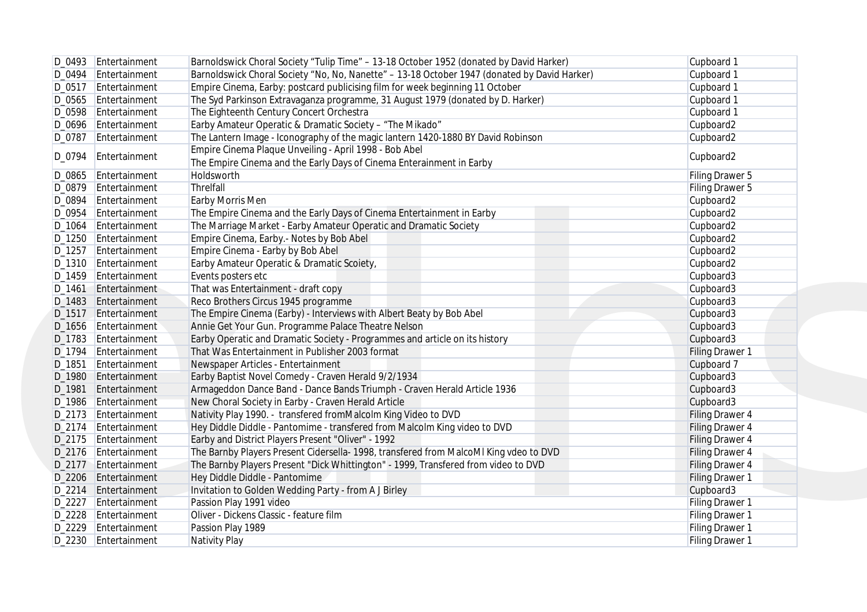|        | D_0493 Entertainment | Barnoldswick Choral Society "Tulip Time" - 13-18 October 1952 (donated by David Harker)                                        | Cupboard 1             |
|--------|----------------------|--------------------------------------------------------------------------------------------------------------------------------|------------------------|
|        | D_0494 Entertainment | Barnoldswick Choral Society "No, No, Nanette" - 13-18 October 1947 (donated by David Harker)                                   | Cupboard 1             |
|        | D_0517 Entertainment | Empire Cinema, Earby: postcard publicising film for week beginning 11 October                                                  | Cupboard 1             |
|        | D_0565 Entertainment | The Syd Parkinson Extravaganza programme, 31 August 1979 (donated by D. Harker)                                                | Cupboard 1             |
|        | D_0598 Entertainment | The Eighteenth Century Concert Orchestra                                                                                       | Cupboard 1             |
|        | D_0696 Entertainment | Earby Amateur Operatic & Dramatic Society - "The Mikado"                                                                       | Cupboard2              |
|        | D_0787 Entertainment | The Lantern Image - Iconography of the magic lantern 1420-1880 BY David Robinson                                               | Cupboard2              |
|        |                      | Empire Cinema Plaque Unveiling - April 1998 - Bob Abel                                                                         |                        |
| D_0794 | Entertainment        | The Empire Cinema and the Early Days of Cinema Enterainment in Earby                                                           | Cupboard2              |
| D_0865 | Entertainment        | Holdsworth                                                                                                                     | Filing Drawer 5        |
|        | D_0879 Entertainment | Threlfall                                                                                                                      | Filing Drawer 5        |
| D_0894 | Entertainment        | Earby Morris Men                                                                                                               | Cupboard2              |
|        | D_0954 Entertainment | The Empire Cinema and the Early Days of Cinema Entertainment in Earby                                                          | Cupboard2              |
|        | D_1064 Entertainment | The Marriage Market - Earby Amateur Operatic and Dramatic Society                                                              | Cupboard2              |
|        | D_1250 Entertainment | Empire Cinema, Earby.- Notes by Bob Abel                                                                                       | Cupboard2              |
|        | D_1257 Entertainment | Empire Cinema - Earby by Bob Abel                                                                                              | Cupboard2              |
|        | D_1310 Entertainment | Earby Amateur Operatic & Dramatic Scoiety,                                                                                     | Cupboard2              |
|        | D_1459 Entertainment | Events posters etc                                                                                                             | Cupboard3              |
| D_1461 | Entertainment        | That was Entertainment - draft copy                                                                                            | Cupboard3              |
|        | D_1483 Entertainment | Reco Brothers Circus 1945 programme                                                                                            | Cupboard3              |
|        | D_1517 Entertainment | The Empire Cinema (Earby) - Interviews with Albert Beaty by Bob Abel                                                           | Cupboard3              |
|        | D_1656 Entertainment | Annie Get Your Gun. Programme Palace Theatre Nelson                                                                            | Cupboard3              |
|        | D_1783 Entertainment |                                                                                                                                |                        |
|        | D_1794 Entertainment | Earby Operatic and Dramatic Society - Programmes and article on its history<br>That Was Entertainment in Publisher 2003 format | Cupboard3              |
|        |                      |                                                                                                                                | Filing Drawer 1        |
| D_1851 | Entertainment        | Newspaper Articles - Entertainment                                                                                             | Cupboard 7             |
|        | D_1980 Entertainment | Earby Baptist Novel Comedy - Craven Herald 9/2/1934                                                                            | Cupboard3              |
| D_1981 | Entertainment        | Armageddon Dance Band - Dance Bands Triumph - Craven Herald Article 1936                                                       | Cupboard3              |
|        | D_1986 Entertainment | New Choral Society in Earby - Craven Herald Article                                                                            | Cupboard3              |
|        | D_2173 Entertainment | Nativity Play 1990. - transfered fromMalcolm King Video to DVD                                                                 | <b>Filing Drawer 4</b> |
|        | D_2174 Entertainment | Hey Diddle Diddle - Pantomime - transfered from Malcolm King video to DVD                                                      | Filing Drawer 4        |
|        | D_2175 Entertainment | Earby and District Players Present "Oliver" - 1992                                                                             | <b>Filing Drawer 4</b> |
|        | D_2176 Entertainment | The Barnby Players Present Cidersella- 1998, transfered from MalcoMI King vdeo to DVD                                          | <b>Filing Drawer 4</b> |
|        | D_2177 Entertainment | The Barnby Players Present "Dick Whittington" - 1999, Transfered from video to DVD                                             | Filing Drawer 4        |
|        | D_2206 Entertainment | Hey Diddle Diddle - Pantomime                                                                                                  | Filing Drawer 1        |
|        | D_2214 Entertainment | Invitation to Golden Wedding Party - from A J Birley                                                                           | Cupboard3              |
|        | D 2227 Entertainment | Passion Play 1991 video                                                                                                        | Filing Drawer 1        |
|        | D_2228 Entertainment | Oliver - Dickens Classic - feature film                                                                                        | Filing Drawer 1        |
|        | D_2229 Entertainment | Passion Play 1989                                                                                                              | Filing Drawer 1        |
|        | D_2230 Entertainment | Nativity Play                                                                                                                  | Filing Drawer 1        |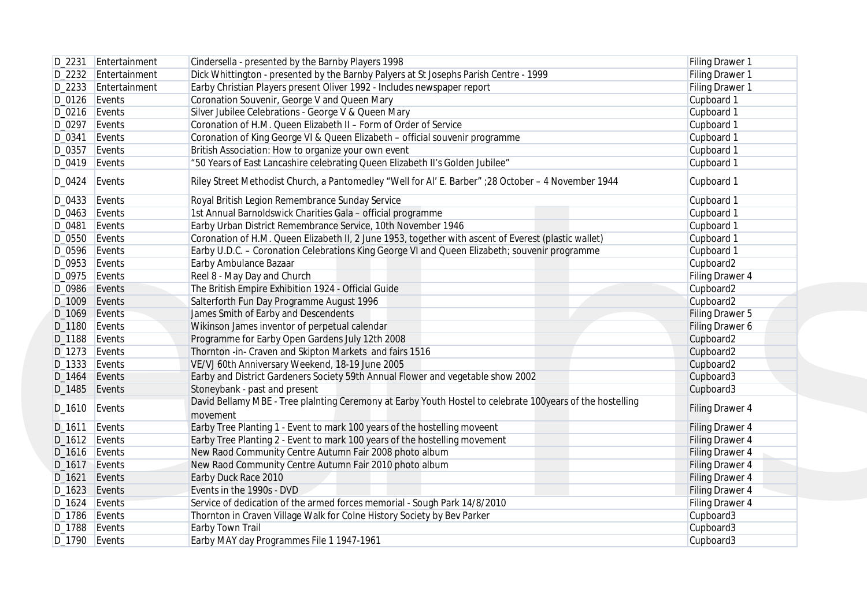|        | D_2231 Entertainment | Cindersella - presented by the Barnby Players 1998                                                                    | Filing Drawer 1        |
|--------|----------------------|-----------------------------------------------------------------------------------------------------------------------|------------------------|
|        | D_2232 Entertainment | Dick Whittington - presented by the Barnby Palyers at St Josephs Parish Centre - 1999                                 | Filing Drawer 1        |
|        | D_2233 Entertainment | Earby Christian Players present Oliver 1992 - Includes newspaper report                                               | Filing Drawer 1        |
|        | $D_0126$ Events      | Coronation Souvenir, George V and Queen Mary                                                                          | Cupboard 1             |
|        | D_0216 Events        | Silver Jubilee Celebrations - George V & Queen Mary                                                                   | Cupboard 1             |
|        | D_0297 Events        | Coronation of H.M. Queen Elizabeth II - Form of Order of Service                                                      | Cupboard 1             |
| D_0341 | Events               | Coronation of King George VI & Queen Elizabeth - official souvenir programme                                          | Cupboard 1             |
|        | D_0357 Events        | British Association: How to organize your own event                                                                   | Cupboard 1             |
|        | D_0419 Events        | "50 Years of East Lancashire celebrating Queen Elizabeth II's Golden Jubilee"                                         | Cupboard 1             |
| D_0424 | Events               | Riley Street Methodist Church, a Pantomedley "Well for Al' E. Barber" ;28 October - 4 November 1944                   | Cupboard 1             |
|        | D_0433 Events        | Royal British Legion Remembrance Sunday Service                                                                       | Cupboard 1             |
|        | D_0463 Events        | 1st Annual Barnoldswick Charities Gala - official programme                                                           | Cupboard 1             |
| D_0481 | Events               | Earby Urban District Remembrance Service, 10th November 1946                                                          | Cupboard 1             |
|        | D_0550 Events        | Coronation of H.M. Queen Elizabeth II, 2 June 1953, together with ascent of Everest (plastic wallet)                  | Cupboard 1             |
|        | D_0596 Events        | Earby U.D.C. - Coronation Celebrations King George VI and Queen Elizabeth; souvenir programme                         | Cupboard 1             |
|        | $D_0$ 953 Events     | Earby Ambulance Bazaar                                                                                                | Cupboard2              |
|        | D_0975 Events        | Reel 8 - May Day and Church                                                                                           | Filing Drawer 4        |
|        | D_0986 Events        | The British Empire Exhibition 1924 - Official Guide                                                                   | Cupboard2              |
|        | D_1009 Events        | Salterforth Fun Day Programme August 1996                                                                             | Cupboard2              |
|        | D_1069 Events        | James Smith of Earby and Descendents                                                                                  | Filing Drawer 5        |
|        | D_1180 Events        | Wikinson James inventor of perpetual calendar                                                                         | Filing Drawer 6        |
|        | D_1188 Events        | Programme for Earby Open Gardens July 12th 2008                                                                       | Cupboard2              |
|        |                      | Thornton -in- Craven and Skipton Markets and fairs 1516                                                               |                        |
|        | D_1273 Events        |                                                                                                                       | Cupboard2              |
|        | D_1333 Events        | VE/VJ 60th Anniversary Weekend, 18-19 June 2005                                                                       | Cupboard2              |
|        | D_1464 Events        | Earby and District Gardeners Society 59th Annual Flower and vegetable show 2002                                       | Cupboard3              |
|        | D_1485 Events        | Stoneybank - past and present                                                                                         | Cupboard3              |
|        | $D_1610$ Events      | David Bellamy MBE - Tree plainting Ceremony at Earby Youth Hostel to celebrate 100years of the hostelling<br>movement | Filing Drawer 4        |
|        | $D_1611$ Events      | Earby Tree Planting 1 - Event to mark 100 years of the hostelling moveent                                             | <b>Filing Drawer 4</b> |
|        | $D_1612$ Events      | Earby Tree Planting 2 - Event to mark 100 years of the hostelling movement                                            | Filing Drawer 4        |
|        | D_1616 Events        | New Raod Community Centre Autumn Fair 2008 photo album                                                                | Filing Drawer 4        |
|        | D_1617 Events        | New Raod Community Centre Autumn Fair 2010 photo album                                                                | <b>Filing Drawer 4</b> |
|        | D_1621 Events        | Earby Duck Race 2010                                                                                                  | <b>Filing Drawer 4</b> |
|        | D_1623 Events        | Events in the 1990s - DVD                                                                                             | Filing Drawer 4        |
|        | D_1624 Events        | Service of dedication of the armed forces memorial - Sough Park 14/8/2010                                             | Filing Drawer 4        |
|        | D_1786 Events        | Thornton in Craven Village Walk for Colne History Society by Bev Parker                                               | Cupboard3              |
|        | D_1788 Events        | Earby Town Trail                                                                                                      | Cupboard3              |
|        | D_1790 Events        | Earby MAY day Programmes File 1 1947-1961                                                                             | Cupboard3              |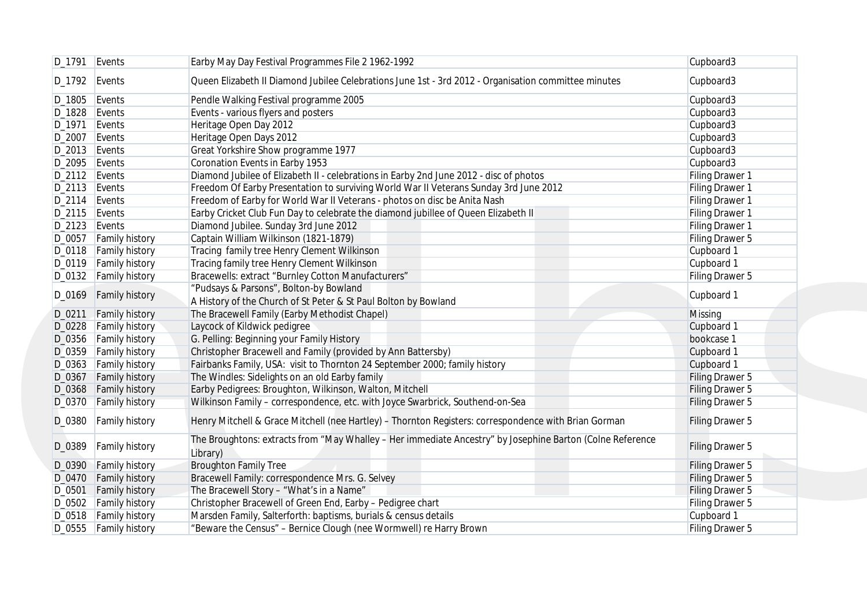|                  | D_1791 Events           | Earby May Day Festival Programmes File 2 1962-1992                                                                    | Cupboard3       |
|------------------|-------------------------|-----------------------------------------------------------------------------------------------------------------------|-----------------|
| D_1792 Events    |                         | Queen Elizabeth II Diamond Jubilee Celebrations June 1st - 3rd 2012 - Organisation committee minutes                  | Cupboard3       |
| D_1805 Events    |                         | Pendle Walking Festival programme 2005                                                                                | Cupboard3       |
| D_1828 Events    |                         | Events - various flyers and posters                                                                                   | Cupboard3       |
| D_1971 Events    |                         | Heritage Open Day 2012                                                                                                | Cupboard3       |
| D_2007 Events    |                         | Heritage Open Days 2012                                                                                               | Cupboard3       |
| $D_2013$ Events  |                         | Great Yorkshire Show programme 1977                                                                                   | Cupboard3       |
| D_2095 Events    |                         | Coronation Events in Earby 1953                                                                                       | Cupboard3       |
| D_2112 Events    |                         | Diamond Jubilee of Elizabeth II - celebrations in Earby 2nd June 2012 - disc of photos                                | Filing Drawer 1 |
| D_2113 Events    |                         | Freedom Of Earby Presentation to surviving World War II Veterans Sunday 3rd June 2012                                 | Filing Drawer 1 |
|                  |                         |                                                                                                                       |                 |
| $D_2$ 114 Events |                         | Freedom of Earby for World War II Veterans - photos on disc be Anita Nash                                             | Filing Drawer 1 |
| $D_2$ 115 Events |                         | Earby Cricket Club Fun Day to celebrate the diamond jubillee of Queen Elizabeth II                                    | Filing Drawer 1 |
| $D_2123$ Events  |                         | Diamond Jubilee. Sunday 3rd June 2012                                                                                 | Filing Drawer 1 |
|                  | D_0057 Family history   | Captain William Wilkinson (1821-1879)                                                                                 | Filing Drawer 5 |
|                  | D_0118   Family history | Tracing family tree Henry Clement Wilkinson                                                                           | Cupboard 1      |
|                  | D_0119 Family history   | Tracing family tree Henry Clement Wilkinson                                                                           | Cupboard 1      |
|                  | D_0132   Family history | Bracewells: extract "Burnley Cotton Manufacturers"                                                                    | Filing Drawer 5 |
|                  |                         | "Pudsays & Parsons", Bolton-by Bowland                                                                                |                 |
|                  | D_0169 Family history   | A History of the Church of St Peter & St Paul Bolton by Bowland                                                       | Cupboard 1      |
|                  | D_0211 Family history   | The Bracewell Family (Earby Methodist Chapel)                                                                         | <b>Missing</b>  |
|                  | D_0228 Family history   | Laycock of Kildwick pedigree                                                                                          | Cupboard 1      |
|                  | D_0356 Family history   | G. Pelling: Beginning your Family History                                                                             | bookcase 1      |
|                  | D_0359 Family history   | Christopher Bracewell and Family (provided by Ann Battersby)                                                          | Cupboard 1      |
|                  |                         | Fairbanks Family, USA: visit to Thornton 24 September 2000; family history                                            | Cupboard 1      |
|                  | D_0363 Family history   |                                                                                                                       |                 |
| D_0367           | <b>Family history</b>   | The Windles: Sidelights on an old Earby family                                                                        | Filing Drawer 5 |
|                  | D_0368 Family history   | Earby Pedigrees: Broughton, Wilkinson, Walton, Mitchell                                                               | Filing Drawer 5 |
|                  | D_0370 Family history   | Wilkinson Family - correspondence, etc. with Joyce Swarbrick, Southend-on-Sea                                         | Filing Drawer 5 |
| D_0380           | <b>Family history</b>   | Henry Mitchell & Grace Mitchell (nee Hartley) – Thornton Registers: correspondence with Brian Gorman                  | Filing Drawer 5 |
| D_0389           | <b>Family history</b>   | The Broughtons: extracts from "May Whalley - Her immediate Ancestry" by Josephine Barton (Colne Reference<br>Library) | Filing Drawer 5 |
| D_0390           | <b>Family history</b>   | <b>Broughton Family Tree</b>                                                                                          | Filing Drawer 5 |
|                  | D_0470 Family history   | Bracewell Family: correspondence Mrs. G. Selvey                                                                       | Filing Drawer 5 |
| D_0501           | <b>Family history</b>   | The Bracewell Story - "What's in a Name"                                                                              | Filing Drawer 5 |
|                  | D_0502 Family history   | Christopher Bracewell of Green End, Earby - Pedigree chart                                                            | Filing Drawer 5 |
|                  | D_0518   Family history | Marsden Family, Salterforth: baptisms, burials & census details                                                       | Cupboard 1      |
|                  | D_0555 Family history   | "Beware the Census" - Bernice Clough (nee Wormwell) re Harry Brown                                                    | Filing Drawer 5 |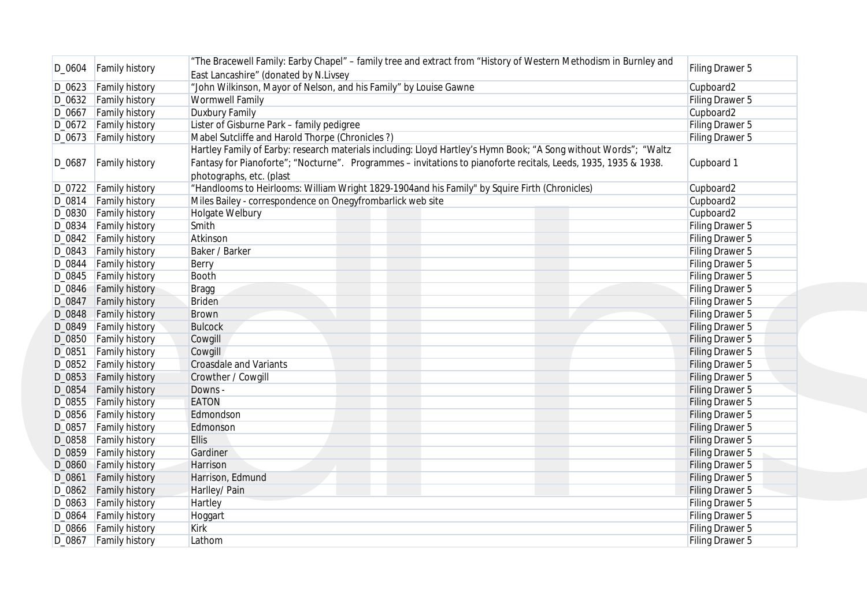|        | D_0604   Family history | "The Bracewell Family: Earby Chapel" - family tree and extract from "History of Western Methodism in Burnley and<br>East Lancashire" (donated by N.Livsey | Filing Drawer 5        |
|--------|-------------------------|-----------------------------------------------------------------------------------------------------------------------------------------------------------|------------------------|
|        | D_0623 Family history   | "John Wilkinson, Mayor of Nelson, and his Family" by Louise Gawne                                                                                         | Cupboard2              |
|        |                         | <b>Wormwell Family</b>                                                                                                                                    | Filing Drawer 5        |
|        | D_0632   Family history |                                                                                                                                                           |                        |
|        | D_0667 Family history   | <b>Duxbury Family</b>                                                                                                                                     | Cupboard2              |
|        | D_0672 Family history   | Lister of Gisburne Park - family pedigree                                                                                                                 | Filing Drawer 5        |
|        | D_0673 Family history   | Mabel Sutcliffe and Harold Thorpe (Chronicles?)                                                                                                           | Filing Drawer 5        |
|        |                         | Hartley Family of Earby: research materials including: Lloyd Hartley's Hymn Book; "A Song without Words"; "Waltz                                          |                        |
| D_0687 | <b>Family history</b>   | Fantasy for Pianoforte"; "Nocturne". Programmes - invitations to pianoforte recitals, Leeds, 1935, 1935 & 1938.<br>photographs, etc. (plast               | Cupboard 1             |
|        | D_0722   Family history | "Handlooms to Heirlooms: William Wright 1829-1904and his Family" by Squire Firth (Chronicles)                                                             | Cupboard2              |
|        | D_0814   Family history | Miles Bailey - correspondence on Onegyfrombarlick web site                                                                                                | Cupboard2              |
|        | D_0830 Family history   | Holgate Welbury                                                                                                                                           | Cupboard2              |
|        | D_0834   Family history | Smith                                                                                                                                                     | Filing Drawer 5        |
|        |                         | Atkinson                                                                                                                                                  |                        |
|        | D_0842   Family history |                                                                                                                                                           | Filing Drawer 5        |
|        | D_0843 Family history   | Baker / Barker                                                                                                                                            | Filing Drawer 5        |
| D_0844 | <b>Family history</b>   | Berry                                                                                                                                                     | Filing Drawer 5        |
|        | D_0845 Family history   | <b>Booth</b>                                                                                                                                              | Filing Drawer 5        |
|        | D_0846 Family history   | <b>Bragg</b>                                                                                                                                              | Filing Drawer 5        |
| D_0847 | <b>Family history</b>   | <b>Briden</b>                                                                                                                                             | Filing Drawer 5        |
|        | D_0848 Family history   | <b>Brown</b>                                                                                                                                              | Filing Drawer 5        |
|        | D_0849 Family history   | <b>Bulcock</b>                                                                                                                                            | Filing Drawer 5        |
|        | D_0850 Family history   | Cowgill                                                                                                                                                   | Filing Drawer 5        |
| D_0851 | <b>Family history</b>   | Cowgill                                                                                                                                                   | Filing Drawer 5        |
|        | D_0852 Family history   | <b>Croasdale and Variants</b>                                                                                                                             | Filing Drawer 5        |
|        | D_0853 Family history   | Crowther / Cowgill                                                                                                                                        | Filing Drawer 5        |
|        | D_0854 Family history   | Downs -                                                                                                                                                   | Filing Drawer 5        |
|        | D_0855 Family history   | <b>EATON</b>                                                                                                                                              | Filing Drawer 5        |
|        | D_0856   Family history | Edmondson                                                                                                                                                 | Filing Drawer 5        |
| D_0857 | <b>Family history</b>   | Edmonson                                                                                                                                                  | Filing Drawer 5        |
| D_0858 | <b>Family history</b>   | <b>Ellis</b>                                                                                                                                              | Filing Drawer 5        |
| D_0859 | <b>Family history</b>   | Gardiner                                                                                                                                                  | Filing Drawer 5        |
|        | D_0860 Family history   | Harrison                                                                                                                                                  | Filing Drawer 5        |
| D_0861 | <b>Family history</b>   | Harrison, Edmund                                                                                                                                          | Filing Drawer 5        |
|        | D_0862 Family history   |                                                                                                                                                           |                        |
|        |                         | Harlley/ Pain                                                                                                                                             | Filing Drawer 5        |
|        | D_0863 Family history   | Hartley                                                                                                                                                   | Filing Drawer 5        |
|        | D_0864 Family history   | Hoggart                                                                                                                                                   | <b>Filing Drawer 5</b> |
|        | D_0866 Family history   | <b>Kirk</b>                                                                                                                                               | Filing Drawer 5        |
|        | D_0867 Family history   | Lathom                                                                                                                                                    | Filing Drawer 5        |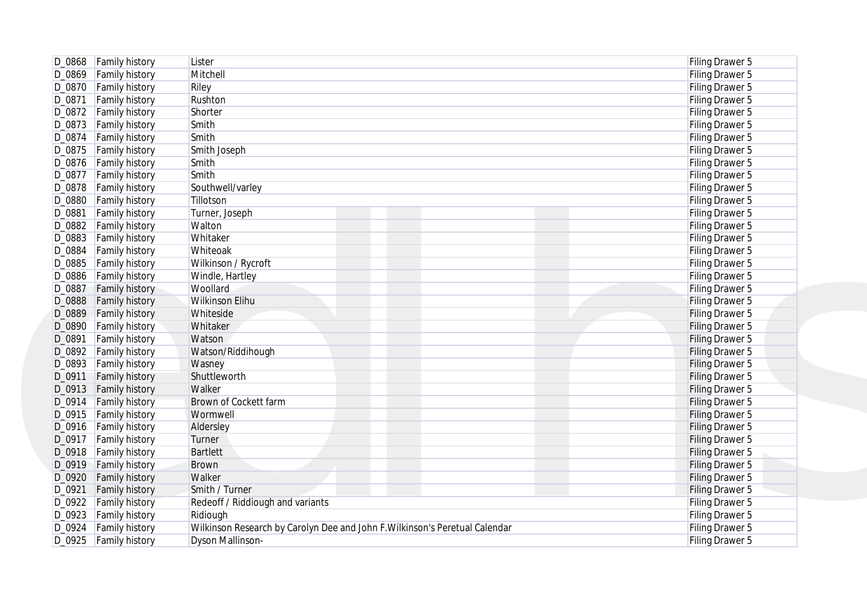| D_0868   Family history           |                                                                             |                 |
|-----------------------------------|-----------------------------------------------------------------------------|-----------------|
|                                   | Lister                                                                      | Filing Drawer 5 |
| D_0869 Family history             | Mitchell                                                                    | Filing Drawer 5 |
| D_0870 Family history             | Riley                                                                       | Filing Drawer 5 |
| D_0871<br><b>Family history</b>   | Rushton                                                                     | Filing Drawer 5 |
| D_0872 Family history             | Shorter                                                                     | Filing Drawer 5 |
| D_0873 Family history             | Smith                                                                       | Filing Drawer 5 |
| $D_0874$<br><b>Family history</b> | Smith                                                                       | Filing Drawer 5 |
| D_0875<br><b>Family history</b>   | Smith Joseph                                                                | Filing Drawer 5 |
| D_0876   Family history           | Smith                                                                       | Filing Drawer 5 |
| D_0877<br><b>Family history</b>   | Smith                                                                       | Filing Drawer 5 |
| D_0878   Family history           | Southwell/varley                                                            | Filing Drawer 5 |
| D_0880<br><b>Family history</b>   | Tillotson                                                                   | Filing Drawer 5 |
| D_0881<br><b>Family history</b>   | Turner, Joseph                                                              | Filing Drawer 5 |
| D_0882<br><b>Family history</b>   | Walton                                                                      | Filing Drawer 5 |
| D_0883<br><b>Family history</b>   | Whitaker                                                                    | Filing Drawer 5 |
|                                   |                                                                             |                 |
| D_0884<br><b>Family history</b>   | Whiteoak                                                                    | Filing Drawer 5 |
| D_0885<br><b>Family history</b>   | Wilkinson / Rycroft                                                         | Filing Drawer 5 |
| D_0886<br><b>Family history</b>   | Windle, Hartley                                                             | Filing Drawer 5 |
| D_0887<br><b>Family history</b>   | Woollard                                                                    | Filing Drawer 5 |
| D_0888<br><b>Family history</b>   | Wilkinson Elihu                                                             | Filing Drawer 5 |
| D_0889<br><b>Family history</b>   | Whiteside                                                                   | Filing Drawer 5 |
| D_0890<br><b>Family history</b>   | Whitaker                                                                    | Filing Drawer 5 |
| D_0891<br><b>Family history</b>   | Watson                                                                      | Filing Drawer 5 |
| D_0892 Family history             | Watson/Riddihough                                                           | Filing Drawer 5 |
| D_0893<br><b>Family history</b>   | Wasney                                                                      | Filing Drawer 5 |
| D_0911<br><b>Family history</b>   | Shuttleworth                                                                | Filing Drawer 5 |
| D_0913<br><b>Family history</b>   | Walker                                                                      | Filing Drawer 5 |
| D_0914<br><b>Family history</b>   | Brown of Cockett farm                                                       | Filing Drawer 5 |
| D_0915 Family history             | Wormwell                                                                    | Filing Drawer 5 |
| D_0916   Family history           | Aldersley                                                                   | Filing Drawer 5 |
| D_0917 Family history             | Turner                                                                      | Filing Drawer 5 |
| D_0918   Family history           | <b>Bartlett</b>                                                             | Filing Drawer 5 |
| D_0919 Family history             | <b>Brown</b>                                                                | Filing Drawer 5 |
| D_0920 Family history             | Walker                                                                      | Filing Drawer 5 |
| D_0921                            | Smith / Turner                                                              |                 |
| <b>Family history</b>             |                                                                             | Filing Drawer 5 |
| D_0922 Family history             | Redeoff / Riddiough and variants                                            | Filing Drawer 5 |
| D_0923   Family history           | Ridiough                                                                    | Filing Drawer 5 |
| D_0924 Family history             | Wilkinson Research by Carolyn Dee and John F. Wilkinson's Peretual Calendar | Filing Drawer 5 |
| D_0925 Family history             | <b>Dyson Mallinson-</b>                                                     | Filing Drawer 5 |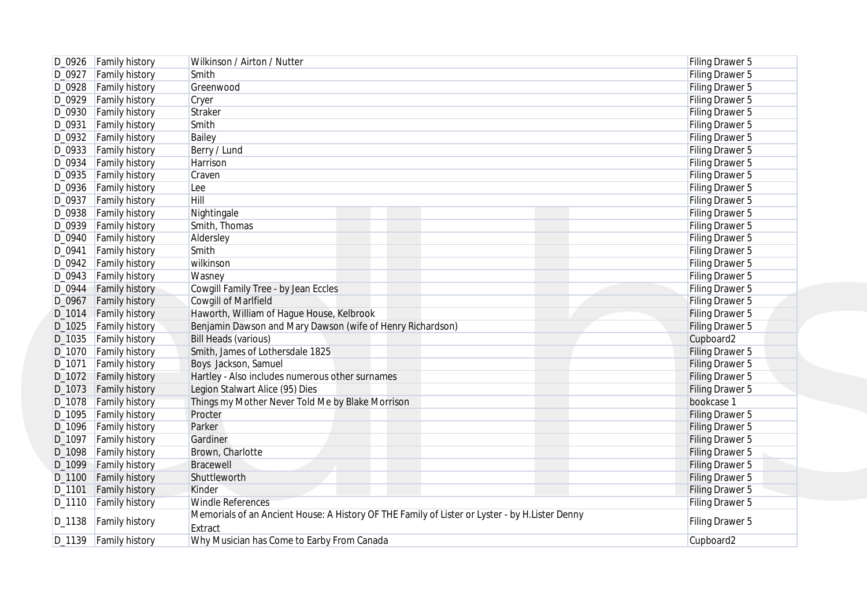| D_0926 Family history           | Wilkinson / Airton / Nutter                                                                    | Filing Drawer 5 |
|---------------------------------|------------------------------------------------------------------------------------------------|-----------------|
| D_0927 Family history           | Smith                                                                                          | Filing Drawer 5 |
| <b>Family history</b><br>D_0928 | Greenwood                                                                                      | Filing Drawer 5 |
| D_0929<br><b>Family history</b> | Cryer                                                                                          | Filing Drawer 5 |
| D_0930 Family history           | Straker                                                                                        | Filing Drawer 5 |
| D_0931<br><b>Family history</b> | Smith                                                                                          | Filing Drawer 5 |
| D_0932   Family history         | Bailey                                                                                         | Filing Drawer 5 |
| D_0933 Family history           | Berry / Lund                                                                                   | Filing Drawer 5 |
| <b>Family history</b><br>D_0934 | Harrison                                                                                       | Filing Drawer 5 |
| D_0935 Family history           | Craven                                                                                         | Filing Drawer 5 |
| D_0936   Family history         | Lee                                                                                            | Filing Drawer 5 |
| D_0937<br><b>Family history</b> | Hill                                                                                           | Filing Drawer 5 |
| D_0938   Family history         | Nightingale                                                                                    | Filing Drawer 5 |
| D_0939<br><b>Family history</b> | Smith, Thomas                                                                                  | Filing Drawer 5 |
| D_0940<br><b>Family history</b> | Aldersley                                                                                      | Filing Drawer 5 |
| D_0941<br><b>Family history</b> | Smith                                                                                          | Filing Drawer 5 |
| D_0942<br><b>Family history</b> | wilkinson                                                                                      | Filing Drawer 5 |
| D_0943<br><b>Family history</b> | Wasney                                                                                         | Filing Drawer 5 |
| D_0944<br><b>Family history</b> | Cowgill Family Tree - by Jean Eccles                                                           | Filing Drawer 5 |
| D_0967<br><b>Family history</b> | <b>Cowgill of Marlfield</b>                                                                    | Filing Drawer 5 |
| D_1014 Family history           | Haworth, William of Hague House, Kelbrook                                                      | Filing Drawer 5 |
| D_1025<br><b>Family history</b> | Benjamin Dawson and Mary Dawson (wife of Henry Richardson)                                     | Filing Drawer 5 |
| D_1035 Family history           | <b>Bill Heads (various)</b>                                                                    | Cupboard2       |
| D_1070 Family history           | Smith, James of Lothersdale 1825                                                               | Filing Drawer 5 |
| D_1071<br><b>Family history</b> | Boys Jackson, Samuel                                                                           | Filing Drawer 5 |
| D_1072<br><b>Family history</b> | Hartley - Also includes numerous other surnames                                                | Filing Drawer 5 |
| D_1073<br><b>Family history</b> | Legion Stalwart Alice (95) Dies                                                                | Filing Drawer 5 |
| D_1078 Family history           | Things my Mother Never Told Me by Blake Morrison                                               | bookcase 1      |
| D_1095<br><b>Family history</b> | Procter                                                                                        | Filing Drawer 5 |
| D_1096 Family history           | Parker                                                                                         | Filing Drawer 5 |
| D_1097<br><b>Family history</b> | Gardiner                                                                                       | Filing Drawer 5 |
| D_1098                          | Brown, Charlotte                                                                               |                 |
| <b>Family history</b>           | Bracewell                                                                                      | Filing Drawer 5 |
| <b>Family history</b><br>D_1099 |                                                                                                | Filing Drawer 5 |
| D_1100 Family history           | Shuttleworth                                                                                   | Filing Drawer 5 |
| D_1101<br><b>Family history</b> | Kinder                                                                                         | Filing Drawer 5 |
| D_1110 Family history           | <b>Windle References</b>                                                                       | Filing Drawer 5 |
| D_1138 Family history           | Memorials of an Ancient House: A History OF THE Family of Lister or Lyster - by H.Lister Denny | Filing Drawer 5 |
|                                 | Extract                                                                                        |                 |
| D_1139 Family history           | Why Musician has Come to Earby From Canada                                                     | Cupboard2       |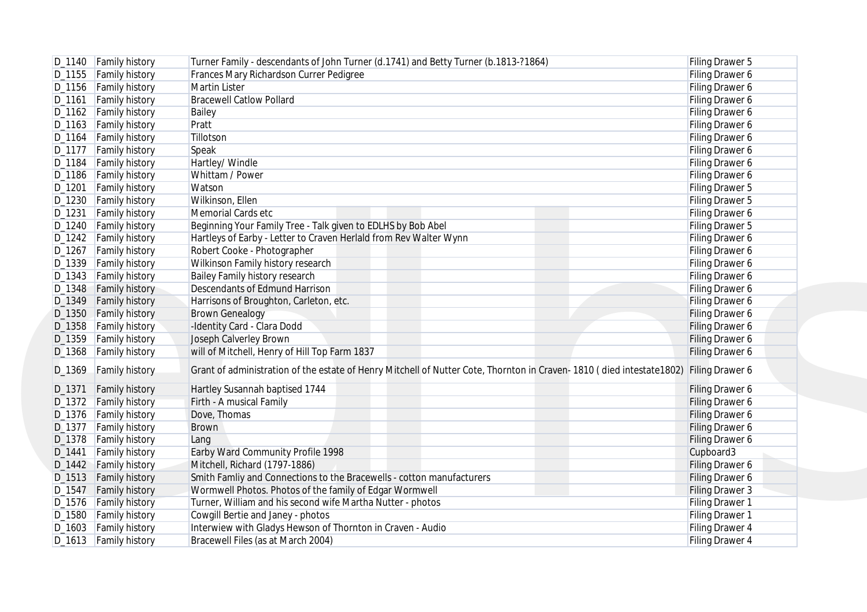| D_1155 Family history                                                                                                                                                                                                                                           |                                                |                                                                                                                                                                                       | Filing Drawer 5                           |
|-----------------------------------------------------------------------------------------------------------------------------------------------------------------------------------------------------------------------------------------------------------------|------------------------------------------------|---------------------------------------------------------------------------------------------------------------------------------------------------------------------------------------|-------------------------------------------|
|                                                                                                                                                                                                                                                                 |                                                | Frances Mary Richardson Currer Pedigree                                                                                                                                               | Filing Drawer 6                           |
|                                                                                                                                                                                                                                                                 | D_1156 Family history                          | <b>Martin Lister</b>                                                                                                                                                                  | Filing Drawer 6                           |
| D_1161                                                                                                                                                                                                                                                          | <b>Family history</b>                          | <b>Bracewell Catlow Pollard</b>                                                                                                                                                       | Filing Drawer 6                           |
| D_1162 Family history                                                                                                                                                                                                                                           |                                                | Bailey                                                                                                                                                                                | Filing Drawer 6                           |
| D_1163   Family history                                                                                                                                                                                                                                         |                                                | Pratt                                                                                                                                                                                 | Filing Drawer 6                           |
| D_1164                                                                                                                                                                                                                                                          | <b>Family history</b>                          | Tillotson                                                                                                                                                                             | Filing Drawer 6                           |
| D_1177 Family history                                                                                                                                                                                                                                           |                                                | Speak                                                                                                                                                                                 | Filing Drawer 6                           |
| D_1184                                                                                                                                                                                                                                                          | <b>Family history</b>                          | Hartley/ Windle                                                                                                                                                                       | Filing Drawer 6                           |
| D_1186   Family history                                                                                                                                                                                                                                         |                                                | Whittam / Power                                                                                                                                                                       | Filing Drawer 6                           |
| D_1201                                                                                                                                                                                                                                                          | <b>Family history</b>                          | Watson                                                                                                                                                                                | Filing Drawer 5                           |
| D_1230 Family history                                                                                                                                                                                                                                           |                                                | Wilkinson, Ellen                                                                                                                                                                      | Filing Drawer 5                           |
| D_1231                                                                                                                                                                                                                                                          | <b>Family history</b>                          | Memorial Cards etc                                                                                                                                                                    | Filing Drawer 6                           |
| D_1240   Family history                                                                                                                                                                                                                                         |                                                | Beginning Your Family Tree - Talk given to EDLHS by Bob Abel                                                                                                                          | Filing Drawer 5                           |
| D_1242   Family history                                                                                                                                                                                                                                         |                                                | Hartleys of Earby - Letter to Craven Herlald from Rev Walter Wynn                                                                                                                     | Filing Drawer 6                           |
| D_1267                                                                                                                                                                                                                                                          | <b>Family history</b>                          | Robert Cooke - Photographer                                                                                                                                                           | Filing Drawer 6                           |
| D_1339   Family history                                                                                                                                                                                                                                         |                                                | Wilkinson Family history research                                                                                                                                                     | Filing Drawer 6                           |
| D_1343   Family history                                                                                                                                                                                                                                         |                                                | Bailey Family history research                                                                                                                                                        | Filing Drawer 6                           |
| D_1348 Family history                                                                                                                                                                                                                                           |                                                | Descendants of Edmund Harrison                                                                                                                                                        | Filing Drawer 6                           |
| D_1349 Family history                                                                                                                                                                                                                                           |                                                | Harrisons of Broughton, Carleton, etc.                                                                                                                                                | Filing Drawer 6                           |
| D_1350 Family history                                                                                                                                                                                                                                           |                                                | <b>Brown Genealogy</b>                                                                                                                                                                | Filing Drawer 6                           |
| D_1358 Family history                                                                                                                                                                                                                                           |                                                | -Identity Card - Clara Dodd                                                                                                                                                           | Filing Drawer 6                           |
|                                                                                                                                                                                                                                                                 |                                                |                                                                                                                                                                                       |                                           |
|                                                                                                                                                                                                                                                                 |                                                |                                                                                                                                                                                       |                                           |
|                                                                                                                                                                                                                                                                 |                                                | Joseph Calverley Brown                                                                                                                                                                | Filing Drawer 6                           |
| D_1359 Family history<br>D_1368<br>D_1369                                                                                                                                                                                                                       | <b>Family history</b><br><b>Family history</b> | will of Mitchell, Henry of Hill Top Farm 1837<br>Grant of administration of the estate of Henry Mitchell of Nutter Cote, Thornton in Craven-1810 (died intestate1802) Filing Drawer 6 | Filing Drawer 6                           |
|                                                                                                                                                                                                                                                                 | <b>Family history</b>                          | Hartley Susannah baptised 1744                                                                                                                                                        | Filing Drawer 6                           |
|                                                                                                                                                                                                                                                                 |                                                | Firth - A musical Family                                                                                                                                                              | Filing Drawer 6                           |
|                                                                                                                                                                                                                                                                 |                                                | Dove, Thomas                                                                                                                                                                          | Filing Drawer 6                           |
|                                                                                                                                                                                                                                                                 | <b>Family history</b>                          | <b>Brown</b>                                                                                                                                                                          | Filing Drawer 6                           |
|                                                                                                                                                                                                                                                                 |                                                | Lang                                                                                                                                                                                  | Filing Drawer 6                           |
|                                                                                                                                                                                                                                                                 | <b>Family history</b>                          | Earby Ward Community Profile 1998                                                                                                                                                     | Cupboard3                                 |
|                                                                                                                                                                                                                                                                 |                                                | Mitchell, Richard (1797-1886)                                                                                                                                                         | Filing Drawer 6                           |
|                                                                                                                                                                                                                                                                 |                                                | Smith Famliy and Connections to the Bracewells - cotton manufacturers                                                                                                                 | Filing Drawer 6                           |
|                                                                                                                                                                                                                                                                 |                                                | Wormwell Photos. Photos of the family of Edgar Wormwell                                                                                                                               | Filing Drawer 3                           |
|                                                                                                                                                                                                                                                                 |                                                | Turner, William and his second wife Martha Nutter - photos                                                                                                                            | Filing Drawer 1                           |
|                                                                                                                                                                                                                                                                 |                                                | Cowgill Bertie and Janey - photos                                                                                                                                                     |                                           |
| D_1371<br>D_1372 Family history<br>D_1376   Family history<br>$D_1377$<br>D_1378 Family history<br>D_1441<br>D_1442 Family history<br>D_1513 Family history<br>D_1547 Family history<br>D_1576 Family history<br>D_1580 Family history<br>D_1603 Family history |                                                | Interwiew with Gladys Hewson of Thornton in Craven - Audio                                                                                                                            | <b>Filing Drawer 1</b><br>Filing Drawer 4 |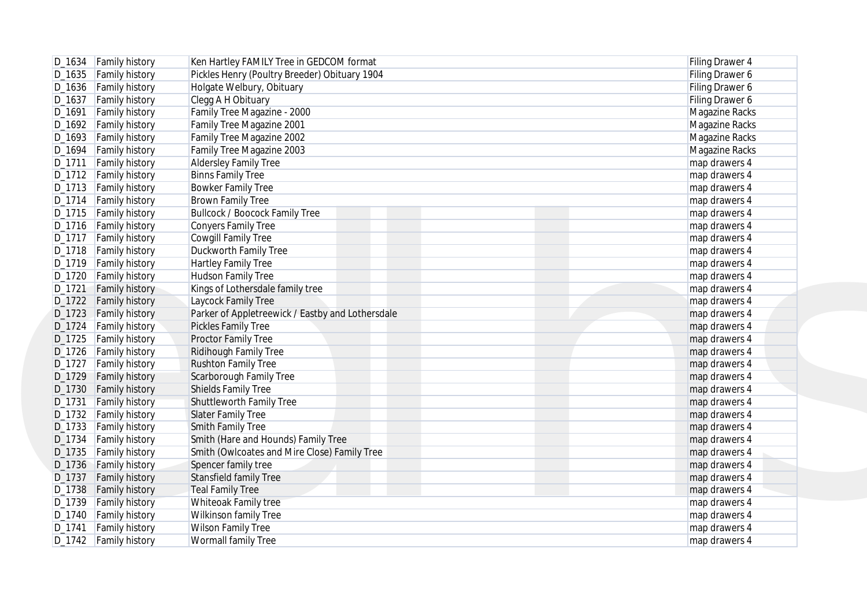| D_1634   Family history                     | Ken Hartley FAMILY Tree in GEDCOM format         | Filing Drawer 4 |
|---------------------------------------------|--------------------------------------------------|-----------------|
| D_1635 Family history                       | Pickles Henry (Poultry Breeder) Obituary 1904    | Filing Drawer 6 |
| D_1636 Family history                       | Holgate Welbury, Obituary                        | Filing Drawer 6 |
| <b>Family history</b><br>D_1637             | Clegg A H Obituary                               | Filing Drawer 6 |
| <b>Family history</b><br>D_1691             | Family Tree Magazine - 2000                      | Magazine Racks  |
| D_1692 Family history                       | Family Tree Magazine 2001                        | Magazine Racks  |
| D_1693 Family history                       | Family Tree Magazine 2002                        | Magazine Racks  |
| D_1694<br><b>Family history</b>             | Family Tree Magazine 2003                        | Magazine Racks  |
| D_1711<br><b>Family history</b>             | <b>Aldersley Family Tree</b>                     | map drawers 4   |
| D_1712   Family history                     | <b>Binns Family Tree</b>                         | map drawers 4   |
| D_1713 Family history                       | <b>Bowker Family Tree</b>                        | map drawers 4   |
| D_1714   Family history                     | <b>Brown Family Tree</b>                         | map drawers 4   |
| D_1715   Family history                     | <b>Bullcock / Boocock Family Tree</b>            | map drawers 4   |
| D_1716   Family history                     | <b>Conyers Family Tree</b>                       | map drawers 4   |
| D <sub>-1717</sub><br><b>Family history</b> | Cowgill Family Tree                              | map drawers 4   |
| D_1718   Family history                     | Duckworth Family Tree                            | map drawers 4   |
| D_1719   Family history                     | Hartley Family Tree                              | map drawers 4   |
|                                             |                                                  |                 |
| D_1720<br><b>Family history</b>             | Hudson Family Tree                               | map drawers 4   |
| <b>Family history</b><br>D_1721             | Kings of Lothersdale family tree                 | map drawers 4   |
| D <sub>-1722</sub><br><b>Family history</b> | Laycock Family Tree                              | map drawers 4   |
| D <sub>-1723</sub><br><b>Family history</b> | Parker of Appletreewick / Eastby and Lothersdale | map drawers 4   |
| D_1724<br><b>Family history</b>             | Pickles Family Tree                              | map drawers 4   |
| D_1725<br><b>Family history</b>             | Proctor Family Tree                              | map drawers 4   |
| D_1726<br><b>Family history</b>             | Ridihough Family Tree                            | map drawers 4   |
| D_1727<br><b>Family history</b>             | <b>Rushton Family Tree</b>                       | map drawers 4   |
| D_1729<br><b>Family history</b>             | Scarborough Family Tree                          | map drawers 4   |
| D_1730<br><b>Family history</b>             | Shields Family Tree                              | map drawers 4   |
| D_1731<br><b>Family history</b>             | Shuttleworth Family Tree                         | map drawers 4   |
| D_1732 Family history                       | <b>Slater Family Tree</b>                        | map drawers 4   |
| D_1733 Family history                       | <b>Smith Family Tree</b>                         | map drawers 4   |
| D_1734<br><b>Family history</b>             | Smith (Hare and Hounds) Family Tree              | map drawers 4   |
| D_1735<br><b>Family history</b>             | Smith (Owlcoates and Mire Close) Family Tree     | map drawers 4   |
| D_1736 Family history                       | Spencer family tree                              | map drawers 4   |
| <b>Family history</b><br>D <sub>-1737</sub> | <b>Stansfield family Tree</b>                    | map drawers 4   |
| D_1738 Family history                       | <b>Teal Family Tree</b>                          | map drawers 4   |
| D_1739 Family history                       | Whiteoak Family tree                             | map drawers 4   |
| D_1740   Family history                     | Wilkinson family Tree                            | map drawers 4   |
| D_1741 Family history                       | <b>Wilson Family Tree</b>                        | map drawers 4   |
| D_1742 Family history                       | Wormall family Tree                              | map drawers 4   |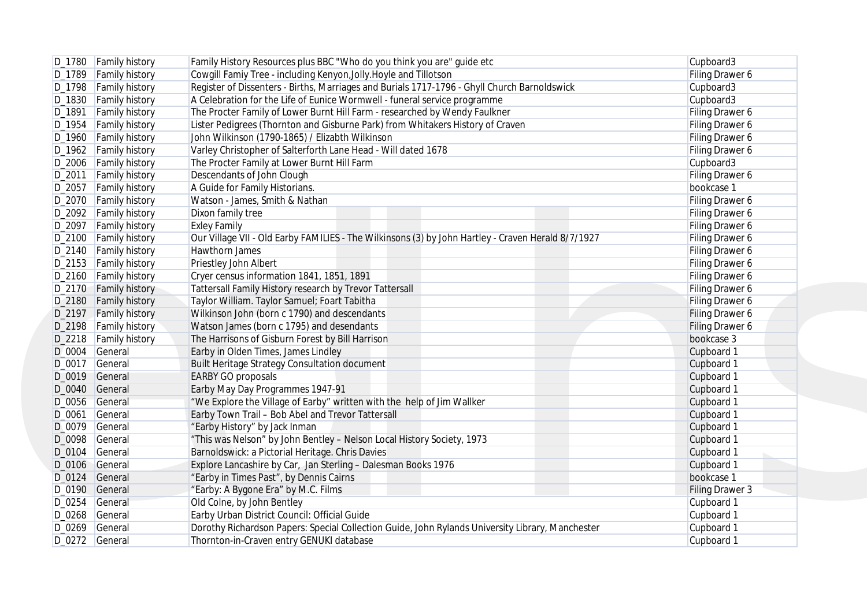| D_1780   Family history         | Family History Resources plus BBC "Who do you think you are" guide etc                             | Cupboard3       |
|---------------------------------|----------------------------------------------------------------------------------------------------|-----------------|
| D_1789 Family history           | Cowgill Famiy Tree - including Kenyon, Jolly. Hoyle and Tillotson                                  | Filing Drawer 6 |
| D_1798   Family history         | Register of Dissenters - Births, Marriages and Burials 1717-1796 - Ghyll Church Barnoldswick       | Cupboard3       |
| D_1830 Family history           | A Celebration for the Life of Eunice Wormwell - funeral service programme                          | Cupboard3       |
| <b>Family history</b><br>D_1891 | The Procter Family of Lower Burnt Hill Farm - researched by Wendy Faulkner                         | Filing Drawer 6 |
| D_1954   Family history         | Lister Pedigrees (Thornton and Gisburne Park) from Whitakers History of Craven                     | Filing Drawer 6 |
| D_1960 Family history           | John Wilkinson (1790-1865) / Elizabth Wilkinson                                                    | Filing Drawer 6 |
| D_1962 Family history           | Varley Christopher of Salterforth Lane Head - Will dated 1678                                      | Filing Drawer 6 |
| D_2006   Family history         | The Procter Family at Lower Burnt Hill Farm                                                        | Cupboard3       |
| D_2011 Family history           | Descendants of John Clough                                                                         | Filing Drawer 6 |
| D_2057 Family history           | A Guide for Family Historians.                                                                     | bookcase 1      |
| D_2070 Family history           | Watson - James, Smith & Nathan                                                                     | Filing Drawer 6 |
| D_2092   Family history         | Dixon family tree                                                                                  | Filing Drawer 6 |
| D_2097   Family history         | <b>Exley Family</b>                                                                                | Filing Drawer 6 |
| D_2100 Family history           | Our Village VII - Old Earby FAMILIES - The Wilkinsons (3) by John Hartley - Craven Herald 8/7/1927 | Filing Drawer 6 |
| D_2140 Family history           | Hawthorn James                                                                                     | Filing Drawer 6 |
| D_2153 Family history           | Priestley John Albert                                                                              | Filing Drawer 6 |
| D_2160 Family history           | Cryer census information 1841, 1851, 1891                                                          | Filing Drawer 6 |
| D_2170 Family history           | Tattersall Family History research by Trevor Tattersall                                            | Filing Drawer 6 |
| D_2180 Family history           | Taylor William. Taylor Samuel; Foart Tabitha                                                       | Filing Drawer 6 |
| D_2197 Family history           | Wilkinson John (born c 1790) and descendants                                                       | Filing Drawer 6 |
| D_2198 Family history           | Watson James (born c 1795) and desendants                                                          | Filing Drawer 6 |
| D_2218   Family history         | The Harrisons of Gisburn Forest by Bill Harrison                                                   | bookcase 3      |
| D_0004 General                  | Earby in Olden Times, James Lindley                                                                | Cupboard 1      |
| D_0017 General                  | Built Heritage Strategy Consultation document                                                      | Cupboard 1      |
| D_0019 General                  | <b>EARBY GO proposals</b>                                                                          | Cupboard 1      |
| D_0040 General                  | Earby May Day Programmes 1947-91                                                                   | Cupboard 1      |
| D_0056 General                  | "We Explore the Village of Earby" written with the help of Jim Wallker                             | Cupboard 1      |
| D_0061<br>General               | Earby Town Trail - Bob Abel and Trevor Tattersall                                                  | Cupboard 1      |
|                                 |                                                                                                    |                 |
| D_0079<br>General               | "Earby History" by Jack Inman                                                                      | Cupboard 1      |
| D_0098 General                  | "This was Nelson" by John Bentley - Nelson Local History Society, 1973                             | Cupboard 1      |
| D_0104<br>General               | Barnoldswick: a Pictorial Heritage. Chris Davies                                                   | Cupboard 1      |
| D_0106 General                  | Explore Lancashire by Car, Jan Sterling - Dalesman Books 1976                                      | Cupboard 1      |
| D_0124<br>General               | "Earby in Times Past", by Dennis Cairns                                                            | bookcase 1      |
| D_0190 General                  | "Earby: A Bygone Era" by M.C. Films                                                                | Filing Drawer 3 |
| D_0254 General                  | Old Colne, by John Bentley                                                                         | Cupboard 1      |
| D_0268 General                  | Earby Urban District Council: Official Guide                                                       | Cupboard 1      |
| D_0269 General                  | Dorothy Richardson Papers: Special Collection Guide, John Rylands University Library, Manchester   | Cupboard 1      |
| D_0272 General                  | Thornton-in-Craven entry GENUKI database                                                           | Cupboard 1      |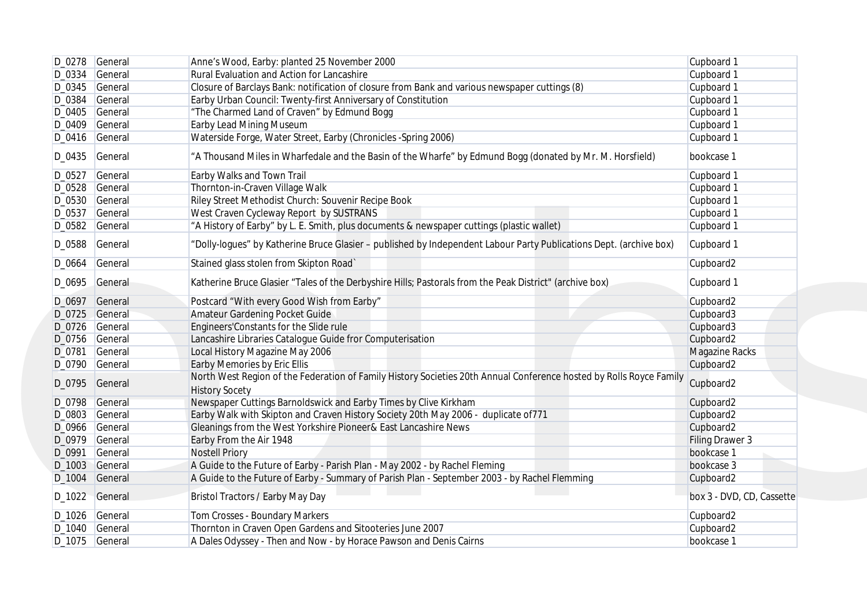|          | D_0278 General | Anne's Wood, Earby: planted 25 November 2000                                                                                                 | Cupboard 1                |
|----------|----------------|----------------------------------------------------------------------------------------------------------------------------------------------|---------------------------|
| D_0334   | General        | Rural Evaluation and Action for Lancashire                                                                                                   | Cupboard 1                |
| D_0345   | General        | Closure of Barclays Bank: notification of closure from Bank and various newspaper cuttings (8)                                               | Cupboard 1                |
| D_0384   | General        | Earby Urban Council: Twenty-first Anniversary of Constitution                                                                                | Cupboard 1                |
|          | D_0405 General | "The Charmed Land of Craven" by Edmund Bogg                                                                                                  | Cupboard 1                |
| D_0409   | General        | Earby Lead Mining Museum                                                                                                                     | Cupboard 1                |
|          | D_0416 General | Waterside Forge, Water Street, Earby (Chronicles -Spring 2006)                                                                               | Cupboard 1                |
| D_0435   | General        | "A Thousand Miles in Wharfedale and the Basin of the Wharfe" by Edmund Bogg (donated by Mr. M. Horsfield)                                    | bookcase 1                |
| D_0527   | General        | Earby Walks and Town Trail                                                                                                                   | Cupboard 1                |
|          | D_0528 General | Thornton-in-Craven Village Walk                                                                                                              | Cupboard 1                |
|          | D_0530 General | Riley Street Methodist Church: Souvenir Recipe Book                                                                                          | Cupboard 1                |
| $D_0537$ | General        | West Craven Cycleway Report by SUSTRANS                                                                                                      | Cupboard 1                |
|          | D_0582 General | "A History of Earby" by L. E. Smith, plus documents & newspaper cuttings (plastic wallet)                                                    | Cupboard 1                |
| D_0588   | General        | "Dolly-logues" by Katherine Bruce Glasier - published by Independent Labour Party Publications Dept. (archive box)                           | Cupboard 1                |
| D_0664   | General        | Stained glass stolen from Skipton Road`                                                                                                      | Cupboard2                 |
|          | D_0695 General | Katherine Bruce Glasier "Tales of the Derbyshire Hills; Pastorals from the Peak District" (archive box)                                      | Cupboard 1                |
|          | D_0697 General | Postcard "With every Good Wish from Earby"                                                                                                   | Cupboard2                 |
|          | D_0725 General | Amateur Gardening Pocket Guide                                                                                                               | Cupboard3                 |
| D_0726   | General        | Engineers' Constants for the Slide rule                                                                                                      | Cupboard3                 |
|          | D_0756 General | Lancashire Libraries Catalogue Guide fror Computerisation                                                                                    | Cupboard2                 |
| D_0781   | General        | Local History Magazine May 2006                                                                                                              | <b>Magazine Racks</b>     |
|          | D_0790 General | Earby Memories by Eric Ellis                                                                                                                 | Cupboard2                 |
|          | D_0795 General | North West Region of the Federation of Family History Societies 20th Annual Conference hosted by Rolls Royce Family<br><b>History Socety</b> | Cupboard2                 |
|          | D_0798 General | Newspaper Cuttings Barnoldswick and Earby Times by Clive Kirkham                                                                             | Cupboard2                 |
|          | D_0803 General | Earby Walk with Skipton and Craven History Society 20th May 2006 - duplicate of 771                                                          | Cupboard2                 |
|          | D_0966 General | Gleanings from the West Yorkshire Pioneer& East Lancashire News                                                                              | Cupboard2                 |
|          | D_0979 General | Earby From the Air 1948                                                                                                                      | <b>Filing Drawer 3</b>    |
| D_0991   | General        | <b>Nostell Priory</b>                                                                                                                        | bookcase 1                |
|          | D_1003 General | A Guide to the Future of Earby - Parish Plan - May 2002 - by Rachel Fleming                                                                  | bookcase 3                |
|          | D_1004 General | A Guide to the Future of Earby - Summary of Parish Plan - September 2003 - by Rachel Flemming                                                | Cupboard2                 |
|          | D_1022 General | Bristol Tractors / Earby May Day                                                                                                             | box 3 - DVD, CD, Cassette |
|          | D_1026 General | Tom Crosses - Boundary Markers                                                                                                               | Cupboard2                 |
|          | D_1040 General | Thornton in Craven Open Gardens and Sitooteries June 2007                                                                                    | Cupboard2                 |
|          | D_1075 General | A Dales Odyssey - Then and Now - by Horace Pawson and Denis Cairns                                                                           | bookcase 1                |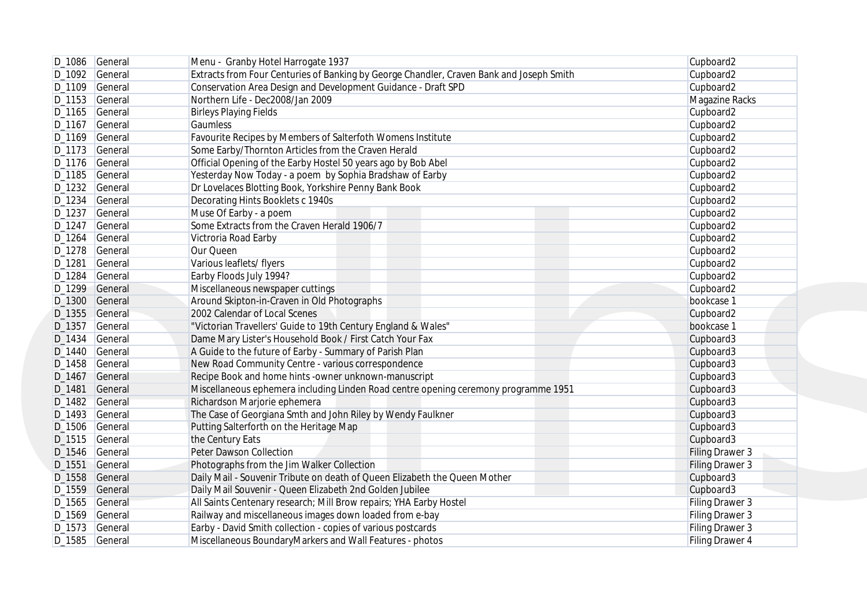| D_1086 General    | Menu - Granby Hotel Harrogate 1937                                                       | Cupboard2              |
|-------------------|------------------------------------------------------------------------------------------|------------------------|
| D_1092 General    | Extracts from Four Centuries of Banking by George Chandler, Craven Bank and Joseph Smith | Cupboard2              |
| D_1109 General    | Conservation Area Design and Development Guidance - Draft SPD                            | Cupboard2              |
| D_1153 General    | Northern Life - Dec2008/Jan 2009                                                         | Magazine Racks         |
| D_1165 General    | <b>Birleys Playing Fields</b>                                                            | Cupboard2              |
| D_1167 General    | Gaumless                                                                                 | Cupboard2              |
| D_1169 General    | Favourite Recipes by Members of Salterfoth Womens Institute                              | Cupboard2              |
| D_1173 General    | Some Earby/Thornton Articles from the Craven Herald                                      | Cupboard2              |
| D_1176 General    | Official Opening of the Earby Hostel 50 years ago by Bob Abel                            | Cupboard2              |
| D_1185 General    | Yesterday Now Today - a poem by Sophia Bradshaw of Earby                                 | Cupboard2              |
| D_1232 General    | Dr Lovelaces Blotting Book, Yorkshire Penny Bank Book                                    | Cupboard2              |
| D_1234 General    | Decorating Hints Booklets c 1940s                                                        | Cupboard <sub>2</sub>  |
| D_1237 General    | Muse Of Earby - a poem                                                                   | Cupboard2              |
| D_1247<br>General | Some Extracts from the Craven Herald 1906/7                                              | Cupboard2              |
| D_1264<br>General | Victroria Road Earby                                                                     | Cupboard2              |
| D_1278 General    | Our Queen                                                                                | Cupboard2              |
| D_1281<br>General | Various leaflets/ flyers                                                                 | Cupboard2              |
| D_1284<br>General | Earby Floods July 1994?                                                                  | Cupboard2              |
| D_1299<br>General | Miscellaneous newspaper cuttings                                                         | Cupboard2              |
| D_1300 General    | Around Skipton-in-Craven in Old Photographs                                              | bookcase 1             |
| D_1355 General    | 2002 Calendar of Local Scenes                                                            | Cupboard2              |
| D_1357<br>General | "Victorian Travellers' Guide to 19th Century England & Wales"                            | bookcase 1             |
| D_1434<br>General | Dame Mary Lister's Household Book / First Catch Your Fax                                 | Cupboard3              |
| D_1440 General    | A Guide to the future of Earby - Summary of Parish Plan                                  | Cupboard3              |
| D_1458<br>General | New Road Community Centre - various correspondence                                       | Cupboard3              |
| D_1467<br>General | Recipe Book and home hints -owner unknown-manuscript                                     | Cupboard3              |
| D_1481<br>General | Miscellaneous ephemera including Linden Road centre opening ceremony programme 1951      | Cupboard3              |
| D_1482 General    | Richardson Marjorie ephemera                                                             | Cupboard3              |
| D_1493<br>General | The Case of Georgiana Smth and John Riley by Wendy Faulkner                              | Cupboard3              |
| D_1506 General    | Putting Salterforth on the Heritage Map                                                  | Cupboard3              |
| D_1515 General    | the Century Eats                                                                         | Cupboard3              |
| D_1546 General    | Peter Dawson Collection                                                                  | <b>Filing Drawer 3</b> |
| D_1551<br>General | Photographs from the Jim Walker Collection                                               | Filing Drawer 3        |
| D_1558 General    | Daily Mail - Souvenir Tribute on death of Queen Elizabeth the Queen Mother               | Cupboard3              |
| D_1559 General    | Daily Mail Souvenir - Queen Elizabeth 2nd Golden Jubilee                                 | Cupboard3              |
| D_1565 General    | All Saints Centenary research; Mill Brow repairs; YHA Earby Hostel                       | Filing Drawer 3        |
| D_1569 General    | Railway and miscellaneous images down loaded from e-bay                                  | Filing Drawer 3        |
| D_1573 General    | Earby - David Smith collection - copies of various postcards                             | Filing Drawer 3        |
| D_1585 General    | Miscellaneous BoundaryMarkers and Wall Features - photos                                 | Filing Drawer 4        |
|                   |                                                                                          |                        |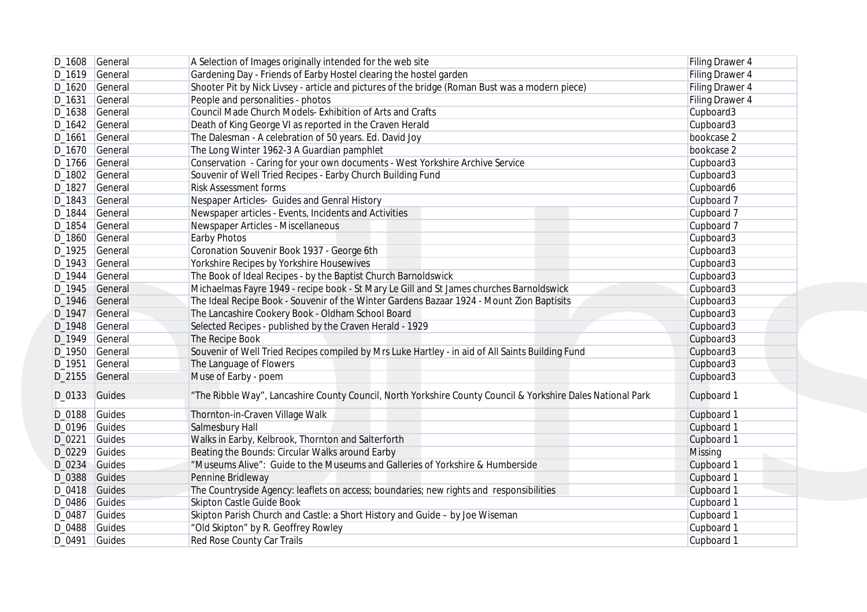| D_1608 General  | A Selection of Images originally intended for the web site                                                                                                                                                                                                                                                                                                                    | Filing Drawer 4                                                                                                                                                                                                                                                                                                                                                                                                                                                                                                                                                                                                                                                                                                                                                                                                                                                                                                                                                                                                                                                                                                                                                                                                                                                                                                                                                                                                                                                                                                                                                                                                                                                                                                                                                                                                                   |
|-----------------|-------------------------------------------------------------------------------------------------------------------------------------------------------------------------------------------------------------------------------------------------------------------------------------------------------------------------------------------------------------------------------|-----------------------------------------------------------------------------------------------------------------------------------------------------------------------------------------------------------------------------------------------------------------------------------------------------------------------------------------------------------------------------------------------------------------------------------------------------------------------------------------------------------------------------------------------------------------------------------------------------------------------------------------------------------------------------------------------------------------------------------------------------------------------------------------------------------------------------------------------------------------------------------------------------------------------------------------------------------------------------------------------------------------------------------------------------------------------------------------------------------------------------------------------------------------------------------------------------------------------------------------------------------------------------------------------------------------------------------------------------------------------------------------------------------------------------------------------------------------------------------------------------------------------------------------------------------------------------------------------------------------------------------------------------------------------------------------------------------------------------------------------------------------------------------------------------------------------------------|
| D_1619 General  | Gardening Day - Friends of Earby Hostel clearing the hostel garden                                                                                                                                                                                                                                                                                                            | Filing Drawer 4                                                                                                                                                                                                                                                                                                                                                                                                                                                                                                                                                                                                                                                                                                                                                                                                                                                                                                                                                                                                                                                                                                                                                                                                                                                                                                                                                                                                                                                                                                                                                                                                                                                                                                                                                                                                                   |
| D_1620 General  |                                                                                                                                                                                                                                                                                                                                                                               | Filing Drawer 4                                                                                                                                                                                                                                                                                                                                                                                                                                                                                                                                                                                                                                                                                                                                                                                                                                                                                                                                                                                                                                                                                                                                                                                                                                                                                                                                                                                                                                                                                                                                                                                                                                                                                                                                                                                                                   |
| General         |                                                                                                                                                                                                                                                                                                                                                                               | Filing Drawer 4                                                                                                                                                                                                                                                                                                                                                                                                                                                                                                                                                                                                                                                                                                                                                                                                                                                                                                                                                                                                                                                                                                                                                                                                                                                                                                                                                                                                                                                                                                                                                                                                                                                                                                                                                                                                                   |
| D_1638 General  |                                                                                                                                                                                                                                                                                                                                                                               | Cupboard3                                                                                                                                                                                                                                                                                                                                                                                                                                                                                                                                                                                                                                                                                                                                                                                                                                                                                                                                                                                                                                                                                                                                                                                                                                                                                                                                                                                                                                                                                                                                                                                                                                                                                                                                                                                                                         |
| D_1642 General  |                                                                                                                                                                                                                                                                                                                                                                               | Cupboard3                                                                                                                                                                                                                                                                                                                                                                                                                                                                                                                                                                                                                                                                                                                                                                                                                                                                                                                                                                                                                                                                                                                                                                                                                                                                                                                                                                                                                                                                                                                                                                                                                                                                                                                                                                                                                         |
| D_1661 General  |                                                                                                                                                                                                                                                                                                                                                                               | bookcase 2                                                                                                                                                                                                                                                                                                                                                                                                                                                                                                                                                                                                                                                                                                                                                                                                                                                                                                                                                                                                                                                                                                                                                                                                                                                                                                                                                                                                                                                                                                                                                                                                                                                                                                                                                                                                                        |
| D_1670 General  |                                                                                                                                                                                                                                                                                                                                                                               | bookcase 2                                                                                                                                                                                                                                                                                                                                                                                                                                                                                                                                                                                                                                                                                                                                                                                                                                                                                                                                                                                                                                                                                                                                                                                                                                                                                                                                                                                                                                                                                                                                                                                                                                                                                                                                                                                                                        |
| D_1766 General  |                                                                                                                                                                                                                                                                                                                                                                               | Cupboard3                                                                                                                                                                                                                                                                                                                                                                                                                                                                                                                                                                                                                                                                                                                                                                                                                                                                                                                                                                                                                                                                                                                                                                                                                                                                                                                                                                                                                                                                                                                                                                                                                                                                                                                                                                                                                         |
| D_1802 General  |                                                                                                                                                                                                                                                                                                                                                                               | Cupboard3                                                                                                                                                                                                                                                                                                                                                                                                                                                                                                                                                                                                                                                                                                                                                                                                                                                                                                                                                                                                                                                                                                                                                                                                                                                                                                                                                                                                                                                                                                                                                                                                                                                                                                                                                                                                                         |
| D_1827 General  | <b>Risk Assessment forms</b>                                                                                                                                                                                                                                                                                                                                                  | Cupboard6                                                                                                                                                                                                                                                                                                                                                                                                                                                                                                                                                                                                                                                                                                                                                                                                                                                                                                                                                                                                                                                                                                                                                                                                                                                                                                                                                                                                                                                                                                                                                                                                                                                                                                                                                                                                                         |
| D_1843 General  |                                                                                                                                                                                                                                                                                                                                                                               | Cupboard 7                                                                                                                                                                                                                                                                                                                                                                                                                                                                                                                                                                                                                                                                                                                                                                                                                                                                                                                                                                                                                                                                                                                                                                                                                                                                                                                                                                                                                                                                                                                                                                                                                                                                                                                                                                                                                        |
|                 |                                                                                                                                                                                                                                                                                                                                                                               | Cupboard 7                                                                                                                                                                                                                                                                                                                                                                                                                                                                                                                                                                                                                                                                                                                                                                                                                                                                                                                                                                                                                                                                                                                                                                                                                                                                                                                                                                                                                                                                                                                                                                                                                                                                                                                                                                                                                        |
| D_1854 General  |                                                                                                                                                                                                                                                                                                                                                                               | Cupboard 7                                                                                                                                                                                                                                                                                                                                                                                                                                                                                                                                                                                                                                                                                                                                                                                                                                                                                                                                                                                                                                                                                                                                                                                                                                                                                                                                                                                                                                                                                                                                                                                                                                                                                                                                                                                                                        |
|                 |                                                                                                                                                                                                                                                                                                                                                                               | Cupboard3                                                                                                                                                                                                                                                                                                                                                                                                                                                                                                                                                                                                                                                                                                                                                                                                                                                                                                                                                                                                                                                                                                                                                                                                                                                                                                                                                                                                                                                                                                                                                                                                                                                                                                                                                                                                                         |
|                 |                                                                                                                                                                                                                                                                                                                                                                               | Cupboard3                                                                                                                                                                                                                                                                                                                                                                                                                                                                                                                                                                                                                                                                                                                                                                                                                                                                                                                                                                                                                                                                                                                                                                                                                                                                                                                                                                                                                                                                                                                                                                                                                                                                                                                                                                                                                         |
|                 |                                                                                                                                                                                                                                                                                                                                                                               | Cupboard3                                                                                                                                                                                                                                                                                                                                                                                                                                                                                                                                                                                                                                                                                                                                                                                                                                                                                                                                                                                                                                                                                                                                                                                                                                                                                                                                                                                                                                                                                                                                                                                                                                                                                                                                                                                                                         |
|                 |                                                                                                                                                                                                                                                                                                                                                                               | Cupboard3                                                                                                                                                                                                                                                                                                                                                                                                                                                                                                                                                                                                                                                                                                                                                                                                                                                                                                                                                                                                                                                                                                                                                                                                                                                                                                                                                                                                                                                                                                                                                                                                                                                                                                                                                                                                                         |
|                 |                                                                                                                                                                                                                                                                                                                                                                               | Cupboard3                                                                                                                                                                                                                                                                                                                                                                                                                                                                                                                                                                                                                                                                                                                                                                                                                                                                                                                                                                                                                                                                                                                                                                                                                                                                                                                                                                                                                                                                                                                                                                                                                                                                                                                                                                                                                         |
|                 |                                                                                                                                                                                                                                                                                                                                                                               | Cupboard3                                                                                                                                                                                                                                                                                                                                                                                                                                                                                                                                                                                                                                                                                                                                                                                                                                                                                                                                                                                                                                                                                                                                                                                                                                                                                                                                                                                                                                                                                                                                                                                                                                                                                                                                                                                                                         |
|                 |                                                                                                                                                                                                                                                                                                                                                                               | Cupboard3                                                                                                                                                                                                                                                                                                                                                                                                                                                                                                                                                                                                                                                                                                                                                                                                                                                                                                                                                                                                                                                                                                                                                                                                                                                                                                                                                                                                                                                                                                                                                                                                                                                                                                                                                                                                                         |
|                 |                                                                                                                                                                                                                                                                                                                                                                               | Cupboard3                                                                                                                                                                                                                                                                                                                                                                                                                                                                                                                                                                                                                                                                                                                                                                                                                                                                                                                                                                                                                                                                                                                                                                                                                                                                                                                                                                                                                                                                                                                                                                                                                                                                                                                                                                                                                         |
|                 |                                                                                                                                                                                                                                                                                                                                                                               | Cupboard3                                                                                                                                                                                                                                                                                                                                                                                                                                                                                                                                                                                                                                                                                                                                                                                                                                                                                                                                                                                                                                                                                                                                                                                                                                                                                                                                                                                                                                                                                                                                                                                                                                                                                                                                                                                                                         |
|                 |                                                                                                                                                                                                                                                                                                                                                                               | Cupboard3                                                                                                                                                                                                                                                                                                                                                                                                                                                                                                                                                                                                                                                                                                                                                                                                                                                                                                                                                                                                                                                                                                                                                                                                                                                                                                                                                                                                                                                                                                                                                                                                                                                                                                                                                                                                                         |
|                 |                                                                                                                                                                                                                                                                                                                                                                               | Cupboard3                                                                                                                                                                                                                                                                                                                                                                                                                                                                                                                                                                                                                                                                                                                                                                                                                                                                                                                                                                                                                                                                                                                                                                                                                                                                                                                                                                                                                                                                                                                                                                                                                                                                                                                                                                                                                         |
|                 |                                                                                                                                                                                                                                                                                                                                                                               | Cupboard3                                                                                                                                                                                                                                                                                                                                                                                                                                                                                                                                                                                                                                                                                                                                                                                                                                                                                                                                                                                                                                                                                                                                                                                                                                                                                                                                                                                                                                                                                                                                                                                                                                                                                                                                                                                                                         |
| D_0133 Guides   | "The Ribble Way", Lancashire County Council, North Yorkshire County Council & Yorkshire Dales National Park                                                                                                                                                                                                                                                                   | Cupboard 1                                                                                                                                                                                                                                                                                                                                                                                                                                                                                                                                                                                                                                                                                                                                                                                                                                                                                                                                                                                                                                                                                                                                                                                                                                                                                                                                                                                                                                                                                                                                                                                                                                                                                                                                                                                                                        |
|                 |                                                                                                                                                                                                                                                                                                                                                                               | Cupboard 1                                                                                                                                                                                                                                                                                                                                                                                                                                                                                                                                                                                                                                                                                                                                                                                                                                                                                                                                                                                                                                                                                                                                                                                                                                                                                                                                                                                                                                                                                                                                                                                                                                                                                                                                                                                                                        |
|                 |                                                                                                                                                                                                                                                                                                                                                                               | Cupboard 1                                                                                                                                                                                                                                                                                                                                                                                                                                                                                                                                                                                                                                                                                                                                                                                                                                                                                                                                                                                                                                                                                                                                                                                                                                                                                                                                                                                                                                                                                                                                                                                                                                                                                                                                                                                                                        |
|                 |                                                                                                                                                                                                                                                                                                                                                                               | Cupboard 1                                                                                                                                                                                                                                                                                                                                                                                                                                                                                                                                                                                                                                                                                                                                                                                                                                                                                                                                                                                                                                                                                                                                                                                                                                                                                                                                                                                                                                                                                                                                                                                                                                                                                                                                                                                                                        |
|                 |                                                                                                                                                                                                                                                                                                                                                                               | <b>Missing</b>                                                                                                                                                                                                                                                                                                                                                                                                                                                                                                                                                                                                                                                                                                                                                                                                                                                                                                                                                                                                                                                                                                                                                                                                                                                                                                                                                                                                                                                                                                                                                                                                                                                                                                                                                                                                                    |
|                 |                                                                                                                                                                                                                                                                                                                                                                               | Cupboard 1                                                                                                                                                                                                                                                                                                                                                                                                                                                                                                                                                                                                                                                                                                                                                                                                                                                                                                                                                                                                                                                                                                                                                                                                                                                                                                                                                                                                                                                                                                                                                                                                                                                                                                                                                                                                                        |
|                 |                                                                                                                                                                                                                                                                                                                                                                               | Cupboard 1                                                                                                                                                                                                                                                                                                                                                                                                                                                                                                                                                                                                                                                                                                                                                                                                                                                                                                                                                                                                                                                                                                                                                                                                                                                                                                                                                                                                                                                                                                                                                                                                                                                                                                                                                                                                                        |
|                 |                                                                                                                                                                                                                                                                                                                                                                               | Cupboard 1                                                                                                                                                                                                                                                                                                                                                                                                                                                                                                                                                                                                                                                                                                                                                                                                                                                                                                                                                                                                                                                                                                                                                                                                                                                                                                                                                                                                                                                                                                                                                                                                                                                                                                                                                                                                                        |
|                 |                                                                                                                                                                                                                                                                                                                                                                               | Cupboard 1                                                                                                                                                                                                                                                                                                                                                                                                                                                                                                                                                                                                                                                                                                                                                                                                                                                                                                                                                                                                                                                                                                                                                                                                                                                                                                                                                                                                                                                                                                                                                                                                                                                                                                                                                                                                                        |
|                 |                                                                                                                                                                                                                                                                                                                                                                               | Cupboard 1                                                                                                                                                                                                                                                                                                                                                                                                                                                                                                                                                                                                                                                                                                                                                                                                                                                                                                                                                                                                                                                                                                                                                                                                                                                                                                                                                                                                                                                                                                                                                                                                                                                                                                                                                                                                                        |
| $D_0488$ Guides | "Old Skipton" by R. Geoffrey Rowley                                                                                                                                                                                                                                                                                                                                           | Cupboard 1                                                                                                                                                                                                                                                                                                                                                                                                                                                                                                                                                                                                                                                                                                                                                                                                                                                                                                                                                                                                                                                                                                                                                                                                                                                                                                                                                                                                                                                                                                                                                                                                                                                                                                                                                                                                                        |
|                 | Red Rose County Car Trails                                                                                                                                                                                                                                                                                                                                                    | Cupboard 1                                                                                                                                                                                                                                                                                                                                                                                                                                                                                                                                                                                                                                                                                                                                                                                                                                                                                                                                                                                                                                                                                                                                                                                                                                                                                                                                                                                                                                                                                                                                                                                                                                                                                                                                                                                                                        |
|                 | D_1844 General<br>D_1860 General<br>D_1925 General<br>D_1943 General<br>General<br>D_1945 General<br>D_1946 General<br>D_1947 General<br>D_1948 General<br>D_1949 General<br>D_1950 General<br>General<br>D_2155 General<br>D_0188 Guides<br>$D_0$ 196 Guides<br>Guides<br>D_0229 Guides<br>D_0234 Guides<br>D_0388 Guides<br>D_0418 Guides<br>D_0486 Guides<br>D_0487 Guides | Shooter Pit by Nick Livsey - article and pictures of the bridge (Roman Bust was a modern piece)<br>People and personalities - photos<br>Council Made Church Models- Exhibition of Arts and Crafts<br>Death of King George VI as reported in the Craven Herald<br>The Dalesman - A celebration of 50 years. Ed. David Joy<br>The Long Winter 1962-3 A Guardian pamphlet<br>Conservation - Caring for your own documents - West Yorkshire Archive Service<br>Souvenir of Well Tried Recipes - Earby Church Building Fund<br>Nespaper Articles- Guides and Genral History<br>Newspaper articles - Events, Incidents and Activities<br>Newspaper Articles - Miscellaneous<br><b>Earby Photos</b><br>Coronation Souvenir Book 1937 - George 6th<br>Yorkshire Recipes by Yorkshire Housewives<br>The Book of Ideal Recipes - by the Baptist Church Barnoldswick<br>Michaelmas Fayre 1949 - recipe book - St Mary Le Gill and St James churches Barnoldswick<br>The Ideal Recipe Book - Souvenir of the Winter Gardens Bazaar 1924 - Mount Zion Baptisits<br>The Lancashire Cookery Book - Oldham School Board<br>Selected Recipes - published by the Craven Herald - 1929<br>The Recipe Book<br>Souvenir of Well Tried Recipes compiled by Mrs Luke Hartley - in aid of All Saints Building Fund<br>The Language of Flowers<br>Muse of Earby - poem<br>Thornton-in-Craven Village Walk<br>Salmesbury Hall<br>Walks in Earby, Kelbrook, Thornton and Salterforth<br>Beating the Bounds: Circular Walks around Earby<br>"Museums Alive": Guide to the Museums and Galleries of Yorkshire & Humberside<br>Pennine Bridleway<br>The Countryside Agency: leaflets on access; boundaries; new rights and responsibilities<br><b>Skipton Castle Guide Book</b><br>Skipton Parish Church and Castle: a Short History and Guide - by Joe Wiseman |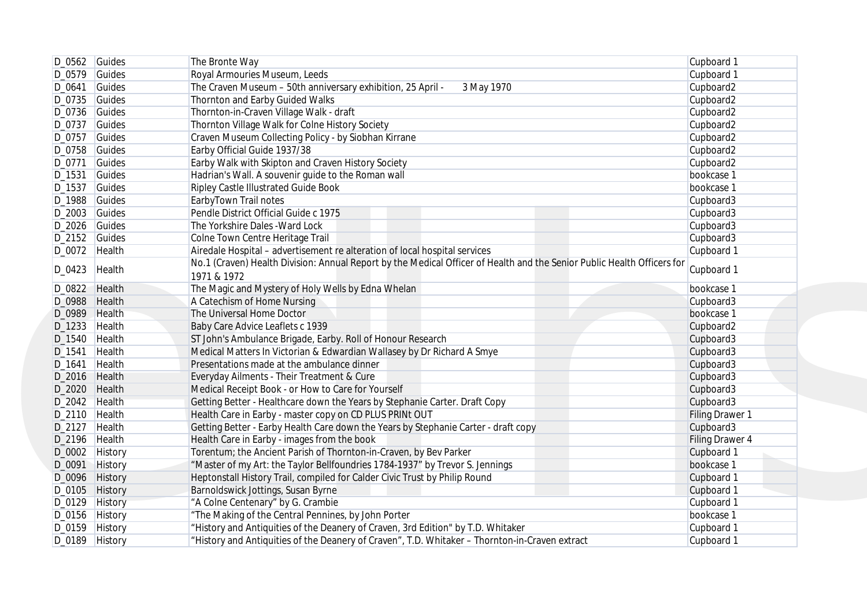|                  | $D_0562$ Guides | The Bronte Way                                                                                                                                                                                        | Cupboard 1             |
|------------------|-----------------|-------------------------------------------------------------------------------------------------------------------------------------------------------------------------------------------------------|------------------------|
| $D_0579$ Guides  |                 | Royal Armouries Museum, Leeds                                                                                                                                                                         | Cupboard 1             |
| D_0641           | Guides          | The Craven Museum - 50th anniversary exhibition, 25 April -<br>3 May 1970                                                                                                                             | Cupboard2              |
| $D_0$ 735 Guides |                 | Thornton and Earby Guided Walks                                                                                                                                                                       | Cupboard2              |
| $D_0$ 736 Guides |                 | Thornton-in-Craven Village Walk - draft                                                                                                                                                               | Cupboard2              |
| D_0737 Guides    |                 | Thornton Village Walk for Colne History Society                                                                                                                                                       | Cupboard2              |
| D_0757 Guides    |                 | Craven Museum Collecting Policy - by Siobhan Kirrane                                                                                                                                                  | Cupboard2              |
| D_0758 Guides    |                 | Earby Official Guide 1937/38                                                                                                                                                                          | Cupboard2              |
| D_0771 Guides    |                 | Earby Walk with Skipton and Craven History Society                                                                                                                                                    | Cupboard2              |
| D_1531           | Guides          | Hadrian's Wall. A souvenir guide to the Roman wall                                                                                                                                                    | bookcase 1             |
| D_1537           | Guides          | Ripley Castle Illustrated Guide Book                                                                                                                                                                  | bookcase 1             |
| D_1988 Guides    |                 | EarbyTown Trail notes                                                                                                                                                                                 | Cupboard3              |
| $D_2003$ Guides  |                 | Pendle District Official Guide c 1975                                                                                                                                                                 | Cupboard3              |
| D_2026 Guides    |                 | The Yorkshire Dales - Ward Lock                                                                                                                                                                       | Cupboard3              |
| $D_2152$ Guides  |                 | Colne Town Centre Heritage Trail                                                                                                                                                                      | Cupboard3              |
|                  |                 |                                                                                                                                                                                                       |                        |
| D_0072 Health    |                 | Airedale Hospital - advertisement re alteration of local hospital services<br>No.1 (Craven) Health Division: Annual Report by the Medical Officer of Health and the Senior Public Health Officers for | Cupboard 1             |
| D_0423           | Health          |                                                                                                                                                                                                       | Cupboard 1             |
|                  |                 | 1971 & 1972                                                                                                                                                                                           |                        |
| D_0822 Health    |                 | The Magic and Mystery of Holy Wells by Edna Whelan                                                                                                                                                    | bookcase 1             |
| D_0988 Health    |                 | A Catechism of Home Nursing                                                                                                                                                                           | Cupboard3              |
| D_0989 Health    |                 | The Universal Home Doctor                                                                                                                                                                             | bookcase 1             |
| D_1233 Health    |                 | Baby Care Advice Leaflets c 1939                                                                                                                                                                      | Cupboard2              |
| D_1540 Health    |                 | ST John's Ambulance Brigade, Earby. Roll of Honour Research                                                                                                                                           | Cupboard3              |
| D_1541           | Health          | Medical Matters In Victorian & Edwardian Wallasey by Dr Richard A Smye                                                                                                                                | Cupboard3              |
| D_1641           | Health          | Presentations made at the ambulance dinner                                                                                                                                                            | Cupboard3              |
| D_2016 Health    |                 | Everyday Ailments - Their Treatment & Cure                                                                                                                                                            | Cupboard3              |
| D_2020 Health    |                 | Medical Receipt Book - or How to Care for Yourself                                                                                                                                                    | Cupboard3              |
| D_2042 Health    |                 | Getting Better - Healthcare down the Years by Stephanie Carter. Draft Copy                                                                                                                            | Cupboard3              |
| D_2110 Health    |                 | Health Care in Earby - master copy on CD PLUS PRINt OUT                                                                                                                                               | <b>Filing Drawer 1</b> |
| D_2127 Health    |                 | Getting Better - Earby Health Care down the Years by Stephanie Carter - draft copy                                                                                                                    | Cupboard3              |
| D_2196 Health    |                 | Health Care in Earby - images from the book                                                                                                                                                           | Filing Drawer 4        |
| D_0002 History   |                 | Torentum; the Ancient Parish of Thornton-in-Craven, by Bev Parker                                                                                                                                     | Cupboard 1             |
| D_0091           | <b>History</b>  | "Master of my Art: the Taylor Bellfoundries 1784-1937" by Trevor S. Jennings                                                                                                                          | bookcase 1             |
| D_0096 History   |                 | Heptonstall History Trail, compiled for Calder Civic Trust by Philip Round                                                                                                                            | Cupboard 1             |
| D_0105 History   |                 | Barnoldswick Jottings, Susan Byrne                                                                                                                                                                    | Cupboard 1             |
| D_0129 History   |                 | "A Colne Centenary" by G. Crambie                                                                                                                                                                     | Cupboard 1             |
| D_0156 History   |                 | "The Making of the Central Pennines, by John Porter                                                                                                                                                   | bookcase 1             |
| D_0159 History   |                 | "History and Antiquities of the Deanery of Craven, 3rd Edition" by T.D. Whitaker                                                                                                                      | Cupboard 1             |
|                  | D_0189 History  | "History and Antiquities of the Deanery of Craven", T.D. Whitaker - Thornton-in-Craven extract                                                                                                        | Cupboard 1             |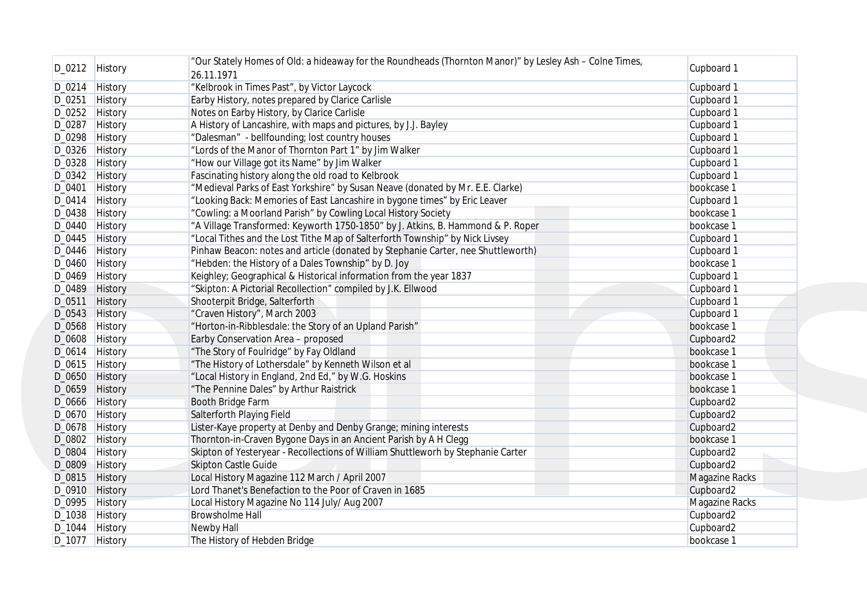|        | D_0212 History | "Our Stately Homes of Old: a hideaway for the Roundheads (Thornton Manor)" by Lesley Ash - Colne Times, | Cupboard 1            |
|--------|----------------|---------------------------------------------------------------------------------------------------------|-----------------------|
|        |                | 26.11.1971                                                                                              |                       |
|        | D_0214 History | "Kelbrook in Times Past", by Victor Laycock                                                             | Cupboard 1            |
|        | D_0251 History | Earby History, notes prepared by Clarice Carlisle                                                       | Cupboard 1            |
|        | D_0252 History | Notes on Earby History, by Clarice Carlisle                                                             | Cupboard 1            |
|        | D_0287 History | A History of Lancashire, with maps and pictures, by J.J. Bayley                                         | Cupboard 1            |
|        | D_0298 History | "Dalesman" - bellfounding; lost country houses                                                          | Cupboard 1            |
|        | D_0326 History | "Lords of the Manor of Thornton Part 1" by Jim Walker                                                   | Cupboard 1            |
|        | D_0328 History | "How our Village got its Name" by Jim Walker                                                            | Cupboard 1            |
|        | D_0342 History | Fascinating history along the old road to Kelbrook                                                      | Cupboard 1            |
|        | D_0401 History | "Medieval Parks of East Yorkshire" by Susan Neave (donated by Mr. E.E. Clarke)                          | bookcase 1            |
|        | D_0414 History | "Looking Back: Memories of East Lancashire in bygone times" by Eric Leaver                              | Cupboard 1            |
|        | D_0438 History | "Cowling: a Moorland Parish" by Cowling Local History Society                                           | bookcase 1            |
|        | D_0440 History | "A Village Transformed: Keyworth 1750-1850" by J. Atkins, B. Hammond & P. Roper                         | bookcase 1            |
|        | D_0445 History | "Local Tithes and the Lost Tithe Map of Salterforth Township" by Nick Livsey                            | Cupboard 1            |
|        | D_0446 History | Pinhaw Beacon: notes and article (donated by Stephanie Carter, nee Shuttleworth)                        | Cupboard 1            |
|        | D_0460 History | "Hebden: the History of a Dales Township" by D. Joy                                                     | bookcase 1            |
|        | D_0469 History | Keighley; Geographical & Historical information from the year 1837                                      | Cupboard 1            |
|        | D_0489 History | "Skipton: A Pictorial Recollection" compiled by J.K. Ellwood                                            | Cupboard 1            |
|        | D_0511 History | Shooterpit Bridge, Salterforth                                                                          | Cupboard 1            |
|        | D_0543 History | "Craven History", March 2003                                                                            |                       |
|        |                |                                                                                                         | Cupboard 1            |
|        | D_0568 History | "Horton-in-Ribblesdale: the Story of an Upland Parish"                                                  | bookcase 1            |
|        | D_0608 History | Earby Conservation Area - proposed                                                                      | Cupboard2             |
|        | D_0614 History | "The Story of Foulridge" by Fay Oldland                                                                 | bookcase 1            |
|        | D_0615 History | "The History of Lothersdale" by Kenneth Wilson et al                                                    | bookcase 1            |
|        | D_0650 History | "Local History in England, 2nd Ed," by W.G. Hoskins                                                     | bookcase 1            |
|        | D_0659 History | "The Pennine Dales" by Arthur Raistrick                                                                 | bookcase 1            |
|        | D_0666 History | Booth Bridge Farm                                                                                       | Cupboard2             |
|        | D_0670 History | Salterforth Playing Field                                                                               | Cupboard2             |
|        | D_0678 History | Lister-Kaye property at Denby and Denby Grange; mining interests                                        | Cupboard2             |
|        | D_0802 History | Thornton-in-Craven Bygone Days in an Ancient Parish by A H Clegg                                        | bookcase 1            |
| D_0804 | <b>History</b> | Skipton of Yesteryear - Recollections of William Shuttleworh by Stephanie Carter                        | Cupboard2             |
|        | D_0809 History | <b>Skipton Castle Guide</b>                                                                             | Cupboard2             |
|        | D_0815 History | Local History Magazine 112 March / April 2007                                                           | <b>Magazine Racks</b> |
|        | D_0910 History | Lord Thanet's Benefaction to the Poor of Craven in 1685                                                 | Cupboard2             |
|        | D_0995 History | Local History Magazine No 114 July/ Aug 2007                                                            | Magazine Racks        |
|        | D_1038 History | <b>Browsholme Hall</b>                                                                                  | Cupboard2             |
|        | D_1044 History | Newby Hall                                                                                              | Cupboard2             |
|        | D_1077 History | The History of Hebden Bridge                                                                            | bookcase 1            |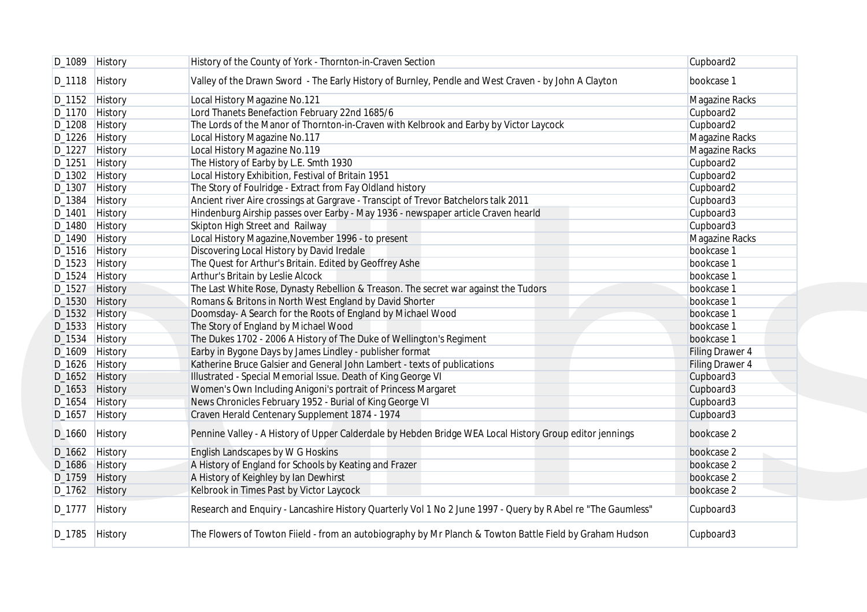|        | D_1089 History | History of the County of York - Thornton-in-Craven Section                                                   | Cupboard2       |
|--------|----------------|--------------------------------------------------------------------------------------------------------------|-----------------|
|        | D_1118 History | Valley of the Drawn Sword - The Early History of Burnley, Pendle and West Craven - by John A Clayton         | bookcase 1      |
|        | D_1152 History | Local History Magazine No.121                                                                                | Magazine Racks  |
|        | D_1170 History | Lord Thanets Benefaction February 22nd 1685/6                                                                | Cupboard2       |
|        | D_1208 History | The Lords of the Manor of Thornton-in-Craven with Kelbrook and Earby by Victor Laycock                       | Cupboard2       |
|        | D_1226 History | Local History Magazine No.117                                                                                | Magazine Racks  |
|        | D_1227 History | Local History Magazine No.119                                                                                | Magazine Racks  |
| D_1251 | History        | The History of Earby by L.E. Smth 1930                                                                       | Cupboard2       |
|        | D_1302 History | Local History Exhibition, Festival of Britain 1951                                                           | Cupboard2       |
|        | D_1307 History | The Story of Foulridge - Extract from Fay Oldland history                                                    | Cupboard2       |
|        | D_1384 History | Ancient river Aire crossings at Gargrave - Transcipt of Trevor Batchelors talk 2011                          | Cupboard3       |
| D_1401 | History        | Hindenburg Airship passes over Earby - May 1936 - newspaper article Craven hearld                            | Cupboard3       |
| D_1480 |                | Skipton High Street and Railway                                                                              | Cupboard3       |
|        | History        |                                                                                                              |                 |
|        | D_1490 History | Local History Magazine, November 1996 - to present                                                           | Magazine Racks  |
|        | D_1516 History | Discovering Local History by David Iredale                                                                   | bookcase 1      |
|        | D_1523 History | The Quest for Arthur's Britain. Edited by Geoffrey Ashe                                                      | bookcase 1      |
| D_1524 | History        | Arthur's Britain by Leslie Alcock                                                                            | bookcase 1      |
|        | D_1527 History | The Last White Rose, Dynasty Rebellion & Treason. The secret war against the Tudors                          | bookcase 1      |
|        | D_1530 History | Romans & Britons in North West England by David Shorter                                                      | bookcase 1      |
|        | D_1532 History | Doomsday- A Search for the Roots of England by Michael Wood                                                  | bookcase 1      |
|        | D_1533 History | The Story of England by Michael Wood                                                                         | bookcase 1      |
|        | D_1534 History | The Dukes 1702 - 2006 A History of The Duke of Wellington's Regiment                                         | bookcase 1      |
|        | D_1609 History | Earby in Bygone Days by James Lindley - publisher format                                                     | Filing Drawer 4 |
|        | D_1626 History | Katherine Bruce Galsier and General John Lambert - texts of publications                                     | Filing Drawer 4 |
|        | D_1652 History | Illustrated - Special Memorial Issue. Death of King George VI                                                | Cupboard3       |
|        | D_1653 History | Women's Own Including Anigoni's portrait of Princess Margaret                                                | Cupboard3       |
|        | D_1654 History | News Chronicles February 1952 - Burial of King George VI                                                     | Cupboard3       |
|        | D_1657 History | Craven Herald Centenary Supplement 1874 - 1974                                                               | Cupboard3       |
| D_1660 | History        | Pennine Valley - A History of Upper Calderdale by Hebden Bridge WEA Local History Group editor jennings      | bookcase 2      |
|        | D_1662 History | English Landscapes by W G Hoskins                                                                            | bookcase 2      |
|        | D_1686 History | A History of England for Schools by Keating and Frazer                                                       | bookcase 2      |
|        | D_1759 History | A History of Keighley by Ian Dewhirst                                                                        | bookcase 2      |
|        | D_1762 History | Kelbrook in Times Past by Victor Laycock                                                                     | bookcase 2      |
|        |                |                                                                                                              |                 |
|        | D_1777 History | Research and Enquiry - Lancashire History Quarterly Vol 1 No 2 June 1997 - Query by R Abel re "The Gaumless" | Cupboard3       |
|        | D_1785 History | The Flowers of Towton Fiield - from an autobiography by Mr Planch & Towton Battle Field by Graham Hudson     | Cupboard3       |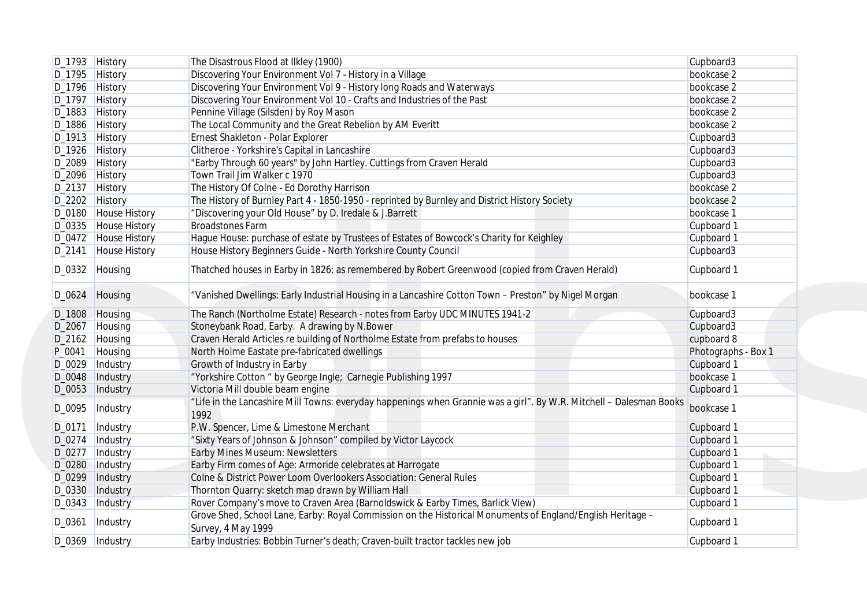|        | D_1793 History       | The Disastrous Flood at Ilkley (1900)                                                                                            | Cupboard3           |
|--------|----------------------|----------------------------------------------------------------------------------------------------------------------------------|---------------------|
|        | D_1795 History       | Discovering Your Environment Vol 7 - History in a Village                                                                        | bookcase 2          |
|        | D_1796 History       | Discovering Your Environment Vol 9 - History long Roads and Waterways                                                            | bookcase 2          |
|        | D_1797 History       | Discovering Your Environment Vol 10 - Crafts and Industries of the Past                                                          | bookcase 2          |
|        | D_1883 History       | Pennine Village (Silsden) by Roy Mason                                                                                           | bookcase 2          |
|        | D_1886 History       | The Local Community and the Great Rebelion by AM Everitt                                                                         | bookcase 2          |
|        | D_1913 History       | Ernest Shakleton - Polar Explorer                                                                                                | Cupboard3           |
|        | D_1926 History       | Clitheroe - Yorkshire's Capital in Lancashire                                                                                    | Cupboard3           |
|        | D_2089 History       | "Earby Through 60 years" by John Hartley. Cuttings from Craven Herald                                                            | Cupboard3           |
|        | D_2096 History       | Town Trail Jim Walker c 1970                                                                                                     | Cupboard3           |
|        | D_2137 History       | The History Of Colne - Ed Dorothy Harrison                                                                                       | bookcase 2          |
|        | D_2202 History       | The History of Burnley Part 4 - 1850-1950 - reprinted by Burnley and District History Society                                    | bookcase 2          |
|        | D_0180 House History | "Discovering your Old House" by D. Iredale & J.Barrett                                                                           | bookcase 1          |
|        | D_0335 House History | <b>Broadstones Farm</b>                                                                                                          | Cupboard 1          |
|        | D_0472 House History | Hague House: purchase of estate by Trustees of Estates of Bowcock's Charity for Keighley                                         | Cupboard 1          |
|        | D_2141 House History | House History Beginners Guide - North Yorkshire County Council                                                                   | Cupboard3           |
|        |                      |                                                                                                                                  |                     |
|        | D_0332 Housing       | Thatched houses in Earby in 1826: as remembered by Robert Greenwood (copied from Craven Herald)                                  | Cupboard 1          |
|        | D_0624 Housing       | "Vanished Dwellings: Early Industrial Housing in a Lancashire Cotton Town - Preston" by Nigel Morgan                             | bookcase 1          |
|        | D_1808 Housing       | The Ranch (Northolme Estate) Research - notes from Earby UDC MINUTES 1941-2                                                      | Cupboard3           |
|        | D_2067 Housing       | Stoneybank Road, Earby. A drawing by N.Bower                                                                                     | Cupboard3           |
|        | D_2162 Housing       | Craven Herald Articles re building of Northolme Estate from prefabs to houses                                                    | cupboard 8          |
| P_0041 | Housing              | North Holme Eastate pre-fabricated dwellings                                                                                     | Photographs - Box 1 |
| D_0029 | Industry             | Growth of Industry in Earby                                                                                                      | Cupboard 1          |
| D_0048 | Industry             | "Yorkshire Cotton " by George Ingle; Carnegie Publishing 1997                                                                    | bookcase 1          |
|        | D_0053   Industry    | Victoria Mill double beam engine                                                                                                 | Cupboard 1          |
|        |                      | "Life in the Lancashire Mill Towns: everyday happenings when Grannie was a girl". By W.R. Mitchell - Dalesman Books              |                     |
| D_0095 | Industry             | 1992                                                                                                                             | bookcase 1          |
| D_0171 | Industry             | P.W. Spencer, Lime & Limestone Merchant                                                                                          | Cupboard 1          |
| D_0274 | Industry             | "Sixty Years of Johnson & Johnson" compiled by Victor Laycock                                                                    | Cupboard 1          |
| D_0277 | Industry             | Earby Mines Museum: Newsletters                                                                                                  | Cupboard 1          |
| D_0280 | Industry             | Earby Firm comes of Age: Armoride celebrates at Harrogate                                                                        | Cupboard 1          |
| D_0299 | Industry             | Colne & District Power Loom Overlookers Association: General Rules                                                               | Cupboard 1          |
| D_0330 | Industry             | Thornton Quarry: sketch map drawn by William Hall                                                                                | Cupboard 1          |
|        | D_0343   Industry    | Rover Company's move to Craven Area (Barnoldswick & Earby Times, Barlick View)                                                   | Cupboard 1          |
| D_0361 | Industry             | Grove Shed, School Lane, Earby: Royal Commission on the Historical Monuments of England/English Heritage -<br>Survey, 4 May 1999 | Cupboard 1          |
|        | D_0369  Industry     | Earby Industries: Bobbin Turner's death; Craven-built tractor tackles new job                                                    | Cupboard 1          |
|        |                      |                                                                                                                                  |                     |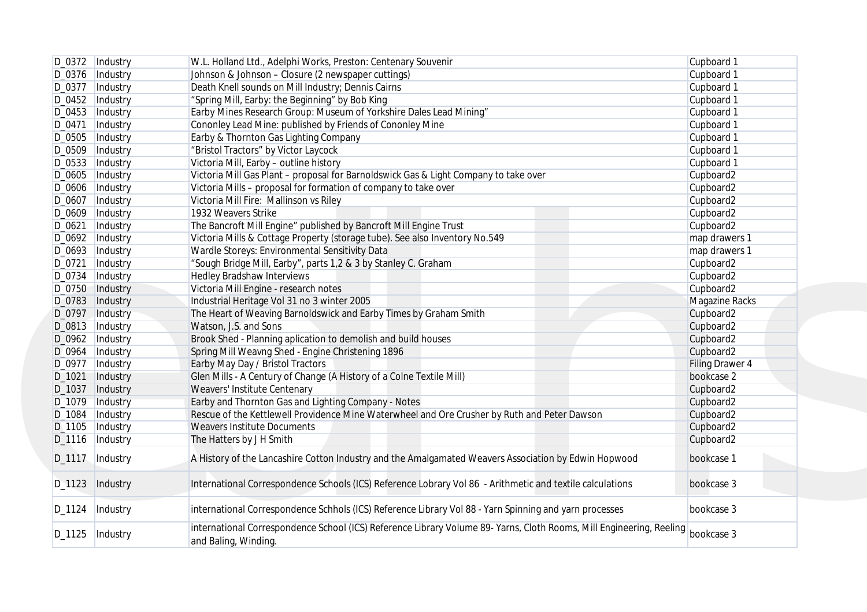|          | D_0372  Industry  | W.L. Holland Ltd., Adelphi Works, Preston: Centenary Souvenir                                                                                           | Cupboard 1            |
|----------|-------------------|---------------------------------------------------------------------------------------------------------------------------------------------------------|-----------------------|
|          | D_0376   Industry | Johnson & Johnson - Closure (2 newspaper cuttings)                                                                                                      | Cupboard 1            |
| D_0377   | Industry          | Death Knell sounds on Mill Industry; Dennis Cairns                                                                                                      | Cupboard 1            |
| D_0452   | Industry          | "Spring Mill, Earby: the Beginning" by Bob King                                                                                                         | Cupboard 1            |
| D_0453   | Industry          | Earby Mines Research Group: Museum of Yorkshire Dales Lead Mining"                                                                                      | Cupboard 1            |
| D_0471   | Industry          | Cononley Lead Mine: published by Friends of Cononley Mine                                                                                               | Cupboard 1            |
| D_0505   | Industry          | Earby & Thornton Gas Lighting Company                                                                                                                   | Cupboard 1            |
| D_0509   | Industry          | "Bristol Tractors" by Victor Laycock                                                                                                                    | Cupboard 1            |
| D_0533   | Industry          | Victoria Mill, Earby - outline history                                                                                                                  | Cupboard 1            |
| D_0605   | Industry          | Victoria Mill Gas Plant - proposal for Barnoldswick Gas & Light Company to take over                                                                    | Cupboard2             |
| D_0606   | Industry          | Victoria Mills - proposal for formation of company to take over                                                                                         | Cupboard2             |
| D_0607   | Industry          | Victoria Mill Fire: Mallinson vs Riley                                                                                                                  | Cupboard2             |
| D_0609   | Industry          | 1932 Weavers Strike                                                                                                                                     | Cupboard2             |
| D_0621   | Industry          | The Bancroft Mill Engine" published by Bancroft Mill Engine Trust                                                                                       | Cupboard2             |
| D_0692   |                   | Victoria Mills & Cottage Property (storage tube). See also Inventory No.549                                                                             | map drawers 1         |
|          | Industry          |                                                                                                                                                         |                       |
| D_0693   | Industry          | Wardle Storeys: Environmental Sensitivity Data                                                                                                          | map drawers 1         |
| D_0721   | Industry          | "Sough Bridge Mill, Earby", parts 1,2 & 3 by Stanley C. Graham                                                                                          | Cupboard2             |
| D_0734   | Industry          | <b>Hedley Bradshaw Interviews</b>                                                                                                                       | Cupboard2             |
| D_0750   | Industry          | Victoria Mill Engine - research notes                                                                                                                   | Cupboard2             |
| D_0783   | Industry          | Industrial Heritage Vol 31 no 3 winter 2005                                                                                                             | <b>Magazine Racks</b> |
| D_0797   | Industry          | The Heart of Weaving Barnoldswick and Earby Times by Graham Smith                                                                                       | Cupboard2             |
|          | D_0813  Industry  | Watson, J.S. and Sons                                                                                                                                   | Cupboard2             |
| D_0962   | Industry          | Brook Shed - Planning aplication to demolish and build houses                                                                                           | Cupboard2             |
| D_0964   | Industry          | Spring Mill Weavng Shed - Engine Christening 1896                                                                                                       | Cupboard2             |
|          | D_0977   Industry | Earby May Day / Bristol Tractors                                                                                                                        | Filing Drawer 4       |
| D_1021   | Industry          | Glen Mills - A Century of Change (A History of a Colne Textile Mill)                                                                                    | bookcase 2            |
| D_1037   | Industry          | Weavers' Institute Centenary                                                                                                                            | Cupboard2             |
| D_1079   | Industry          | Earby and Thornton Gas and Lighting Company - Notes                                                                                                     | Cupboard2             |
| D_1084   | Industry          | Rescue of the Kettlewell Providence Mine Waterwheel and Ore Crusher by Ruth and Peter Dawson                                                            | Cupboard2             |
| D_1105   | Industry          | <b>Weavers Institute Documents</b>                                                                                                                      | Cupboard2             |
| $D_1116$ | Industry          | The Hatters by J H Smith                                                                                                                                | Cupboard2             |
| D_1117   | Industry          | A History of the Lancashire Cotton Industry and the Amalgamated Weavers Association by Edwin Hopwood                                                    | bookcase 1            |
| D_1123   | Industry          | International Correspondence Schools (ICS) Reference Lobrary Vol 86 - Arithmetic and textile calculations                                               | bookcase 3            |
| D_1124   | Industry          | international Correspondence Schhols (ICS) Reference Library Vol 88 - Yarn Spinning and yarn processes                                                  | bookcase 3            |
| D_1125   | Industry          | international Correspondence School (ICS) Reference Library Volume 89- Yarns, Cloth Rooms, Mill Engineering, Reeling bookcase 3<br>and Baling, Winding. |                       |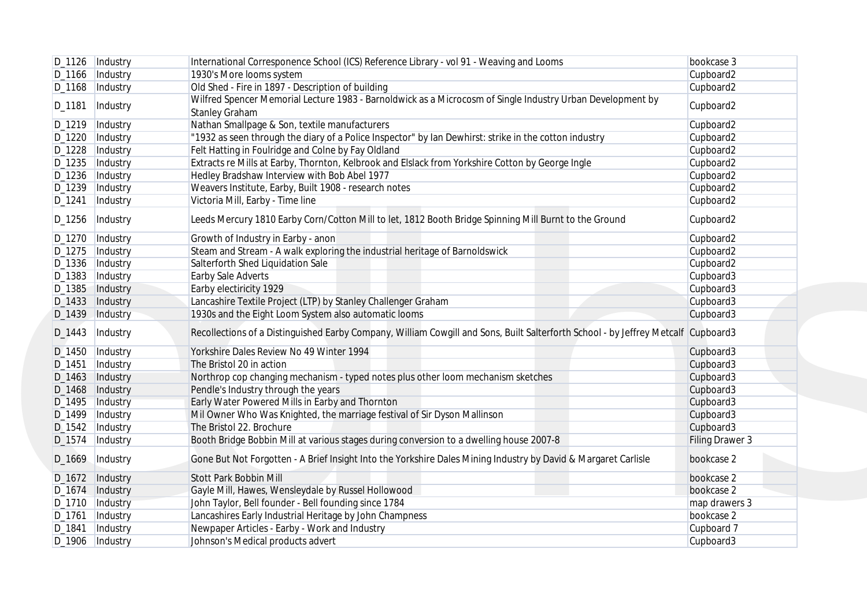|                    | D_1126  Industry  | International Corresponence School (ICS) Reference Library - vol 91 - Weaving and Looms                                             | bookcase 3      |
|--------------------|-------------------|-------------------------------------------------------------------------------------------------------------------------------------|-----------------|
|                    | D_1166   Industry | 1930's More looms system                                                                                                            | Cupboard2       |
| D_1168             | Industry          | Old Shed - Fire in 1897 - Description of building                                                                                   | Cupboard2       |
| D_1181             | Industry          | Wilfred Spencer Memorial Lecture 1983 - Barnoldwick as a Microcosm of Single Industry Urban Development by<br><b>Stanley Graham</b> | Cupboard2       |
| D_1219             | Industry          | Nathan Smallpage & Son, textile manufacturers                                                                                       | Cupboard2       |
| D_1220             | Industry          | "1932 as seen through the diary of a Police Inspector" by lan Dewhirst: strike in the cotton industry                               | Cupboard2       |
| D_1228             | Industry          | Felt Hatting in Foulridge and Colne by Fay Oldland                                                                                  | Cupboard2       |
| D_1235             | Industry          | Extracts re Mills at Earby, Thornton, Kelbrook and Elslack from Yorkshire Cotton by George Ingle                                    | Cupboard2       |
| D_1236             | Industry          | Hedley Bradshaw Interview with Bob Abel 1977                                                                                        | Cupboard2       |
| D_1239             | Industry          | Weavers Institute, Earby, Built 1908 - research notes                                                                               | Cupboard2       |
| D_1241             | Industry          | Victoria Mill, Earby - Time line                                                                                                    | Cupboard2       |
| D_1256             | Industry          | Leeds Mercury 1810 Earby Corn/Cotton Mill to let, 1812 Booth Bridge Spinning Mill Burnt to the Ground                               | Cupboard2       |
| D_1270             | Industry          | Growth of Industry in Earby - anon                                                                                                  | Cupboard2       |
| D_1275             | Industry          | Steam and Stream - A walk exploring the industrial heritage of Barnoldswick                                                         | Cupboard2       |
| D_1336             | Industry          | Salterforth Shed Liquidation Sale                                                                                                   | Cupboard2       |
| D_1383             | Industry          | Earby Sale Adverts                                                                                                                  | Cupboard3       |
| D_1385             | Industry          | Earby electiricity 1929                                                                                                             | Cupboard3       |
|                    | D_1433   Industry | Lancashire Textile Project (LTP) by Stanley Challenger Graham                                                                       | Cupboard3       |
| D <sub>-1439</sub> | Industry          | 1930s and the Eight Loom System also automatic looms                                                                                | Cupboard3       |
| D_1443             | Industry          | Recollections of a Distinguished Earby Company, William Cowgill and Sons, Built Salterforth School - by Jeffrey Metcalf Cupboard3   |                 |
|                    | D_1450   Industry | Yorkshire Dales Review No 49 Winter 1994                                                                                            | Cupboard3       |
| D_1451             | Industry          | The Bristol 20 in action                                                                                                            | Cupboard3       |
| D_1463             | Industry          | Northrop cop changing mechanism - typed notes plus other loom mechanism sketches                                                    | Cupboard3       |
| D_1468             | Industry          | Pendle's Industry through the years                                                                                                 | Cupboard3       |
| D_1495             | Industry          | Early Water Powered Mills in Earby and Thornton                                                                                     | Cupboard3       |
| D_1499             | Industry          | Mil Owner Who Was Knighted, the marriage festival of Sir Dyson Mallinson                                                            | Cupboard3       |
| $D_1542$           | Industry          | The Bristol 22. Brochure                                                                                                            | Cupboard3       |
| $D_1574$           | Industry          | Booth Bridge Bobbin Mill at various stages during conversion to a dwelling house 2007-8                                             | Filing Drawer 3 |
| D_1669             | Industry          | Gone But Not Forgotten - A Brief Insight Into the Yorkshire Dales Mining Industry by David & Margaret Carlisle                      | bookcase 2      |
| $D_1672$           | Industry          | <b>Stott Park Bobbin Mill</b>                                                                                                       | bookcase 2      |
| D_1674             | Industry          | Gayle Mill, Hawes, Wensleydale by Russel Hollowood                                                                                  | bookcase 2      |
|                    | D_1710   Industry | John Taylor, Bell founder - Bell founding since 1784                                                                                | map drawers 3   |
|                    | D_1761  Industry  | Lancashires Early Industrial Heritage by John Champness                                                                             | bookcase 2      |
|                    | D_1841  Industry  | Newpaper Articles - Earby - Work and Industry                                                                                       | Cupboard 7      |
|                    | D_1906   Industry | Johnson's Medical products advert                                                                                                   | Cupboard3       |
|                    |                   |                                                                                                                                     |                 |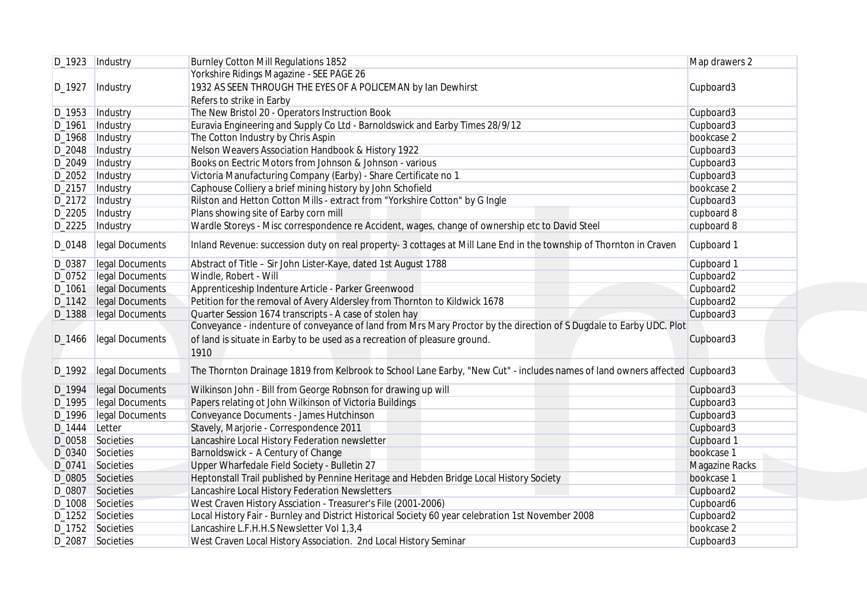|                    | D_1923  Industry                     | <b>Burnley Cotton Mill Regulations 1852</b>                                                                                                     | Map drawers 2                |
|--------------------|--------------------------------------|-------------------------------------------------------------------------------------------------------------------------------------------------|------------------------------|
|                    |                                      | Yorkshire Ridings Magazine - SEE PAGE 26                                                                                                        |                              |
| D_1927             | Industry                             | 1932 AS SEEN THROUGH THE EYES OF A POLICEMAN by Ian Dewhirst                                                                                    | Cupboard3                    |
|                    |                                      | Refers to strike in Earby                                                                                                                       |                              |
| D <sub>-1953</sub> | Industry                             | The New Bristol 20 - Operators Instruction Book                                                                                                 | Cupboard3                    |
| D_1961             | Industry                             | Euravia Engineering and Supply Co Ltd - Barnoldswick and Earby Times 28/9/12                                                                    | Cupboard3                    |
| D_1968             | Industry                             | The Cotton Industry by Chris Aspin                                                                                                              | bookcase 2                   |
| D_2048             | Industry                             | Nelson Weavers Association Handbook & History 1922                                                                                              | Cupboard3                    |
| D_2049             | Industry                             | Books on Eectric Motors from Johnson & Johnson - various                                                                                        | Cupboard3                    |
|                    | D_2052  Industry                     | Victoria Manufacturing Company (Earby) - Share Certificate no 1                                                                                 | Cupboard3                    |
| D_2157             | Industry                             | Caphouse Colliery a brief mining history by John Schofield                                                                                      | bookcase 2                   |
| D_2172             | Industry                             | Rilston and Hetton Cotton Mills - extract from "Yorkshire Cotton" by G Ingle                                                                    | Cupboard3                    |
| D_2205             | Industry                             | Plans showing site of Earby corn mill                                                                                                           | cupboard 8                   |
| $D_2225$           | Industry                             | Wardle Storeys - Misc correspondence re Accident, wages, change of ownership etc to David Steel                                                 | cupboard 8                   |
| D_0148             | legal Documents                      | Inland Revenue: succession duty on real property- 3 cottages at Mill Lane End in the township of Thornton in Craven                             | Cupboard 1                   |
| D_0387             | legal Documents                      | Abstract of Title - Sir John Lister-Kaye, dated 1st August 1788                                                                                 | Cupboard 1                   |
| D_0752             | legal Documents                      | Windle, Robert - Will                                                                                                                           | Cupboard2                    |
| D_1061             | legal Documents                      | Apprenticeship Indenture Article - Parker Greenwood                                                                                             | Cupboard2                    |
| D <sub>_1142</sub> | legal Documents                      | Petition for the removal of Avery Aldersley from Thornton to Kildwick 1678                                                                      | Cupboard2                    |
| D <sub>-1388</sub> | legal Documents                      | Quarter Session 1674 transcripts - A case of stolen hay                                                                                         | Cupboard3                    |
|                    |                                      | Conveyance - indenture of conveyance of land from Mrs Mary Proctor by the direction of S Dugdale to Earby UDC. Plot                             |                              |
| D_1466             | legal Documents                      | of land is situate in Earby to be used as a recreation of pleasure ground.<br>1910                                                              | Cupboard3                    |
| D_1992             | legal Documents                      | The Thornton Drainage 1819 from Kelbrook to School Lane Earby, "New Cut" - includes names of land owners affected Cupboard3                     |                              |
| D_1994             | legal Documents                      | Wilkinson John - Bill from George Robnson for drawing up will                                                                                   | Cupboard3                    |
| D_1995             | legal Documents                      | Papers relating ot John Wilkinson of Victoria Buildings                                                                                         | Cupboard3                    |
| D_1996             | legal Documents                      | Conveyance Documents - James Hutchinson                                                                                                         | Cupboard3                    |
|                    | D_1444 Letter                        | Stavely, Marjorie - Correspondence 2011                                                                                                         | Cupboard3                    |
|                    | D_0058 Societies                     | Lancashire Local History Federation newsletter                                                                                                  | Cupboard 1                   |
|                    |                                      | Barnoldswick - A Century of Change                                                                                                              | bookcase 1                   |
| D_0340 Societies   |                                      |                                                                                                                                                 |                              |
|                    |                                      |                                                                                                                                                 |                              |
|                    | D_0741 Societies                     | Upper Wharfedale Field Society - Bulletin 27                                                                                                    | Magazine Racks<br>bookcase 1 |
|                    | D_0805 Societies<br>D_0807 Societies | Heptonstall Trail published by Pennine Heritage and Hebden Bridge Local History Society<br>Lancashire Local History Federation Newsletters      |                              |
|                    |                                      |                                                                                                                                                 | Cupboard2                    |
|                    | D_1008 Societies                     | West Craven History Assciation - Treasurer's File (2001-2006)                                                                                   | Cupboard6                    |
|                    | D_1252 Societies<br>D_1752 Societies | Local History Fair - Burnley and District Historical Society 60 year celebration 1st November 2008<br>Lancashire L.F.H.H.S Newsletter Vol 1,3,4 | Cupboard2<br>bookcase 2      |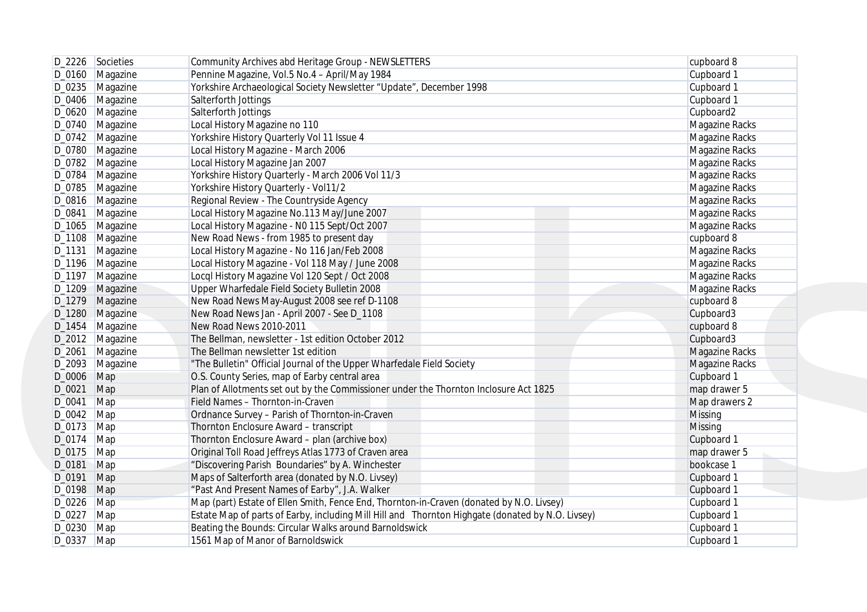| D_2226 Societies  | Community Archives abd Heritage Group - NEWSLETTERS                                                                                                                                                                                                                                                           | cupboard 8                                                                                                                                                                                                                                                                                                                                                                                                                                                                                                                                                                                                                                                                                                                                                                                                                                                                                                                                                                                                                                                                                                                                                                                                                                                                                                                                                                                                                                                                                                                           |
|-------------------|---------------------------------------------------------------------------------------------------------------------------------------------------------------------------------------------------------------------------------------------------------------------------------------------------------------|--------------------------------------------------------------------------------------------------------------------------------------------------------------------------------------------------------------------------------------------------------------------------------------------------------------------------------------------------------------------------------------------------------------------------------------------------------------------------------------------------------------------------------------------------------------------------------------------------------------------------------------------------------------------------------------------------------------------------------------------------------------------------------------------------------------------------------------------------------------------------------------------------------------------------------------------------------------------------------------------------------------------------------------------------------------------------------------------------------------------------------------------------------------------------------------------------------------------------------------------------------------------------------------------------------------------------------------------------------------------------------------------------------------------------------------------------------------------------------------------------------------------------------------|
| D_0160 Magazine   | Pennine Magazine, Vol.5 No.4 - April/May 1984                                                                                                                                                                                                                                                                 | Cupboard 1                                                                                                                                                                                                                                                                                                                                                                                                                                                                                                                                                                                                                                                                                                                                                                                                                                                                                                                                                                                                                                                                                                                                                                                                                                                                                                                                                                                                                                                                                                                           |
| D_0235   Magazine | Yorkshire Archaeological Society Newsletter "Update", December 1998                                                                                                                                                                                                                                           | Cupboard 1                                                                                                                                                                                                                                                                                                                                                                                                                                                                                                                                                                                                                                                                                                                                                                                                                                                                                                                                                                                                                                                                                                                                                                                                                                                                                                                                                                                                                                                                                                                           |
| D_0406 Magazine   | Salterforth Jottings                                                                                                                                                                                                                                                                                          | Cupboard 1                                                                                                                                                                                                                                                                                                                                                                                                                                                                                                                                                                                                                                                                                                                                                                                                                                                                                                                                                                                                                                                                                                                                                                                                                                                                                                                                                                                                                                                                                                                           |
| D_0620 Magazine   | Salterforth Jottings                                                                                                                                                                                                                                                                                          | Cupboard2                                                                                                                                                                                                                                                                                                                                                                                                                                                                                                                                                                                                                                                                                                                                                                                                                                                                                                                                                                                                                                                                                                                                                                                                                                                                                                                                                                                                                                                                                                                            |
| D_0740 Magazine   | Local History Magazine no 110                                                                                                                                                                                                                                                                                 | Magazine Racks                                                                                                                                                                                                                                                                                                                                                                                                                                                                                                                                                                                                                                                                                                                                                                                                                                                                                                                                                                                                                                                                                                                                                                                                                                                                                                                                                                                                                                                                                                                       |
| D_0742   Magazine | Yorkshire History Quarterly Vol 11 Issue 4                                                                                                                                                                                                                                                                    | Magazine Racks                                                                                                                                                                                                                                                                                                                                                                                                                                                                                                                                                                                                                                                                                                                                                                                                                                                                                                                                                                                                                                                                                                                                                                                                                                                                                                                                                                                                                                                                                                                       |
| D_0780 Magazine   | Local History Magazine - March 2006                                                                                                                                                                                                                                                                           | Magazine Racks                                                                                                                                                                                                                                                                                                                                                                                                                                                                                                                                                                                                                                                                                                                                                                                                                                                                                                                                                                                                                                                                                                                                                                                                                                                                                                                                                                                                                                                                                                                       |
| D_0782 Magazine   | Local History Magazine Jan 2007                                                                                                                                                                                                                                                                               | Magazine Racks                                                                                                                                                                                                                                                                                                                                                                                                                                                                                                                                                                                                                                                                                                                                                                                                                                                                                                                                                                                                                                                                                                                                                                                                                                                                                                                                                                                                                                                                                                                       |
| D_0784   Magazine |                                                                                                                                                                                                                                                                                                               | Magazine Racks                                                                                                                                                                                                                                                                                                                                                                                                                                                                                                                                                                                                                                                                                                                                                                                                                                                                                                                                                                                                                                                                                                                                                                                                                                                                                                                                                                                                                                                                                                                       |
| D_0785   Magazine |                                                                                                                                                                                                                                                                                                               | Magazine Racks                                                                                                                                                                                                                                                                                                                                                                                                                                                                                                                                                                                                                                                                                                                                                                                                                                                                                                                                                                                                                                                                                                                                                                                                                                                                                                                                                                                                                                                                                                                       |
| D_0816   Magazine |                                                                                                                                                                                                                                                                                                               | Magazine Racks                                                                                                                                                                                                                                                                                                                                                                                                                                                                                                                                                                                                                                                                                                                                                                                                                                                                                                                                                                                                                                                                                                                                                                                                                                                                                                                                                                                                                                                                                                                       |
| D_0841   Magazine |                                                                                                                                                                                                                                                                                                               | Magazine Racks                                                                                                                                                                                                                                                                                                                                                                                                                                                                                                                                                                                                                                                                                                                                                                                                                                                                                                                                                                                                                                                                                                                                                                                                                                                                                                                                                                                                                                                                                                                       |
| D_1065 Magazine   |                                                                                                                                                                                                                                                                                                               | Magazine Racks                                                                                                                                                                                                                                                                                                                                                                                                                                                                                                                                                                                                                                                                                                                                                                                                                                                                                                                                                                                                                                                                                                                                                                                                                                                                                                                                                                                                                                                                                                                       |
|                   |                                                                                                                                                                                                                                                                                                               | cupboard 8                                                                                                                                                                                                                                                                                                                                                                                                                                                                                                                                                                                                                                                                                                                                                                                                                                                                                                                                                                                                                                                                                                                                                                                                                                                                                                                                                                                                                                                                                                                           |
|                   |                                                                                                                                                                                                                                                                                                               | Magazine Racks                                                                                                                                                                                                                                                                                                                                                                                                                                                                                                                                                                                                                                                                                                                                                                                                                                                                                                                                                                                                                                                                                                                                                                                                                                                                                                                                                                                                                                                                                                                       |
| D_1196 Magazine   |                                                                                                                                                                                                                                                                                                               | Magazine Racks                                                                                                                                                                                                                                                                                                                                                                                                                                                                                                                                                                                                                                                                                                                                                                                                                                                                                                                                                                                                                                                                                                                                                                                                                                                                                                                                                                                                                                                                                                                       |
| D_1197 Magazine   |                                                                                                                                                                                                                                                                                                               | Magazine Racks                                                                                                                                                                                                                                                                                                                                                                                                                                                                                                                                                                                                                                                                                                                                                                                                                                                                                                                                                                                                                                                                                                                                                                                                                                                                                                                                                                                                                                                                                                                       |
| D_1209 Magazine   |                                                                                                                                                                                                                                                                                                               | Magazine Racks                                                                                                                                                                                                                                                                                                                                                                                                                                                                                                                                                                                                                                                                                                                                                                                                                                                                                                                                                                                                                                                                                                                                                                                                                                                                                                                                                                                                                                                                                                                       |
|                   |                                                                                                                                                                                                                                                                                                               | cupboard 8                                                                                                                                                                                                                                                                                                                                                                                                                                                                                                                                                                                                                                                                                                                                                                                                                                                                                                                                                                                                                                                                                                                                                                                                                                                                                                                                                                                                                                                                                                                           |
|                   |                                                                                                                                                                                                                                                                                                               | Cupboard3                                                                                                                                                                                                                                                                                                                                                                                                                                                                                                                                                                                                                                                                                                                                                                                                                                                                                                                                                                                                                                                                                                                                                                                                                                                                                                                                                                                                                                                                                                                            |
|                   |                                                                                                                                                                                                                                                                                                               | cupboard 8                                                                                                                                                                                                                                                                                                                                                                                                                                                                                                                                                                                                                                                                                                                                                                                                                                                                                                                                                                                                                                                                                                                                                                                                                                                                                                                                                                                                                                                                                                                           |
|                   |                                                                                                                                                                                                                                                                                                               | Cupboard3                                                                                                                                                                                                                                                                                                                                                                                                                                                                                                                                                                                                                                                                                                                                                                                                                                                                                                                                                                                                                                                                                                                                                                                                                                                                                                                                                                                                                                                                                                                            |
|                   |                                                                                                                                                                                                                                                                                                               | <b>Magazine Racks</b>                                                                                                                                                                                                                                                                                                                                                                                                                                                                                                                                                                                                                                                                                                                                                                                                                                                                                                                                                                                                                                                                                                                                                                                                                                                                                                                                                                                                                                                                                                                |
|                   |                                                                                                                                                                                                                                                                                                               | <b>Magazine Racks</b>                                                                                                                                                                                                                                                                                                                                                                                                                                                                                                                                                                                                                                                                                                                                                                                                                                                                                                                                                                                                                                                                                                                                                                                                                                                                                                                                                                                                                                                                                                                |
|                   |                                                                                                                                                                                                                                                                                                               | Cupboard 1                                                                                                                                                                                                                                                                                                                                                                                                                                                                                                                                                                                                                                                                                                                                                                                                                                                                                                                                                                                                                                                                                                                                                                                                                                                                                                                                                                                                                                                                                                                           |
|                   |                                                                                                                                                                                                                                                                                                               | map drawer 5                                                                                                                                                                                                                                                                                                                                                                                                                                                                                                                                                                                                                                                                                                                                                                                                                                                                                                                                                                                                                                                                                                                                                                                                                                                                                                                                                                                                                                                                                                                         |
|                   |                                                                                                                                                                                                                                                                                                               | Map drawers 2                                                                                                                                                                                                                                                                                                                                                                                                                                                                                                                                                                                                                                                                                                                                                                                                                                                                                                                                                                                                                                                                                                                                                                                                                                                                                                                                                                                                                                                                                                                        |
|                   |                                                                                                                                                                                                                                                                                                               | Missing                                                                                                                                                                                                                                                                                                                                                                                                                                                                                                                                                                                                                                                                                                                                                                                                                                                                                                                                                                                                                                                                                                                                                                                                                                                                                                                                                                                                                                                                                                                              |
|                   |                                                                                                                                                                                                                                                                                                               | <b>Missing</b>                                                                                                                                                                                                                                                                                                                                                                                                                                                                                                                                                                                                                                                                                                                                                                                                                                                                                                                                                                                                                                                                                                                                                                                                                                                                                                                                                                                                                                                                                                                       |
|                   |                                                                                                                                                                                                                                                                                                               | Cupboard 1                                                                                                                                                                                                                                                                                                                                                                                                                                                                                                                                                                                                                                                                                                                                                                                                                                                                                                                                                                                                                                                                                                                                                                                                                                                                                                                                                                                                                                                                                                                           |
|                   |                                                                                                                                                                                                                                                                                                               | map drawer 5                                                                                                                                                                                                                                                                                                                                                                                                                                                                                                                                                                                                                                                                                                                                                                                                                                                                                                                                                                                                                                                                                                                                                                                                                                                                                                                                                                                                                                                                                                                         |
|                   |                                                                                                                                                                                                                                                                                                               | bookcase 1                                                                                                                                                                                                                                                                                                                                                                                                                                                                                                                                                                                                                                                                                                                                                                                                                                                                                                                                                                                                                                                                                                                                                                                                                                                                                                                                                                                                                                                                                                                           |
|                   |                                                                                                                                                                                                                                                                                                               | Cupboard 1                                                                                                                                                                                                                                                                                                                                                                                                                                                                                                                                                                                                                                                                                                                                                                                                                                                                                                                                                                                                                                                                                                                                                                                                                                                                                                                                                                                                                                                                                                                           |
|                   |                                                                                                                                                                                                                                                                                                               | Cupboard 1                                                                                                                                                                                                                                                                                                                                                                                                                                                                                                                                                                                                                                                                                                                                                                                                                                                                                                                                                                                                                                                                                                                                                                                                                                                                                                                                                                                                                                                                                                                           |
|                   |                                                                                                                                                                                                                                                                                                               | Cupboard 1                                                                                                                                                                                                                                                                                                                                                                                                                                                                                                                                                                                                                                                                                                                                                                                                                                                                                                                                                                                                                                                                                                                                                                                                                                                                                                                                                                                                                                                                                                                           |
|                   |                                                                                                                                                                                                                                                                                                               | Cupboard 1                                                                                                                                                                                                                                                                                                                                                                                                                                                                                                                                                                                                                                                                                                                                                                                                                                                                                                                                                                                                                                                                                                                                                                                                                                                                                                                                                                                                                                                                                                                           |
| D_0230 Map        | Beating the Bounds: Circular Walks around Barnoldswick                                                                                                                                                                                                                                                        | Cupboard 1                                                                                                                                                                                                                                                                                                                                                                                                                                                                                                                                                                                                                                                                                                                                                                                                                                                                                                                                                                                                                                                                                                                                                                                                                                                                                                                                                                                                                                                                                                                           |
| D_0337 Map        | 1561 Map of Manor of Barnoldswick                                                                                                                                                                                                                                                                             | Cupboard 1                                                                                                                                                                                                                                                                                                                                                                                                                                                                                                                                                                                                                                                                                                                                                                                                                                                                                                                                                                                                                                                                                                                                                                                                                                                                                                                                                                                                                                                                                                                           |
|                   | D_1108   Magazine<br>Magazine<br>D_1279 Magazine<br>D_1280 Magazine<br>D_1454 Magazine<br>D_2012 Magazine<br>D_2061 Magazine<br>D_2093 Magazine<br>D_0006 Map<br>D_0021 Map<br>Map<br>$D_0042$ Map<br>$D_0173$ Map<br>$D_0174$ Map<br>$D_0$ 175 Map<br>Map<br>Map<br>D_0198 Map<br>D_0226 Map<br>D_0227   Map | Yorkshire History Quarterly - March 2006 Vol 11/3<br>Yorkshire History Quarterly - Vol11/2<br>Regional Review - The Countryside Agency<br>Local History Magazine No.113 May/June 2007<br>Local History Magazine - N0 115 Sept/Oct 2007<br>New Road News - from 1985 to present day<br>Local History Magazine - No 116 Jan/Feb 2008<br>Local History Magazine - Vol 118 May / June 2008<br>Locql History Magazine Vol 120 Sept / Oct 2008<br>Upper Wharfedale Field Society Bulletin 2008<br>New Road News May-August 2008 see ref D-1108<br>New Road News Jan - April 2007 - See D_1108<br>New Road News 2010-2011<br>The Bellman, newsletter - 1st edition October 2012<br>The Bellman newsletter 1st edition<br>"The Bulletin" Official Journal of the Upper Wharfedale Field Society<br>O.S. County Series, map of Earby central area<br>Plan of Allotments set out by the Commissioner under the Thornton Inclosure Act 1825<br>Field Names - Thornton-in-Craven<br>Ordnance Survey - Parish of Thornton-in-Craven<br>Thornton Enclosure Award - transcript<br>Thornton Enclosure Award - plan (archive box)<br>Original Toll Road Jeffreys Atlas 1773 of Craven area<br>"Discovering Parish Boundaries" by A. Winchester<br>Maps of Salterforth area (donated by N.O. Livsey)<br>"Past And Present Names of Earby", J.A. Walker<br>Map (part) Estate of Ellen Smith, Fence End, Thornton-in-Craven (donated by N.O. Livsey)<br>Estate Map of parts of Earby, including Mill Hill and Thornton Highgate (donated by N.O. Livsey) |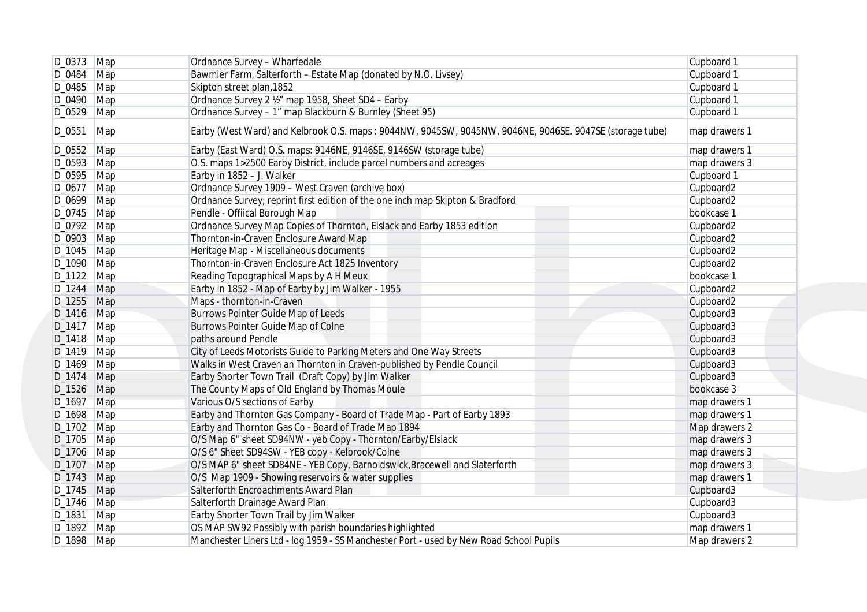|                          | $D_0373$ Map | Ordnance Survey - Wharfedale                                                                            | Cupboard 1                 |
|--------------------------|--------------|---------------------------------------------------------------------------------------------------------|----------------------------|
| $D_0484$ Map             |              | Bawmier Farm, Salterforth - Estate Map (donated by N.O. Livsey)                                         | Cupboard 1                 |
| $D_0485$ Map             |              | Skipton street plan, 1852                                                                               | Cupboard 1                 |
| D_0490 Map               |              | Ordnance Survey 2 1/2" map 1958, Sheet SD4 - Earby                                                      | Cupboard 1                 |
| $D_0529$ Map             |              | Ordnance Survey - 1" map Blackburn & Burnley (Sheet 95)                                                 | Cupboard 1                 |
| D_0551                   | Map          | Earby (West Ward) and Kelbrook O.S. maps: 9044NW, 9045SW, 9045NW, 9046NE, 9046SE. 9047SE (storage tube) | map drawers 1              |
| D_0552 Map               |              | Earby (East Ward) O.S. maps: 9146NE, 9146SE, 9146SW (storage tube)                                      | map drawers 1              |
| D_0593 Map               |              | O.S. maps 1>2500 Earby District, include parcel numbers and acreages                                    | map drawers 3              |
| D_0595 Map               |              | Earby in 1852 - J. Walker                                                                               | Cupboard 1                 |
| $D_0677$ Map             |              | Ordnance Survey 1909 - West Craven (archive box)                                                        | Cupboard2                  |
| $D_0699$ Map             |              | Ordnance Survey; reprint first edition of the one inch map Skipton & Bradford                           | Cupboard2                  |
| D_0745 Map               |              | Pendle - Offiical Borough Map                                                                           | bookcase 1                 |
| D_0792 Map               |              | Ordnance Survey Map Copies of Thornton, Elslack and Earby 1853 edition                                  | Cupboard2                  |
| D_0903 Map               |              | Thornton-in-Craven Enclosure Award Map                                                                  | Cupboard2                  |
| $D_1045$ Map             |              | Heritage Map - Miscellaneous documents                                                                  | Cupboard2                  |
| $D_1090$ Map             |              | Thornton-in-Craven Enclosure Act 1825 Inventory                                                         | Cupboard2                  |
| $D_1122$ Map             |              | Reading Topographical Maps by A H Meux                                                                  | bookcase 1                 |
| D_1244 Map               |              | Earby in 1852 - Map of Earby by Jim Walker - 1955                                                       | Cupboard2                  |
| D_1255 Map               |              | Maps - thornton-in-Craven                                                                               | Cupboard2                  |
| D_1416 Map               |              | Burrows Pointer Guide Map of Leeds                                                                      | Cupboard3                  |
| D_1417 Map               |              | Burrows Pointer Guide Map of Colne                                                                      | Cupboard3                  |
| $D_1418$ Map             |              | paths around Pendle                                                                                     | Cupboard3                  |
| $D_1419$ Map             |              | City of Leeds Motorists Guide to Parking Meters and One Way Streets                                     | Cupboard3                  |
| $D_1469$ Map             |              | Walks in West Craven an Thornton in Craven-published by Pendle Council                                  | Cupboard3                  |
| $D_1474$ Map             |              | Earby Shorter Town Trail (Draft Copy) by Jim Walker                                                     | Cupboard3                  |
| D_1526 Map               |              | The County Maps of Old England by Thomas Moule                                                          | bookcase 3                 |
| D_1697 Map               |              | Various O/S sections of Earby                                                                           | map drawers 1              |
| $D_1698$ Map             |              | Earby and Thornton Gas Company - Board of Trade Map - Part of Earby 1893                                | map drawers 1              |
| $D_1702$ Map             |              | Earby and Thornton Gas Co - Board of Trade Map 1894                                                     | Map drawers 2              |
| $D_1705$ Map             |              | O/S Map 6" sheet SD94NW - yeb Copy - Thornton/Earby/Elslack                                             | map drawers 3              |
| $D_1706$ Map             |              | O/S 6" Sheet SD94SW - YEB copy - Kelbrook/Colne                                                         | map drawers 3              |
| D_1707 Map               |              | O/S MAP 6" sheet SD84NE - YEB Copy, Barnoldswick, Bracewell and Slaterforth                             | map drawers 3              |
| D_1743 Map               |              | O/S Map 1909 - Showing reservoirs & water supplies                                                      | map drawers 1              |
|                          |              | Salterforth Encroachments Award Plan                                                                    |                            |
| D_1745 Map<br>D_1746 Map |              | Salterforth Drainage Award Plan                                                                         | Cupboard3<br>Cupboard3     |
|                          |              |                                                                                                         |                            |
| D_1831 Map<br>D_1892 Map |              | Earby Shorter Town Trail by Jim Walker<br>OS MAP SW92 Possibly with parish boundaries highlighted       | Cupboard3<br>map drawers 1 |
| D_1898 Map               |              | Manchester Liners Ltd - log 1959 - SS Manchester Port - used by New Road School Pupils                  | Map drawers 2              |
|                          |              |                                                                                                         |                            |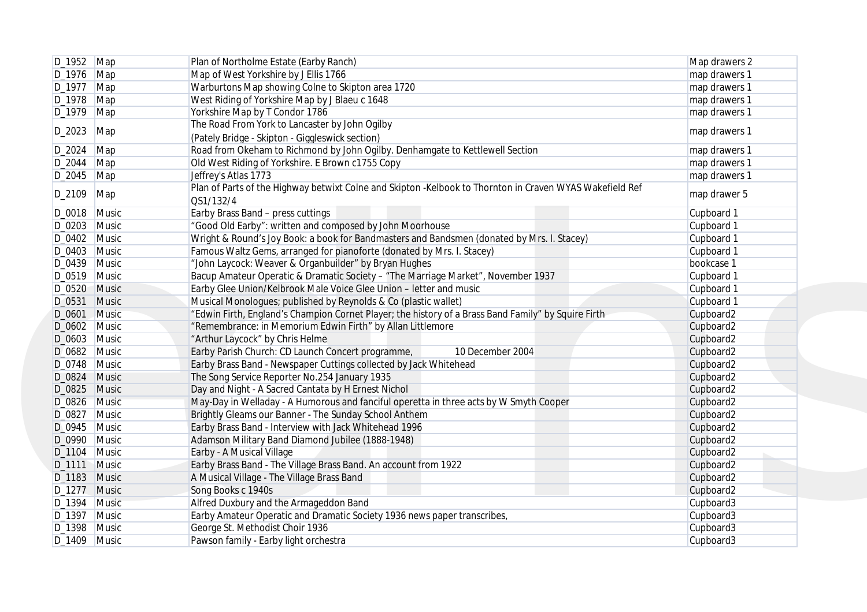|                 | D_1952 Map     | Plan of Northolme Estate (Earby Ranch)                                                                   | Map drawers 2 |
|-----------------|----------------|----------------------------------------------------------------------------------------------------------|---------------|
| $D_1976$ Map    |                | Map of West Yorkshire by J Ellis 1766                                                                    | map drawers 1 |
| $D_1977$ Map    |                | Warburtons Map showing Colne to Skipton area 1720                                                        | map drawers 1 |
| $D_1978$ Map    |                | West Riding of Yorkshire Map by J Blaeu c 1648                                                           | map drawers 1 |
| $D_1979$ Map    |                | Yorkshire Map by T Condor 1786                                                                           | map drawers 1 |
|                 |                | The Road From York to Lancaster by John Ogilby                                                           |               |
| D_2023          | Map            | (Pately Bridge - Skipton - Giggleswick section)                                                          | map drawers 1 |
| D_2024   Map    |                | Road from Okeham to Richmond by John Ogilby. Denhamgate to Kettlewell Section                            | map drawers 1 |
| $D_2044$ Map    |                | Old West Riding of Yorkshire. E Brown c1755 Copy                                                         | map drawers 1 |
| $D_2045$ Map    |                | Jeffrey's Atlas 1773                                                                                     | map drawers 1 |
|                 |                | Plan of Parts of the Highway betwixt Colne and Skipton -Kelbook to Thornton in Craven WYAS Wakefield Ref |               |
| D_2109          | Map            | QS1/132/4                                                                                                | map drawer 5  |
| D_0018 Music    |                | Earby Brass Band - press cuttings                                                                        | Cupboard 1    |
| D_0203 Music    |                | "Good Old Earby": written and composed by John Moorhouse                                                 | Cupboard 1    |
| D_0402 Music    |                | Wright & Round's Joy Book: a book for Bandmasters and Bandsmen (donated by Mrs. I. Stacey)               | Cupboard 1    |
| D_0403 Music    |                | Famous Waltz Gems, arranged for pianoforte (donated by Mrs. I. Stacey)                                   | Cupboard 1    |
| D_0439 Music    |                | "John Laycock: Weaver & Organbuilder" by Bryan Hughes                                                    | bookcase 1    |
| $D_0519$ Music  |                | Bacup Amateur Operatic & Dramatic Society - "The Marriage Market", November 1937                         | Cupboard 1    |
| D_0520 Music    |                | Earby Glee Union/Kelbrook Male Voice Glee Union - letter and music                                       | Cupboard 1    |
|                 |                | Musical Monologues; published by Reynolds & Co (plastic wallet)                                          |               |
| D_0531 Music    |                |                                                                                                          | Cupboard 1    |
| D_0601 Music    |                | "Edwin Firth, England's Champion Cornet Player; the history of a Brass Band Family" by Squire Firth      | Cupboard2     |
| D_0602 Music    |                | "Remembrance: in Memorium Edwin Firth" by Allan Littlemore                                               | Cupboard2     |
| D_0603 Music    |                | "Arthur Laycock" by Chris Helme                                                                          | Cupboard2     |
| D_0682 Music    |                | Earby Parish Church: CD Launch Concert programme,<br>10 December 2004                                    | Cupboard2     |
| D_0748 Music    |                | Earby Brass Band - Newspaper Cuttings collected by Jack Whitehead                                        | Cupboard2     |
| $D_0824$ Music  |                | The Song Service Reporter No.254 January 1935                                                            | Cupboard2     |
| D_0825 Music    |                | Day and Night - A Sacred Cantata by H Ernest Nichol                                                      | Cupboard2     |
| D_0826 Music    |                | May-Day in Welladay - A Humorous and fanciful operetta in three acts by W Smyth Cooper                   | Cupboard2     |
| D_0827          | Music          | Brightly Gleams our Banner - The Sunday School Anthem                                                    | Cupboard2     |
| $D_0$ 945 Music |                | Earby Brass Band - Interview with Jack Whitehead 1996                                                    | Cupboard2     |
| D_0990 Music    |                | Adamson Military Band Diamond Jubilee (1888-1948)                                                        | Cupboard2     |
| D_1104 Music    |                | Earby - A Musical Village                                                                                | Cupboard2     |
| D_1111 Music    |                | Earby Brass Band - The Village Brass Band. An account from 1922                                          | Cupboard2     |
| D_1183 Music    |                | A Musical Village - The Village Brass Band                                                               | Cupboard2     |
| D_1277 Music    |                | Song Books c 1940s                                                                                       | Cupboard2     |
| D_1394 Music    |                | Alfred Duxbury and the Armageddon Band                                                                   | Cupboard3     |
| D_1397 Music    |                | Earby Amateur Operatic and Dramatic Society 1936 news paper transcribes                                  | Cupboard3     |
| D_1398 Music    |                | George St. Methodist Choir 1936                                                                          | Cupboard3     |
|                 | $D_1409$ Music | Pawson family - Earby light orchestra                                                                    | Cupboard3     |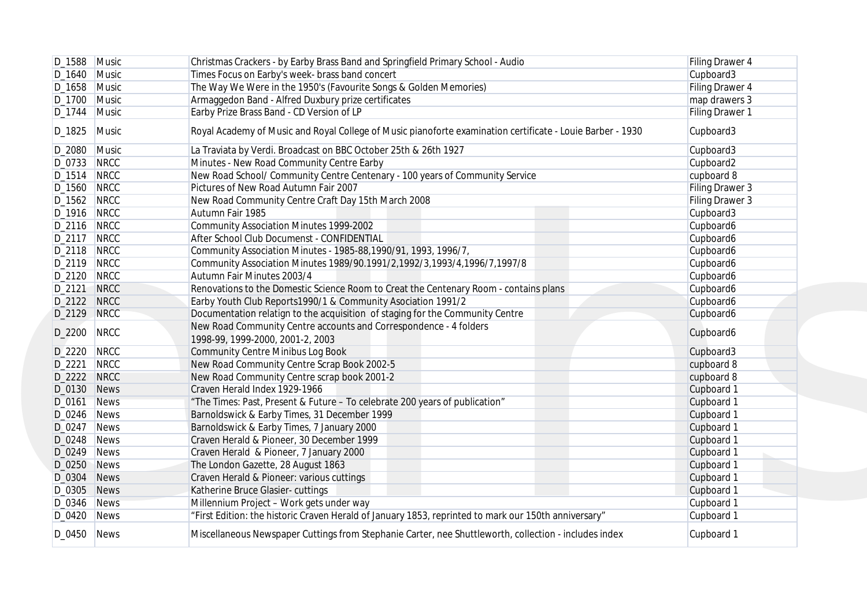|                | D_1588 Music   | Christmas Crackers - by Earby Brass Band and Springfield Primary School - Audio                            | Filing Drawer 4 |
|----------------|----------------|------------------------------------------------------------------------------------------------------------|-----------------|
|                | $D_1640$ Music | Times Focus on Earby's week- brass band concert                                                            | Cupboard3       |
|                | $D_1658$ Music | The Way We Were in the 1950's (Favourite Songs & Golden Memories)                                          | Filing Drawer 4 |
| $D_1700$ Music |                | Armaggedon Band - Alfred Duxbury prize certificates                                                        | map drawers 3   |
| D_1744 Music   |                | Earby Prize Brass Band - CD Version of LP                                                                  | Filing Drawer 1 |
| D_1825         | Music          | Royal Academy of Music and Royal College of Music pianoforte examination certificate - Louie Barber - 1930 | Cupboard3       |
| D_2080 Music   |                | La Traviata by Verdi. Broadcast on BBC October 25th & 26th 1927                                            | Cupboard3       |
| D_0733 NRCC    |                | Minutes - New Road Community Centre Earby                                                                  | Cupboard2       |
| D_1514 NRCC    |                | New Road School/ Community Centre Centenary - 100 years of Community Service                               | cupboard 8      |
| D_1560 NRCC    |                | Pictures of New Road Autumn Fair 2007                                                                      | Filing Drawer 3 |
| D_1562 NRCC    |                | New Road Community Centre Craft Day 15th March 2008                                                        | Filing Drawer 3 |
| D_1916 NRCC    |                | Autumn Fair 1985                                                                                           | Cupboard3       |
| D_2116 NRCC    |                | <b>Community Association Minutes 1999-2002</b>                                                             | Cupboard6       |
| D_2117 NRCC    |                | After School Club Documenst - CONFIDENTIAL                                                                 | Cupboard6       |
| D_2118 NRCC    |                | Community Association Minutes - 1985-88, 1990/91, 1993, 1996/7,                                            | Cupboard6       |
| D_2119 NRCC    |                | Community Association Minutes 1989/90.1991/2,1992/3,1993/4,1996/7,1997/8                                   | Cupboard6       |
| D_2120 NRCC    |                | Autumn Fair Minutes 2003/4                                                                                 | Cupboard6       |
| D_2121         | NRCC           | Renovations to the Domestic Science Room to Creat the Centenary Room - contains plans                      | Cupboard6       |
| D_2122 NRCC    |                | Earby Youth Club Reports1990/1 & Community Asociation 1991/2                                               | Cupboard6       |
| D_2129 NRCC    |                | Documentation relatign to the acquisition of staging for the Community Centre                              | Cupboard6       |
| D_2200         | <b>NRCC</b>    | New Road Community Centre accounts and Correspondence - 4 folders                                          | Cupboard6       |
|                |                | 1998-99, 1999-2000, 2001-2, 2003                                                                           |                 |
| D_2220 NRCC    |                | <b>Community Centre Minibus Log Book</b>                                                                   | Cupboard3       |
| D_2221         | <b>NRCC</b>    | New Road Community Centre Scrap Book 2002-5                                                                | cupboard 8      |
| D_2222 NRCC    |                | New Road Community Centre scrap book 2001-2                                                                | cupboard 8      |
| D_0130 News    |                | Craven Herald Index 1929-1966                                                                              | Cupboard 1      |
| D_0161         | News           | "The Times: Past, Present & Future - To celebrate 200 years of publication"                                | Cupboard 1      |
| $D_0246$ News  |                | Barnoldswick & Earby Times, 31 December 1999                                                               | Cupboard 1      |
| D_0247         | <b>News</b>    | Barnoldswick & Earby Times, 7 January 2000                                                                 | Cupboard 1      |
| $D_0248$ News  |                | Craven Herald & Pioneer, 30 December 1999                                                                  | Cupboard 1      |
| D_0249 News    |                | Craven Herald & Pioneer, 7 January 2000                                                                    | Cupboard 1      |
| D_0250 News    |                | The London Gazette, 28 August 1863                                                                         | Cupboard 1      |
| D_0304         | News           | Craven Herald & Pioneer: various cuttings                                                                  | Cupboard 1      |
| D_0305 News    |                | Katherine Bruce Glasier-cuttings                                                                           | Cupboard 1      |
| D_0346 News    |                | Millennium Project - Work gets under way                                                                   | Cupboard 1      |
| $D_0420$ News  |                | "First Edition: the historic Craven Herald of January 1853, reprinted to mark our 150th anniversary"       | Cupboard 1      |
| D_0450 News    |                | Miscellaneous Newspaper Cuttings from Stephanie Carter, nee Shuttleworth, collection - includes index      | Cupboard 1      |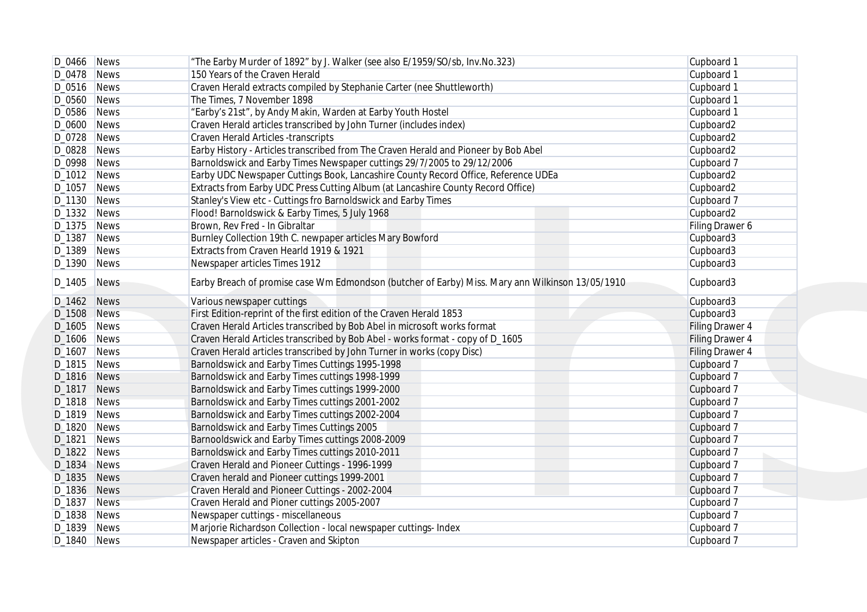|                    | $D_0466$ News | "The Earby Murder of 1892" by J. Walker (see also E/1959/SO/sb, Inv. No. 323)                    | Cupboard 1      |
|--------------------|---------------|--------------------------------------------------------------------------------------------------|-----------------|
| $D_0478$ News      |               | 150 Years of the Craven Herald                                                                   | Cupboard 1      |
| $D_0516$ News      |               | Craven Herald extracts compiled by Stephanie Carter (nee Shuttleworth)                           | Cupboard 1      |
| D_0560 News        |               | The Times, 7 November 1898                                                                       | Cupboard 1      |
| D_0586 News        |               | "Earby's 21st", by Andy Makin, Warden at Earby Youth Hostel                                      | Cupboard 1      |
| D_0600 News        |               | Craven Herald articles transcribed by John Turner (includes index)                               | Cupboard2       |
| $D_0$ 728 News     |               | Craven Herald Articles -transcripts                                                              | Cupboard2       |
| $D_0828$ News      |               | Earby History - Articles transcribed from The Craven Herald and Pioneer by Bob Abel              | Cupboard2       |
| D_0998 News        |               | Barnoldswick and Earby Times Newspaper cuttings 29/7/2005 to 29/12/2006                          | Cupboard 7      |
| $D_1012$ News      |               | Earby UDC Newspaper Cuttings Book, Lancashire County Record Office, Reference UDEa               | Cupboard2       |
| D_1057 News        |               | Extracts from Earby UDC Press Cutting Album (at Lancashire County Record Office)                 | Cupboard2       |
| $D_1130$ News      |               | Stanley's View etc - Cuttings fro Barnoldswick and Earby Times                                   | Cupboard 7      |
| D_1332 News        |               | Flood! Barnoldswick & Earby Times, 5 July 1968                                                   | Cupboard2       |
| $D_1375$ News      |               | Brown, Rev Fred - In Gibraltar                                                                   | Filing Drawer 6 |
| $D_1387$ News      |               | Burnley Collection 19th C. newpaper articles Mary Bowford                                        | Cupboard3       |
| $D_1389$ News      |               | Extracts from Craven Hearld 1919 & 1921                                                          | Cupboard3       |
| D_1390 News        |               | Newspaper articles Times 1912                                                                    | Cupboard3       |
| D_1405             | News          | Earby Breach of promise case Wm Edmondson (butcher of Earby) Miss. Mary ann Wilkinson 13/05/1910 | Cupboard3       |
| D_1462 News        |               | Various newspaper cuttings                                                                       | Cupboard3       |
| D_1508 News        |               | First Edition-reprint of the first edition of the Craven Herald 1853                             | Cupboard3       |
| D_1605 News        |               | Craven Herald Articles transcribed by Bob Abel in microsoft works format                         | Filing Drawer 4 |
| D_1606 News        |               | Craven Herald Articles transcribed by Bob Abel - works format - copy of D_1605                   | Filing Drawer 4 |
| D_1607 News        |               | Craven Herald articles transcribed by John Turner in works (copy Disc)                           | Filing Drawer 4 |
| $D_1815$ News      |               | Barnoldswick and Earby Times Cuttings 1995-1998                                                  | Cupboard 7      |
| $D_1816$ News      |               | Barnoldswick and Earby Times cuttings 1998-1999                                                  | Cupboard 7      |
| D_1817 News        |               | Barnoldswick and Earby Times cuttings 1999-2000                                                  | Cupboard 7      |
| <b>D_1818</b> News |               | Barnoldswick and Earby Times cuttings 2001-2002                                                  | Cupboard 7      |
| $D_1819$ News      |               | Barnoldswick and Earby Times cuttings 2002-2004                                                  | Cupboard 7      |
| D_1820 News        |               | Barnoldswick and Earby Times Cuttings 2005                                                       | Cupboard 7      |
| D_1821             | News          | Barnooldswick and Earby Times cuttings 2008-2009                                                 | Cupboard 7      |
| D_1822 News        |               | Barnoldswick and Earby Times cuttings 2010-2011                                                  | Cupboard 7      |
| D_1834 News        |               | Craven Herald and Pioneer Cuttings - 1996-1999                                                   | Cupboard 7      |
| D_1835 News        |               | Craven herald and Pioneer cuttings 1999-2001                                                     | Cupboard 7      |
| D_1836 News        |               | Craven Herald and Pioneer Cuttings - 2002-2004                                                   | Cupboard 7      |
| D_1837 News        |               | Craven Herald and Pioner cuttings 2005-2007                                                      | Cupboard 7      |
| D_1838 News        |               | Newspaper cuttings - miscellaneous                                                               | Cupboard 7      |
| D_1839 News        |               | Marjorie Richardson Collection - local newspaper cuttings- Index                                 | Cupboard 7      |
| D_1840 News        |               | Newspaper articles - Craven and Skipton                                                          | Cupboard 7      |
|                    |               |                                                                                                  |                 |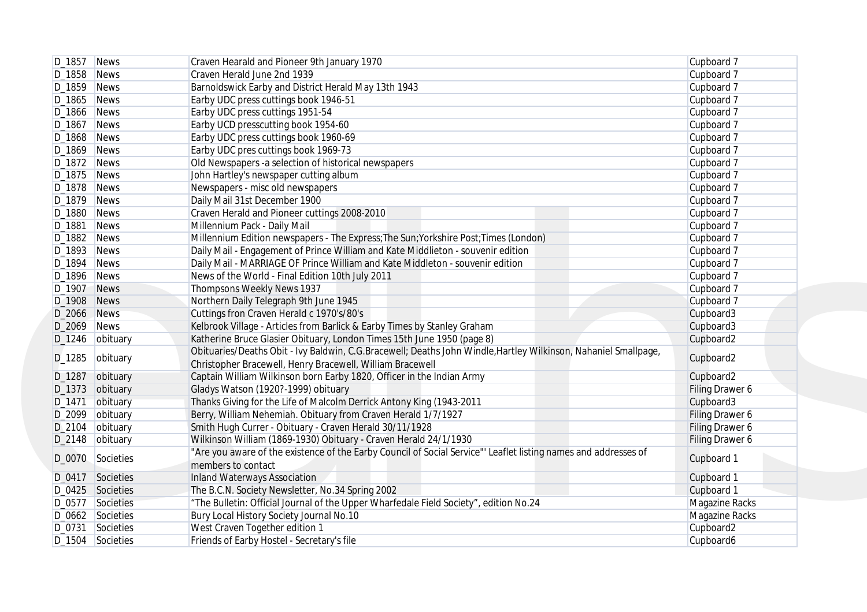|               | $D_1857$ News      | Craven Hearald and Pioneer 9th January 1970                                                                                                                                  | Cupboard 7      |
|---------------|--------------------|------------------------------------------------------------------------------------------------------------------------------------------------------------------------------|-----------------|
| D_1858 News   |                    | Craven Herald June 2nd 1939                                                                                                                                                  | Cupboard 7      |
| $D_1859$ News |                    | Barnoldswick Earby and District Herald May 13th 1943                                                                                                                         | Cupboard 7      |
| $D_1865$ News |                    | Earby UDC press cuttings book 1946-51                                                                                                                                        | Cupboard 7      |
| D_1866 News   |                    | Earby UDC press cuttings 1951-54                                                                                                                                             | Cupboard 7      |
| D_1867        | <b>News</b>        | Earby UCD presscutting book 1954-60                                                                                                                                          | Cupboard 7      |
| D_1868 News   |                    | Earby UDC press cuttings book 1960-69                                                                                                                                        | Cupboard 7      |
| $D_1869$ News |                    | Earby UDC pres cuttings book 1969-73                                                                                                                                         | Cupboard 7      |
| $D_1872$ News |                    | Old Newspapers -a selection of historical newspapers                                                                                                                         | Cupboard 7      |
| $D_1875$ News |                    | John Hartley's newspaper cutting album                                                                                                                                       | Cupboard 7      |
| D_1878 News   |                    | Newspapers - misc old newspapers                                                                                                                                             | Cupboard 7      |
| D_1879 News   |                    | Daily Mail 31st December 1900                                                                                                                                                | Cupboard 7      |
| D_1880 News   |                    | Craven Herald and Pioneer cuttings 2008-2010                                                                                                                                 | Cupboard 7      |
| D_1881        | News               | Millennium Pack - Daily Mail                                                                                                                                                 | Cupboard 7      |
| D_1882 News   |                    | Millennium Edition newspapers - The Express; The Sun; Yorkshire Post; Times (London)                                                                                         | Cupboard 7      |
| D_1893        | <b>News</b>        | Daily Mail - Engagement of Prince William and Kate Middlieton - souvenir edition                                                                                             | Cupboard 7      |
| D_1894        | News               | Daily Mail - MARRIAGE OF Prince William and Kate Middleton - souvenir edition                                                                                                | Cupboard 7      |
| D_1896 News   |                    | News of the World - Final Edition 10th July 2011                                                                                                                             | Cupboard 7      |
| D_1907        | <b>News</b>        | Thompsons Weekly News 1937                                                                                                                                                   | Cupboard 7      |
| D_1908 News   |                    | Northern Daily Telegraph 9th June 1945                                                                                                                                       | Cupboard 7      |
| D_2066 News   |                    | Cuttings fron Craven Herald c 1970's/80's                                                                                                                                    | Cupboard3       |
| D_2069 News   |                    | Kelbrook Village - Articles from Barlick & Earby Times by Stanley Graham                                                                                                     | Cupboard3       |
|               | D_1246   obituary  | Katherine Bruce Glasier Obituary, London Times 15th June 1950 (page 8)                                                                                                       | Cupboard2       |
| D_1285        | obituary           | Obituaries/Deaths Obit - Ivy Baldwin, C.G.Bracewell; Deaths John Windle, Hartley Wilkinson, Nahaniel Smallpage,<br>Christopher Bracewell, Henry Bracewell, William Bracewell | Cupboard2       |
| D_1287        | obituary           | Captain William Wilkinson born Earby 1820, Officer in the Indian Army                                                                                                        | Cupboard2       |
|               | D_1373 obituary    | Gladys Watson (1920?-1999) obituary                                                                                                                                          | Filing Drawer 6 |
| D_1471        | obituary           | Thanks Giving for the Life of Malcolm Derrick Antony King (1943-2011                                                                                                         | Cupboard3       |
| D_2099        | obituary           | Berry, William Nehemiah. Obituary from Craven Herald 1/7/1927                                                                                                                | Filing Drawer 6 |
| D_2104        | obituary           | Smith Hugh Currer - Obituary - Craven Herald 30/11/1928                                                                                                                      | Filing Drawer 6 |
|               | $D_2$ 148 obituary | Wilkinson William (1869-1930) Obituary - Craven Herald 24/1/1930                                                                                                             | Filing Drawer 6 |
|               | D_0070 Societies   | "Are you aware of the existence of the Earby Council of Social Service"' Leaflet listing names and addresses of<br>members to contact                                        | Cupboard 1      |
|               | D_0417 Societies   | <b>Inland Waterways Association</b>                                                                                                                                          | Cupboard 1      |
|               | D_0425 Societies   | The B.C.N. Society Newsletter, No.34 Spring 2002                                                                                                                             | Cupboard 1      |
|               | D_0577 Societies   | "The Bulletin: Official Journal of the Upper Wharfedale Field Society", edition No.24                                                                                        | Magazine Racks  |
|               | D_0662 Societies   | Bury Local History Society Journal No.10                                                                                                                                     | Magazine Racks  |
|               | D_0731 Societies   | West Craven Together edition 1                                                                                                                                               | Cupboard2       |
|               | D_1504 Societies   | Friends of Earby Hostel - Secretary's file                                                                                                                                   | Cupboard6       |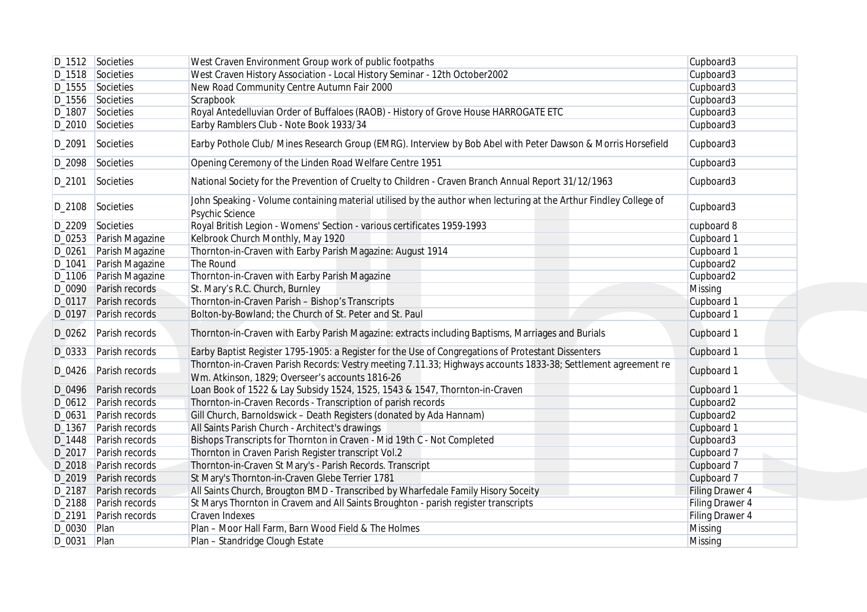|                   | D_1512 Societies        | West Craven Environment Group work of public footpaths                                                                               | Cupboard3       |
|-------------------|-------------------------|--------------------------------------------------------------------------------------------------------------------------------------|-----------------|
|                   | D_1518 Societies        | West Craven History Association - Local History Seminar - 12th October2002                                                           | Cupboard3       |
|                   | D_1555 Societies        | New Road Community Centre Autumn Fair 2000                                                                                           | Cupboard3       |
|                   | D_1556 Societies        | Scrapbook                                                                                                                            | Cupboard3       |
|                   | D_1807 Societies        | Royal Antedelluvian Order of Buffaloes (RAOB) - History of Grove House HARROGATE ETC                                                 | Cupboard3       |
|                   | D_2010 Societies        | Earby Ramblers Club - Note Book 1933/34                                                                                              | Cupboard3       |
| D_2091            | Societies               | Earby Pothole Club/ Mines Research Group (EMRG). Interview by Bob Abel with Peter Dawson & Morris Horsefield                         | Cupboard3       |
|                   | D_2098 Societies        | Opening Ceremony of the Linden Road Welfare Centre 1951                                                                              | Cupboard3       |
| D_2101            | Societies               | National Society for the Prevention of Cruelty to Children - Craven Branch Annual Report 31/12/1963                                  | Cupboard3       |
|                   | D_2108 Societies        | John Speaking - Volume containing material utilised by the author when lecturing at the Arthur Findley College of<br>Psychic Science | Cupboard3       |
|                   | D_2209 Societies        | Royal British Legion - Womens' Section - various certificates 1959-1993                                                              | cupboard 8      |
|                   | D_0253 Parish Magazine  | Kelbrook Church Monthly, May 1920                                                                                                    | Cupboard 1      |
| D_0261            | Parish Magazine         | Thornton-in-Craven with Earby Parish Magazine: August 1914                                                                           | Cupboard 1      |
| D_1041            | Parish Magazine         | The Round                                                                                                                            | Cupboard2       |
| D_1106            | Parish Magazine         | Thornton-in-Craven with Earby Parish Magazine                                                                                        | Cupboard2       |
|                   | D_0090 Parish records   | St. Mary's R.C. Church, Burnley                                                                                                      | Missing         |
|                   | D_0117 Parish records   | Thornton-in-Craven Parish - Bishop's Transcripts                                                                                     | Cupboard 1      |
| D <sub>0197</sub> | Parish records          | Bolton-by-Bowland; the Church of St. Peter and St. Paul                                                                              | Cupboard 1      |
|                   | D_0262 Parish records   | Thornton-in-Craven with Earby Parish Magazine: extracts including Baptisms, Marriages and Burials                                    | Cupboard 1      |
|                   | D_0333 Parish records   | Earby Baptist Register 1795-1905: a Register for the Use of Congregations of Protestant Dissenters                                   | Cupboard 1      |
|                   |                         | Thornton-in-Craven Parish Records: Vestry meeting 7.11.33; Highways accounts 1833-38; Settlement agreement re                        |                 |
| D_0426            | Parish records          | Wm. Atkinson, 1829; Overseer's accounts 1816-26                                                                                      | Cupboard 1      |
|                   | D_0496 Parish records   | Loan Book of 1522 & Lay Subsidy 1524, 1525, 1543 & 1547, Thornton-in-Craven                                                          | Cupboard 1      |
|                   |                         |                                                                                                                                      |                 |
|                   | D_0612 Parish records   | Thornton-in-Craven Records - Transcription of parish records                                                                         | Cupboard2       |
| D_0631            | Parish records          | Gill Church, Barnoldswick - Death Registers (donated by Ada Hannam)                                                                  | Cupboard2       |
| D_1367            | Parish records          | All Saints Parish Church - Architect's drawings                                                                                      | Cupboard 1      |
|                   | D_1448   Parish records | Bishops Transcripts for Thornton in Craven - Mid 19th C - Not Completed                                                              | Cupboard3       |
|                   | D_2017 Parish records   | Thornton in Craven Parish Register transcript Vol.2                                                                                  | Cupboard 7      |
|                   | D_2018 Parish records   | Thornton-in-Craven St Mary's - Parish Records. Transcript                                                                            | Cupboard 7      |
|                   | D_2019 Parish records   | St Mary's Thornton-in-Craven Glebe Terrier 1781                                                                                      | Cupboard 7      |
|                   | D_2187 Parish records   | All Saints Church, Brougton BMD - Transcribed by Wharfedale Family Hisory Soceity                                                    | Filing Drawer 4 |
|                   | D 2188 Parish records   | St Marys Thornton in Cravem and All Saints Broughton - parish register transcripts                                                   | Filing Drawer 4 |
|                   | D_2191 Parish records   | Craven Indexes                                                                                                                       | Filing Drawer 4 |
| D_0030 Plan       |                         | Plan - Moor Hall Farm, Barn Wood Field & The Holmes                                                                                  | Missing         |
| D_0031 Plan       |                         | Plan - Standridge Clough Estate                                                                                                      | Missing         |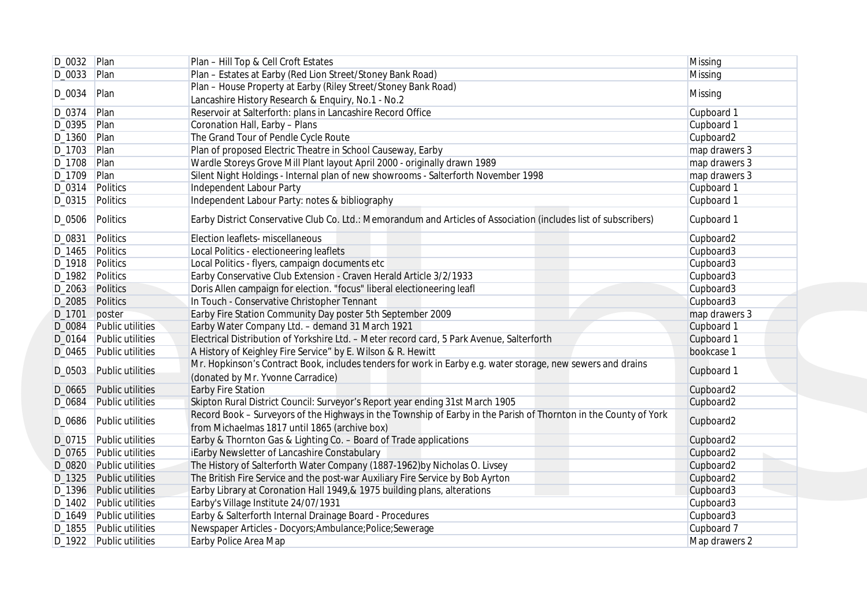|                    | D_0032 Plan             | Plan - Hill Top & Cell Croft Estates                                                                                                                              | Missing       |
|--------------------|-------------------------|-------------------------------------------------------------------------------------------------------------------------------------------------------------------|---------------|
| $D_0033$ Plan      |                         | Plan - Estates at Earby (Red Lion Street/Stoney Bank Road)                                                                                                        | Missing       |
|                    |                         | Plan - House Property at Earby (Riley Street/Stoney Bank Road)                                                                                                    |               |
| D_0034             | Plan                    | Lancashire History Research & Enquiry, No.1 - No.2                                                                                                                | Missing       |
| $D_0374$ Plan      |                         | Reservoir at Salterforth: plans in Lancashire Record Office                                                                                                       | Cupboard 1    |
| D_0395 Plan        |                         | Coronation Hall, Earby - Plans                                                                                                                                    | Cupboard 1    |
| $D_1360$ Plan      |                         | The Grand Tour of Pendle Cycle Route                                                                                                                              | Cupboard2     |
| D_1703 Plan        |                         | Plan of proposed Electric Theatre in School Causeway, Earby                                                                                                       | map drawers 3 |
| D_1708   Plan      |                         | Wardle Storeys Grove Mill Plant layout April 2000 - originally drawn 1989                                                                                         | map drawers 3 |
| D_1709 Plan        |                         | Silent Night Holdings - Internal plan of new showrooms - Salterforth November 1998                                                                                | map drawers 3 |
|                    | D_0314 Politics         | Independent Labour Party                                                                                                                                          | Cupboard 1    |
|                    | D_0315 Politics         | Independent Labour Party: notes & bibliography                                                                                                                    | Cupboard 1    |
| D_0506             | Politics                | Earby District Conservative Club Co. Ltd.: Memorandum and Articles of Association (includes list of subscribers)                                                  | Cupboard 1    |
| D_0831             | Politics                | Election leaflets- miscellaneous                                                                                                                                  | Cupboard2     |
| D_1465 Politics    |                         | Local Politics - electioneering leaflets                                                                                                                          | Cupboard3     |
| D_1918 Politics    |                         | Local Politics - flyers, campaign documents etc                                                                                                                   | Cupboard3     |
|                    | D_1982 Politics         | Earby Conservative Club Extension - Craven Herald Article 3/2/1933                                                                                                | Cupboard3     |
|                    | D_2063 Politics         | Doris Allen campaign for election. "focus" liberal electioneering leafl                                                                                           | Cupboard3     |
|                    | D_2085 Politics         | In Touch - Conservative Christopher Tennant                                                                                                                       | Cupboard3     |
| D <sub>-1701</sub> | poster                  | Earby Fire Station Community Day poster 5th September 2009                                                                                                        | map drawers 3 |
|                    | D_0084 Public utilities | Earby Water Company Ltd. - demand 31 March 1921                                                                                                                   | Cupboard 1    |
|                    | D_0164 Public utilities | Electrical Distribution of Yorkshire Ltd. - Meter record card, 5 Park Avenue, Salterforth                                                                         | Cupboard 1    |
|                    | D_0465 Public utilities | A History of Keighley Fire Service" by E. Wilson & R. Hewitt                                                                                                      | bookcase 1    |
|                    |                         | Mr. Hopkinson's Contract Book, includes tenders for work in Earby e.g. water storage, new sewers and drains                                                       |               |
| D_0503             | <b>Public utilities</b> | (donated by Mr. Yvonne Carradice)                                                                                                                                 | Cupboard 1    |
|                    | D_0665 Public utilities | <b>Earby Fire Station</b>                                                                                                                                         | Cupboard2     |
| D_0684             | <b>Public utilities</b> | Skipton Rural District Council: Surveyor's Report year ending 31st March 1905                                                                                     | Cupboard2     |
| D_0686             | <b>Public utilities</b> | Record Book - Surveyors of the Highways in the Township of Earby in the Parish of Thornton in the County of York<br>from Michaelmas 1817 until 1865 (archive box) | Cupboard2     |
|                    | D_0715 Public utilities | Earby & Thornton Gas & Lighting Co. - Board of Trade applications                                                                                                 | Cupboard2     |
|                    | D_0765 Public utilities | iEarby Newsletter of Lancashire Constabulary                                                                                                                      | Cupboard2     |
|                    | D_0820 Public utilities | The History of Salterforth Water Company (1887-1962) by Nicholas O. Livsey                                                                                        | Cupboard2     |
|                    | D_1325 Public utilities | The British Fire Service and the post-war Auxiliary Fire Service by Bob Ayrton                                                                                    | Cupboard2     |
|                    | D_1396 Public utilities | Earby Library at Coronation Hall 1949,& 1975 building plans, alterations                                                                                          | Cupboard3     |
|                    | D_1402 Public utilities | Earby's Village Institute 24/07/1931                                                                                                                              | Cupboard3     |
|                    | D_1649 Public utilities | Earby & Salterforth Internal Drainage Board - Procedures                                                                                                          | Cupboard3     |
|                    | D_1855 Public utilities | Newspaper Articles - Docyors; Ambulance; Police; Sewerage                                                                                                         | Cupboard 7    |
|                    | D_1922 Public utilities | Earby Police Area Map                                                                                                                                             | Map drawers 2 |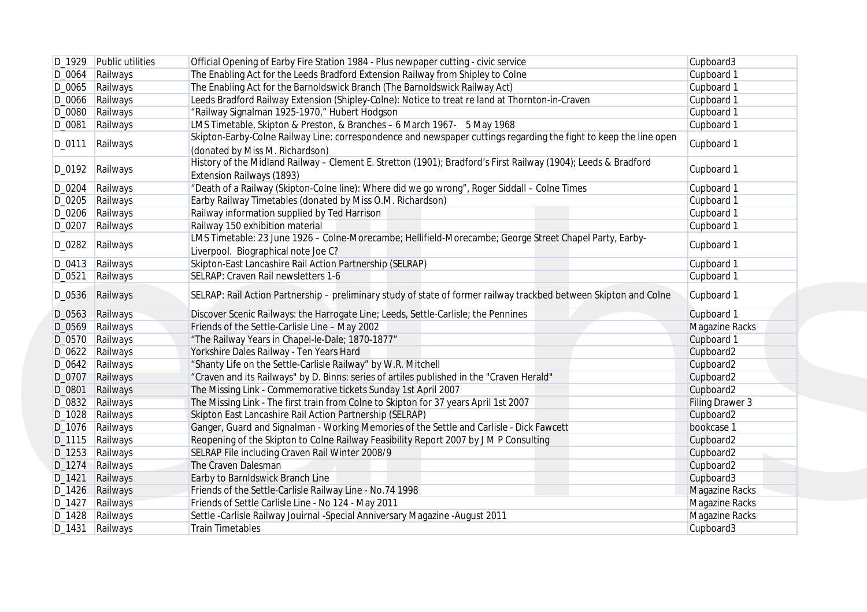|        | D_1929 Public utilities | Official Opening of Earby Fire Station 1984 - Plus newpaper cutting - civic service                                                                  | Cupboard3             |
|--------|-------------------------|------------------------------------------------------------------------------------------------------------------------------------------------------|-----------------------|
|        | D_0064 Railways         | The Enabling Act for the Leeds Bradford Extension Railway from Shipley to Colne                                                                      | Cupboard 1            |
|        | D_0065 Railways         | The Enabling Act for the Barnoldswick Branch (The Barnoldswick Railway Act)                                                                          | Cupboard 1            |
|        | D_0066 Railways         | Leeds Bradford Railway Extension (Shipley-Colne): Notice to treat re land at Thornton-in-Craven                                                      | Cupboard 1            |
|        | D_0080 Railways         | "Railway Signalman 1925-1970," Hubert Hodgson                                                                                                        | Cupboard 1            |
| D_0081 | Railways                | LMS Timetable, Skipton & Preston, & Branches - 6 March 1967- 5 May 1968                                                                              | Cupboard 1            |
| D_0111 | Railways                | Skipton-Earby-Colne Railway Line: correspondence and newspaper cuttings regarding the fight to keep the line open<br>(donated by Miss M. Richardson) | Cupboard 1            |
|        | D_0192 Railways         | History of the Midland Railway - Clement E. Stretton (1901); Bradford's First Railway (1904); Leeds & Bradford<br>Extension Railways (1893)          | Cupboard 1            |
| D_0204 | Railways                | "Death of a Railway (Skipton-Colne line): Where did we go wrong", Roger Siddall - Colne Times                                                        | Cupboard 1            |
|        | D_0205 Railways         | Earby Railway Timetables (donated by Miss O.M. Richardson)                                                                                           | Cupboard 1            |
|        | D_0206 Railways         | Railway information supplied by Ted Harrison                                                                                                         | Cupboard 1            |
| D_0207 | Railways                | Railway 150 exhibition material                                                                                                                      | Cupboard 1            |
|        | D_0282 Railways         | LMS Timetable: 23 June 1926 - Colne-Morecambe; Hellifield-Morecambe; George Street Chapel Party, Earby-<br>Liverpool. Biographical note Joe C?       | Cupboard 1            |
|        | D_0413 Railways         | Skipton-East Lancashire Rail Action Partnership (SELRAP)                                                                                             | Cupboard 1            |
| D_0521 | Railways                | SELRAP: Craven Rail newsletters 1-6                                                                                                                  | Cupboard 1            |
|        | D_0536 Railways         | SELRAP: Rail Action Partnership - preliminary study of state of former railway trackbed between Skipton and Colne                                    | Cupboard 1            |
|        | D_0563 Railways         | Discover Scenic Railways: the Harrogate Line; Leeds, Settle-Carlisle; the Pennines                                                                   | Cupboard 1            |
|        | D_0569 Railways         | Friends of the Settle-Carlisle Line - May 2002                                                                                                       | <b>Magazine Racks</b> |
|        | D_0570 Railways         | "The Railway Years in Chapel-le-Dale; 1870-1877"                                                                                                     | Cupboard 1            |
|        | D_0622 Railways         | Yorkshire Dales Railway - Ten Years Hard                                                                                                             | Cupboard2             |
|        | D_0642 Railways         | "Shanty Life on the Settle-Carlisle Railway" by W.R. Mitchell                                                                                        | Cupboard2             |
|        | D_0707 Railways         | "Craven and its Railways" by D. Binns: series of artiles published in the "Craven Herald"                                                            | Cupboard2             |
| D_0801 | Railways                | The Missing Link - Commemorative tickets Sunday 1st April 2007                                                                                       | Cupboard2             |
|        | D_0832 Railways         | The Missing Link - The first train from Colne to Skipton for 37 years April 1st 2007                                                                 | Filing Drawer 3       |
|        | D_1028 Railways         | Skipton East Lancashire Rail Action Partnership (SELRAP)                                                                                             | Cupboard2             |
|        | D_1076 Railways         | Ganger, Guard and Signalman - Working Memories of the Settle and Carlisle - Dick Fawcett                                                             | bookcase 1            |
|        | D_1115 Railways         | Reopening of the Skipton to Colne Railway Feasibility Report 2007 by J M P Consulting                                                                | Cupboard2             |
|        | D_1253 Railways         | SELRAP File including Craven Rail Winter 2008/9                                                                                                      | Cupboard2             |
|        | D_1274 Railways         | The Craven Dalesman                                                                                                                                  | Cupboard2             |
| D_1421 | Railways                | Earby to BarnIdswick Branch Line                                                                                                                     | Cupboard3             |
|        | D_1426 Railways         | Friends of the Settle-Carlisle Railway Line - No.74 1998                                                                                             | Magazine Racks        |
|        | D_1427 Railways         | Friends of Settle Carlisle Line - No 124 - May 2011                                                                                                  | Magazine Racks        |
|        | D_1428 Railways         | Settle - Carlisle Railway Jouirnal - Special Anniversary Magazine - August 2011                                                                      | Magazine Racks        |
|        | D_1431 Railways         | <b>Train Timetables</b>                                                                                                                              | Cupboard3             |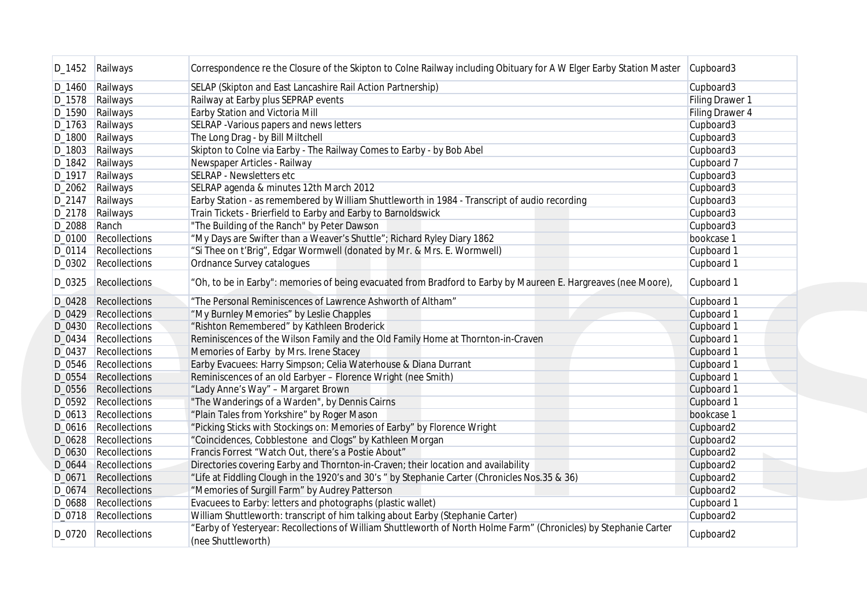|              | D_1452 Railways                              | Correspondence re the Closure of the Skipton to Colne Railway including Obituary for A W Elger Earby Station Master                     | Cupboard3       |
|--------------|----------------------------------------------|-----------------------------------------------------------------------------------------------------------------------------------------|-----------------|
|              | D_1460 Railways                              | SELAP (Skipton and East Lancashire Rail Action Partnership)                                                                             | Cupboard3       |
|              | D_1578 Railways                              | Railway at Earby plus SEPRAP events                                                                                                     | Filing Drawer 1 |
|              | D_1590 Railways                              | Earby Station and Victoria Mill                                                                                                         | Filing Drawer 4 |
|              | D_1763 Railways                              | SELRAP - Various papers and news letters                                                                                                | Cupboard3       |
|              | D_1800 Railways                              | The Long Drag - by Bill Miltchell                                                                                                       | Cupboard3       |
|              | D_1803 Railways                              | Skipton to Colne via Earby - The Railway Comes to Earby - by Bob Abel                                                                   | Cupboard3       |
|              | D_1842 Railways                              | Newspaper Articles - Railway                                                                                                            | Cupboard 7      |
|              | D_1917 Railways                              | SELRAP - Newsletters etc                                                                                                                | Cupboard3       |
|              | D_2062 Railways                              | SELRAP agenda & minutes 12th March 2012                                                                                                 | Cupboard3       |
|              | D_2147 Railways                              | Earby Station - as remembered by William Shuttleworth in 1984 - Transcript of audio recording                                           | Cupboard3       |
|              | D_2178 Railways                              | Train Tickets - Brierfield to Earby and Earby to Barnoldswick                                                                           | Cupboard3       |
| D_2088 Ranch |                                              | "The Building of the Ranch" by Peter Dawson                                                                                             | Cupboard3       |
|              | D_0100 Recollections                         | "My Days are Swifter than a Weaver's Shuttle"; Richard Ryley Diary 1862                                                                 | bookcase 1      |
|              |                                              |                                                                                                                                         |                 |
|              | D_0114 Recollections<br>D_0302 Recollections | "Si Thee on t'Brig", Edgar Wormwell (donated by Mr. & Mrs. E. Wormwell)<br>Ordnance Survey catalogues                                   | Cupboard 1      |
|              |                                              |                                                                                                                                         | Cupboard 1      |
| D_0325       | Recollections                                | "Oh, to be in Earby": memories of being evacuated from Bradford to Earby by Maureen E. Hargreaves (nee Moore),                          | Cupboard 1      |
|              | D_0428 Recollections                         | "The Personal Reminiscences of Lawrence Ashworth of Altham"                                                                             | Cupboard 1      |
|              | D_0429 Recollections                         | "My Burnley Memories" by Leslie Chapples                                                                                                | Cupboard 1      |
|              | D_0430 Recollections                         | "Rishton Remembered" by Kathleen Broderick                                                                                              | Cupboard 1      |
| D_0434       | Recollections                                | Reminiscences of the Wilson Family and the Old Family Home at Thornton-in-Craven                                                        | Cupboard 1      |
| D_0437       | Recollections                                | Memories of Earby by Mrs. Irene Stacey                                                                                                  | Cupboard 1      |
|              | D_0546   Recollections                       | Earby Evacuees: Harry Simpson; Celia Waterhouse & Diana Durrant                                                                         | Cupboard 1      |
|              | D_0554 Recollections                         | Reminiscences of an old Earbyer - Florence Wright (nee Smith)                                                                           | Cupboard 1      |
|              | D_0556 Recollections                         | "Lady Anne's Way" - Margaret Brown                                                                                                      | Cupboard 1      |
|              | D_0592 Recollections                         | "The Wanderings of a Warden", by Dennis Cairns                                                                                          | Cupboard 1      |
|              | D_0613   Recollections                       | "Plain Tales from Yorkshire" by Roger Mason                                                                                             | bookcase 1      |
|              | D_0616   Recollections                       | "Picking Sticks with Stockings on: Memories of Earby" by Florence Wright                                                                | Cupboard2       |
| D_0628       | Recollections                                | "Coincidences, Cobblestone and Clogs" by Kathleen Morgan                                                                                | Cupboard2       |
|              | D_0630 Recollections                         | Francis Forrest "Watch Out, there's a Postie About"                                                                                     | Cupboard2       |
| D_0644       | Recollections                                | Directories covering Earby and Thornton-in-Craven; their location and availability                                                      | Cupboard2       |
| D_0671       | Recollections                                | "Life at Fiddling Clough in the 1920's and 30's " by Stephanie Carter (Chronicles Nos.35 & 36)                                          | Cupboard2       |
| D_0674       | Recollections                                | "Memories of Surgill Farm" by Audrey Patterson                                                                                          | Cupboard2       |
|              | D_0688 Recollections                         | Evacuees to Earby: letters and photographs (plastic wallet)                                                                             | Cupboard 1      |
|              | D_0718   Recollections                       | William Shuttleworth: transcript of him talking about Earby (Stephanie Carter)                                                          | Cupboard2       |
| D_0720       | Recollections                                | "Earby of Yesteryear: Recollections of William Shuttleworth of North Holme Farm" (Chronicles) by Stephanie Carter<br>(nee Shuttleworth) | Cupboard2       |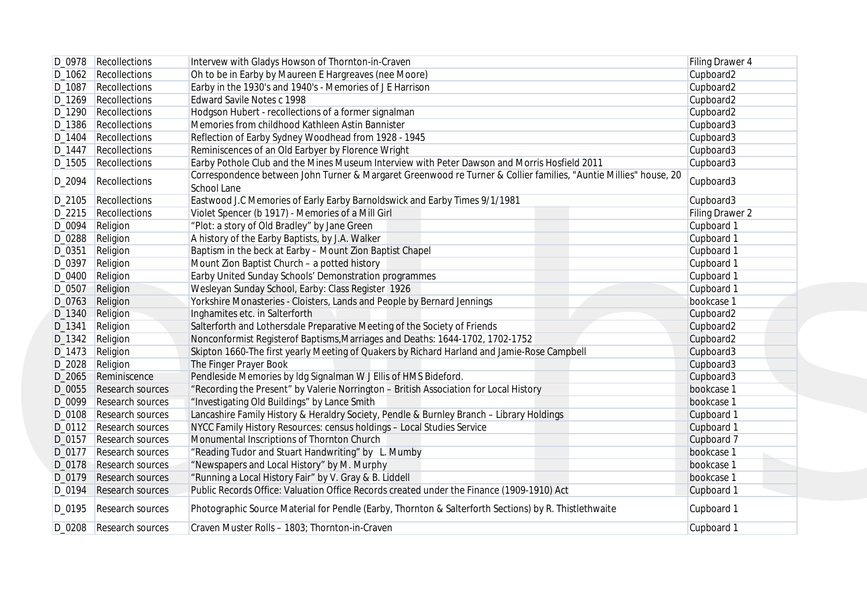|        | D_0978   Recollections    | Intervew with Gladys Howson of Thornton-in-Craven                                                                               | <b>Filing Drawer 4</b> |
|--------|---------------------------|---------------------------------------------------------------------------------------------------------------------------------|------------------------|
|        | D_1062   Recollections    | Oh to be in Earby by Maureen E Hargreaves (nee Moore)                                                                           | Cupboard2              |
| D_1087 | Recollections             | Earby in the 1930's and 1940's - Memories of J E Harrison                                                                       | Cupboard2              |
|        | D_1269   Recollections    | Edward Savile Notes c 1998                                                                                                      | Cupboard2              |
|        | D_1290 Recollections      | Hodgson Hubert - recollections of a former signalman                                                                            | Cupboard2              |
|        | D_1386 Recollections      | Memories from childhood Kathleen Astin Bannister                                                                                | Cupboard3              |
| D_1404 | Recollections             | Reflection of Earby Sydney Woodhead from 1928 - 1945                                                                            | Cupboard3              |
| D_1447 | Recollections             | Reminiscences of an Old Earbyer by Florence Wright                                                                              | Cupboard3              |
|        | D_1505 Recollections      | Earby Pothole Club and the Mines Museum Interview with Peter Dawson and Morris Hosfield 2011                                    | Cupboard3              |
| D_2094 | Recollections             | Correspondence between John Turner & Margaret Greenwood re Turner & Collier families, "Auntie Millies" house, 20<br>School Lane | Cupboard3              |
|        | D_2105   Recollections    | Eastwood J.C Memories of Early Earby Barnoldswick and Earby Times 9/1/1981                                                      | Cupboard3              |
|        | D_2215   Recollections    | Violet Spencer (b 1917) - Memories of a Mill Girl                                                                               | Filing Drawer 2        |
| D_0094 | Religion                  | "Plot: a story of Old Bradley" by Jane Green                                                                                    | Cupboard 1             |
| D_0288 | Religion                  | A history of the Earby Baptists, by J.A. Walker                                                                                 | Cupboard 1             |
|        |                           |                                                                                                                                 |                        |
| D_0351 | Religion                  | Baptism in the beck at Earby - Mount Zion Baptist Chapel                                                                        | Cupboard 1             |
| D_0397 | Religion                  | Mount Zion Baptist Church - a potted history                                                                                    | Cupboard 1             |
| D_0400 | Religion                  | Earby United Sunday Schools' Demonstration programmes                                                                           | Cupboard 1             |
| D_0507 | <b>Religion</b>           | Wesleyan Sunday School, Earby: Class Register 1926                                                                              | Cupboard 1             |
| D_0763 | Religion                  | Yorkshire Monasteries - Cloisters, Lands and People by Bernard Jennings                                                         | bookcase 1             |
|        | D_1340 Religion           | Inghamites etc. in Salterforth                                                                                                  | Cupboard2              |
| D_1341 | Religion                  | Salterforth and Lothersdale Preparative Meeting of the Society of Friends                                                       | Cupboard2              |
|        | D_1342 Religion           | Nonconformist Registerof Baptisms, Marriages and Deaths: 1644-1702, 1702-1752                                                   | Cupboard2              |
|        | D_1473 Religion           | Skipton 1660-The first yearly Meeting of Quakers by Richard Harland and Jamie-Rose Campbell                                     | Cupboard3              |
| D_2028 | Religion                  | The Finger Prayer Book                                                                                                          | Cupboard3              |
| D_2065 | Reminiscence              | Pendleside Memories by Idg Signalman W J Ellis of HMS Bideford.                                                                 | Cupboard3              |
|        | D_0055 Research sources   | "Recording the Present" by Valerie Norrington - British Association for Local History                                           | bookcase 1             |
|        | D_0099 Research sources   | "Investigating Old Buildings" by Lance Smith                                                                                    | bookcase 1             |
| D_0108 | Research sources          | Lancashire Family History & Heraldry Society, Pendle & Burnley Branch - Library Holdings                                        | Cupboard 1             |
|        | D_0112   Research sources | NYCC Family History Resources: census holdings - Local Studies Service                                                          | Cupboard 1             |
| D_0157 | Research sources          | Monumental Inscriptions of Thornton Church                                                                                      | Cupboard 7             |
| D_0177 | Research sources          | "Reading Tudor and Stuart Handwriting" by L. Mumby                                                                              | bookcase 1             |
| D_0178 | Research sources          | "Newspapers and Local History" by M. Murphy                                                                                     | bookcase 1             |
|        | D_0179 Research sources   | "Running a Local History Fair" by V. Gray & B. Liddell                                                                          | bookcase 1             |
| D_0194 | Research sources          | Public Records Office: Valuation Office Records created under the Finance (1909-1910) Act                                       | Cupboard 1             |
|        | D_0195   Research sources | Photographic Source Material for Pendle (Earby, Thornton & Salterforth Sections) by R. Thistlethwaite                           | Cupboard 1             |
|        | D_0208 Research sources   | Craven Muster Rolls - 1803; Thornton-in-Craven                                                                                  | Cupboard 1             |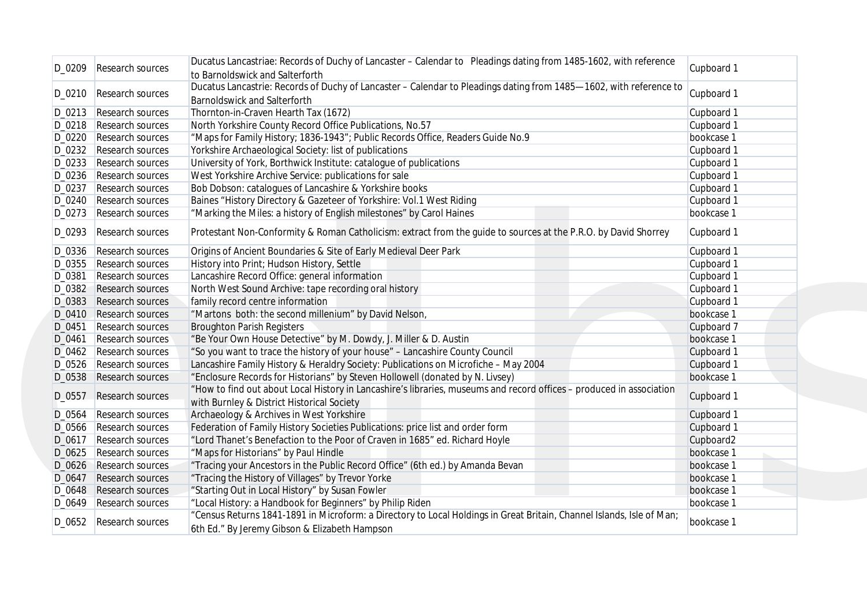| D_0209 | Research sources          | Ducatus Lancastriae: Records of Duchy of Lancaster – Calendar to Pleadings dating from 1485-1602, with reference                                                       | Cupboard 1 |
|--------|---------------------------|------------------------------------------------------------------------------------------------------------------------------------------------------------------------|------------|
|        |                           | to Barnoldswick and Salterforth<br>Ducatus Lancastrie: Records of Duchy of Lancaster - Calendar to Pleadings dating from 1485-1602, with reference to                  |            |
| D_0210 | Research sources          | <b>Barnoldswick and Salterforth</b>                                                                                                                                    | Cupboard 1 |
|        | D_0213 Research sources   | Thornton-in-Craven Hearth Tax (1672)                                                                                                                                   | Cupboard 1 |
|        | D_0218   Research sources | North Yorkshire County Record Office Publications, No.57                                                                                                               | Cupboard 1 |
| D_0220 | Research sources          | "Maps for Family History; 1836-1943"; Public Records Office, Readers Guide No.9                                                                                        | bookcase 1 |
|        | D_0232 Research sources   | Yorkshire Archaeological Society: list of publications                                                                                                                 | Cupboard 1 |
| D_0233 | Research sources          | University of York, Borthwick Institute: catalogue of publications                                                                                                     | Cupboard 1 |
|        | D_0236 Research sources   | West Yorkshire Archive Service: publications for sale                                                                                                                  | Cupboard 1 |
| D_0237 | Research sources          | Bob Dobson: catalogues of Lancashire & Yorkshire books                                                                                                                 | Cupboard 1 |
|        | D_0240 Research sources   | Baines "History Directory & Gazeteer of Yorkshire: Vol.1 West Riding                                                                                                   | Cupboard 1 |
|        | D_0273 Research sources   | "Marking the Miles: a history of English milestones" by Carol Haines                                                                                                   | bookcase 1 |
| D_0293 | Research sources          | Protestant Non-Conformity & Roman Catholicism: extract from the guide to sources at the P.R.O. by David Shorrey                                                        | Cupboard 1 |
| D_0336 | Research sources          | Origins of Ancient Boundaries & Site of Early Medieval Deer Park                                                                                                       | Cupboard 1 |
| D_0355 | Research sources          | History into Print; Hudson History, Settle                                                                                                                             | Cupboard 1 |
| D_0381 | Research sources          | Lancashire Record Office: general information                                                                                                                          | Cupboard 1 |
|        | D_0382 Research sources   | North West Sound Archive: tape recording oral history                                                                                                                  | Cupboard 1 |
|        | D_0383 Research sources   | family record centre information                                                                                                                                       | Cupboard 1 |
|        | D_0410 Research sources   | "Martons both: the second millenium" by David Nelson,                                                                                                                  | bookcase 1 |
| D_0451 | Research sources          | <b>Broughton Parish Registers</b>                                                                                                                                      | Cupboard 7 |
| D_0461 | Research sources          | "Be Your Own House Detective" by M. Dowdy, J. Miller & D. Austin                                                                                                       | bookcase 1 |
|        | D_0462 Research sources   | "So you want to trace the history of your house" - Lancashire County Council                                                                                           | Cupboard 1 |
| D_0526 | <b>Research sources</b>   | Lancashire Family History & Heraldry Society: Publications on Microfiche - May 2004                                                                                    | Cupboard 1 |
|        | D_0538 Research sources   | "Enclosure Records for Historians" by Steven Hollowell (donated by N. Livsey)                                                                                          | bookcase 1 |
| D_0557 | <b>Research sources</b>   | "How to find out about Local History in Lancashire's libraries, museums and record offices - produced in association<br>with Burnley & District Historical Society     | Cupboard 1 |
| D_0564 | Research sources          | Archaeology & Archives in West Yorkshire                                                                                                                               | Cupboard 1 |
| D_0566 | Research sources          | Federation of Family History Societies Publications: price list and order form                                                                                         | Cupboard 1 |
| D_0617 | Research sources          | "Lord Thanet's Benefaction to the Poor of Craven in 1685" ed. Richard Hoyle                                                                                            | Cupboard2  |
| D_0625 | <b>Research sources</b>   | "Maps for Historians" by Paul Hindle                                                                                                                                   | bookcase 1 |
| D_0626 | <b>Research sources</b>   | "Tracing your Ancestors in the Public Record Office" (6th ed.) by Amanda Bevan                                                                                         | bookcase 1 |
| D_0647 | <b>Research sources</b>   | "Tracing the History of Villages" by Trevor Yorke                                                                                                                      | bookcase 1 |
| D_0648 | <b>Research sources</b>   | "Starting Out in Local History" by Susan Fowler                                                                                                                        | bookcase 1 |
| D_0649 | Research sources          | "Local History: a Handbook for Beginners" by Philip Riden                                                                                                              | bookcase 1 |
| D_0652 | Research sources          | "Census Returns 1841-1891 in Microform: a Directory to Local Holdings in Great Britain, Channel Islands, Isle of Man;<br>6th Ed." By Jeremy Gibson & Elizabeth Hampson | bookcase 1 |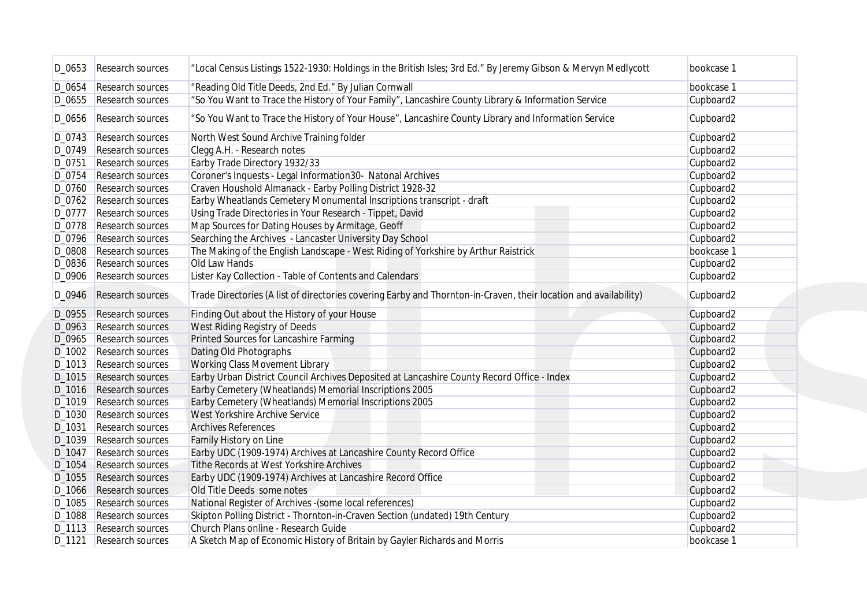|        | D_0653 Research sources   | "Local Census Listings 1522-1930: Holdings in the British Isles; 3rd Ed." By Jeremy Gibson & Mervyn Medlycott    | bookcase 1            |
|--------|---------------------------|------------------------------------------------------------------------------------------------------------------|-----------------------|
| D_0654 | Research sources          | "Reading Old Title Deeds, 2nd Ed." By Julian Cornwall                                                            | bookcase 1            |
|        | D_0655 Research sources   | "So You Want to Trace the History of Your Family", Lancashire County Library & Information Service               | Cupboard2             |
| D_0656 | Research sources          | "So You Want to Trace the History of Your House", Lancashire County Library and Information Service              | Cupboard2             |
|        |                           |                                                                                                                  |                       |
| D_0743 | Research sources          | North West Sound Archive Training folder                                                                         | Cupboard2             |
| D_0749 | Research sources          | Clegg A.H. - Research notes                                                                                      | Cupboard2             |
| D_0751 | Research sources          | Earby Trade Directory 1932/33                                                                                    | Cupboard2             |
| D_0754 | Research sources          | Coroner's Inquests - Legal Information30- Natonal Archives                                                       | Cupboard2             |
| D_0760 | Research sources          | Craven Houshold Almanack - Earby Polling District 1928-32                                                        | Cupboard2             |
|        | D_0762 Research sources   | Earby Wheatlands Cemetery Monumental Inscriptions transcript - draft                                             | Cupboard2             |
| D_0777 | Research sources          | Using Trade Directories in Your Research - Tippet, David                                                         | Cupboard2             |
| D_0778 | Research sources          | Map Sources for Dating Houses by Armitage, Geoff                                                                 | Cupboard2             |
| D_0796 | Research sources          | Searching the Archives - Lancaster University Day School                                                         | Cupboard2             |
| D_0808 | Research sources          | The Making of the English Landscape - West Riding of Yorkshire by Arthur Raistrick                               | bookcase 1            |
|        | D_0836 Research sources   | Old Law Hands                                                                                                    | Cupboard2             |
|        | D_0906 Research sources   | Lister Kay Collection - Table of Contents and Calendars                                                          | Cupboard2             |
| D_0946 | <b>Research sources</b>   | Trade Directories (A list of directories covering Earby and Thornton-in-Craven, their location and availability) | Cupboard2             |
|        | D_0955 Research sources   | Finding Out about the History of your House                                                                      | Cupboard2             |
|        | D_0963 Research sources   | West Riding Registry of Deeds                                                                                    | Cupboard2             |
|        | D_0965 Research sources   | Printed Sources for Lancashire Farming                                                                           | Cupboard2             |
|        | D_1002 Research sources   | Dating Old Photographs                                                                                           | Cupboard2             |
|        | D_1013 Research sources   | <b>Working Class Movement Library</b>                                                                            | Cupboard2             |
|        | D_1015 Research sources   | Earby Urban District Council Archives Deposited at Lancashire County Record Office - Index                       | Cupboard2             |
|        | D_1016 Research sources   | Earby Cemetery (Wheatlands) Memorial Inscriptions 2005                                                           | Cupboard2             |
|        | D_1019 Research sources   | Earby Cemetery (Wheatlands) Memorial Inscriptions 2005                                                           | Cupboard2             |
|        |                           | West Yorkshire Archive Service                                                                                   |                       |
| D_1030 | Research sources          |                                                                                                                  | Cupboard2             |
| D_1031 | Research sources          | <b>Archives References</b>                                                                                       | Cupboard2             |
| D_1039 | Research sources          | Family History on Line                                                                                           | Cupboard2             |
| D_1047 | <b>Research sources</b>   | Earby UDC (1909-1974) Archives at Lancashire County Record Office                                                | Cupboard2             |
| D_1054 | Research sources          | Tithe Records at West Yorkshire Archives                                                                         | Cupboard2             |
| D_1055 | <b>Research sources</b>   | Earby UDC (1909-1974) Archives at Lancashire Record Office                                                       | Cupboard2             |
| D_1066 | Research sources          | Old Title Deeds some notes                                                                                       | Cupboard2             |
|        | D 1085 Research sources   | National Register of Archives - (some local references)                                                          | Cupboard2             |
|        | D 1088 Research sources   | Skipton Polling District - Thornton-in-Craven Section (undated) 19th Century                                     | Cupboard <sub>2</sub> |
|        | D_1113   Research sources | Church Plans online - Research Guide                                                                             | Cupboard2             |
| D_1121 | Research sources          | A Sketch Map of Economic History of Britain by Gayler Richards and Morris                                        | bookcase 1            |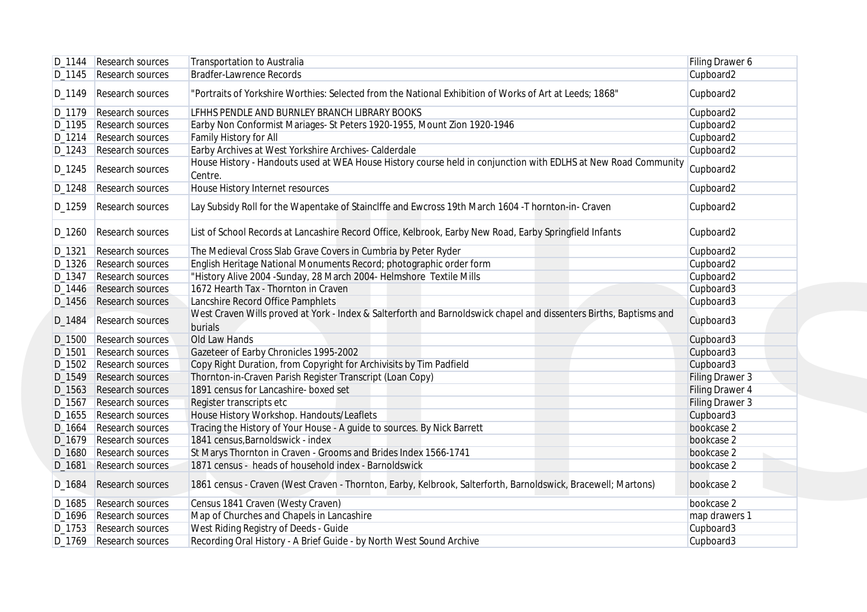|                    | D_1144   Research sources | Transportation to Australia                                                                                                   | Filing Drawer 6 |
|--------------------|---------------------------|-------------------------------------------------------------------------------------------------------------------------------|-----------------|
|                    | D_1145 Research sources   | Bradfer-Lawrence Records                                                                                                      | Cupboard2       |
| D_1149             | Research sources          | "Portraits of Yorkshire Worthies: Selected from the National Exhibition of Works of Art at Leeds; 1868"                       | Cupboard2       |
| D_1179             | Research sources          | LFHHS PENDLE AND BURNLEY BRANCH LIBRARY BOOKS                                                                                 | Cupboard2       |
| D_1195             | Research sources          | Earby Non Conformist Mariages- St Peters 1920-1955, Mount Zion 1920-1946                                                      | Cupboard2       |
| D_1214             | Research sources          | Family History for All                                                                                                        | Cupboard2       |
| D_1243             | Research sources          | Earby Archives at West Yorkshire Archives- Calderdale                                                                         | Cupboard2       |
| D_1245             | Research sources          | House History - Handouts used at WEA House History course held in conjunction with EDLHS at New Road Community<br>Centre.     | Cupboard2       |
| D_1248             | Research sources          | House History Internet resources                                                                                              | Cupboard2       |
| D_1259             | Research sources          | Lay Subsidy Roll for the Wapentake of Stainclffe and Ewcross 19th March 1604 -T hornton-in- Craven                            | Cupboard2       |
| D_1260             | Research sources          | List of School Records at Lancashire Record Office, Kelbrook, Earby New Road, Earby Springfield Infants                       | Cupboard2       |
| D_1321             | Research sources          | The Medieval Cross Slab Grave Covers in Cumbria by Peter Ryder                                                                | Cupboard2       |
| D_1326             | Research sources          | English Heritage National Monuments Record; photographic order form                                                           | Cupboard2       |
| D_1347             | Research sources          | "History Alive 2004 - Sunday, 28 March 2004 - Helmshore Textile Mills                                                         | Cupboard2       |
| D_1446             | <b>Research sources</b>   | 1672 Hearth Tax - Thornton in Craven                                                                                          | Cupboard3       |
| D <sub>-1456</sub> | Research sources          | Lancshire Record Office Pamphlets                                                                                             | Cupboard3       |
| D_1484             | <b>Research sources</b>   | West Craven Wills proved at York - Index & Salterforth and Barnoldswick chapel and dissenters Births, Baptisms and<br>burials | Cupboard3       |
| D_1500             | <b>Research sources</b>   | Old Law Hands                                                                                                                 | Cupboard3       |
| D_1501             | <b>Research sources</b>   | Gazeteer of Earby Chronicles 1995-2002                                                                                        | Cupboard3       |
| D_1502             | <b>Research sources</b>   | Copy Right Duration, from Copyright for Archivisits by Tim Padfield                                                           | Cupboard3       |
| D_1549             | <b>Research sources</b>   | Thornton-in-Craven Parish Register Transcript (Loan Copy)                                                                     | Filing Drawer 3 |
| D <sub>-1563</sub> | Research sources          | 1891 census for Lancashire- boxed set                                                                                         | Filing Drawer 4 |
| D_1567             | <b>Research sources</b>   | Register transcripts etc                                                                                                      | Filing Drawer 3 |
| D_1655             | Research sources          | House History Workshop. Handouts/Leaflets                                                                                     | Cupboard3       |
| D_1664             | Research sources          | Tracing the History of Your House - A guide to sources. By Nick Barrett                                                       | bookcase 2      |
| D_1679             | Research sources          | 1841 census, Barnoldswick - index                                                                                             | bookcase 2      |
| D_1680             | Research sources          | St Marys Thornton in Craven - Grooms and Brides Index 1566-1741                                                               | bookcase 2      |
| D_1681             | Research sources          | 1871 census - heads of household index - Barnoldswick                                                                         | bookcase 2      |
| D_1684             | Research sources          | 1861 census - Craven (West Craven - Thornton, Earby, Kelbrook, Salterforth, Barnoldswick, Bracewell; Martons)                 | bookcase 2      |
|                    |                           |                                                                                                                               |                 |
|                    | D_1685 Research sources   | Census 1841 Craven (Westy Craven)                                                                                             | bookcase 2      |
|                    | D_1696 Research sources   | Map of Churches and Chapels in Lancashire                                                                                     | map drawers 1   |
|                    | D_1753 Research sources   | West Riding Registry of Deeds - Guide                                                                                         | Cupboard3       |
|                    | D_1769 Research sources   | Recording Oral History - A Brief Guide - by North West Sound Archive                                                          | Cupboard3       |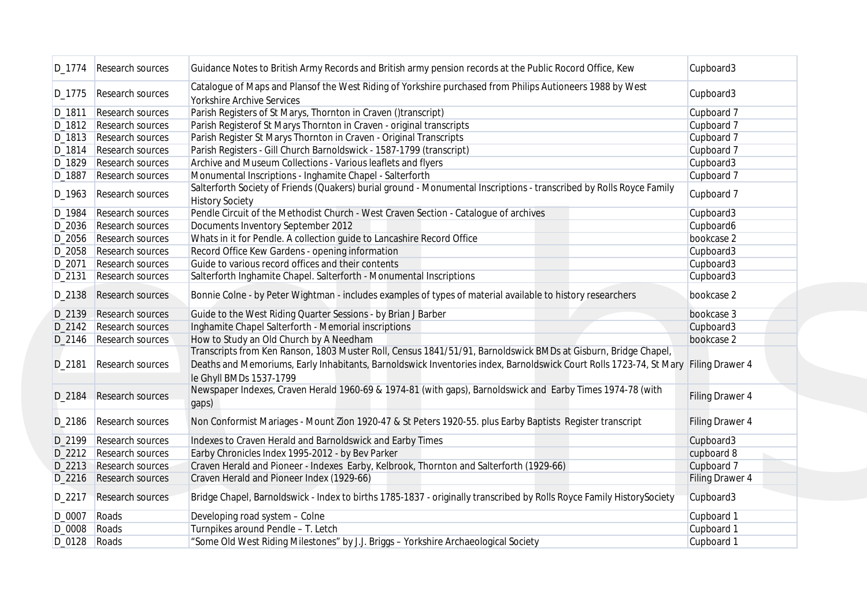| D_1774       | Research sources        | Guidance Notes to British Army Records and British army pension records at the Public Rocord Office, Kew                                                      | Cupboard3              |
|--------------|-------------------------|---------------------------------------------------------------------------------------------------------------------------------------------------------------|------------------------|
| D_1775       | Research sources        | Catalogue of Maps and Plansof the West Riding of Yorkshire purchased from Philips Autioneers 1988 by West<br><b>Yorkshire Archive Services</b>                | Cupboard3              |
| D_1811       | Research sources        | Parish Registers of St Marys, Thornton in Craven ()transcript)                                                                                                | Cupboard 7             |
|              | D_1812 Research sources | Parish Registerof St Marys Thornton in Craven - original transcripts                                                                                          | Cupboard 7             |
| D_1813       | Research sources        | Parish Register St Marys Thornton in Craven - Original Transcripts                                                                                            | Cupboard 7             |
| D_1814       | Research sources        | Parish Registers - Gill Church Barnoldswick - 1587-1799 (transcript)                                                                                          | Cupboard 7             |
| D_1829       | Research sources        | Archive and Museum Collections - Various leaflets and flyers                                                                                                  | Cupboard3              |
|              | Research sources        | Monumental Inscriptions - Inghamite Chapel - Salterforth                                                                                                      |                        |
| D_1887       |                         | Salterforth Society of Friends (Quakers) burial ground - Monumental Inscriptions - transcribed by Rolls Royce Family                                          | Cupboard 7             |
| D_1963       | Research sources        | <b>History Society</b>                                                                                                                                        | Cupboard 7             |
| D_1984       | Research sources        | Pendle Circuit of the Methodist Church - West Craven Section - Catalogue of archives                                                                          | Cupboard3              |
| D_2036       | Research sources        | Documents Inventory September 2012                                                                                                                            | Cupboard6              |
| D_2056       | Research sources        | Whats in it for Pendle. A collection guide to Lancashire Record Office                                                                                        | bookcase 2             |
| D_2058       | Research sources        | Record Office Kew Gardens - opening information                                                                                                               | Cupboard3              |
| D_2071       | Research sources        | Guide to various record offices and their contents                                                                                                            | Cupboard3              |
| D_2131       | Research sources        | Salterforth Inghamite Chapel. Salterforth - Monumental Inscriptions                                                                                           | Cupboard3              |
| D_2138       | Research sources        | Bonnie Colne - by Peter Wightman - includes examples of types of material available to history researchers                                                    | bookcase 2             |
|              | D_2139 Research sources | Guide to the West Riding Quarter Sessions - by Brian J Barber                                                                                                 | bookcase 3             |
|              | D_2142 Research sources | Inghamite Chapel Salterforth - Memorial inscriptions                                                                                                          | Cupboard3              |
|              | D_2146 Research sources | How to Study an Old Church by A Needham                                                                                                                       | bookcase 2             |
|              |                         | Transcripts from Ken Ranson, 1803 Muster Roll, Census 1841/51/91, Barnoldswick BMDs at Gisburn, Bridge Chapel,                                                |                        |
| D_2181       | <b>Research sources</b> | Deaths and Memoriums, Early Inhabitants, Barnoldswick Inventories index, Barnoldswick Court Rolls 1723-74, St Mary Filing Drawer 4<br>le Ghyll BMDs 1537-1799 |                        |
| D_2184       | <b>Research sources</b> | Newspaper Indexes, Craven Herald 1960-69 & 1974-81 (with gaps), Barnoldswick and Earby Times 1974-78 (with<br>gaps)                                           | <b>Filing Drawer 4</b> |
| D_2186       | Research sources        | Non Conformist Mariages - Mount Zion 1920-47 & St Peters 1920-55. plus Earby Baptists Register transcript                                                     | <b>Filing Drawer 4</b> |
|              | D_2199 Research sources | Indexes to Craven Herald and Barnoldswick and Earby Times                                                                                                     | Cupboard3              |
|              | D_2212 Research sources | Earby Chronicles Index 1995-2012 - by Bev Parker                                                                                                              | cupboard 8             |
|              | D_2213 Research sources | Craven Herald and Pioneer - Indexes Earby, Kelbrook, Thornton and Salterforth (1929-66)                                                                       | Cupboard 7             |
|              | D_2216 Research sources | Craven Herald and Pioneer Index (1929-66)                                                                                                                     | <b>Filing Drawer 4</b> |
|              | D_2217 Research sources | Bridge Chapel, Barnoldswick - Index to births 1785-1837 - originally transcribed by Rolls Royce Family HistorySociety                                         | Cupboard3              |
| D_0007 Roads |                         | Developing road system - Colne                                                                                                                                | Cupboard 1             |
| D_0008 Roads |                         | Turnpikes around Pendle - T. Letch                                                                                                                            | Cupboard 1             |
|              | $D_0128$ Roads          | "Some Old West Riding Milestones" by J.J. Briggs - Yorkshire Archaeological Society                                                                           | Cupboard 1             |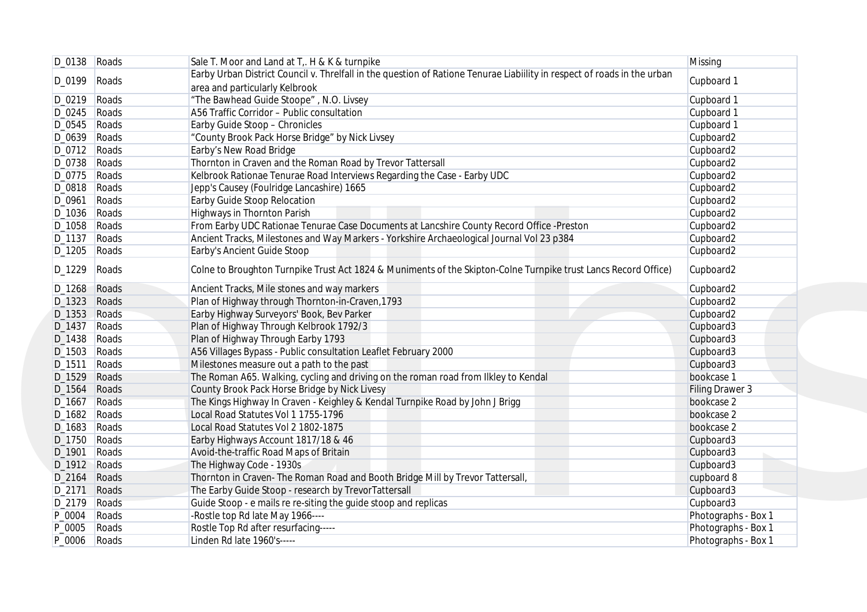|                    | D_0138 Roads | Sale T. Moor and Land at T. H & K & turnpike                                                                             | Missing                |
|--------------------|--------------|--------------------------------------------------------------------------------------------------------------------------|------------------------|
|                    |              | Earby Urban District Council v. Threlfall in the question of Ratione Tenurae Liabillity in respect of roads in the urban |                        |
| D_0199             | Roads        | area and particularly Kelbrook                                                                                           | Cupboard 1             |
| D_0219 Roads       |              | "The Bawhead Guide Stoope", N.O. Livsey                                                                                  | Cupboard 1             |
| $D_0245$ Roads     |              | A56 Traffic Corridor - Public consultation                                                                               | Cupboard 1             |
| D_0545 Roads       |              | Earby Guide Stoop - Chronicles                                                                                           | Cupboard 1             |
| $D_0639$ Roads     |              | "County Brook Pack Horse Bridge" by Nick Livsey                                                                          | Cupboard2              |
| D_0712 Roads       |              | Earby's New Road Bridge                                                                                                  | Cupboard2              |
| D_0738 Roads       |              | Thornton in Craven and the Roman Road by Trevor Tattersall                                                               | Cupboard2              |
| D_0775 Roads       |              | Kelbrook Rationae Tenurae Road Interviews Regarding the Case - Earby UDC                                                 | Cupboard2              |
| D_0818 Roads       |              | Jepp's Causey (Foulridge Lancashire) 1665                                                                                | Cupboard2              |
| D_0961             | Roads        | Earby Guide Stoop Relocation                                                                                             | Cupboard2              |
| D_1036   Roads     |              | Highways in Thornton Parish                                                                                              | Cupboard <sub>2</sub>  |
| D_1058             | Roads        | From Earby UDC Rationae Tenurae Case Documents at Lancshire County Record Office -Preston                                | Cupboard2              |
| D_1137             | Roads        | Ancient Tracks, Milestones and Way Markers - Yorkshire Archaeological Journal Vol 23 p384                                | Cupboard2              |
| $D_1205$           | Roads        | Earby's Ancient Guide Stoop                                                                                              | Cupboard2              |
|                    |              |                                                                                                                          |                        |
| D_1229             | Roads        | Colne to Broughton Turnpike Trust Act 1824 & Muniments of the Skipton-Colne Turnpike trust Lancs Record Office)          | Cupboard2              |
| D_1268 Roads       |              | Ancient Tracks, Mile stones and way markers                                                                              | Cupboard2              |
| D_1323             | Roads        | Plan of Highway through Thornton-in-Craven, 1793                                                                         | Cupboard2              |
| $D_1353$           | Roads        | Earby Highway Surveyors' Book, Bev Parker                                                                                | Cupboard2              |
| D_1437 Roads       |              | Plan of Highway Through Kelbrook 1792/3                                                                                  | Cupboard3              |
| D_1438             | Roads        | Plan of Highway Through Earby 1793                                                                                       | Cupboard3              |
| D_1503 Roads       |              | A56 Villages Bypass - Public consultation Leaflet February 2000                                                          | Cupboard3              |
| D_1511             | Roads        | Milestones measure out a path to the past                                                                                | Cupboard3              |
| D_1529             | Roads        | The Roman A65. Walking, cycling and driving on the roman road from Ilkley to Kendal                                      | bookcase 1             |
| D_1564             | Roads        | County Brook Pack Horse Bridge by Nick Livesy                                                                            | <b>Filing Drawer 3</b> |
| D_1667             | Roads        | The Kings Highway In Craven - Keighley & Kendal Turnpike Road by John J Brigg                                            | bookcase 2             |
| D_1682 Roads       |              | Local Road Statutes Vol 1 1755-1796                                                                                      | bookcase 2             |
| D_1683             | Roads        | Local Road Statutes Vol 2 1802-1875                                                                                      | bookcase 2             |
| D <sub>-1750</sub> | Roads        | Earby Highways Account 1817/18 & 46                                                                                      | Cupboard3              |
| D_1901             | Roads        | Avoid-the-traffic Road Maps of Britain                                                                                   | Cupboard3              |
| D_1912 Roads       |              | The Highway Code - 1930s                                                                                                 | Cupboard3              |
| $D_2$ 164          | Roads        | Thornton in Craven- The Roman Road and Booth Bridge Mill by Trevor Tattersall,                                           | cupboard 8             |
| D_2171             | Roads        | The Earby Guide Stoop - research by TrevorTattersall                                                                     | Cupboard3              |
| D_2179 Roads       |              | Guide Stoop - e mails re re-siting the guide stoop and replicas                                                          | Cupboard3              |
| P_0004   Roads     |              | -Rostle top Rd late May 1966----                                                                                         | Photographs - Box 1    |
| P_0005 Roads       |              | Rostle Top Rd after resurfacing-----                                                                                     | Photographs - Box 1    |
| P_0006 Roads       |              | Linden Rd late 1960's-----                                                                                               | Photographs - Box 1    |
|                    |              |                                                                                                                          |                        |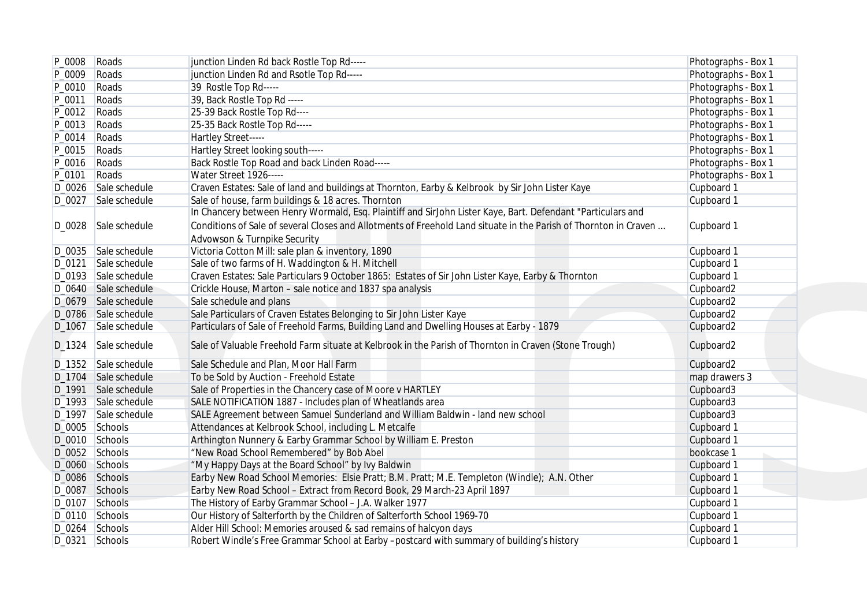| P_0008 | Roads                | junction Linden Rd back Rostle Top Rd-----                                                                       | Photographs - Box 1 |
|--------|----------------------|------------------------------------------------------------------------------------------------------------------|---------------------|
| P_0009 | Roads                | junction Linden Rd and Rsotle Top Rd-----                                                                        | Photographs - Box 1 |
| P_0010 | Roads                | 39 Rostle Top Rd-----                                                                                            | Photographs - Box 1 |
| P_0011 | Roads                | 39, Back Rostle Top Rd -----                                                                                     | Photographs - Box 1 |
| P_0012 | Roads                | 25-39 Back Rostle Top Rd----                                                                                     | Photographs - Box 1 |
| P_0013 | Roads                | 25-35 Back Rostle Top Rd-----                                                                                    | Photographs - Box 1 |
| P_0014 | Roads                | Hartley Street-----                                                                                              | Photographs - Box 1 |
| P_0015 | Roads                | Hartley Street looking south-----                                                                                | Photographs - Box 1 |
| P_0016 | Roads                | Back Rostle Top Road and back Linden Road-----                                                                   | Photographs - Box 1 |
| P_0101 | Roads                | Water Street 1926-----                                                                                           | Photographs - Box 1 |
|        | D_0026 Sale schedule | Craven Estates: Sale of land and buildings at Thornton, Earby & Kelbrook by Sir John Lister Kaye                 | Cupboard 1          |
|        | D_0027 Sale schedule | Sale of house, farm buildings & 18 acres. Thornton                                                               | Cupboard 1          |
|        |                      | In Chancery between Henry Wormald, Esq. Plaintiff and SirJohn Lister Kaye, Bart. Defendant "Particulars and      |                     |
|        | D_0028 Sale schedule | Conditions of Sale of several Closes and Allotments of Freehold Land situate in the Parish of Thornton in Craven | Cupboard 1          |
|        |                      | Advowson & Turnpike Security                                                                                     |                     |
|        | D_0035 Sale schedule | Victoria Cotton Mill: sale plan & inventory, 1890                                                                | Cupboard 1          |
| D_0121 | Sale schedule        | Sale of two farms of H. Waddington & H. Mitchell                                                                 | Cupboard 1          |
|        | D_0193 Sale schedule | Craven Estates: Sale Particulars 9 October 1865: Estates of Sir John Lister Kaye, Earby & Thornton               | Cupboard 1          |
|        | D_0640 Sale schedule | Crickle House, Marton - sale notice and 1837 spa analysis                                                        | Cupboard2           |
|        | D_0679 Sale schedule | Sale schedule and plans                                                                                          | Cupboard2           |
|        | D_0786 Sale schedule | Sale Particulars of Craven Estates Belonging to Sir John Lister Kaye                                             | Cupboard2           |
| D_1067 | Sale schedule        | Particulars of Sale of Freehold Farms, Building Land and Dwelling Houses at Earby - 1879                         | Cupboard2           |
| D_1324 | Sale schedule        | Sale of Valuable Freehold Farm situate at Kelbrook in the Parish of Thornton in Craven (Stone Trough)            | Cupboard2           |
|        | D_1352 Sale schedule | Sale Schedule and Plan, Moor Hall Farm                                                                           | Cupboard2           |
|        | D_1704 Sale schedule | To be Sold by Auction - Freehold Estate                                                                          | map drawers 3       |
|        | D_1991 Sale schedule | Sale of Properties in the Chancery case of Moore v HARTLEY                                                       | Cupboard3           |
|        | D_1993 Sale schedule | SALE NOTIFICATION 1887 - Includes plan of Wheatlands area                                                        | Cupboard3           |
|        | D_1997 Sale schedule | SALE Agreement between Samuel Sunderland and William Baldwin - land new school                                   | Cupboard3           |
|        | D_0005 Schools       | Attendances at Kelbrook School, including L. Metcalfe                                                            | Cupboard 1          |
|        | D_0010 Schools       | Arthington Nunnery & Earby Grammar School by William E. Preston                                                  | Cupboard 1          |
|        | D_0052 Schools       | "New Road School Remembered" by Bob Abel                                                                         | bookcase 1          |
|        | D_0060 Schools       | "My Happy Days at the Board School" by Ivy Baldwin                                                               | Cupboard 1          |
|        | D_0086 Schools       | Earby New Road School Memories: Elsie Pratt; B.M. Pratt; M.E. Templeton (Windle); A.N. Other                     | Cupboard 1          |
|        | D_0087 Schools       | Earby New Road School - Extract from Record Book, 29 March-23 April 1897                                         | Cupboard 1          |
|        | D_0107 Schools       | The History of Earby Grammar School - J.A. Walker 1977                                                           | Cupboard 1          |
|        | D_0110 Schools       | Our History of Salterforth by the Children of Salterforth School 1969-70                                         | Cupboard 1          |
|        | D_0264 Schools       | Alder Hill School: Memories aroused & sad remains of halcyon days                                                | Cupboard 1          |
|        | $D_0321$ Schools     | Robert Windle's Free Grammar School at Earby -postcard with summary of building's history                        | Cupboard 1          |
|        |                      |                                                                                                                  |                     |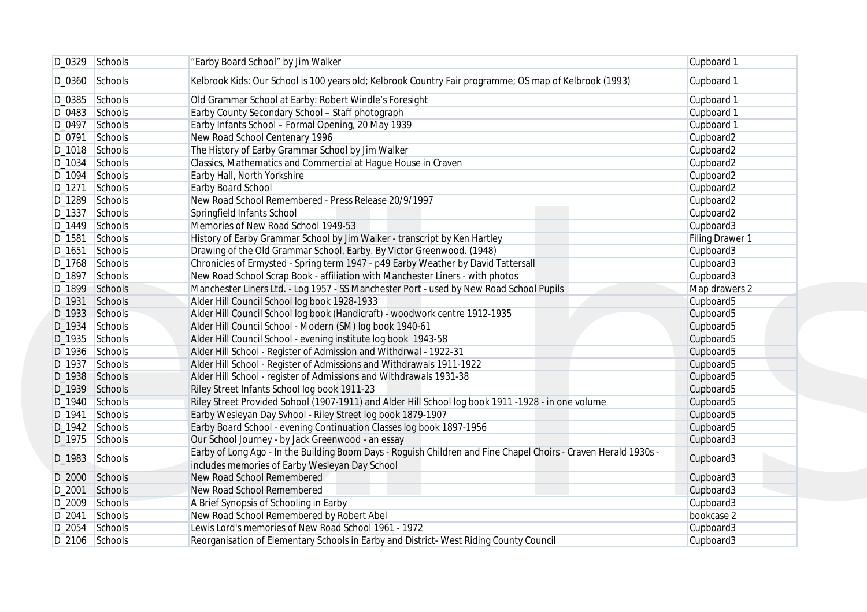|        | D_0329 Schools   | "Earby Board School" by Jim Walker                                                                                                                                | Cupboard 1            |
|--------|------------------|-------------------------------------------------------------------------------------------------------------------------------------------------------------------|-----------------------|
| D_0360 | Schools          | Kelbrook Kids: Our School is 100 years old; Kelbrook Country Fair programme; OS map of Kelbrook (1993)                                                            | Cupboard 1            |
|        | D_0385 Schools   | Old Grammar School at Earby: Robert Windle's Foresight                                                                                                            | Cupboard 1            |
|        | D_0483 Schools   | Earby County Secondary School - Staff photograph                                                                                                                  | Cupboard 1            |
|        | D_0497 Schools   | Earby Infants School - Formal Opening, 20 May 1939                                                                                                                | Cupboard 1            |
|        | D_0791 Schools   | New Road School Centenary 1996                                                                                                                                    | Cupboard2             |
|        | D_1018 Schools   | The History of Earby Grammar School by Jim Walker                                                                                                                 | Cupboard2             |
|        | D_1034 Schools   | Classics, Mathematics and Commercial at Hague House in Craven                                                                                                     | Cupboard2             |
|        | D_1094 Schools   | Earby Hall, North Yorkshire                                                                                                                                       | Cupboard <sub>2</sub> |
| D_1271 | Schools          | Earby Board School                                                                                                                                                | Cupboard2             |
|        | D_1289 Schools   | New Road School Remembered - Press Release 20/9/1997                                                                                                              | Cupboard2             |
| D_1337 | Schools          | Springfield Infants School                                                                                                                                        | Cupboard2             |
|        | D_1449 Schools   | Memories of New Road School 1949-53                                                                                                                               | Cupboard3             |
| D_1581 | Schools          | History of Earby Grammar School by Jim Walker - transcript by Ken Hartley                                                                                         | Filing Drawer 1       |
|        |                  |                                                                                                                                                                   |                       |
| D_1651 | Schools          | Drawing of the Old Grammar School, Earby. By Victor Greenwood. (1948)                                                                                             | Cupboard3             |
|        | D_1768 Schools   | Chronicles of Ermysted - Spring term 1947 - p49 Earby Weather by David Tattersall                                                                                 | Cupboard3             |
|        | D_1897 Schools   | New Road School Scrap Book - affiliation with Manchester Liners - with photos                                                                                     | Cupboard3             |
|        | D_1899 Schools   | Manchester Liners Ltd. - Log 1957 - SS Manchester Port - used by New Road School Pupils                                                                           | Map drawers 2         |
|        | D_1931 Schools   | Alder Hill Council School log book 1928-1933                                                                                                                      | Cupboard5             |
|        | D_1933 Schools   | Alder Hill Council School log book (Handicraft) - woodwork centre 1912-1935                                                                                       | Cupboard <sub>5</sub> |
|        | D_1934 Schools   | Alder Hill Council School - Modern (SM) log book 1940-61                                                                                                          | Cupboard5             |
|        | D_1935 Schools   | Alder Hill Council School - evening institute log book 1943-58                                                                                                    | Cupboard5             |
|        | D_1936 Schools   | Alder Hill School - Register of Admission and Withdrwal - 1922-31                                                                                                 | Cupboard5             |
|        | D_1937 Schools   | Alder Hill School - Register of Admissions and Withdrawals 1911-1922                                                                                              | Cupboard5             |
|        | D_1938 Schools   | Alder Hill School - register of Admissions and Withdrawals 1931-38                                                                                                | Cupboard5             |
|        | D_1939 Schools   | Riley Street Infants School log book 1911-23                                                                                                                      | Cupboard5             |
|        | D_1940 Schools   | Riley Street Provided Sohool (1907-1911) and Alder Hill School log book 1911 -1928 - in one volume                                                                | Cupboard5             |
| D_1941 | Schools          | Earby Wesleyan Day Svhool - Riley Street log book 1879-1907                                                                                                       | Cupboard5             |
|        | D_1942 Schools   | Earby Board School - evening Continuation Classes log book 1897-1956                                                                                              | Cupboard5             |
|        | $D_1975$ Schools | Our School Journey - by Jack Greenwood - an essay                                                                                                                 | Cupboard3             |
|        | D_1983 Schools   | Earby of Long Ago - In the Building Boom Days - Roguish Children and Fine Chapel Choirs - Craven Herald 1930s -<br>includes memories of Earby Wesleyan Day School | Cupboard3             |
|        | D_2000 Schools   | New Road School Remembered                                                                                                                                        | Cupboard3             |
| D_2001 | Schools          | New Road School Remembered                                                                                                                                        | Cupboard3             |
|        | D_2009 Schools   | A Brief Synopsis of Schooling in Earby                                                                                                                            | Cupboard3             |
|        | D_2041 Schools   | New Road School Remembered by Robert Abel                                                                                                                         | bookcase 2            |
|        | D_2054 Schools   | Lewis Lord's memories of New Road School 1961 - 1972                                                                                                              | Cupboard3             |
|        | D_2106 Schools   | Reorganisation of Elementary Schools in Earby and District- West Riding County Council                                                                            | Cupboard3             |
|        |                  |                                                                                                                                                                   |                       |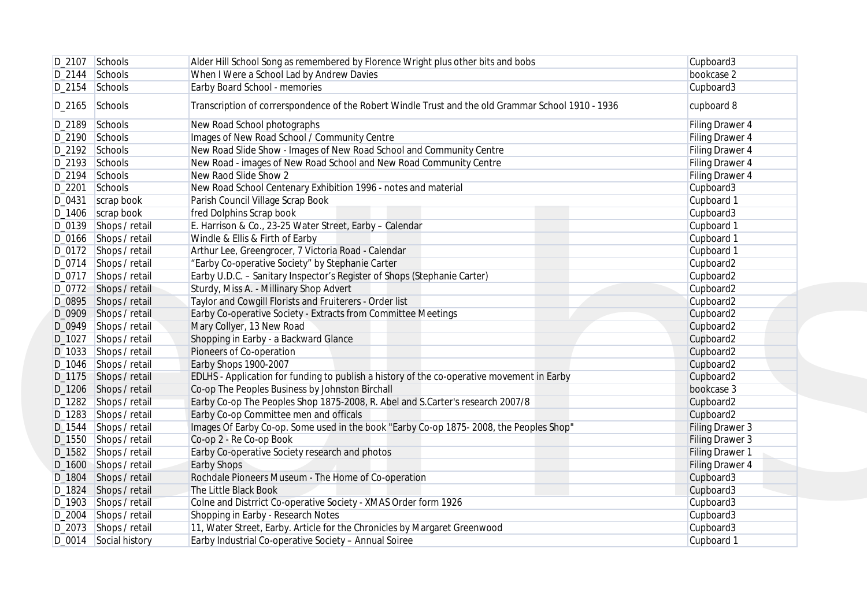|        | D_2107 Schools        | Alder Hill School Song as remembered by Florence Wright plus other bits and bobs                   | Cupboard3              |
|--------|-----------------------|----------------------------------------------------------------------------------------------------|------------------------|
|        | $D_2$ 144 Schools     | When I Were a School Lad by Andrew Davies                                                          | bookcase 2             |
|        | D_2154 Schools        | Earby Board School - memories                                                                      | Cupboard3              |
|        | D_2165 Schools        | Transcription of correrspondence of the Robert Windle Trust and the old Grammar School 1910 - 1936 | cupboard 8             |
|        | D_2189 Schools        | New Road School photographs                                                                        | Filing Drawer 4        |
|        | D_2190 Schools        | Images of New Road School / Community Centre                                                       | Filing Drawer 4        |
|        | D_2192 Schools        | New Road Slide Show - Images of New Road School and Community Centre                               | Filing Drawer 4        |
|        | D_2193 Schools        | New Road - images of New Road School and New Road Community Centre                                 | Filing Drawer 4        |
|        | D_2194 Schools        | New Raod Slide Show 2                                                                              | Filing Drawer 4        |
|        | D_2201 Schools        | New Road School Centenary Exhibition 1996 - notes and material                                     | Cupboard3              |
|        | $D_0431$ scrap book   | Parish Council Village Scrap Book                                                                  | Cupboard 1             |
|        | $D_1406$ scrap book   | fred Dolphins Scrap book                                                                           | Cupboard3              |
|        | D_0139 Shops / retail | E. Harrison & Co., 23-25 Water Street, Earby - Calendar                                            | Cupboard 1             |
|        | D_0166 Shops / retail | Windle & Ellis & Firth of Earby                                                                    | Cupboard 1             |
|        | D_0172 Shops / retail | Arthur Lee, Greengrocer, 7 Victoria Road - Calendar                                                | Cupboard 1             |
|        | D_0714 Shops / retail | "Earby Co-operative Society" by Stephanie Carter                                                   | Cupboard2              |
|        | D_0717 Shops / retail | Earby U.D.C. - Sanitary Inspector's Register of Shops (Stephanie Carter)                           | Cupboard2              |
|        | D_0772 Shops / retail | Sturdy, Miss A. - Millinary Shop Advert                                                            | Cupboard2              |
|        | D_0895 Shops / retail | Taylor and Cowgill Florists and Fruiterers - Order list                                            | Cupboard2              |
|        | D_0909 Shops / retail | Earby Co-operative Society - Extracts from Committee Meetings                                      | Cupboard2              |
|        | D_0949 Shops / retail | Mary Collyer, 13 New Road                                                                          | Cupboard2              |
|        | D_1027 Shops / retail | Shopping in Earby - a Backward Glance                                                              | Cupboard2              |
|        | D_1033 Shops / retail | Pioneers of Co-operation                                                                           | Cupboard2              |
|        | D_1046 Shops / retail | Earby Shops 1900-2007                                                                              | Cupboard2              |
|        | D_1175 Shops / retail | EDLHS - Application for funding to publish a history of the co-operative movement in Earby         | Cupboard2              |
|        | D_1206 Shops / retail | Co-op The Peoples Business by Johnston Birchall                                                    | bookcase 3             |
|        | D_1282 Shops / retail | Earby Co-op The Peoples Shop 1875-2008, R. Abel and S.Carter's research 2007/8                     | Cupboard2              |
|        | D_1283 Shops / retail | Earby Co-op Committee men and officals                                                             | Cupboard2              |
| D_1544 | Shops / retail        | Images Of Earby Co-op. Some used in the book "Earby Co-op 1875-2008, the Peoples Shop"             | Filing Drawer 3        |
|        | D_1550 Shops / retail | Co-op 2 - Re Co-op Book                                                                            | Filing Drawer 3        |
|        | D_1582 Shops / retail | Earby Co-operative Society research and photos                                                     | <b>Filing Drawer 1</b> |
|        | D_1600 Shops / retail | <b>Earby Shops</b>                                                                                 | Filing Drawer 4        |
|        | D_1804 Shops / retail | Rochdale Pioneers Museum - The Home of Co-operation                                                | Cupboard3              |
|        | D_1824 Shops / retail | The Little Black Book                                                                              | Cupboard3              |
|        | D_1903 Shops / retail | Colne and Distrrict Co-operative Society - XMAS Order form 1926                                    | Cupboard3              |
|        | D_2004 Shops / retail | Shopping in Earby - Research Notes                                                                 | Cupboard3              |
|        | D_2073 Shops / retail | 11, Water Street, Earby. Article for the Chronicles by Margaret Greenwood                          | Cupboard3              |
|        | D_0014 Social history | Earby Industrial Co-operative Society - Annual Soiree                                              | Cupboard 1             |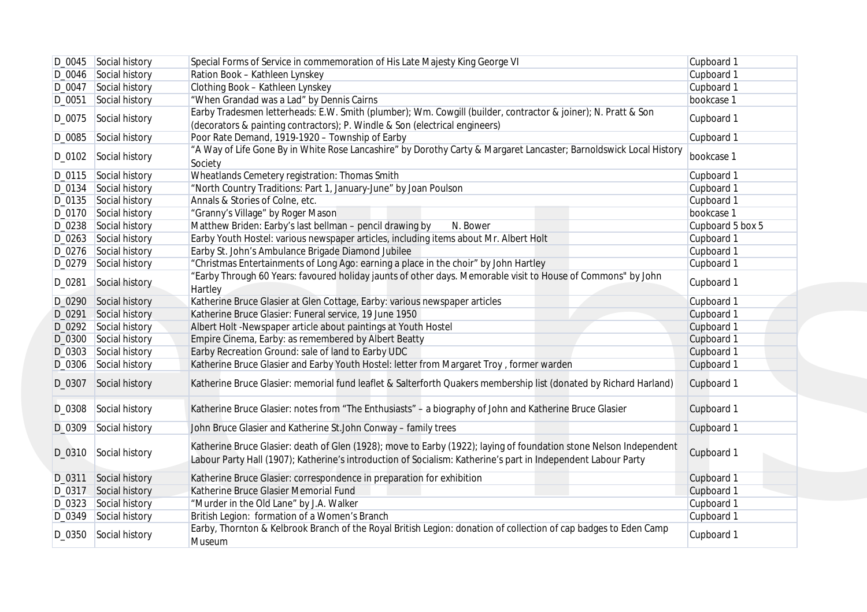|        | D_0045 Social history | Special Forms of Service in commemoration of His Late Majesty King George VI                                                                                                                                                        | Cupboard 1       |
|--------|-----------------------|-------------------------------------------------------------------------------------------------------------------------------------------------------------------------------------------------------------------------------------|------------------|
|        | D_0046 Social history | Ration Book - Kathleen Lynskey                                                                                                                                                                                                      | Cupboard 1       |
|        | D_0047 Social history | Clothing Book - Kathleen Lynskey                                                                                                                                                                                                    | Cupboard 1       |
| D_0051 | Social history        | "When Grandad was a Lad" by Dennis Cairns                                                                                                                                                                                           | bookcase 1       |
|        | D_0075 Social history | Earby Tradesmen letterheads: E.W. Smith (plumber); Wm. Cowgill (builder, contractor & joiner); N. Pratt & Son<br>(decorators & painting contractors); P. Windle & Son (electrical engineers)                                        | Cupboard 1       |
|        | D_0085 Social history | Poor Rate Demand, 1919-1920 - Township of Earby                                                                                                                                                                                     | Cupboard 1       |
| D_0102 | Social history        | "A Way of Life Gone By in White Rose Lancashire" by Dorothy Carty & Margaret Lancaster; Barnoldswick Local History<br>Society                                                                                                       | bookcase 1       |
|        | D_0115 Social history | Wheatlands Cemetery registration: Thomas Smith                                                                                                                                                                                      | Cupboard 1       |
|        | D_0134 Social history | "North Country Traditions: Part 1, January-June" by Joan Poulson                                                                                                                                                                    | Cupboard 1       |
|        | D_0135 Social history | Annals & Stories of Colne, etc.                                                                                                                                                                                                     | Cupboard 1       |
|        | D_0170 Social history | "Granny's Village" by Roger Mason                                                                                                                                                                                                   | bookcase 1       |
|        | D_0238 Social history | Matthew Briden: Earby's last bellman - pencil drawing by<br>N. Bower                                                                                                                                                                | Cupboard 5 box 5 |
|        |                       |                                                                                                                                                                                                                                     |                  |
|        | D_0263 Social history | Earby Youth Hostel: various newspaper articles, including items about Mr. Albert Holt                                                                                                                                               | Cupboard 1       |
|        | D_0276 Social history | Earby St. John's Ambulance Brigade Diamond Jubilee                                                                                                                                                                                  | Cupboard 1       |
|        | D_0279 Social history | "Christmas Entertainments of Long Ago: earning a place in the choir" by John Hartley                                                                                                                                                | Cupboard 1       |
| D_0281 | Social history        | "Earby Through 60 Years: favoured holiday jaunts of other days. Memorable visit to House of Commons" by John<br>Hartley                                                                                                             | Cupboard 1       |
|        | D_0290 Social history | Katherine Bruce Glasier at Glen Cottage, Earby: various newspaper articles                                                                                                                                                          | Cupboard 1       |
| D_0291 | Social history        | Katherine Bruce Glasier: Funeral service, 19 June 1950                                                                                                                                                                              | Cupboard 1       |
|        | D_0292 Social history | Albert Holt -Newspaper article about paintings at Youth Hostel                                                                                                                                                                      | Cupboard 1       |
|        | D_0300 Social history | Empire Cinema, Earby: as remembered by Albert Beatty                                                                                                                                                                                | Cupboard 1       |
|        | D_0303 Social history | Earby Recreation Ground: sale of land to Earby UDC                                                                                                                                                                                  | Cupboard 1       |
|        | D_0306 Social history | Katherine Bruce Glasier and Earby Youth Hostel: letter from Margaret Troy, former warden                                                                                                                                            | Cupboard 1       |
|        | D_0307 Social history | Katherine Bruce Glasier: memorial fund leaflet & Salterforth Quakers membership list (donated by Richard Harland)                                                                                                                   | Cupboard 1       |
| D_0308 | Social history        | Katherine Bruce Glasier: notes from "The Enthusiasts" - a biography of John and Katherine Bruce Glasier                                                                                                                             | Cupboard 1       |
| D_0309 | Social history        | John Bruce Glasier and Katherine St.John Conway - family trees                                                                                                                                                                      | Cupboard 1       |
| D_0310 | Social history        | Katherine Bruce Glasier: death of Glen (1928); move to Earby (1922); laying of foundation stone Nelson Independent<br>Labour Party Hall (1907); Katherine's introduction of Socialism: Katherine's part in Independent Labour Party | Cupboard 1       |
| D_0311 | Social history        | Katherine Bruce Glasier: correspondence in preparation for exhibition                                                                                                                                                               | Cupboard 1       |
| D_0317 | Social history        | Katherine Bruce Glasier Memorial Fund                                                                                                                                                                                               | Cupboard 1       |
|        | D_0323 Social history | "Murder in the Old Lane" by J.A. Walker                                                                                                                                                                                             | Cupboard 1       |
|        | D_0349 Social history | British Legion: formation of a Women's Branch                                                                                                                                                                                       | Cupboard 1       |
|        | D_0350 Social history | Earby, Thornton & Kelbrook Branch of the Royal British Legion: donation of collection of cap badges to Eden Camp<br>Museum                                                                                                          | Cupboard 1       |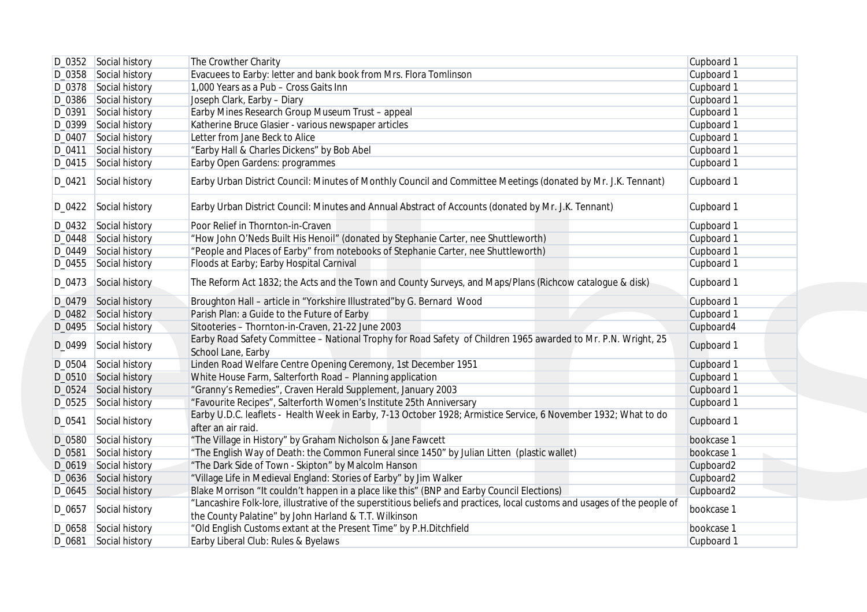| Cupboard 1<br>Cupboard 1<br>Cupboard 1<br>Cupboard 1<br>Cupboard 1<br>Cupboard 1<br>Cupboard 1<br>Cupboard 1<br>Cupboard 1 | The Crowther Charity<br>Evacuees to Earby: letter and bank book from Mrs. Flora Tomlinson<br>1,000 Years as a Pub - Cross Gaits Inn<br>Joseph Clark, Earby - Diary<br>Earby Mines Research Group Museum Trust - appeal<br>Katherine Bruce Glasier - various newspaper articles<br>Letter from Jane Beck to Alice                                                                                                                                                                                                                                                                                                                                                                                                        | D_0352 Social history<br>D_0358 Social history<br>D_0378 Social history<br>D_0386 Social history                                                                                                  |                                      |
|----------------------------------------------------------------------------------------------------------------------------|-------------------------------------------------------------------------------------------------------------------------------------------------------------------------------------------------------------------------------------------------------------------------------------------------------------------------------------------------------------------------------------------------------------------------------------------------------------------------------------------------------------------------------------------------------------------------------------------------------------------------------------------------------------------------------------------------------------------------|---------------------------------------------------------------------------------------------------------------------------------------------------------------------------------------------------|--------------------------------------|
|                                                                                                                            |                                                                                                                                                                                                                                                                                                                                                                                                                                                                                                                                                                                                                                                                                                                         |                                                                                                                                                                                                   |                                      |
|                                                                                                                            |                                                                                                                                                                                                                                                                                                                                                                                                                                                                                                                                                                                                                                                                                                                         |                                                                                                                                                                                                   |                                      |
|                                                                                                                            |                                                                                                                                                                                                                                                                                                                                                                                                                                                                                                                                                                                                                                                                                                                         |                                                                                                                                                                                                   |                                      |
|                                                                                                                            |                                                                                                                                                                                                                                                                                                                                                                                                                                                                                                                                                                                                                                                                                                                         |                                                                                                                                                                                                   |                                      |
|                                                                                                                            |                                                                                                                                                                                                                                                                                                                                                                                                                                                                                                                                                                                                                                                                                                                         | Social history                                                                                                                                                                                    | D_0391                               |
|                                                                                                                            |                                                                                                                                                                                                                                                                                                                                                                                                                                                                                                                                                                                                                                                                                                                         | Social history                                                                                                                                                                                    | D_0399                               |
|                                                                                                                            |                                                                                                                                                                                                                                                                                                                                                                                                                                                                                                                                                                                                                                                                                                                         | Social history                                                                                                                                                                                    | D_0407                               |
|                                                                                                                            | "Earby Hall & Charles Dickens" by Bob Abel                                                                                                                                                                                                                                                                                                                                                                                                                                                                                                                                                                                                                                                                              | Social history                                                                                                                                                                                    | D_0411                               |
|                                                                                                                            | Earby Open Gardens: programmes                                                                                                                                                                                                                                                                                                                                                                                                                                                                                                                                                                                                                                                                                          | D_0415 Social history                                                                                                                                                                             |                                      |
| Cupboard 1                                                                                                                 | Earby Urban District Council: Minutes of Monthly Council and Committee Meetings (donated by Mr. J.K. Tennant)                                                                                                                                                                                                                                                                                                                                                                                                                                                                                                                                                                                                           | Social history                                                                                                                                                                                    | D_0421                               |
| Cupboard 1                                                                                                                 | Earby Urban District Council: Minutes and Annual Abstract of Accounts (donated by Mr. J.K. Tennant)                                                                                                                                                                                                                                                                                                                                                                                                                                                                                                                                                                                                                     | D_0422 Social history                                                                                                                                                                             |                                      |
| Cupboard 1                                                                                                                 | Poor Relief in Thornton-in-Craven                                                                                                                                                                                                                                                                                                                                                                                                                                                                                                                                                                                                                                                                                       | D_0432 Social history                                                                                                                                                                             |                                      |
| Cupboard 1                                                                                                                 | "How John O'Neds Built His Henoil" (donated by Stephanie Carter, nee Shuttleworth)                                                                                                                                                                                                                                                                                                                                                                                                                                                                                                                                                                                                                                      | D_0448 Social history                                                                                                                                                                             |                                      |
| Cupboard 1                                                                                                                 | "People and Places of Earby" from notebooks of Stephanie Carter, nee Shuttleworth)                                                                                                                                                                                                                                                                                                                                                                                                                                                                                                                                                                                                                                      | D_0449 Social history                                                                                                                                                                             |                                      |
| Cupboard 1                                                                                                                 | Floods at Earby; Earby Hospital Carnival                                                                                                                                                                                                                                                                                                                                                                                                                                                                                                                                                                                                                                                                                | D_0455 Social history                                                                                                                                                                             |                                      |
| Cupboard 1                                                                                                                 | The Reform Act 1832; the Acts and the Town and County Surveys, and Maps/Plans (Richcow catalogue & disk)                                                                                                                                                                                                                                                                                                                                                                                                                                                                                                                                                                                                                | D_0473 Social history                                                                                                                                                                             |                                      |
| Cupboard 1                                                                                                                 | Broughton Hall - article in "Yorkshire Illustrated"by G. Bernard Wood                                                                                                                                                                                                                                                                                                                                                                                                                                                                                                                                                                                                                                                   | D_0479 Social history                                                                                                                                                                             |                                      |
| Cupboard 1                                                                                                                 | Parish Plan: a Guide to the Future of Earby                                                                                                                                                                                                                                                                                                                                                                                                                                                                                                                                                                                                                                                                             | D_0482 Social history                                                                                                                                                                             |                                      |
| Cupboard4                                                                                                                  | Sitooteries - Thornton-in-Craven, 21-22 June 2003                                                                                                                                                                                                                                                                                                                                                                                                                                                                                                                                                                                                                                                                       | D_0495 Social history                                                                                                                                                                             |                                      |
| Cupboard 1                                                                                                                 | Earby Road Safety Committee - National Trophy for Road Safety of Children 1965 awarded to Mr. P.N. Wright, 25<br>School Lane, Earby                                                                                                                                                                                                                                                                                                                                                                                                                                                                                                                                                                                     | D_0499 Social history                                                                                                                                                                             |                                      |
| Cupboard 1                                                                                                                 | Linden Road Welfare Centre Opening Ceremony, 1st December 1951                                                                                                                                                                                                                                                                                                                                                                                                                                                                                                                                                                                                                                                          | Social history                                                                                                                                                                                    | D_0504                               |
|                                                                                                                            |                                                                                                                                                                                                                                                                                                                                                                                                                                                                                                                                                                                                                                                                                                                         |                                                                                                                                                                                                   |                                      |
|                                                                                                                            |                                                                                                                                                                                                                                                                                                                                                                                                                                                                                                                                                                                                                                                                                                                         |                                                                                                                                                                                                   |                                      |
|                                                                                                                            |                                                                                                                                                                                                                                                                                                                                                                                                                                                                                                                                                                                                                                                                                                                         |                                                                                                                                                                                                   |                                      |
| Cupboard 1                                                                                                                 | Earby U.D.C. leaflets - Health Week in Earby, 7-13 October 1928; Armistice Service, 6 November 1932; What to do<br>after an air raid.                                                                                                                                                                                                                                                                                                                                                                                                                                                                                                                                                                                   | Social history                                                                                                                                                                                    | D_0541                               |
|                                                                                                                            |                                                                                                                                                                                                                                                                                                                                                                                                                                                                                                                                                                                                                                                                                                                         |                                                                                                                                                                                                   |                                      |
|                                                                                                                            |                                                                                                                                                                                                                                                                                                                                                                                                                                                                                                                                                                                                                                                                                                                         |                                                                                                                                                                                                   |                                      |
|                                                                                                                            |                                                                                                                                                                                                                                                                                                                                                                                                                                                                                                                                                                                                                                                                                                                         |                                                                                                                                                                                                   |                                      |
|                                                                                                                            |                                                                                                                                                                                                                                                                                                                                                                                                                                                                                                                                                                                                                                                                                                                         |                                                                                                                                                                                                   |                                      |
|                                                                                                                            |                                                                                                                                                                                                                                                                                                                                                                                                                                                                                                                                                                                                                                                                                                                         |                                                                                                                                                                                                   |                                      |
| bookcase 1                                                                                                                 | "Lancashire Folk-lore, illustrative of the superstitious beliefs and practices, local customs and usages of the people of                                                                                                                                                                                                                                                                                                                                                                                                                                                                                                                                                                                               | D_0657 Social history                                                                                                                                                                             |                                      |
|                                                                                                                            |                                                                                                                                                                                                                                                                                                                                                                                                                                                                                                                                                                                                                                                                                                                         |                                                                                                                                                                                                   |                                      |
| Cupboard 1                                                                                                                 | Earby Liberal Club: Rules & Byelaws                                                                                                                                                                                                                                                                                                                                                                                                                                                                                                                                                                                                                                                                                     | Social history                                                                                                                                                                                    | D_0681                               |
| Cupboard 1<br>Cupboard 1<br>Cupboard 1<br>bookcase 1<br>bookcase 1<br>Cupboard2<br>Cupboard2<br>Cupboard2<br>bookcase 1    | White House Farm, Salterforth Road - Planning application<br>"Granny's Remedies", Craven Herald Supplement, January 2003<br>"Favourite Recipes", Salterforth Women's Institute 25th Anniversary<br>"The Village in History" by Graham Nicholson & Jane Fawcett<br>"The English Way of Death: the Common Funeral since 1450" by Julian Litten (plastic wallet)<br>"The Dark Side of Town - Skipton" by Malcolm Hanson<br>"Village Life in Medieval England: Stories of Earby" by Jim Walker<br>Blake Morrison "It couldn't happen in a place like this" (BNP and Earby Council Elections)<br>the County Palatine" by John Harland & T.T. Wilkinson<br>"Old English Customs extant at the Present Time" by P.H.Ditchfield | Social history<br>Social history<br>D_0525 Social history<br>Social history<br>Social history<br>D_0619 Social history<br>D_0636 Social history<br>D_0645 Social history<br>D_0658 Social history | D_0510<br>D_0524<br>D_0580<br>D_0581 |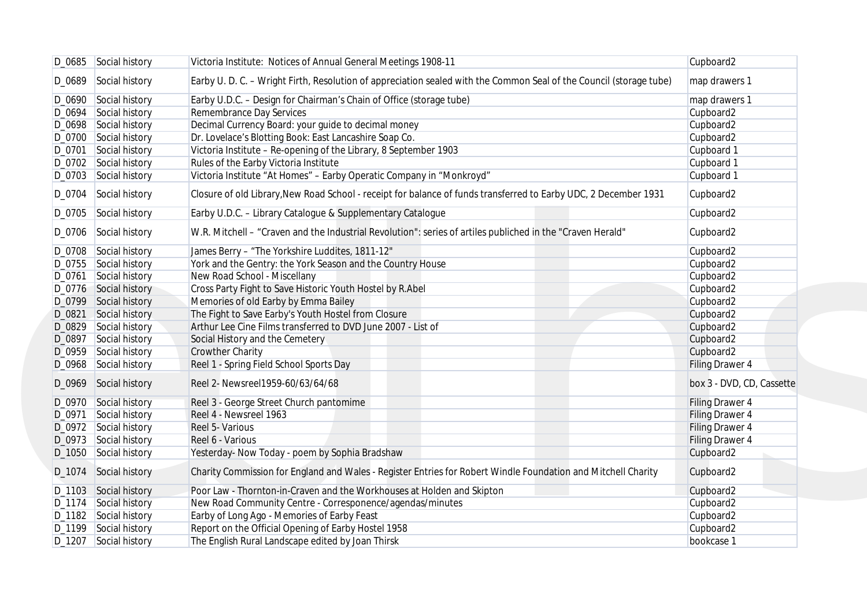|        | D_0685 Social history | Victoria Institute: Notices of Annual General Meetings 1908-11                                                      | Cupboard2                 |
|--------|-----------------------|---------------------------------------------------------------------------------------------------------------------|---------------------------|
|        | D_0689 Social history | Earby U. D. C. - Wright Firth, Resolution of appreciation sealed with the Common Seal of the Council (storage tube) | map drawers 1             |
|        | D_0690 Social history | Earby U.D.C. - Design for Chairman's Chain of Office (storage tube)                                                 | map drawers 1             |
| D_0694 | Social history        | Remembrance Day Services                                                                                            | Cupboard2                 |
|        | D_0698 Social history | Decimal Currency Board: your guide to decimal money                                                                 | Cupboard2                 |
|        | D_0700 Social history | Dr. Lovelace's Blotting Book: East Lancashire Soap Co.                                                              | Cupboard2                 |
| D_0701 | Social history        | Victoria Institute - Re-opening of the Library, 8 September 1903                                                    | Cupboard 1                |
|        | D_0702 Social history | Rules of the Earby Victoria Institute                                                                               | Cupboard 1                |
|        |                       |                                                                                                                     |                           |
|        | D_0703 Social history | Victoria Institute "At Homes" - Earby Operatic Company in "Monkroyd"                                                | Cupboard 1                |
|        | D_0704 Social history | Closure of old Library, New Road School - receipt for balance of funds transferred to Earby UDC, 2 December 1931    | Cupboard2                 |
|        | D_0705 Social history | Earby U.D.C. - Library Catalogue & Supplementary Catalogue                                                          | Cupboard2                 |
|        | D_0706 Social history | W.R. Mitchell - "Craven and the Industrial Revolution": series of artiles publiched in the "Craven Herald"          | Cupboard2                 |
|        | D_0708 Social history | James Berry - "The Yorkshire Luddites, 1811-12"                                                                     | Cupboard2                 |
|        | D_0755 Social history | York and the Gentry: the York Season and the Country House                                                          | Cupboard2                 |
| D_0761 | Social history        | New Road School - Miscellany                                                                                        | Cupboard2                 |
|        | D_0776 Social history | Cross Party Fight to Save Historic Youth Hostel by R.Abel                                                           | Cupboard2                 |
|        | D_0799 Social history | Memories of old Earby by Emma Bailey                                                                                | Cupboard2                 |
| D_0821 |                       |                                                                                                                     |                           |
|        | Social history        | The Fight to Save Earby's Youth Hostel from Closure                                                                 | Cupboard2                 |
|        | D_0829 Social history | Arthur Lee Cine Films transferred to DVD June 2007 - List of                                                        | Cupboard2                 |
| D_0897 | Social history        | Social History and the Cemetery                                                                                     | Cupboard2                 |
|        | D_0959 Social history | <b>Crowther Charity</b>                                                                                             | Cupboard2                 |
|        | D_0968 Social history | Reel 1 - Spring Field School Sports Day                                                                             | Filing Drawer 4           |
|        | D_0969 Social history | Reel 2- Newsreel1959-60/63/64/68                                                                                    | box 3 - DVD, CD, Cassette |
|        | D_0970 Social history | Reel 3 - George Street Church pantomime                                                                             | Filing Drawer 4           |
| D_0971 | Social history        | Reel 4 - Newsreel 1963                                                                                              | <b>Filing Drawer 4</b>    |
|        | D_0972 Social history | Reel 5- Various                                                                                                     | Filing Drawer 4           |
|        | D_0973 Social history | Reel 6 - Various                                                                                                    | Filing Drawer 4           |
|        | D_1050 Social history | Yesterday- Now Today - poem by Sophia Bradshaw                                                                      | Cupboard2                 |
|        | D_1074 Social history | Charity Commission for England and Wales - Register Entries for Robert Windle Foundation and Mitchell Charity       | Cupboard2                 |
|        | D_1103 Social history | Poor Law - Thornton-in-Craven and the Workhouses at Holden and Skipton                                              | Cupboard2                 |
|        | D_1174 Social history | New Road Community Centre - Corresponence/agendas/minutes                                                           | Cupboard2                 |
|        | D_1182 Social history | Earby of Long Ago - Memories of Earby Feast                                                                         | Cupboard2                 |
|        | D_1199 Social history | Report on the Official Opening of Earby Hostel 1958                                                                 | Cupboard2                 |
|        |                       | The English Rural Landscape edited by Joan Thirsk                                                                   | bookcase 1                |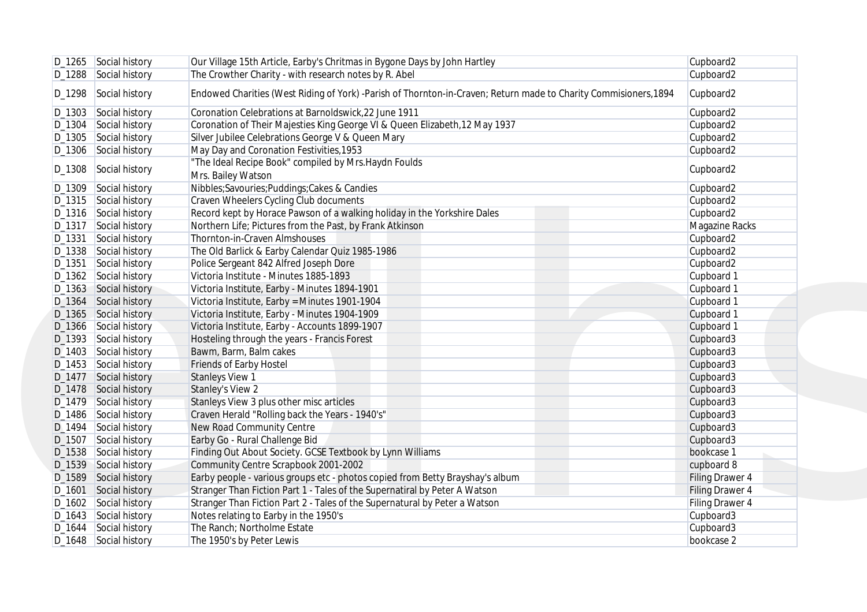|        | D_1265 Social history                          | Our Village 15th Article, Earby's Chritmas in Bygone Days by John Hartley                                        | Cupboard2               |
|--------|------------------------------------------------|------------------------------------------------------------------------------------------------------------------|-------------------------|
|        | D_1288 Social history                          | The Crowther Charity - with research notes by R. Abel                                                            | Cupboard2               |
| D_1298 | Social history                                 | Endowed Charities (West Riding of York) -Parish of Thornton-in-Craven; Return made to Charity Commisioners, 1894 | Cupboard2               |
|        | D_1303 Social history                          | Coronation Celebrations at Barnoldswick, 22 June 1911                                                            | Cupboard2               |
| D_1304 | Social history                                 | Coronation of Their Majesties King George VI & Queen Elizabeth, 12 May 1937                                      | Cupboard2               |
|        | D_1305 Social history                          | Silver Jubilee Celebrations George V & Queen Mary                                                                | Cupboard2               |
|        | D_1306 Social history                          | May Day and Coronation Festivities, 1953                                                                         | Cupboard2               |
|        | D_1308 Social history                          | "The Ideal Recipe Book" compiled by Mrs. Haydn Foulds<br>Mrs. Bailey Watson                                      | Cupboard2               |
|        | D_1309 Social history                          | Nibbles;Savouries;Puddings;Cakes & Candies                                                                       | Cupboard2               |
|        | D_1315 Social history                          | Craven Wheelers Cycling Club documents                                                                           | Cupboard2               |
|        | D_1316 Social history                          | Record kept by Horace Pawson of a walking holiday in the Yorkshire Dales                                         | Cupboard2               |
|        | D_1317 Social history                          | Northern Life; Pictures from the Past, by Frank Atkinson                                                         | Magazine Racks          |
| D_1331 | Social history                                 | Thornton-in-Craven Almshouses                                                                                    | Cupboard2               |
|        | D_1338 Social history                          | The Old Barlick & Earby Calendar Quiz 1985-1986                                                                  | Cupboard2               |
|        | D_1351 Social history                          | Police Sergeant 842 Alfred Joseph Dore                                                                           | Cupboard2               |
|        | D_1362 Social history                          | Victoria Institute - Minutes 1885-1893                                                                           | Cupboard 1              |
|        | D_1363 Social history                          | Victoria Institute, Earby - Minutes 1894-1901                                                                    | Cupboard 1              |
|        | D_1364 Social history                          | Victoria Institute, Earby = Minutes 1901-1904                                                                    | Cupboard 1              |
|        | D_1365 Social history                          | Victoria Institute, Earby - Minutes 1904-1909                                                                    | Cupboard 1              |
|        | D_1366 Social history                          | Victoria Institute, Earby - Accounts 1899-1907                                                                   | Cupboard 1              |
|        | D_1393 Social history                          | Hosteling through the years - Francis Forest                                                                     | Cupboard3               |
|        | D_1403 Social history                          | Bawm, Barm, Balm cakes                                                                                           | Cupboard3               |
|        | D_1453 Social history                          | Friends of Earby Hostel                                                                                          | Cupboard3               |
|        | D_1477 Social history                          | <b>Stanleys View 1</b>                                                                                           | Cupboard3               |
|        | D_1478 Social history                          | <b>Stanley's View 2</b>                                                                                          | Cupboard3               |
|        | D_1479 Social history                          | Stanleys View 3 plus other misc articles                                                                         | Cupboard3               |
|        | D_1486 Social history                          | Craven Herald "Rolling back the Years - 1940's"                                                                  | Cupboard3               |
| D_1494 | Social history                                 | New Road Community Centre                                                                                        | Cupboard3               |
| D_1507 | Social history                                 | Earby Go - Rural Challenge Bid                                                                                   | Cupboard3               |
|        |                                                |                                                                                                                  | bookcase 1              |
|        | D_1538 Social history                          | Finding Out About Society. GCSE Textbook by Lynn Williams                                                        | cupboard 8              |
|        | D_1539 Social history                          | Community Centre Scrapbook 2001-2002                                                                             |                         |
|        | D_1589 Social history                          | Earby people - various groups etc - photos copied from Betty Brayshay's album                                    | <b>Filing Drawer 4</b>  |
|        | D_1601 Social history                          | Stranger Than Fiction Part 1 - Tales of the Supernatiral by Peter A Watson                                       | <b>Filing Drawer 4</b>  |
|        | D_1602 Social history                          | Stranger Than Fiction Part 2 - Tales of the Supernatural by Peter a Watson                                       | Filing Drawer 4         |
|        | D_1643 Social history                          | Notes relating to Earby in the 1950's                                                                            | Cupboard3               |
|        | D_1644 Social history<br>D_1648 Social history | The Ranch; Northolme Estate                                                                                      | Cupboard3<br>bookcase 2 |
|        |                                                | The 1950's by Peter Lewis                                                                                        |                         |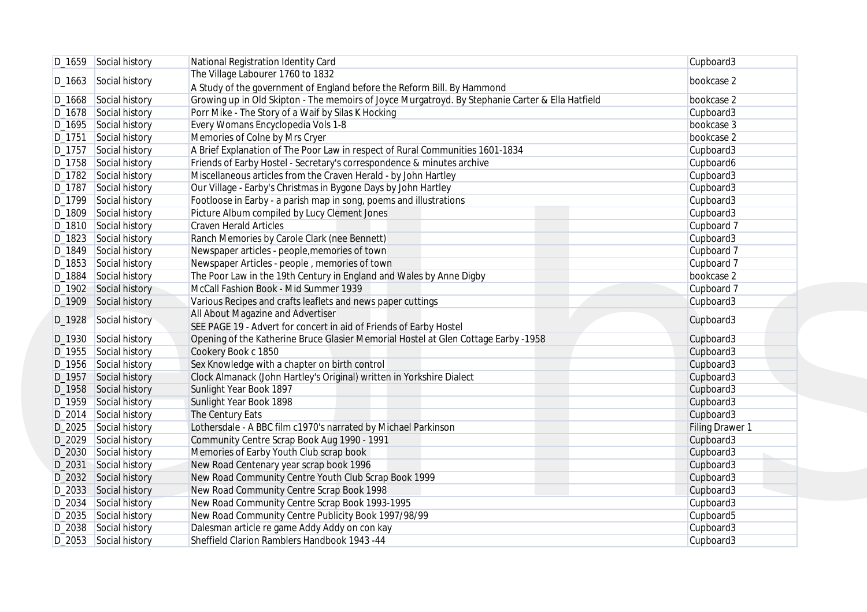|                    | D_1659 Social history | National Registration Identity Card                                                              | Cupboard3              |
|--------------------|-----------------------|--------------------------------------------------------------------------------------------------|------------------------|
|                    |                       | The Village Labourer 1760 to 1832                                                                |                        |
|                    | D_1663 Social history | A Study of the government of England before the Reform Bill. By Hammond                          | bookcase 2             |
|                    | D_1668 Social history | Growing up in Old Skipton - The memoirs of Joyce Murgatroyd. By Stephanie Carter & Ella Hatfield | bookcase 2             |
|                    | D_1678 Social history | Porr Mike - The Story of a Waif by Silas K Hocking                                               | Cupboard3              |
|                    | D_1695 Social history | Every Womans Encyclopedia Vols 1-8                                                               | bookcase 3             |
|                    | D_1751 Social history | Memories of Colne by Mrs Cryer                                                                   | bookcase 2             |
|                    | D_1757 Social history | A Brief Explanation of The Poor Law in respect of Rural Communities 1601-1834                    | Cupboard3              |
|                    | D_1758 Social history | Friends of Earby Hostel - Secretary's correspondence & minutes archive                           | Cupboard6              |
|                    | D_1782 Social history | Miscellaneous articles from the Craven Herald - by John Hartley                                  | Cupboard3              |
|                    | D_1787 Social history | Our Village - Earby's Christmas in Bygone Days by John Hartley                                   | Cupboard3              |
|                    | D_1799 Social history | Footloose in Earby - a parish map in song, poems and illustrations                               | Cupboard3              |
|                    | D_1809 Social history | Picture Album compiled by Lucy Clement Jones                                                     | Cupboard3              |
|                    | D_1810 Social history | <b>Craven Herald Articles</b>                                                                    | Cupboard 7             |
|                    | D_1823 Social history | Ranch Memories by Carole Clark (nee Bennett)                                                     | Cupboard3              |
|                    | D_1849 Social history | Newspaper articles - people, memories of town                                                    | Cupboard 7             |
|                    | D_1853 Social history | Newspaper Articles - people, memories of town                                                    | Cupboard 7             |
| D_1884             | Social history        | The Poor Law in the 19th Century in England and Wales by Anne Digby                              | bookcase 2             |
|                    | D_1902 Social history | McCall Fashion Book - Mid Summer 1939                                                            | Cupboard 7             |
|                    | D_1909 Social history | Various Recipes and crafts leaflets and news paper cuttings                                      | Cupboard3              |
|                    |                       | All About Magazine and Advertiser                                                                |                        |
|                    | D_1928 Social history | SEE PAGE 19 - Advert for concert in aid of Friends of Earby Hostel                               | Cupboard3              |
|                    | D_1930 Social history | Opening of the Katherine Bruce Glasier Memorial Hostel at Glen Cottage Earby -1958               | Cupboard3              |
|                    | D_1955 Social history | Cookery Book c 1850                                                                              | Cupboard3              |
|                    | D_1956 Social history | Sex Knowledge with a chapter on birth control                                                    | Cupboard3              |
| D <sub>-1957</sub> | Social history        | Clock Almanack (John Hartley's Original) written in Yorkshire Dialect                            | Cupboard3              |
|                    | D_1958 Social history | Sunlight Year Book 1897                                                                          | Cupboard3              |
|                    | D_1959 Social history | Sunlight Year Book 1898                                                                          | Cupboard3              |
|                    | D_2014 Social history | The Century Eats                                                                                 | Cupboard3              |
|                    | D_2025 Social history | Lothersdale - A BBC film c1970's narrated by Michael Parkinson                                   | <b>Filing Drawer 1</b> |
|                    | D_2029 Social history | Community Centre Scrap Book Aug 1990 - 1991                                                      | Cupboard3              |
|                    | D_2030 Social history | Memories of Earby Youth Club scrap book                                                          | Cupboard3              |
| D_2031             | Social history        | New Road Centenary year scrap book 1996                                                          | Cupboard3              |
|                    | D_2032 Social history | New Road Community Centre Youth Club Scrap Book 1999                                             | Cupboard3              |
|                    | D_2033 Social history | New Road Community Centre Scrap Book 1998                                                        | Cupboard3              |
|                    | D_2034 Social history | New Road Community Centre Scrap Book 1993-1995                                                   | Cupboard3              |
|                    | D_2035 Social history | New Road Community Centre Publicity Book 1997/98/99                                              | Cupboard5              |
|                    | D_2038 Social history | Dalesman article re game Addy Addy on con kay                                                    | Cupboard3              |
|                    | D_2053 Social history | Sheffield Clarion Ramblers Handbook 1943 -44                                                     | Cupboard3              |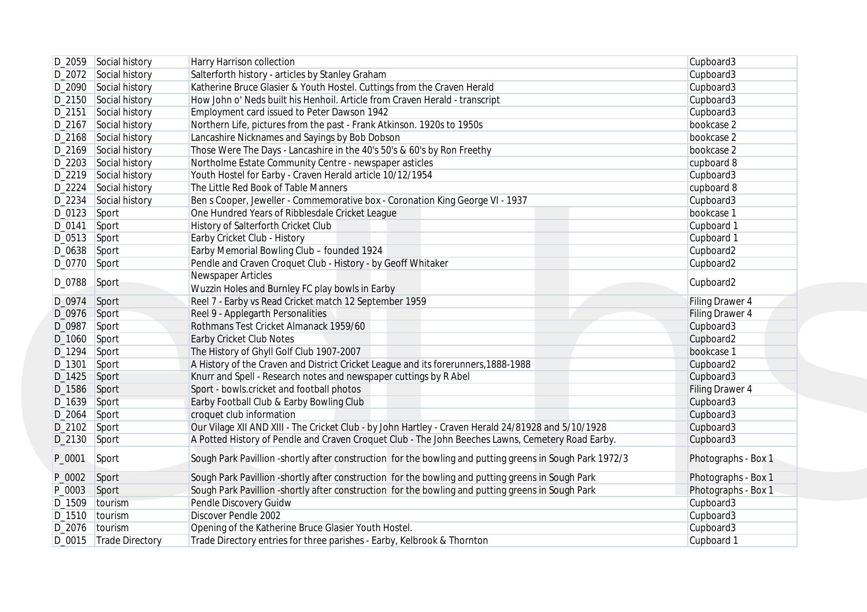|                | D_2059 Social history  | Harry Harrison collection                                                                                | Cupboard3              |
|----------------|------------------------|----------------------------------------------------------------------------------------------------------|------------------------|
|                | D_2072 Social history  | Salterforth history - articles by Stanley Graham                                                         | Cupboard3              |
|                | D_2090 Social history  | Katherine Bruce Glasier & Youth Hostel. Cuttings from the Craven Herald                                  | Cupboard3              |
|                | D_2150 Social history  | How John o' Neds built his Henhoil. Article from Craven Herald - transcript                              | Cupboard3              |
| D_2151         | Social history         | Employment card issued to Peter Dawson 1942                                                              | Cupboard3              |
|                | D_2167 Social history  | Northern Life, pictures from the past - Frank Atkinson. 1920s to 1950s                                   | bookcase 2             |
|                | D_2168 Social history  | Lancashire Nicknames and Sayings by Bob Dobson                                                           | bookcase 2             |
|                | D_2169 Social history  | Those Were The Days - Lancashire in the 40's 50's & 60's by Ron Freethy                                  | bookcase 2             |
|                | D_2203 Social history  | Northolme Estate Community Centre - newspaper asticles                                                   | cupboard 8             |
|                | D_2219 Social history  | Youth Hostel for Earby - Craven Herald article 10/12/1954                                                | Cupboard3              |
|                | D_2224 Social history  | The Little Red Book of Table Manners                                                                     | cupboard 8             |
|                | D_2234 Social history  | Ben s Cooper, Jeweller - Commemorative box - Coronation King George VI - 1937                            | Cupboard3              |
| $D_0123$ Sport |                        | One Hundred Years of Ribblesdale Cricket League                                                          | bookcase 1             |
| D_0141         | Sport                  | History of Salterforth Cricket Club                                                                      | Cupboard 1             |
| $D_0513$ Sport |                        | Earby Cricket Club - History                                                                             | Cupboard 1             |
| $D_0638$ Sport |                        | Earby Memorial Bowling Club - founded 1924                                                               | Cupboard2              |
|                |                        |                                                                                                          |                        |
| D_0770 Sport   |                        | Pendle and Craven Croquet Club - History - by Geoff Whitaker                                             | Cupboard2              |
| D_0788         | Sport                  | Newspaper Articles                                                                                       | Cupboard2              |
|                |                        | Wuzzin Holes and Burnley FC play bowls in Earby                                                          |                        |
| D_0974 Sport   |                        | Reel 7 - Earby vs Read Cricket match 12 September 1959                                                   | Filing Drawer 4        |
| D_0976 Sport   |                        | Reel 9 - Applegarth Personalities                                                                        | <b>Filing Drawer 4</b> |
| D_0987 Sport   |                        | Rothmans Test Cricket Almanack 1959/60                                                                   | Cupboard3              |
| D_1060 Sport   |                        | <b>Earby Cricket Club Notes</b>                                                                          | Cupboard2              |
| D_1294 Sport   |                        | The History of Ghyll Golf Club 1907-2007                                                                 | bookcase 1             |
| $D_1301$       | Sport                  | A History of the Craven and District Cricket League and its forerunners, 1888-1988                       | Cupboard2              |
| $D_1425$       | Sport                  | Knurr and Spell - Research notes and newspaper cuttings by R Abel                                        | Cupboard3              |
| D_1586 Sport   |                        | Sport - bowls.cricket and football photos                                                                | Filing Drawer 4        |
| D_1639 Sport   |                        | Earby Football Club & Earby Bowling Club                                                                 | Cupboard3              |
| $D_2064$       | Sport                  | croquet club information                                                                                 | Cupboard3              |
| $D_2102$ Sport |                        | Our Vilage XII AND XIII - The Cricket Club - by John Hartley - Craven Herald 24/81928 and 5/10/1928      | Cupboard3              |
| $D_2130$ Sport |                        | A Potted History of Pendle and Craven Croquet Club - The John Beeches Lawns, Cemetery Road Earby.        | Cupboard3              |
| P_0001         | Sport                  | Sough Park Pavillion -shortly after construction for the bowling and putting greens in Sough Park 1972/3 | Photographs - Box 1    |
| P_0002         | Sport                  | Sough Park Pavillion -shortly after construction for the bowling and putting greens in Sough Park        | Photographs - Box 1    |
| P_0003         | Sport                  | Sough Park Pavillion -shortly after construction for the bowling and putting greens in Sough Park        | Photographs - Box 1    |
|                | D_1509 tourism         | Pendle Discovery Guidw                                                                                   | Cupboard3              |
|                | D_1510  tourism        | Discover Pendle 2002                                                                                     | Cupboard3              |
|                | D_2076   tourism       | Opening of the Katherine Bruce Glasier Youth Hostel.                                                     | Cupboard3              |
|                | D_0015 Trade Directory | Trade Directory entries for three parishes - Earby, Kelbrook & Thornton                                  | Cupboard 1             |
|                |                        |                                                                                                          |                        |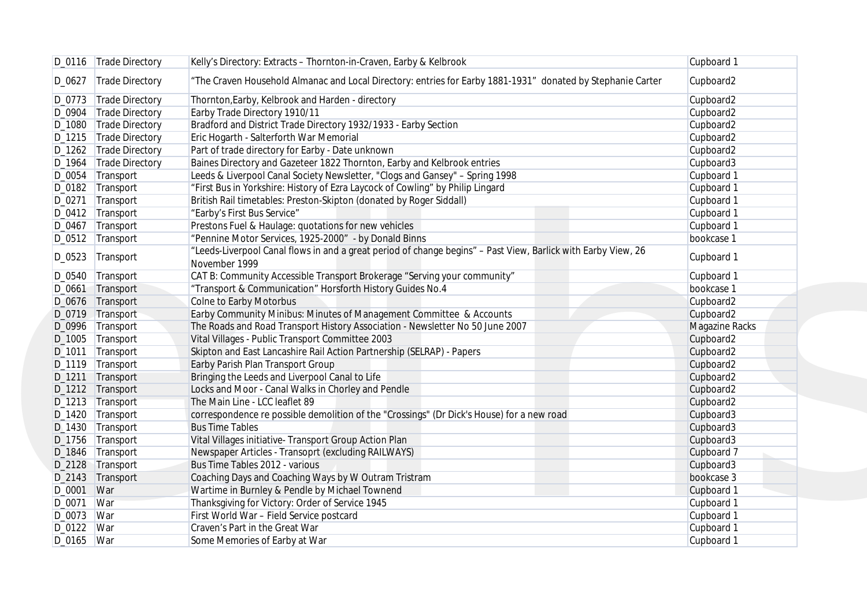|              | D_0116   Trade Directory | Kelly's Directory: Extracts - Thornton-in-Craven, Earby & Kelbrook                                                             | Cupboard 1     |
|--------------|--------------------------|--------------------------------------------------------------------------------------------------------------------------------|----------------|
| D_0627       | Trade Directory          | "The Craven Household Almanac and Local Directory: entries for Earby 1881-1931" donated by Stephanie Carter                    | Cupboard2      |
|              | D_0773   Trade Directory | Thornton, Earby, Kelbrook and Harden - directory                                                                               | Cupboard2      |
|              | D_0904 Trade Directory   | Earby Trade Directory 1910/11                                                                                                  | Cupboard2      |
|              | D_1080 Trade Directory   | Bradford and District Trade Directory 1932/1933 - Earby Section                                                                | Cupboard2      |
|              | D_1215 Trade Directory   | Eric Hogarth - Salterforth War Memorial                                                                                        | Cupboard2      |
|              | D_1262 Trade Directory   | Part of trade directory for Earby - Date unknown                                                                               | Cupboard2      |
|              | D_1964   Trade Directory | Baines Directory and Gazeteer 1822 Thornton, Earby and Kelbrook entries                                                        | Cupboard3      |
|              | D_0054 Transport         | Leeds & Liverpool Canal Society Newsletter, "Clogs and Gansey" - Spring 1998                                                   | Cupboard 1     |
|              | D_0182 Transport         | "First Bus in Yorkshire: History of Ezra Laycock of Cowling" by Philip Lingard                                                 | Cupboard 1     |
|              | D_0271 Transport         | British Rail timetables: Preston-Skipton (donated by Roger Siddall)                                                            | Cupboard 1     |
|              | D_0412   Transport       | "Earby's First Bus Service"                                                                                                    | Cupboard 1     |
|              | D_0467 Transport         | Prestons Fuel & Haulage: quotations for new vehicles                                                                           | Cupboard 1     |
|              | D_0512 Transport         | "Pennine Motor Services, 1925-2000" - by Donald Binns                                                                          | bookcase 1     |
|              | D_0523 Transport         | "Leeds-Liverpool Canal flows in and a great period of change begins" - Past View, Barlick with Earby View, 26<br>November 1999 | Cupboard 1     |
|              | D_0540 Transport         | CAT B: Community Accessible Transport Brokerage "Serving your community"                                                       | Cupboard 1     |
|              | D_0661 Transport         | "Transport & Communication" Horsforth History Guides No.4                                                                      | bookcase 1     |
|              | D_0676 Transport         | Colne to Earby Motorbus                                                                                                        | Cupboard2      |
|              | D_0719 Transport         | Earby Community Minibus: Minutes of Management Committee & Accounts                                                            | Cupboard2      |
|              | D_0996 Transport         | The Roads and Road Transport History Association - Newsletter No 50 June 2007                                                  | Magazine Racks |
|              | D_1005 Transport         | Vital Villages - Public Transport Committee 2003                                                                               | Cupboard2      |
|              | D_1011 Transport         | Skipton and East Lancashire Rail Action Partnership (SELRAP) - Papers                                                          | Cupboard2      |
|              | D_1119 Transport         | Earby Parish Plan Transport Group                                                                                              | Cupboard2      |
|              |                          |                                                                                                                                |                |
|              | D_1211 Transport         | Bringing the Leeds and Liverpool Canal to Life                                                                                 | Cupboard2      |
|              | D_1212 Transport         | Locks and Moor - Canal Walks in Chorley and Pendle<br>The Main Line - LCC leaflet 89                                           | Cupboard2      |
|              | D_1213 Transport         |                                                                                                                                | Cupboard2      |
|              | D_1420 Transport         | correspondence re possible demolition of the "Crossings" (Dr Dick's House) for a new road                                      | Cupboard3      |
|              | D_1430 Transport         | <b>Bus Time Tables</b>                                                                                                         | Cupboard3      |
|              | D_1756 Transport         | Vital Villages initiative- Transport Group Action Plan                                                                         | Cupboard3      |
|              | D_1846 Transport         | Newspaper Articles - Transoprt (excluding RAILWAYS)                                                                            | Cupboard 7     |
|              | D_2128 Transport         | Bus Time Tables 2012 - various                                                                                                 | Cupboard3      |
|              | D_2143 Transport         | Coaching Days and Coaching Ways by W Outram Tristram                                                                           | bookcase 3     |
| D_0001 War   |                          | Wartime in Burnley & Pendle by Michael Townend                                                                                 | Cupboard 1     |
| D_0071 War   |                          | Thanksgiving for Victory: Order of Service 1945                                                                                | Cupboard 1     |
| D_0073   War |                          | First World War - Field Service postcard                                                                                       | Cupboard 1     |
| D_0122   War |                          | Craven's Part in the Great War                                                                                                 | Cupboard 1     |
| D_0165   War |                          | Some Memories of Earby at War                                                                                                  | Cupboard 1     |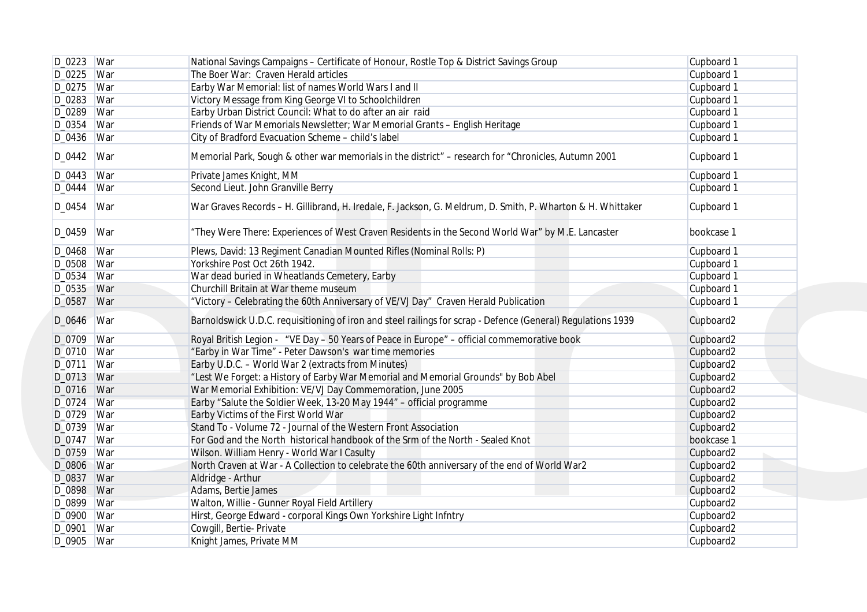|              | D_0223   War | National Savings Campaigns - Certificate of Honour, Rostle Top & District Savings Group                      | Cupboard 1 |
|--------------|--------------|--------------------------------------------------------------------------------------------------------------|------------|
| D_0225 War   |              | The Boer War: Craven Herald articles                                                                         | Cupboard 1 |
| D_0275 War   |              | Earby War Memorial: list of names World Wars I and II                                                        | Cupboard 1 |
| D_0283       | War          | Victory Message from King George VI to Schoolchildren                                                        | Cupboard 1 |
| D_0289 War   |              | Earby Urban District Council: What to do after an air raid                                                   | Cupboard 1 |
| D_0354       | War          | Friends of War Memorials Newsletter; War Memorial Grants - English Heritage                                  | Cupboard 1 |
| D_0436 War   |              | City of Bradford Evacuation Scheme - child's label                                                           | Cupboard 1 |
| D_0442       | War          | Memorial Park, Sough & other war memorials in the district" - research for "Chronicles, Autumn 2001          | Cupboard 1 |
| D_0443   War |              | Private James Knight, MM                                                                                     | Cupboard 1 |
| D_0444 War   |              | Second Lieut. John Granville Berry                                                                           | Cupboard 1 |
| D_0454       | War          | War Graves Records - H. Gillibrand, H. Iredale, F. Jackson, G. Meldrum, D. Smith, P. Wharton & H. Whittaker  | Cupboard 1 |
| D_0459       | War          | "They Were There: Experiences of West Craven Residents in the Second World War" by M.E. Lancaster            | bookcase 1 |
| D_0468   War |              | Plews, David: 13 Regiment Canadian Mounted Rifles (Nominal Rolls: P)                                         | Cupboard 1 |
| D_0508   War |              | Yorkshire Post Oct 26th 1942.                                                                                | Cupboard 1 |
| D_0534       | War          | War dead buried in Wheatlands Cemetery, Earby                                                                | Cupboard 1 |
| D_0535 War   |              | Churchill Britain at War theme museum                                                                        | Cupboard 1 |
| D_0587       | War          | "Victory - Celebrating the 60th Anniversary of VE/VJ Day" Craven Herald Publication                          | Cupboard 1 |
| D_0646       | War          | Barnoldswick U.D.C. requisitioning of iron and steel railings for scrap - Defence (General) Regulations 1939 | Cupboard2  |
| D_0709   War |              | Royal British Legion - "VE Day - 50 Years of Peace in Europe" - official commemorative book                  | Cupboard2  |
| D_0710 War   |              | "Earby in War Time" - Peter Dawson's war time memories                                                       | Cupboard2  |
| D_0711 War   |              | Earby U.D.C. - World War 2 (extracts from Minutes)                                                           | Cupboard2  |
| D_0713 War   |              | "Lest We Forget: a History of Earby War Memorial and Memorial Grounds" by Bob Abel                           | Cupboard2  |
| D_0716 War   |              | War Memorial Exhibition: VE/VJ Day Commemoration, June 2005                                                  | Cupboard2  |
| D_0724 War   |              | Earby "Salute the Soldier Week, 13-20 May 1944" - official programme                                         | Cupboard2  |
| D_0729   War |              | Earby Victims of the First World War                                                                         | Cupboard2  |
| D_0739   War |              | Stand To - Volume 72 - Journal of the Western Front Association                                              | Cupboard2  |
| D_0747 War   |              | For God and the North historical handbook of the Srm of the North - Sealed Knot                              | bookcase 1 |
| D_0759   War |              | Wilson. William Henry - World War I Casulty                                                                  | Cupboard2  |
| D_0806 War   |              | North Craven at War - A Collection to celebrate the 60th anniversary of the end of World War2                | Cupboard2  |
| D_0837 War   |              | Aldridge - Arthur                                                                                            | Cupboard2  |
| D_0898 War   |              | Adams, Bertie James                                                                                          | Cupboard2  |
| D_0899 War   |              | Walton, Willie - Gunner Royal Field Artillery                                                                | Cupboard2  |
| D_0900   War |              | Hirst, George Edward - corporal Kings Own Yorkshire Light Infntry                                            | Cupboard2  |
| D_0901   War |              | Cowgill, Bertie- Private                                                                                     | Cupboard2  |
|              | D_0905   War | Knight James, Private MM                                                                                     | Cupboard2  |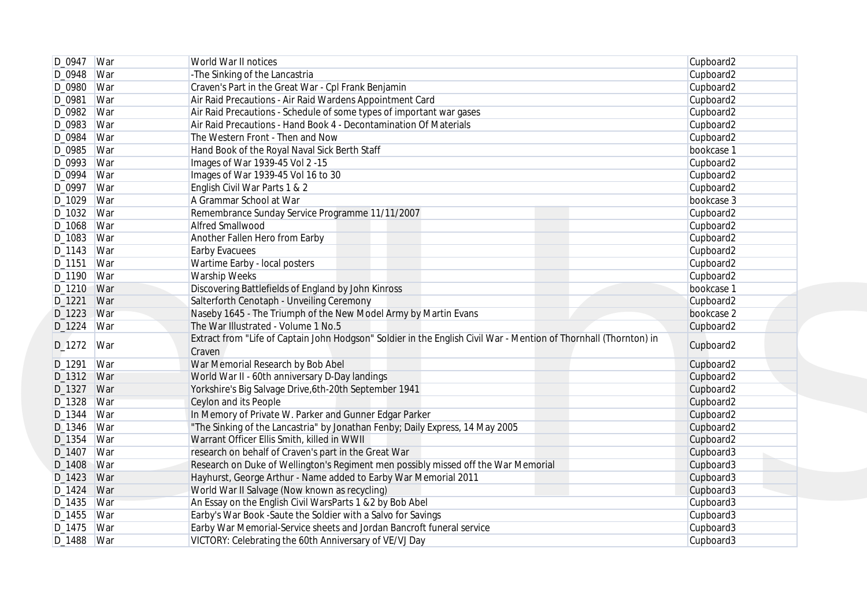|              | D_0947   War | World War II notices                                                                                                        | Cupboard2  |
|--------------|--------------|-----------------------------------------------------------------------------------------------------------------------------|------------|
| D_0948 War   |              | -The Sinking of the Lancastria                                                                                              | Cupboard2  |
| D_0980 War   |              | Craven's Part in the Great War - Cpl Frank Benjamin                                                                         | Cupboard2  |
| D_0981       | War          | Air Raid Precautions - Air Raid Wardens Appointment Card                                                                    | Cupboard2  |
| D_0982   War |              | Air Raid Precautions - Schedule of some types of important war gases                                                        | Cupboard2  |
| D_0983 War   |              | Air Raid Precautions - Hand Book 4 - Decontamination Of Materials                                                           | Cupboard2  |
| D_0984       | War          | The Western Front - Then and Now                                                                                            | Cupboard2  |
| D_0985   War |              | Hand Book of the Royal Naval Sick Berth Staff                                                                               | bookcase 1 |
| D_0993   War |              | Images of War 1939-45 Vol 2 -15                                                                                             | Cupboard2  |
| D_0994       | War          | Images of War 1939-45 Vol 16 to 30                                                                                          | Cupboard2  |
| D_0997   War |              | English Civil War Parts 1 & 2                                                                                               | Cupboard2  |
| D_1029   War |              | A Grammar School at War                                                                                                     | bookcase 3 |
| D_1032 War   |              | Remembrance Sunday Service Programme 11/11/2007                                                                             | Cupboard2  |
| D_1068   War |              | <b>Alfred Smallwood</b>                                                                                                     | Cupboard2  |
| $D_1083$     | War          | Another Fallen Hero from Earby                                                                                              | Cupboard2  |
| D_1143   War |              | <b>Earby Evacuees</b>                                                                                                       | Cupboard2  |
| D_1151       | War          | Wartime Earby - local posters                                                                                               | Cupboard2  |
| D_1190       | War          | Warship Weeks                                                                                                               | Cupboard2  |
| D_1210 War   |              | Discovering Battlefields of England by John Kinross                                                                         | bookcase 1 |
| D_1221       | War          | Salterforth Cenotaph - Unveiling Ceremony                                                                                   | Cupboard2  |
| D_1223 War   |              | Naseby 1645 - The Triumph of the New Model Army by Martin Evans                                                             | bookcase 2 |
| D_1224       | War          | The War Illustrated - Volume 1 No.5                                                                                         | Cupboard2  |
| D_1272       | War          | Extract from "Life of Captain John Hodgson" Soldier in the English Civil War - Mention of Thornhall (Thornton) in<br>Craven | Cupboard2  |
| D_1291       | War          | War Memorial Research by Bob Abel                                                                                           | Cupboard2  |
| D_1312   War |              | World War II - 60th anniversary D-Day landings                                                                              | Cupboard2  |
| D_1327 War   |              | Yorkshire's Big Salvage Drive, 6th-20th September 1941                                                                      | Cupboard2  |
| D_1328 War   |              | Ceylon and its People                                                                                                       | Cupboard2  |
| D_1344       | War          | In Memory of Private W. Parker and Gunner Edgar Parker                                                                      | Cupboard2  |
| D_1346 War   |              | "The Sinking of the Lancastria" by Jonathan Fenby; Daily Express, 14 May 2005                                               | Cupboard2  |
| D_1354       | War          | Warrant Officer Ellis Smith, killed in WWII                                                                                 | Cupboard2  |
| D_1407   War |              | research on behalf of Craven's part in the Great War                                                                        | Cupboard3  |
| D_1408 War   |              | Research on Duke of Wellington's Regiment men possibly missed off the War Memorial                                          | Cupboard3  |
| D_1423 War   |              | Hayhurst, George Arthur - Name added to Earby War Memorial 2011                                                             | Cupboard3  |
| D_1424 War   |              | World War II Salvage (Now known as recycling)                                                                               | Cupboard3  |
| D_1435 War   |              | An Essay on the English Civil WarsParts 1 & 2 by Bob Abel                                                                   | Cupboard3  |
| D_1455   War |              | Earby's War Book -Saute the Soldier with a Salvo for Savings                                                                | Cupboard3  |
| $D_1475$ War |              | Earby War Memorial-Service sheets and Jordan Bancroft funeral service                                                       | Cupboard3  |
|              | D_1488 War   | VICTORY: Celebrating the 60th Anniversary of VE/VJ Day                                                                      | Cupboard3  |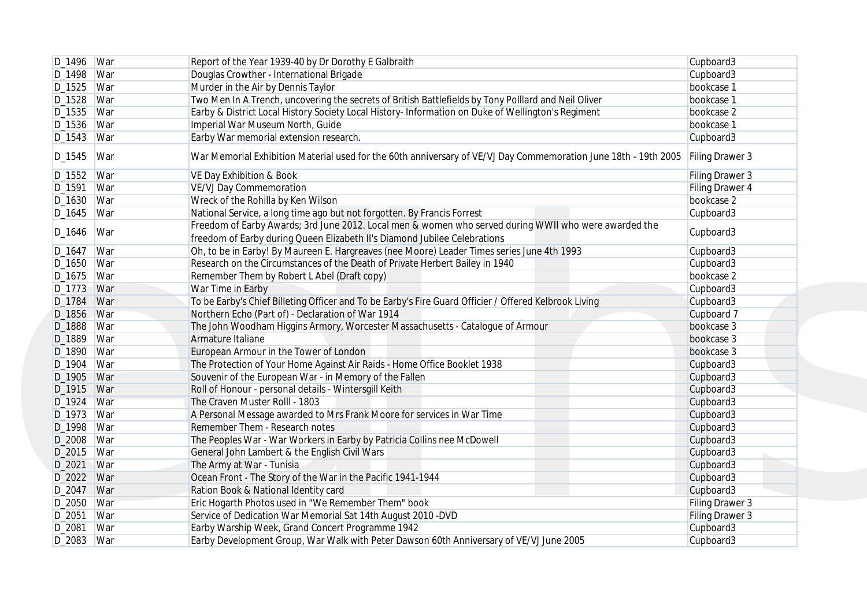|              | D_1496 War | Report of the Year 1939-40 by Dr Dorothy E Galbraith                                                            | Cupboard3       |
|--------------|------------|-----------------------------------------------------------------------------------------------------------------|-----------------|
| D_1498   War |            | Douglas Crowther - International Brigade                                                                        | Cupboard3       |
| D_1525   War |            | Murder in the Air by Dennis Taylor                                                                              | bookcase 1      |
| D_1528 War   |            | Two Men In A Trench, uncovering the secrets of British Battlefields by Tony Polllard and Neil Oliver            | bookcase 1      |
| D_1535   War |            | Earby & District Local History Society Local History- Information on Duke of Wellington's Regiment              | bookcase 2      |
| D_1536 War   |            | Imperial War Museum North, Guide                                                                                | bookcase 1      |
| $D_1543$ War |            | Earby War memorial extension research.                                                                          | Cupboard3       |
| D_1545       | War        | War Memorial Exhibition Material used for the 60th anniversary of VE/VJ Day Commemoration June 18th - 19th 2005 | Filing Drawer 3 |
| D_1552   War |            | VE Day Exhibition & Book                                                                                        | Filing Drawer 3 |
| D_1591       | War        | <b>VE/VJ Day Commemoration</b>                                                                                  | Filing Drawer 4 |
| D_1630   War |            | Wreck of the Rohilla by Ken Wilson                                                                              | bookcase 2      |
| $D_1645$ War |            | National Service, a long time ago but not forgotten. By Francis Forrest                                         | Cupboard3       |
|              |            | Freedom of Earby Awards; 3rd June 2012. Local men & women who served during WWII who were awarded the           |                 |
| D_1646       | War        | freedom of Earby during Queen Elizabeth II's Diamond Jubilee Celebrations                                       | Cupboard3       |
|              |            |                                                                                                                 |                 |
| D_1647       | War        | Oh, to be in Earby! By Maureen E. Hargreaves (nee Moore) Leader Times series June 4th 1993                      | Cupboard3       |
| D_1650   War |            | Research on the Circumstances of the Death of Private Herbert Bailey in 1940                                    | Cupboard3       |
| D_1675   War |            | Remember Them by Robert L Abel (Draft copy)                                                                     | bookcase 2      |
| D_1773 War   |            | War Time in Earby                                                                                               | Cupboard3       |
| D_1784 War   |            | To be Earby's Chief Billeting Officer and To be Earby's Fire Guard Officier / Offered Kelbrook Living           | Cupboard3       |
| D_1856 War   |            | Northern Echo (Part of) - Declaration of War 1914                                                               | Cupboard 7      |
| D_1888 War   |            | The John Woodham Higgins Armory, Worcester Massachusetts - Catalogue of Armour                                  | bookcase 3      |
| D_1889   War |            | Armature Italiane                                                                                               | bookcase 3      |
| D_1890   War |            | European Armour in the Tower of London                                                                          | bookcase 3      |
| D_1904 War   |            | The Protection of Your Home Against Air Raids - Home Office Booklet 1938                                        | Cupboard3       |
| D_1905   War |            | Souvenir of the European War - in Memory of the Fallen                                                          | Cupboard3       |
| D_1915 War   |            | Roll of Honour - personal details - Wintersgill Keith                                                           | Cupboard3       |
| D_1924 War   |            | The Craven Muster Rolll - 1803                                                                                  | Cupboard3       |
| D_1973   War |            | A Personal Message awarded to Mrs Frank Moore for services in War Time                                          | Cupboard3       |
| D_1998   War |            | Remember Them - Research notes                                                                                  | Cupboard3       |
| D_2008 War   |            | The Peoples War - War Workers in Earby by Patricia Collins nee McDowell                                         | Cupboard3       |
| D_2015 War   |            | General John Lambert & the English Civil Wars                                                                   | Cupboard3       |
| D_2021 War   |            | The Army at War - Tunisia                                                                                       | Cupboard3       |
| D_2022 War   |            | Ocean Front - The Story of the War in the Pacific 1941-1944                                                     | Cupboard3       |
| D_2047 War   |            | Ration Book & National Identity card                                                                            | Cupboard3       |
| D_2050 War   |            | Eric Hogarth Photos used in "We Remember Them" book                                                             |                 |
|              |            |                                                                                                                 | Filing Drawer 3 |
| D_2051   War |            | Service of Dedication War Memorial Sat 14th August 2010 -DVD                                                    | Filing Drawer 3 |
| D_2081   War |            | Earby Warship Week, Grand Concert Programme 1942                                                                | Cupboard3       |
| D_2083 War   |            | Earby Development Group, War Walk with Peter Dawson 60th Anniversary of VE/VJ June 2005                         | Cupboard3       |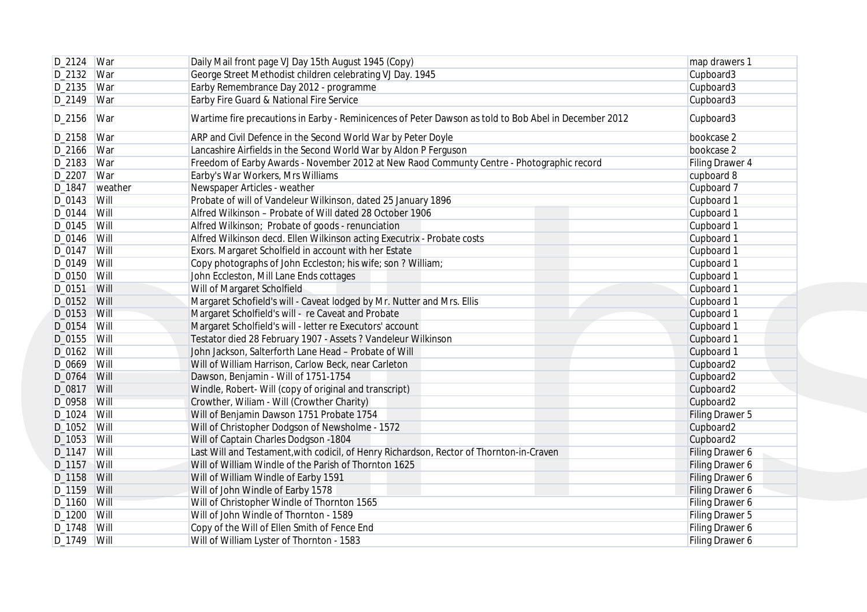|               | D_2124   War     | Daily Mail front page VJ Day 15th August 1945 (Copy)                                                  | map drawers 1   |
|---------------|------------------|-------------------------------------------------------------------------------------------------------|-----------------|
| D_2132 War    |                  | George Street Methodist children celebrating VJ Day. 1945                                             | Cupboard3       |
| D_2135 War    |                  | Earby Remembrance Day 2012 - programme                                                                | Cupboard3       |
| D_2149 War    |                  | Earby Fire Guard & National Fire Service                                                              | Cupboard3       |
| D_2156        | War              | Wartime fire precautions in Earby - Reminicences of Peter Dawson as told to Bob Abel in December 2012 | Cupboard3       |
| D_2158   War  |                  | ARP and Civil Defence in the Second World War by Peter Doyle                                          | bookcase 2      |
| D_2166   War  |                  | Lancashire Airfields in the Second World War by Aldon P Ferguson                                      | bookcase 2      |
| D_2183   War  |                  | Freedom of Earby Awards - November 2012 at New Raod Communty Centre - Photographic record             | Filing Drawer 4 |
| D_2207   War  |                  | Earby's War Workers, Mrs Williams                                                                     | cupboard 8      |
|               | D_1847   weather | Newspaper Articles - weather                                                                          | Cupboard 7      |
| D_0143   Will |                  | Probate of will of Vandeleur Wilkinson, dated 25 January 1896                                         | Cupboard 1      |
| D_0144 Will   |                  | Alfred Wilkinson - Probate of Will dated 28 October 1906                                              | Cupboard 1      |
| D_0145 Will   |                  | Alfred Wilkinson; Probate of goods - renunciation                                                     | Cupboard 1      |
| D_0146   Will |                  | Alfred Wilkinson decd. Ellen Wilkinson acting Executrix - Probate costs                               | Cupboard 1      |
| D_0147   Will |                  | Exors. Margaret Scholfield in account with her Estate                                                 | Cupboard 1      |
| D_0149 Will   |                  | Copy photographs of John Eccleston; his wife; son ? William;                                          | Cupboard 1      |
| D_0150 Will   |                  | John Eccleston, Mill Lane Ends cottages                                                               | Cupboard 1      |
| D_0151        | <b>Will</b>      | Will of Margaret Scholfield                                                                           | Cupboard 1      |
| D_0152 Will   |                  | Margaret Schofield's will - Caveat lodged by Mr. Nutter and Mrs. Ellis                                | Cupboard 1      |
| D_0153 Will   |                  | Margaret Scholfield's will - re Caveat and Probate                                                    | Cupboard 1      |
| D_0154 Will   |                  | Margaret Scholfield's will - letter re Executors' account                                             | Cupboard 1      |
| D_0155   Will |                  | Testator died 28 February 1907 - Assets ? Vandeleur Wilkinson                                         | Cupboard 1      |
| D_0162 Will   |                  | John Jackson, Salterforth Lane Head - Probate of Will                                                 | Cupboard 1      |
| D_0669 Will   |                  | Will of William Harrison, Carlow Beck, near Carleton                                                  | Cupboard2       |
| D_0764        | Will             | Dawson, Benjamin - Will of 1751-1754                                                                  | Cupboard2       |
| D_0817 Will   |                  | Windle, Robert- Will (copy of original and transcript)                                                | Cupboard2       |
| D_0958 Will   |                  | Crowther, Wiliam - Will (Crowther Charity)                                                            | Cupboard2       |
| $D_1024$ Will |                  | Will of Benjamin Dawson 1751 Probate 1754                                                             | Filing Drawer 5 |
| $D_1052$ Will |                  | Will of Christopher Dodgson of Newsholme - 1572                                                       | Cupboard2       |
| $D_1053$ Will |                  | Will of Captain Charles Dodgson - 1804                                                                | Cupboard2       |
| $D_1147$ Will |                  | Last Will and Testament, with codicil, of Henry Richardson, Rector of Thornton-in-Craven              | Filing Drawer 6 |
| D_1157 Will   |                  | Will of William Windle of the Parish of Thornton 1625                                                 | Filing Drawer 6 |
| D_1158 Will   |                  | Will of William Windle of Earby 1591                                                                  | Filing Drawer 6 |
| D_1159 Will   |                  | Will of John Windle of Earby 1578                                                                     | Filing Drawer 6 |
| D_1160   Will |                  | Will of Christopher Windle of Thornton 1565                                                           | Filing Drawer 6 |
| D_1200   Will |                  | Will of John Windle of Thornton - 1589                                                                | Filing Drawer 5 |
| D_1748   Will |                  | Copy of the Will of Ellen Smith of Fence End                                                          | Filing Drawer 6 |
| D_1749 Will   |                  | Will of William Lyster of Thornton - 1583                                                             | Filing Drawer 6 |